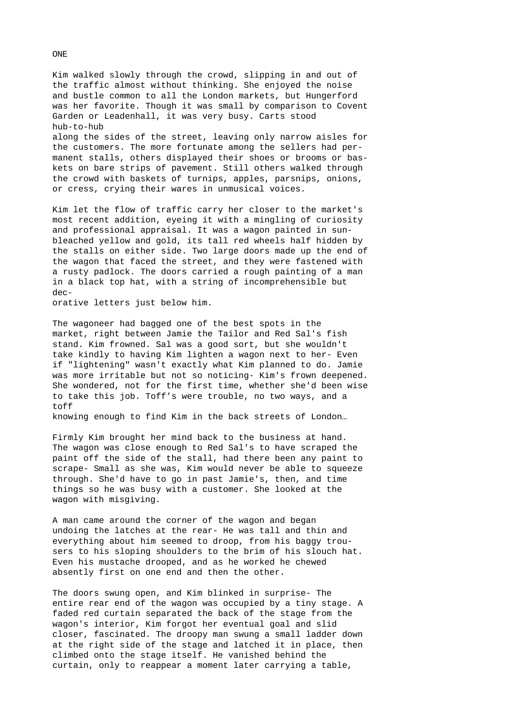Kim walked slowly through the crowd, slipping in and out of the traffic almost without thinking. She enjoyed the noise and bustle common to all the London markets, but Hungerford was her favorite. Though it was small by comparison to Covent Garden or Leadenhall, it was very busy. Carts stood hub-to-hub along the sides of the street, leaving only narrow aisles for the customers. The more fortunate among the sellers had permanent stalls, others displayed their shoes or brooms or baskets on bare strips of pavement. Still others walked through the crowd with baskets of turnips, apples, parsnips, onions, or cress, crying their wares in unmusical voices.

Kim let the flow of traffic carry her closer to the market's most recent addition, eyeing it with a mingling of curiosity and professional appraisal. It was a wagon painted in sunbleached yellow and gold, its tall red wheels half hidden by the stalls on either side. Two large doors made up the end of the wagon that faced the street, and they were fastened with a rusty padlock. The doors carried a rough painting of a man in a black top hat, with a string of incomprehensible but dec-

orative letters just below him.

The wagoneer had bagged one of the best spots in the market, right between Jamie the Tailor and Red Sal's fish stand. Kim frowned. Sal was a good sort, but she wouldn't take kindly to having Kim lighten a wagon next to her- Even if "lightening" wasn't exactly what Kim planned to do. Jamie was more irritable but not so noticing- Kim's frown deepened. She wondered, not for the first time, whether she'd been wise to take this job. Toff's were trouble, no two ways, and a toff

knowing enough to find Kim in the back streets of London…

Firmly Kim brought her mind back to the business at hand. The wagon was close enough to Red Sal's to have scraped the paint off the side of the stall, had there been any paint to scrape- Small as she was, Kim would never be able to squeeze through. She'd have to go in past Jamie's, then, and time things so he was busy with a customer. She looked at the wagon with misgiving.

A man came around the corner of the wagon and began undoing the latches at the rear- He was tall and thin and everything about him seemed to droop, from his baggy trousers to his sloping shoulders to the brim of his slouch hat. Even his mustache drooped, and as he worked he chewed absently first on one end and then the other.

The doors swung open, and Kim blinked in surprise- The entire rear end of the wagon was occupied by a tiny stage. A faded red curtain separated the back of the stage from the wagon's interior, Kim forgot her eventual goal and slid closer, fascinated. The droopy man swung a small ladder down at the right side of the stage and latched it in place, then climbed onto the stage itself. He vanished behind the curtain, only to reappear a moment later carrying a table,

ONE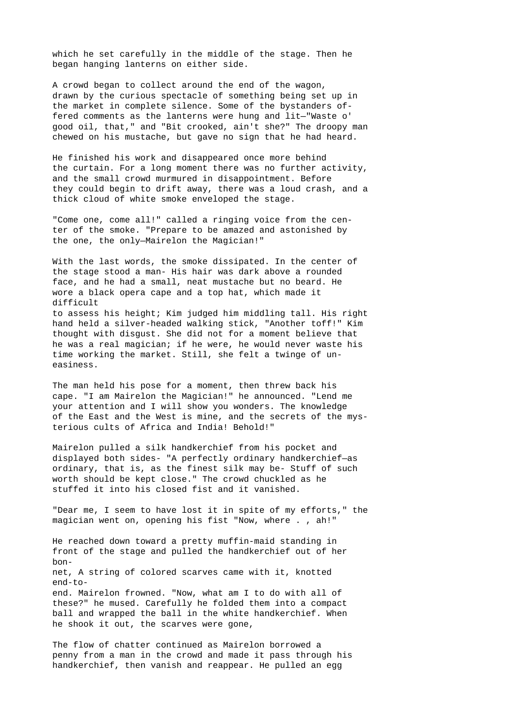which he set carefully in the middle of the stage. Then he began hanging lanterns on either side.

A crowd began to collect around the end of the wagon, drawn by the curious spectacle of something being set up in the market in complete silence. Some of the bystanders offered comments as the lanterns were hung and lit—"Waste o' good oil, that," and "Bit crooked, ain't she?" The droopy man chewed on his mustache, but gave no sign that he had heard.

He finished his work and disappeared once more behind the curtain. For a long moment there was no further activity, and the small crowd murmured in disappointment. Before they could begin to drift away, there was a loud crash, and a thick cloud of white smoke enveloped the stage.

"Come one, come all!" called a ringing voice from the center of the smoke. "Prepare to be amazed and astonished by the one, the only—Mairelon the Magician!"

With the last words, the smoke dissipated. In the center of the stage stood a man- His hair was dark above a rounded face, and he had a small, neat mustache but no beard. He wore a black opera cape and a top hat, which made it difficult

to assess his height; Kim judged him middling tall. His right hand held a silver-headed walking stick, "Another toff!" Kim thought with disgust. She did not for a moment believe that he was a real magician; if he were, he would never waste his time working the market. Still, she felt a twinge of uneasiness.

The man held his pose for a moment, then threw back his cape. "I am Mairelon the Magician!" he announced. "Lend me your attention and I will show you wonders. The knowledge of the East and the West is mine, and the secrets of the mysterious cults of Africa and India! Behold!"

Mairelon pulled a silk handkerchief from his pocket and displayed both sides- "A perfectly ordinary handkerchief—as ordinary, that is, as the finest silk may be- Stuff of such worth should be kept close." The crowd chuckled as he stuffed it into his closed fist and it vanished.

"Dear me, I seem to have lost it in spite of my efforts," the magician went on, opening his fist "Now, where . , ah!"

He reached down toward a pretty muffin-maid standing in front of the stage and pulled the handkerchief out of her bonnet, A string of colored scarves came with it, knotted end-toend. Mairelon frowned. "Now, what am I to do with all of these?" he mused. Carefully he folded them into a compact ball and wrapped the ball in the white handkerchief. When he shook it out, the scarves were gone,

The flow of chatter continued as Mairelon borrowed a penny from a man in the crowd and made it pass through his handkerchief, then vanish and reappear. He pulled an egg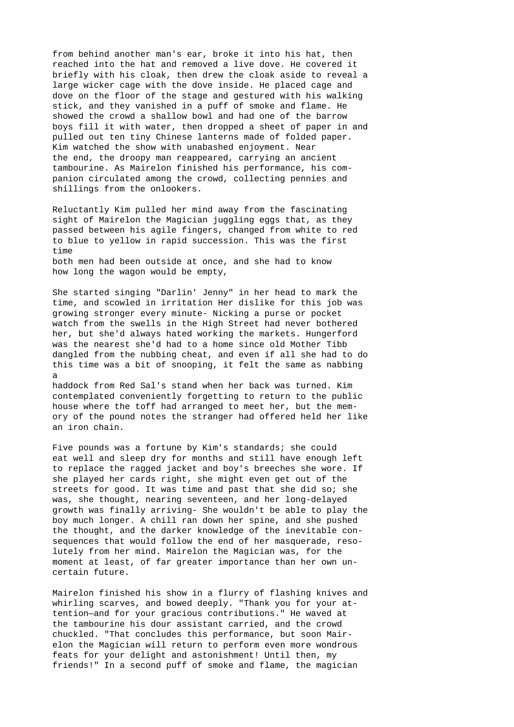from behind another man's ear, broke it into his hat, then reached into the hat and removed a live dove. He covered it briefly with his cloak, then drew the cloak aside to reveal a large wicker cage with the dove inside. He placed cage and dove on the floor of the stage and gestured with his walking stick, and they vanished in a puff of smoke and flame. He showed the crowd a shallow bowl and had one of the barrow boys fill it with water, then dropped a sheet of paper in and pulled out ten tiny Chinese lanterns made of folded paper. Kim watched the show with unabashed enjoyment. Near the end, the droopy man reappeared, carrying an ancient tambourine. As Mairelon finished his performance, his companion circulated among the crowd, collecting pennies and shillings from the onlookers.

Reluctantly Kim pulled her mind away from the fascinating sight of Mairelon the Magician juggling eggs that, as they passed between his agile fingers, changed from white to red to blue to yellow in rapid succession. This was the first time both men had been outside at once, and she had to know

how long the wagon would be empty,

She started singing "Darlin' Jenny" in her head to mark the time, and scowled in irritation Her dislike for this job was growing stronger every minute- Nicking a purse or pocket watch from the swells in the High Street had never bothered her, but she'd always hated working the markets. Hungerford was the nearest she'd had to a home since old Mother Tibb dangled from the nubbing cheat, and even if all she had to do this time was a bit of snooping, it felt the same as nabbing a

haddock from Red Sal's stand when her back was turned. Kim contemplated conveniently forgetting to return to the public house where the toff had arranged to meet her, but the memory of the pound notes the stranger had offered held her like an iron chain.

Five pounds was a fortune by Kim's standards; she could eat well and sleep dry for months and still have enough left to replace the ragged jacket and boy's breeches she wore. If she played her cards right, she might even get out of the streets for good. It was time and past that she did so; she was, she thought, nearing seventeen, and her long-delayed growth was finally arriving- She wouldn't be able to play the boy much longer. A chill ran down her spine, and she pushed the thought, and the darker knowledge of the inevitable consequences that would follow the end of her masquerade, resolutely from her mind. Mairelon the Magician was, for the moment at least, of far greater importance than her own uncertain future.

Mairelon finished his show in a flurry of flashing knives and whirling scarves, and bowed deeply. "Thank you for your attention—and for your gracious contributions." He waved at the tambourine his dour assistant carried, and the crowd chuckled. "That concludes this performance, but soon Mairelon the Magician will return to perform even more wondrous feats for your delight and astonishment! Until then, my friends!" In a second puff of smoke and flame, the magician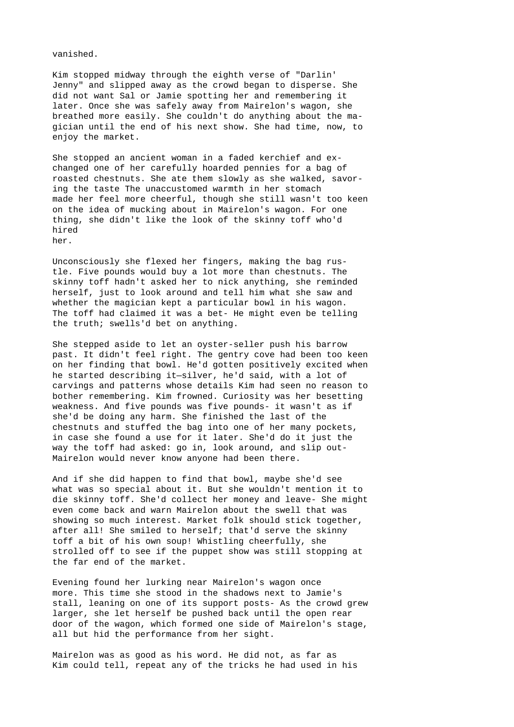vanished.

Kim stopped midway through the eighth verse of "Darlin' Jenny" and slipped away as the crowd began to disperse. She did not want Sal or Jamie spotting her and remembering it later. Once she was safely away from Mairelon's wagon, she breathed more easily. She couldn't do anything about the magician until the end of his next show. She had time, now, to enjoy the market.

She stopped an ancient woman in a faded kerchief and exchanged one of her carefully hoarded pennies for a bag of roasted chestnuts. She ate them slowly as she walked, savoring the taste The unaccustomed warmth in her stomach made her feel more cheerful, though she still wasn't too keen on the idea of mucking about in Mairelon's wagon. For one thing, she didn't like the look of the skinny toff who'd hired her.

Unconsciously she flexed her fingers, making the bag rustle. Five pounds would buy a lot more than chestnuts. The skinny toff hadn't asked her to nick anything, she reminded herself, just to look around and tell him what she saw and whether the magician kept a particular bowl in his wagon. The toff had claimed it was a bet- He might even be telling the truth; swells'd bet on anything.

She stepped aside to let an oyster-seller push his barrow past. It didn't feel right. The gentry cove had been too keen on her finding that bowl. He'd gotten positively excited when he started describing it—silver, he'd said, with a lot of carvings and patterns whose details Kim had seen no reason to bother remembering. Kim frowned. Curiosity was her besetting weakness. And five pounds was five pounds- it wasn't as if she'd be doing any harm. She finished the last of the chestnuts and stuffed the bag into one of her many pockets, in case she found a use for it later. She'd do it just the way the toff had asked: go in, look around, and slip out-Mairelon would never know anyone had been there.

And if she did happen to find that bowl, maybe she'd see what was so special about it. But she wouldn't mention it to die skinny toff. She'd collect her money and leave- She might even come back and warn Mairelon about the swell that was showing so much interest. Market folk should stick together, after all! She smiled to herself; that'd serve the skinny toff a bit of his own soup! Whistling cheerfully, she strolled off to see if the puppet show was still stopping at the far end of the market.

Evening found her lurking near Mairelon's wagon once more. This time she stood in the shadows next to Jamie's stall, leaning on one of its support posts- As the crowd grew larger, she let herself be pushed back until the open rear door of the wagon, which formed one side of Mairelon's stage, all but hid the performance from her sight.

Mairelon was as good as his word. He did not, as far as Kim could tell, repeat any of the tricks he had used in his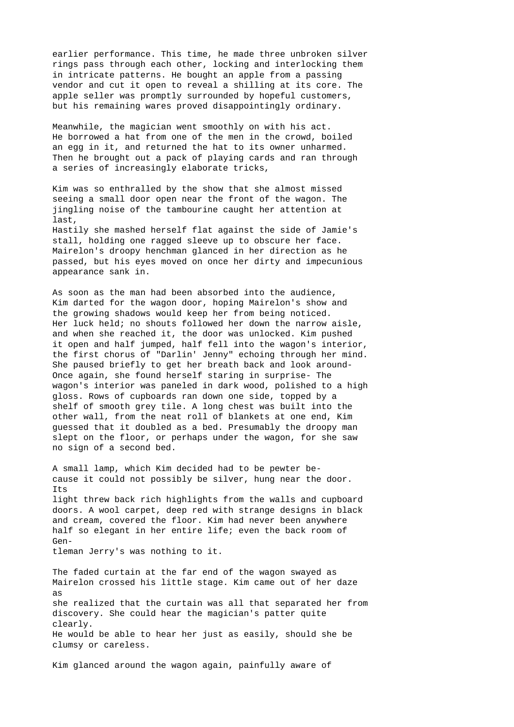earlier performance. This time, he made three unbroken silver rings pass through each other, locking and interlocking them in intricate patterns. He bought an apple from a passing vendor and cut it open to reveal a shilling at its core. The apple seller was promptly surrounded by hopeful customers, but his remaining wares proved disappointingly ordinary.

Meanwhile, the magician went smoothly on with his act. He borrowed a hat from one of the men in the crowd, boiled an egg in it, and returned the hat to its owner unharmed. Then he brought out a pack of playing cards and ran through a series of increasingly elaborate tricks,

Kim was so enthralled by the show that she almost missed seeing a small door open near the front of the wagon. The jingling noise of the tambourine caught her attention at last, Hastily she mashed herself flat against the side of Jamie's stall, holding one ragged sleeve up to obscure her face. Mairelon's droopy henchman glanced in her direction as he passed, but his eyes moved on once her dirty and impecunious appearance sank in.

As soon as the man had been absorbed into the audience, Kim darted for the wagon door, hoping Mairelon's show and the growing shadows would keep her from being noticed. Her luck held; no shouts followed her down the narrow aisle, and when she reached it, the door was unlocked. Kim pushed it open and half jumped, half fell into the wagon's interior, the first chorus of "Darlin' Jenny" echoing through her mind. She paused briefly to get her breath back and look around-Once again, she found herself staring in surprise- The wagon's interior was paneled in dark wood, polished to a high gloss. Rows of cupboards ran down one side, topped by a shelf of smooth grey tile. A long chest was built into the other wall, from the neat roll of blankets at one end, Kim guessed that it doubled as a bed. Presumably the droopy man slept on the floor, or perhaps under the wagon, for she saw no sign of a second bed.

A small lamp, which Kim decided had to be pewter because it could not possibly be silver, hung near the door. Its light threw back rich highlights from the walls and cupboard doors. A wool carpet, deep red with strange designs in black and cream, covered the floor. Kim had never been anywhere half so elegant in her entire life; even the back room of Gentleman Jerry's was nothing to it.

The faded curtain at the far end of the wagon swayed as Mairelon crossed his little stage. Kim came out of her daze as she realized that the curtain was all that separated her from discovery. She could hear the magician's patter quite clearly. He would be able to hear her just as easily, should she be clumsy or careless.

Kim glanced around the wagon again, painfully aware of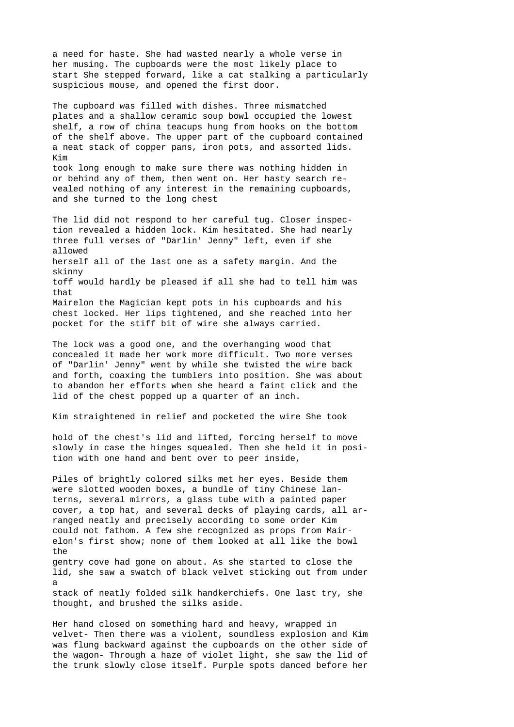a need for haste. She had wasted nearly a whole verse in her musing. The cupboards were the most likely place to start She stepped forward, like a cat stalking a particularly suspicious mouse, and opened the first door.

The cupboard was filled with dishes. Three mismatched plates and a shallow ceramic soup bowl occupied the lowest shelf, a row of china teacups hung from hooks on the bottom of the shelf above. The upper part of the cupboard contained a neat stack of copper pans, iron pots, and assorted lids. Kim took long enough to make sure there was nothing hidden in or behind any of them, then went on. Her hasty search revealed nothing of any interest in the remaining cupboards,

The lid did not respond to her careful tug. Closer inspection revealed a hidden lock. Kim hesitated. She had nearly three full verses of "Darlin' Jenny" left, even if she allowed herself all of the last one as a safety margin. And the skinny toff would hardly be pleased if all she had to tell him was that Mairelon the Magician kept pots in his cupboards and his chest locked. Her lips tightened, and she reached into her pocket for the stiff bit of wire she always carried.

and she turned to the long chest

The lock was a good one, and the overhanging wood that concealed it made her work more difficult. Two more verses of "Darlin' Jenny" went by while she twisted the wire back and forth, coaxing the tumblers into position. She was about to abandon her efforts when she heard a faint click and the lid of the chest popped up a quarter of an inch.

Kim straightened in relief and pocketed the wire She took

hold of the chest's lid and lifted, forcing herself to move slowly in case the hinges squealed. Then she held it in position with one hand and bent over to peer inside,

Piles of brightly colored silks met her eyes. Beside them were slotted wooden boxes, a bundle of tiny Chinese lanterns, several mirrors, a glass tube with a painted paper cover, a top hat, and several decks of playing cards, all arranged neatly and precisely according to some order Kim could not fathom. A few she recognized as props from Mairelon's first show; none of them looked at all like the bowl the gentry cove had gone on about. As she started to close the lid, she saw a swatch of black velvet sticking out from under a stack of neatly folded silk handkerchiefs. One last try, she

thought, and brushed the silks aside.

Her hand closed on something hard and heavy, wrapped in velvet- Then there was a violent, soundless explosion and Kim was flung backward against the cupboards on the other side of the wagon- Through a haze of violet light, she saw the lid of the trunk slowly close itself. Purple spots danced before her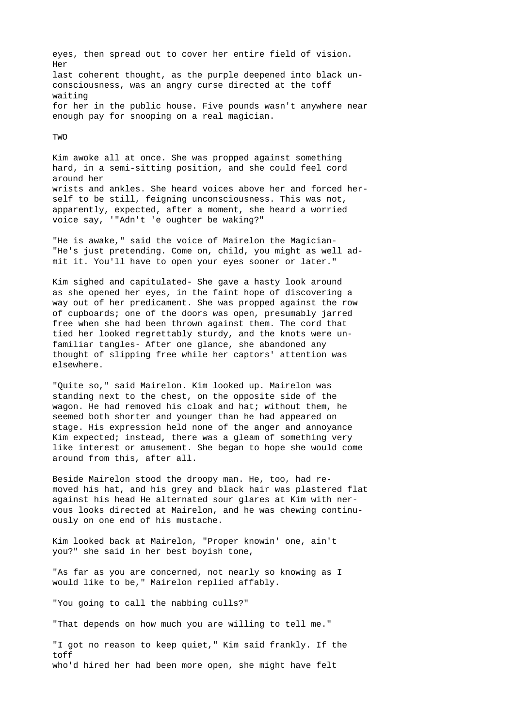eyes, then spread out to cover her entire field of vision. Her last coherent thought, as the purple deepened into black unconsciousness, was an angry curse directed at the toff waiting for her in the public house. Five pounds wasn't anywhere near enough pay for snooping on a real magician.

TWO

Kim awoke all at once. She was propped against something hard, in a semi-sitting position, and she could feel cord around her wrists and ankles. She heard voices above her and forced herself to be still, feigning unconsciousness. This was not, apparently, expected, after a moment, she heard a worried voice say, '"Adn't 'e oughter be waking?"

"He is awake," said the voice of Mairelon the Magician- "He's just pretending. Come on, child, you might as well admit it. You'll have to open your eyes sooner or later."

Kim sighed and capitulated- She gave a hasty look around as she opened her eyes, in the faint hope of discovering a way out of her predicament. She was propped against the row of cupboards; one of the doors was open, presumably jarred free when she had been thrown against them. The cord that tied her looked regrettably sturdy, and the knots were unfamiliar tangles- After one glance, she abandoned any thought of slipping free while her captors' attention was elsewhere.

"Quite so," said Mairelon. Kim looked up. Mairelon was standing next to the chest, on the opposite side of the wagon. He had removed his cloak and hat; without them, he seemed both shorter and younger than he had appeared on stage. His expression held none of the anger and annoyance Kim expected; instead, there was a gleam of something very like interest or amusement. She began to hope she would come around from this, after all.

Beside Mairelon stood the droopy man. He, too, had removed his hat, and his grey and black hair was plastered flat against his head He alternated sour glares at Kim with nervous looks directed at Mairelon, and he was chewing continuously on one end of his mustache.

Kim looked back at Mairelon, "Proper knowin' one, ain't you?" she said in her best boyish tone,

"As far as you are concerned, not nearly so knowing as I would like to be," Mairelon replied affably.

"You going to call the nabbing culls?"

"That depends on how much you are willing to tell me."

"I got no reason to keep quiet," Kim said frankly. If the  $t$ off who'd hired her had been more open, she might have felt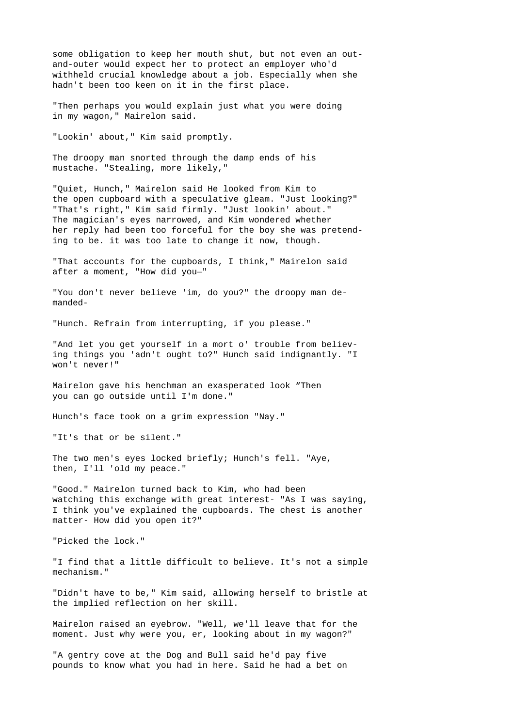some obligation to keep her mouth shut, but not even an outand-outer would expect her to protect an employer who'd withheld crucial knowledge about a job. Especially when she hadn't been too keen on it in the first place.

"Then perhaps you would explain just what you were doing in my wagon," Mairelon said.

"Lookin' about," Kim said promptly.

The droopy man snorted through the damp ends of his mustache. "Stealing, more likely,"

"Quiet, Hunch," Mairelon said He looked from Kim to the open cupboard with a speculative gleam. "Just looking?" "That's right," Kim said firmly. "Just lookin' about." The magician's eyes narrowed, and Kim wondered whether her reply had been too forceful for the boy she was pretending to be. it was too late to change it now, though.

"That accounts for the cupboards, I think," Mairelon said after a moment, "How did you—"

"You don't never believe 'im, do you?" the droopy man demanded-

"Hunch. Refrain from interrupting, if you please."

"And let you get yourself in a mort o' trouble from believing things you 'adn't ought to?" Hunch said indignantly. "I won't never!"

Mairelon gave his henchman an exasperated look "Then you can go outside until I'm done."

Hunch's face took on a grim expression "Nay."

"It's that or be silent."

The two men's eyes locked briefly; Hunch's fell. "Aye, then, I'll 'old my peace."

"Good." Mairelon turned back to Kim, who had been watching this exchange with great interest- "As I was saying, I think you've explained the cupboards. The chest is another matter- How did you open it?"

"Picked the lock."

"I find that a little difficult to believe. It's not a simple mechanism."

"Didn't have to be," Kim said, allowing herself to bristle at the implied reflection on her skill.

Mairelon raised an eyebrow. "Well, we'll leave that for the moment. Just why were you, er, looking about in my wagon?"

"A gentry cove at the Dog and Bull said he'd pay five pounds to know what you had in here. Said he had a bet on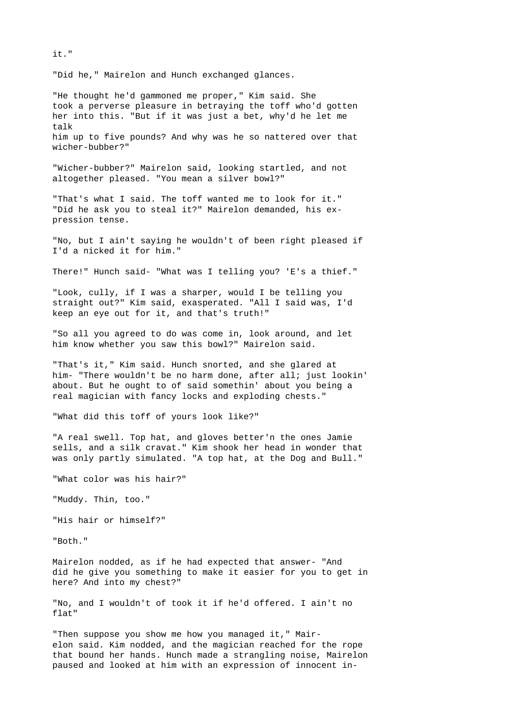"Did he," Mairelon and Hunch exchanged glances.

"He thought he'd gammoned me proper," Kim said. She took a perverse pleasure in betraying the toff who'd gotten her into this. "But if it was just a bet, why'd he let me talk him up to five pounds? And why was he so nattered over that wicher-bubber?"

"Wicher-bubber?" Mairelon said, looking startled, and not altogether pleased. "You mean a silver bowl?"

"That's what I said. The toff wanted me to look for it." "Did he ask you to steal it?" Mairelon demanded, his expression tense.

"No, but I ain't saying he wouldn't of been right pleased if I'd a nicked it for him."

There!" Hunch said- "What was I telling you? 'E's a thief."

"Look, cully, if I was a sharper, would I be telling you straight out?" Kim said, exasperated. "All I said was, I'd keep an eye out for it, and that's truth!"

"So all you agreed to do was come in, look around, and let him know whether you saw this bowl?" Mairelon said.

"That's it," Kim said. Hunch snorted, and she glared at him- "There wouldn't be no harm done, after all; just lookin' about. But he ought to of said somethin' about you being a real magician with fancy locks and exploding chests."

"What did this toff of yours look like?"

"A real swell. Top hat, and gloves better'n the ones Jamie sells, and a silk cravat." Kim shook her head in wonder that was only partly simulated. "A top hat, at the Dog and Bull."

"What color was his hair?"

"Muddy. Thin, too."

"His hair or himself?"

"Both."

Mairelon nodded, as if he had expected that answer- "And did he give you something to make it easier for you to get in here? And into my chest?"

"No, and I wouldn't of took it if he'd offered. I ain't no flat"

"Then suppose you show me how you managed it," Mairelon said. Kim nodded, and the magician reached for the rope that bound her hands. Hunch made a strangling noise, Mairelon paused and looked at him with an expression of innocent in-

```
it."
```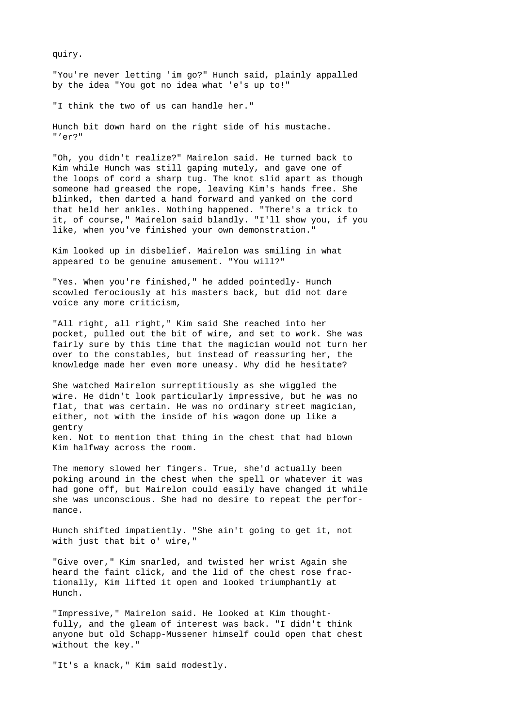quiry.

"You're never letting 'im go?" Hunch said, plainly appalled by the idea "You got no idea what 'e's up to!"

"I think the two of us can handle her."

Hunch bit down hard on the right side of his mustache. "'er?"

"Oh, you didn't realize?" Mairelon said. He turned back to Kim while Hunch was still gaping mutely, and gave one of the loops of cord a sharp tug. The knot slid apart as though someone had greased the rope, leaving Kim's hands free. She blinked, then darted a hand forward and yanked on the cord that held her ankles. Nothing happened. "There's a trick to it, of course," Mairelon said blandly. "I'll show you, if you like, when you've finished your own demonstration."

Kim looked up in disbelief. Mairelon was smiling in what appeared to be genuine amusement. "You will?"

"Yes. When you're finished," he added pointedly- Hunch scowled ferociously at his masters back, but did not dare voice any more criticism,

"All right, all right," Kim said She reached into her pocket, pulled out the bit of wire, and set to work. She was fairly sure by this time that the magician would not turn her over to the constables, but instead of reassuring her, the knowledge made her even more uneasy. Why did he hesitate?

She watched Mairelon surreptitiously as she wiggled the wire. He didn't look particularly impressive, but he was no flat, that was certain. He was no ordinary street magician, either, not with the inside of his wagon done up like a gentry ken. Not to mention that thing in the chest that had blown Kim halfway across the room.

The memory slowed her fingers. True, she'd actually been poking around in the chest when the spell or whatever it was had gone off, but Mairelon could easily have changed it while she was unconscious. She had no desire to repeat the performance.

Hunch shifted impatiently. "She ain't going to get it, not with just that bit o' wire,"

"Give over," Kim snarled, and twisted her wrist Again she heard the faint click, and the lid of the chest rose fractionally, Kim lifted it open and looked triumphantly at Hunch.

"Impressive," Mairelon said. He looked at Kim thoughtfully, and the gleam of interest was back. "I didn't think anyone but old Schapp-Mussener himself could open that chest without the key."

"It's a knack," Kim said modestly.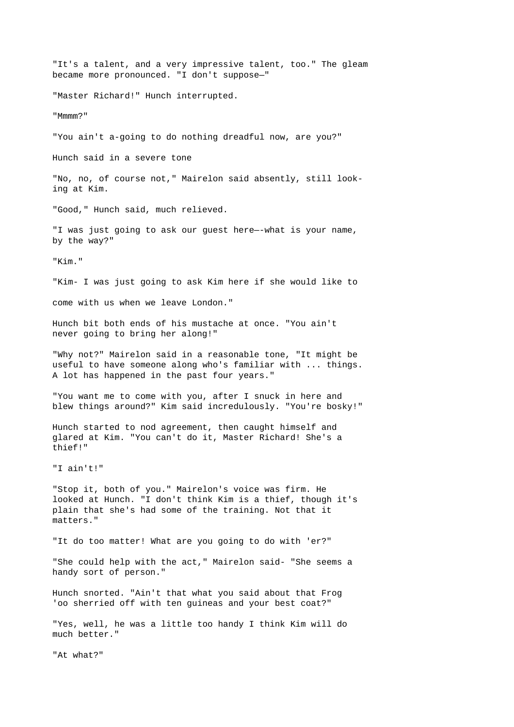"It's a talent, and a very impressive talent, too." The gleam became more pronounced. "I don't suppose—" "Master Richard!" Hunch interrupted. "Mmmm?" "You ain't a-going to do nothing dreadful now, are you?" Hunch said in a severe tone "No, no, of course not," Mairelon said absently, still looking at Kim. "Good," Hunch said, much relieved. "I was just going to ask our guest here—-what is your name, by the way?" "Kim." "Kim- I was just going to ask Kim here if she would like to come with us when we leave London." Hunch bit both ends of his mustache at once. "You ain't never going to bring her along!" "Why not?" Mairelon said in a reasonable tone, "It might be useful to have someone along who's familiar with ... things. A lot has happened in the past four years." "You want me to come with you, after I snuck in here and blew things around?" Kim said incredulously. "You're bosky!" Hunch started to nod agreement, then caught himself and glared at Kim. "You can't do it, Master Richard! She's a thief!" "I ain't!" "Stop it, both of you." Mairelon's voice was firm. He looked at Hunch. "I don't think Kim is a thief, though it's plain that she's had some of the training. Not that it matters." "It do too matter! What are you going to do with 'er?" "She could help with the act," Mairelon said- "She seems a handy sort of person." Hunch snorted. "Ain't that what you said about that Frog 'oo sherried off with ten guineas and your best coat?" "Yes, well, he was a little too handy I think Kim will do much better." "At what?"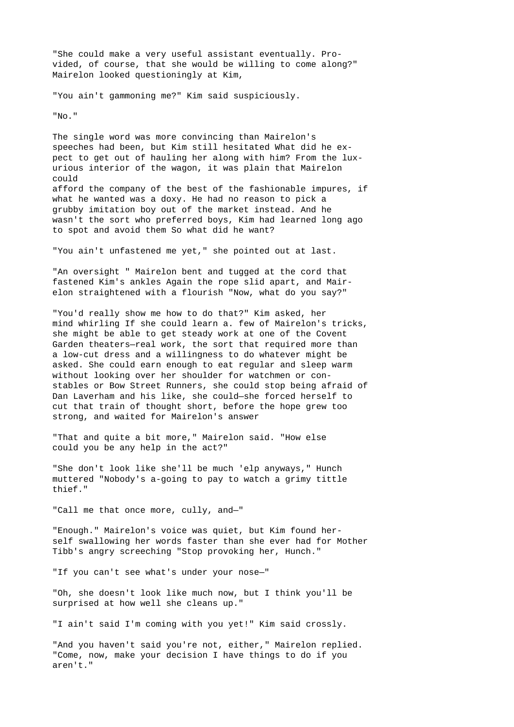"She could make a very useful assistant eventually. Provided, of course, that she would be willing to come along?" Mairelon looked questioningly at Kim,

"You ain't gammoning me?" Kim said suspiciously.

"No."

The single word was more convincing than Mairelon's speeches had been, but Kim still hesitated What did he expect to get out of hauling her along with him? From the luxurious interior of the wagon, it was plain that Mairelon could afford the company of the best of the fashionable impures, if what he wanted was a doxy. He had no reason to pick a grubby imitation boy out of the market instead. And he wasn't the sort who preferred boys, Kim had learned long ago to spot and avoid them So what did he want?

"You ain't unfastened me yet," she pointed out at last.

"An oversight " Mairelon bent and tugged at the cord that fastened Kim's ankles Again the rope slid apart, and Mairelon straightened with a flourish "Now, what do you say?"

"You'd really show me how to do that?" Kim asked, her mind whirling If she could learn a. few of Mairelon's tricks, she might be able to get steady work at one of the Covent Garden theaters—real work, the sort that required more than a low-cut dress and a willingness to do whatever might be asked. She could earn enough to eat regular and sleep warm without looking over her shoulder for watchmen or constables or Bow Street Runners, she could stop being afraid of Dan Laverham and his like, she could—she forced herself to cut that train of thought short, before the hope grew too strong, and waited for Mairelon's answer

"That and quite a bit more," Mairelon said. "How else could you be any help in the act?"

"She don't look like she'll be much 'elp anyways," Hunch muttered "Nobody's a-going to pay to watch a grimy tittle thief."

"Call me that once more, cully, and—"

"Enough." Mairelon's voice was quiet, but Kim found herself swallowing her words faster than she ever had for Mother Tibb's angry screeching "Stop provoking her, Hunch."

"If you can't see what's under your nose—"

"Oh, she doesn't look like much now, but I think you'll be surprised at how well she cleans up."

"I ain't said I'm coming with you yet!" Kim said crossly.

"And you haven't said you're not, either," Mairelon replied. "Come, now, make your decision I have things to do if you aren't."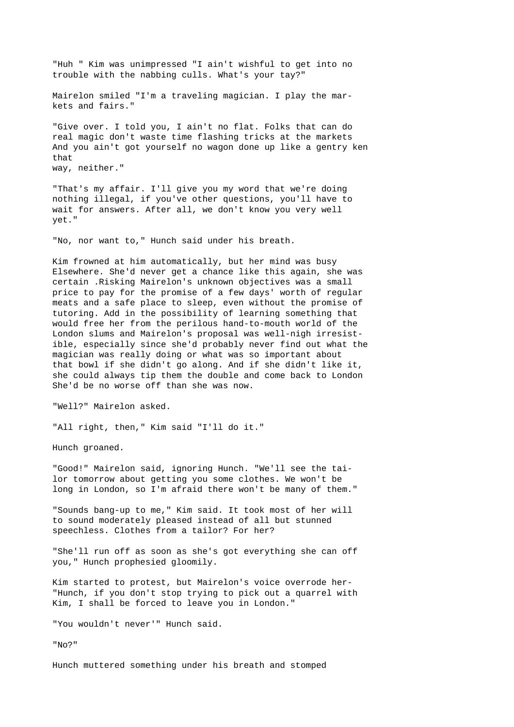"Huh " Kim was unimpressed "I ain't wishful to get into no trouble with the nabbing culls. What's your tay?"

Mairelon smiled "I'm a traveling magician. I play the markets and fairs."

"Give over. I told you, I ain't no flat. Folks that can do real magic don't waste time flashing tricks at the markets And you ain't got yourself no wagon done up like a gentry ken that

way, neither."

"That's my affair. I'll give you my word that we're doing nothing illegal, if you've other questions, you'll have to wait for answers. After all, we don't know you very well yet."

"No, nor want to," Hunch said under his breath.

Kim frowned at him automatically, but her mind was busy Elsewhere. She'd never get a chance like this again, she was certain .Risking Mairelon's unknown objectives was a small price to pay for the promise of a few days' worth of regular meats and a safe place to sleep, even without the promise of tutoring. Add in the possibility of learning something that would free her from the perilous hand-to-mouth world of the London slums and Mairelon's proposal was well-nigh irresistible, especially since she'd probably never find out what the magician was really doing or what was so important about that bowl if she didn't go along. And if she didn't like it, she could always tip them the double and come back to London She'd be no worse off than she was now.

"Well?" Mairelon asked.

"All right, then," Kim said "I'll do it."

Hunch groaned.

"Good!" Mairelon said, ignoring Hunch. "We'll see the tailor tomorrow about getting you some clothes. We won't be long in London, so I'm afraid there won't be many of them."

"Sounds bang-up to me," Kim said. It took most of her will to sound moderately pleased instead of all but stunned speechless. Clothes from a tailor? For her?

"She'll run off as soon as she's got everything she can off you," Hunch prophesied gloomily.

Kim started to protest, but Mairelon's voice overrode her- "Hunch, if you don't stop trying to pick out a quarrel with Kim, I shall be forced to leave you in London."

"You wouldn't never'" Hunch said.

"No?"

Hunch muttered something under his breath and stomped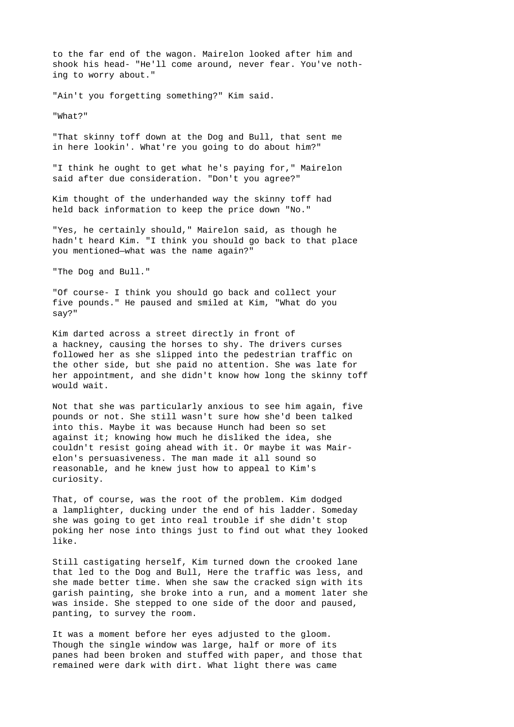to the far end of the wagon. Mairelon looked after him and shook his head- "He'll come around, never fear. You've nothing to worry about."

"Ain't you forgetting something?" Kim said.

"What?"

"That skinny toff down at the Dog and Bull, that sent me in here lookin'. What're you going to do about him?"

"I think he ought to get what he's paying for," Mairelon said after due consideration. "Don't you agree?"

Kim thought of the underhanded way the skinny toff had held back information to keep the price down "No."

"Yes, he certainly should," Mairelon said, as though he hadn't heard Kim. "I think you should go back to that place you mentioned—what was the name again?"

"The Dog and Bull."

"Of course- I think you should go back and collect your five pounds." He paused and smiled at Kim, "What do you say?"

Kim darted across a street directly in front of a hackney, causing the horses to shy. The drivers curses followed her as she slipped into the pedestrian traffic on the other side, but she paid no attention. She was late for her appointment, and she didn't know how long the skinny toff would wait.

Not that she was particularly anxious to see him again, five pounds or not. She still wasn't sure how she'd been talked into this. Maybe it was because Hunch had been so set against it; knowing how much he disliked the idea, she couldn't resist going ahead with it. Or maybe it was Mairelon's persuasiveness. The man made it all sound so reasonable, and he knew just how to appeal to Kim's curiosity.

That, of course, was the root of the problem. Kim dodged a lamplighter, ducking under the end of his ladder. Someday she was going to get into real trouble if she didn't stop poking her nose into things just to find out what they looked like.

Still castigating herself, Kim turned down the crooked lane that led to the Dog and Bull, Here the traffic was less, and she made better time. When she saw the cracked sign with its garish painting, she broke into a run, and a moment later she was inside. She stepped to one side of the door and paused, panting, to survey the room.

It was a moment before her eyes adjusted to the gloom. Though the single window was large, half or more of its panes had been broken and stuffed with paper, and those that remained were dark with dirt. What light there was came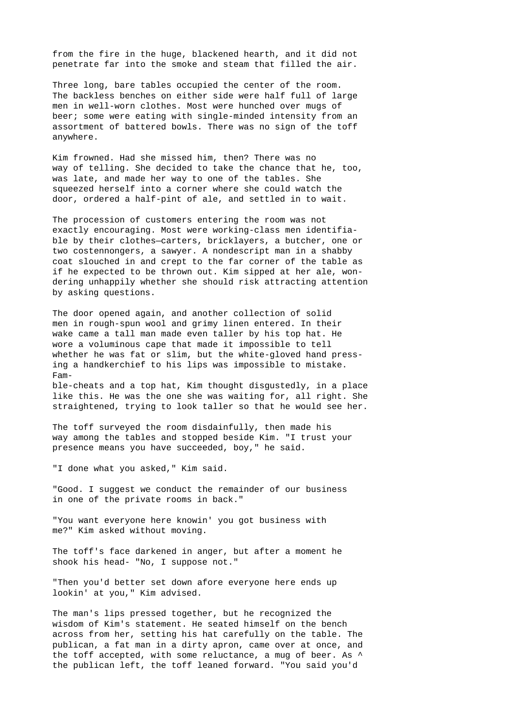from the fire in the huge, blackened hearth, and it did not penetrate far into the smoke and steam that filled the air.

Three long, bare tables occupied the center of the room. The backless benches on either side were half full of large men in well-worn clothes. Most were hunched over mugs of beer; some were eating with single-minded intensity from an assortment of battered bowls. There was no sign of the toff anywhere.

Kim frowned. Had she missed him, then? There was no way of telling. She decided to take the chance that he, too, was late, and made her way to one of the tables. She squeezed herself into a corner where she could watch the door, ordered a half-pint of ale, and settled in to wait.

The procession of customers entering the room was not exactly encouraging. Most were working-class men identifiable by their clothes—carters, bricklayers, a butcher, one or two costennongers, a sawyer. A nondescript man in a shabby coat slouched in and crept to the far corner of the table as if he expected to be thrown out. Kim sipped at her ale, wondering unhappily whether she should risk attracting attention by asking questions.

The door opened again, and another collection of solid men in rough-spun wool and grimy linen entered. In their wake came a tall man made even taller by his top hat. He wore a voluminous cape that made it impossible to tell whether he was fat or slim, but the white-gloved hand pressing a handkerchief to his lips was impossible to mistake. Famble-cheats and a top hat, Kim thought disgustedly, in a place like this. He was the one she was waiting for, all right. She straightened, trying to look taller so that he would see her.

The toff surveyed the room disdainfully, then made his way among the tables and stopped beside Kim. "I trust your presence means you have succeeded, boy," he said.

"I done what you asked," Kim said.

"Good. I suggest we conduct the remainder of our business in one of the private rooms in back."

"You want everyone here knowin' you got business with me?" Kim asked without moving.

The toff's face darkened in anger, but after a moment he shook his head- "No, I suppose not."

"Then you'd better set down afore everyone here ends up lookin' at you," Kim advised.

The man's lips pressed together, but he recognized the wisdom of Kim's statement. He seated himself on the bench across from her, setting his hat carefully on the table. The publican, a fat man in a dirty apron, came over at once, and the toff accepted, with some reluctance, a mug of beer. As ^ the publican left, the toff leaned forward. "You said you'd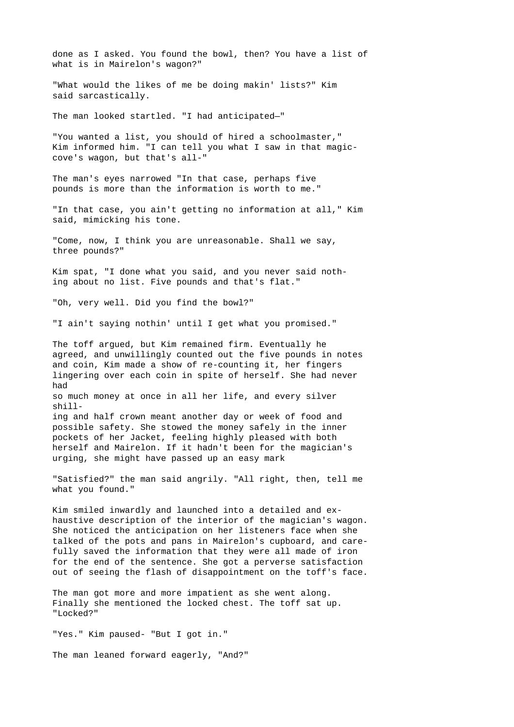done as I asked. You found the bowl, then? You have a list of what is in Mairelon's wagon?" "What would the likes of me be doing makin' lists?" Kim said sarcastically. The man looked startled. "I had anticipated—" "You wanted a list, you should of hired a schoolmaster," Kim informed him. "I can tell you what I saw in that magiccove's wagon, but that's all-" The man's eyes narrowed "In that case, perhaps five pounds is more than the information is worth to me." "In that case, you ain't getting no information at all," Kim said, mimicking his tone. "Come, now, I think you are unreasonable. Shall we say, three pounds?" Kim spat, "I done what you said, and you never said nothing about no list. Five pounds and that's flat." "Oh, very well. Did you find the bowl?" "I ain't saying nothin' until I get what you promised." The toff argued, but Kim remained firm. Eventually he agreed, and unwillingly counted out the five pounds in notes and coin, Kim made a show of re-counting it, her fingers lingering over each coin in spite of herself. She had never had so much money at once in all her life, and every silver shilling and half crown meant another day or week of food and possible safety. She stowed the money safely in the inner pockets of her Jacket, feeling highly pleased with both herself and Mairelon. If it hadn't been for the magician's

urging, she might have passed up an easy mark

"Satisfied?" the man said angrily. "All right, then, tell me what you found."

Kim smiled inwardly and launched into a detailed and exhaustive description of the interior of the magician's wagon. She noticed the anticipation on her listeners face when she talked of the pots and pans in Mairelon's cupboard, and carefully saved the information that they were all made of iron for the end of the sentence. She got a perverse satisfaction out of seeing the flash of disappointment on the toff's face.

The man got more and more impatient as she went along. Finally she mentioned the locked chest. The toff sat up. "Locked?"

"Yes." Kim paused- "But I got in." The man leaned forward eagerly, "And?"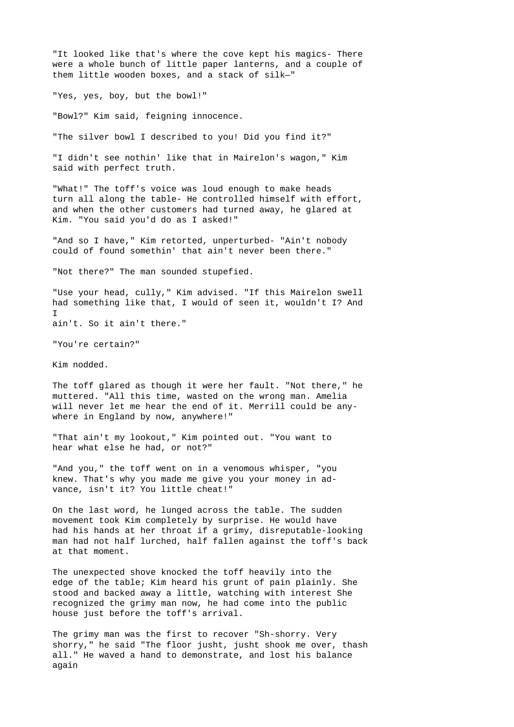"It looked like that's where the cove kept his magics- There were a whole bunch of little paper lanterns, and a couple of them little wooden boxes, and a stack of silk—"

"Yes, yes, boy, but the bowl!"

"Bowl?" Kim said, feigning innocence.

"The silver bowl I described to you! Did you find it?"

"I didn't see nothin' like that in Mairelon's wagon," Kim said with perfect truth.

"What!" The toff's voice was loud enough to make heads turn all along the table- He controlled himself with effort, and when the other customers had turned away, he glared at Kim. "You said you'd do as I asked!"

"And so I have," Kim retorted, unperturbed- "Ain't nobody could of found somethin' that ain't never been there."

"Not there?" The man sounded stupefied.

"Use your head, cully," Kim advised. "If this Mairelon swell had something like that, I would of seen it, wouldn't I? And  $\mathsf{T}$ ain't. So it ain't there."

"You're certain?"

Kim nodded.

The toff glared as though it were her fault. "Not there," he muttered. "All this time, wasted on the wrong man. Amelia will never let me hear the end of it. Merrill could be anywhere in England by now, anywhere!"

"That ain't my lookout," Kim pointed out. "You want to hear what else he had, or not?"

"And you," the toff went on in a venomous whisper, "you knew. That's why you made me give you your money in advance, isn't it? You little cheat!"

On the last word, he lunged across the table. The sudden movement took Kim completely by surprise. He would have had his hands at her throat if a grimy, disreputable-looking man had not half lurched, half fallen against the toff's back at that moment.

The unexpected shove knocked the toff heavily into the edge of the table; Kim heard his grunt of pain plainly. She stood and backed away a little, watching with interest She recognized the grimy man now, he had come into the public house just before the toff's arrival.

The grimy man was the first to recover "Sh-shorry. Very shorry," he said "The floor jusht, jusht shook me over, thash all." He waved a hand to demonstrate, and lost his balance again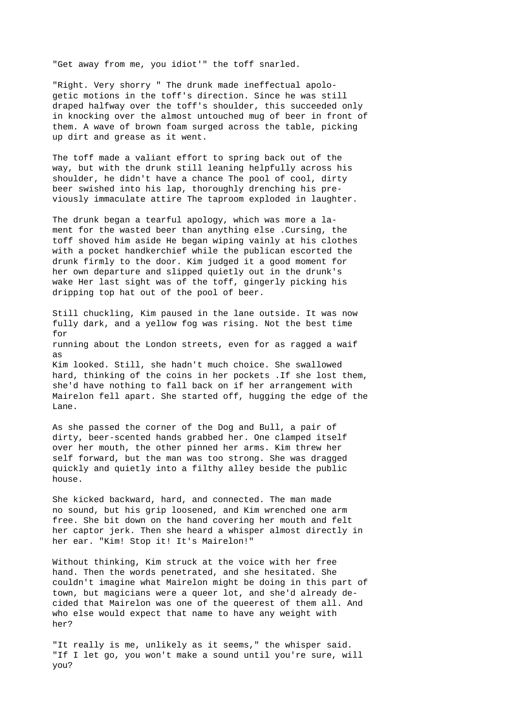"Get away from me, you idiot'" the toff snarled.

"Right. Very shorry " The drunk made ineffectual apologetic motions in the toff's direction. Since he was still draped halfway over the toff's shoulder, this succeeded only in knocking over the almost untouched mug of beer in front of them. A wave of brown foam surged across the table, picking up dirt and grease as it went.

The toff made a valiant effort to spring back out of the way, but with the drunk still leaning helpfully across his shoulder, he didn't have a chance The pool of cool, dirty beer swished into his lap, thoroughly drenching his previously immaculate attire The taproom exploded in laughter.

The drunk began a tearful apology, which was more a lament for the wasted beer than anything else .Cursing, the toff shoved him aside He began wiping vainly at his clothes with a pocket handkerchief while the publican escorted the drunk firmly to the door. Kim judged it a good moment for her own departure and slipped quietly out in the drunk's wake Her last sight was of the toff, gingerly picking his dripping top hat out of the pool of beer.

Still chuckling, Kim paused in the lane outside. It was now fully dark, and a yellow fog was rising. Not the best time for running about the London streets, even for as ragged a waif as Kim looked. Still, she hadn't much choice. She swallowed hard, thinking of the coins in her pockets .If she lost them, she'd have nothing to fall back on if her arrangement with Mairelon fell apart. She started off, hugging the edge of the Lane.

As she passed the corner of the Dog and Bull, a pair of dirty, beer-scented hands grabbed her. One clamped itself over her mouth, the other pinned her arms. Kim threw her self forward, but the man was too strong. She was dragged quickly and quietly into a filthy alley beside the public house.

She kicked backward, hard, and connected. The man made no sound, but his grip loosened, and Kim wrenched one arm free. She bit down on the hand covering her mouth and felt her captor jerk. Then she heard a whisper almost directly in her ear. "Kim! Stop it! It's Mairelon!"

Without thinking, Kim struck at the voice with her free hand. Then the words penetrated, and she hesitated. She couldn't imagine what Mairelon might be doing in this part of town, but magicians were a queer lot, and she'd already decided that Mairelon was one of the queerest of them all. And who else would expect that name to have any weight with her?

"It really is me, unlikely as it seems," the whisper said. "If I let go, you won't make a sound until you're sure, will you?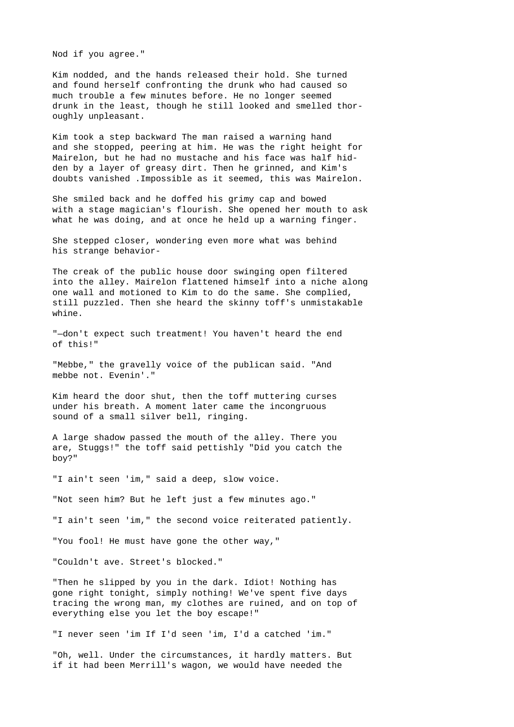Nod if you agree."

Kim nodded, and the hands released their hold. She turned and found herself confronting the drunk who had caused so much trouble a few minutes before. He no longer seemed drunk in the least, though he still looked and smelled thoroughly unpleasant.

Kim took a step backward The man raised a warning hand and she stopped, peering at him. He was the right height for Mairelon, but he had no mustache and his face was half hidden by a layer of greasy dirt. Then he grinned, and Kim's doubts vanished .Impossible as it seemed, this was Mairelon.

She smiled back and he doffed his grimy cap and bowed with a stage magician's flourish. She opened her mouth to ask what he was doing, and at once he held up a warning finger.

She stepped closer, wondering even more what was behind his strange behavior-

The creak of the public house door swinging open filtered into the alley. Mairelon flattened himself into a niche along one wall and motioned to Kim to do the same. She complied, still puzzled. Then she heard the skinny toff's unmistakable whine.

"—don't expect such treatment! You haven't heard the end of this!"

"Mebbe," the gravelly voice of the publican said. "And mebbe not. Evenin'."

Kim heard the door shut, then the toff muttering curses under his breath. A moment later came the incongruous sound of a small silver bell, ringing.

A large shadow passed the mouth of the alley. There you are, Stuggs!" the toff said pettishly "Did you catch the boy?"

"I ain't seen 'im," said a deep, slow voice.

"Not seen him? But he left just a few minutes ago."

"I ain't seen 'im," the second voice reiterated patiently.

"You fool! He must have gone the other way,"

"Couldn't ave. Street's blocked."

"Then he slipped by you in the dark. Idiot! Nothing has gone right tonight, simply nothing! We've spent five days tracing the wrong man, my clothes are ruined, and on top of everything else you let the boy escape!"

"I never seen 'im If I'd seen 'im, I'd a catched 'im."

"Oh, well. Under the circumstances, it hardly matters. But if it had been Merrill's wagon, we would have needed the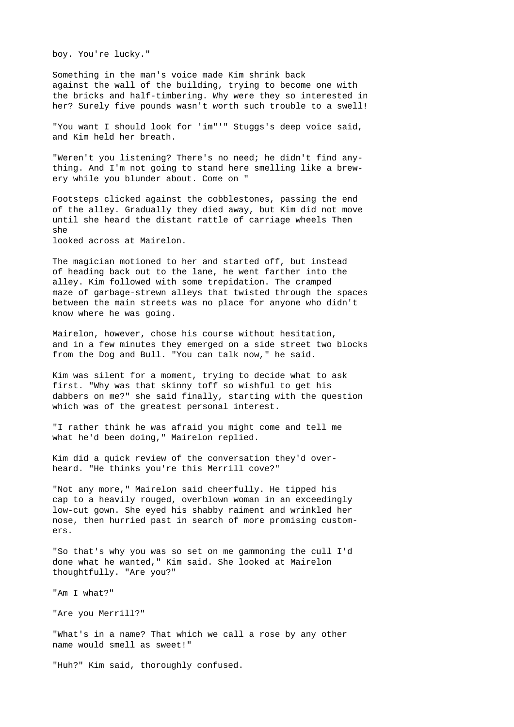boy. You're lucky."

Something in the man's voice made Kim shrink back against the wall of the building, trying to become one with the bricks and half-timbering. Why were they so interested in her? Surely five pounds wasn't worth such trouble to a swell!

"You want I should look for 'im"'" Stuggs's deep voice said, and Kim held her breath.

"Weren't you listening? There's no need; he didn't find anything. And I'm not going to stand here smelling like a brewery while you blunder about. Come on "

Footsteps clicked against the cobblestones, passing the end of the alley. Gradually they died away, but Kim did not move until she heard the distant rattle of carriage wheels Then she

looked across at Mairelon.

The magician motioned to her and started off, but instead of heading back out to the lane, he went farther into the alley. Kim followed with some trepidation. The cramped maze of garbage-strewn alleys that twisted through the spaces between the main streets was no place for anyone who didn't know where he was going.

Mairelon, however, chose his course without hesitation, and in a few minutes they emerged on a side street two blocks from the Dog and Bull. "You can talk now," he said.

Kim was silent for a moment, trying to decide what to ask first. "Why was that skinny toff so wishful to get his dabbers on me?" she said finally, starting with the question which was of the greatest personal interest.

"I rather think he was afraid you might come and tell me what he'd been doing," Mairelon replied.

Kim did a quick review of the conversation they'd overheard. "He thinks you're this Merrill cove?"

"Not any more," Mairelon said cheerfully. He tipped his cap to a heavily rouged, overblown woman in an exceedingly low-cut gown. She eyed his shabby raiment and wrinkled her nose, then hurried past in search of more promising customers.

"So that's why you was so set on me gammoning the cull I'd done what he wanted," Kim said. She looked at Mairelon thoughtfully. "Are you?"

"Am I what?"

"Are you Merrill?"

"What's in a name? That which we call a rose by any other name would smell as sweet!"

"Huh?" Kim said, thoroughly confused.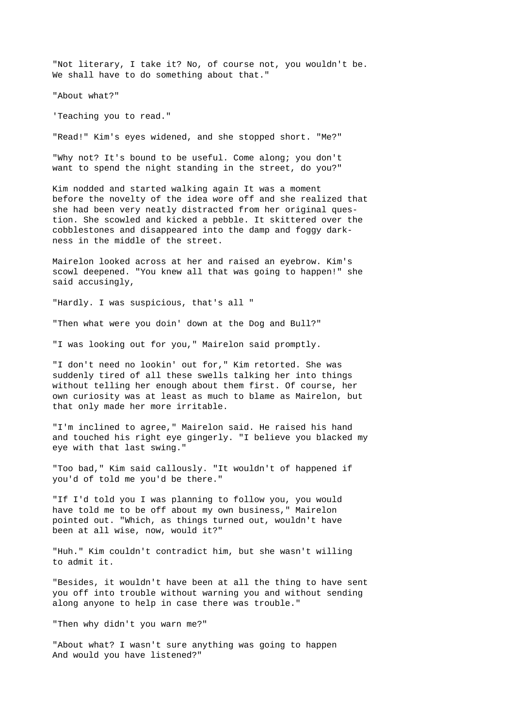"Not literary, I take it? No, of course not, you wouldn't be. We shall have to do something about that."

"About what?"

'Teaching you to read."

"Read!" Kim's eyes widened, and she stopped short. "Me?"

"Why not? It's bound to be useful. Come along; you don't want to spend the night standing in the street, do you?"

Kim nodded and started walking again It was a moment before the novelty of the idea wore off and she realized that she had been very neatly distracted from her original question. She scowled and kicked a pebble. It skittered over the cobblestones and disappeared into the damp and foggy darkness in the middle of the street.

Mairelon looked across at her and raised an eyebrow. Kim's scowl deepened. "You knew all that was going to happen!" she said accusingly,

"Hardly. I was suspicious, that's all "

"Then what were you doin' down at the Dog and Bull?"

"I was looking out for you," Mairelon said promptly.

"I don't need no lookin' out for," Kim retorted. She was suddenly tired of all these swells talking her into things without telling her enough about them first. Of course, her own curiosity was at least as much to blame as Mairelon, but that only made her more irritable.

"I'm inclined to agree," Mairelon said. He raised his hand and touched his right eye gingerly. "I believe you blacked my eye with that last swing."

"Too bad," Kim said callously. "It wouldn't of happened if you'd of told me you'd be there."

"If I'd told you I was planning to follow you, you would have told me to be off about my own business," Mairelon pointed out. "Which, as things turned out, wouldn't have been at all wise, now, would it?"

"Huh." Kim couldn't contradict him, but she wasn't willing to admit it.

"Besides, it wouldn't have been at all the thing to have sent you off into trouble without warning you and without sending along anyone to help in case there was trouble."

"Then why didn't you warn me?"

"About what? I wasn't sure anything was going to happen And would you have listened?"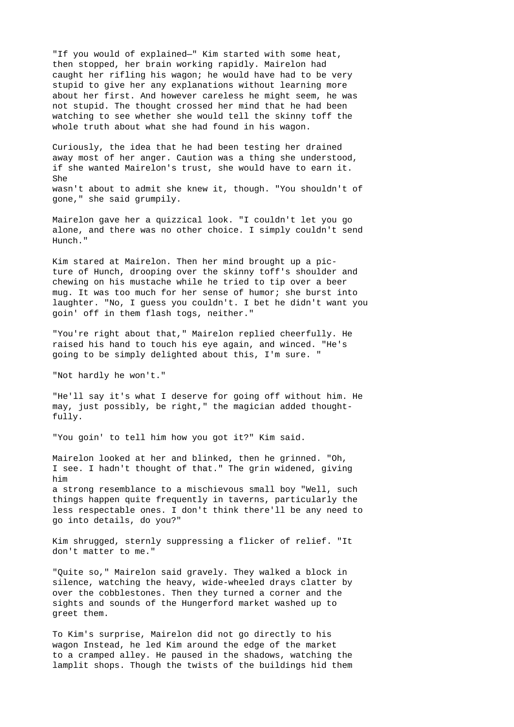"If you would of explained—" Kim started with some heat, then stopped, her brain working rapidly. Mairelon had caught her rifling his wagon; he would have had to be very stupid to give her any explanations without learning more about her first. And however careless he might seem, he was not stupid. The thought crossed her mind that he had been watching to see whether she would tell the skinny toff the whole truth about what she had found in his wagon.

Curiously, the idea that he had been testing her drained away most of her anger. Caution was a thing she understood, if she wanted Mairelon's trust, she would have to earn it.  $Sha$ wasn't about to admit she knew it, though. "You shouldn't of gone," she said grumpily.

Mairelon gave her a quizzical look. "I couldn't let you go alone, and there was no other choice. I simply couldn't send Hunch."

Kim stared at Mairelon. Then her mind brought up a picture of Hunch, drooping over the skinny toff's shoulder and chewing on his mustache while he tried to tip over a beer mug. It was too much for her sense of humor; she burst into laughter. "No, I guess you couldn't. I bet he didn't want you goin' off in them flash togs, neither."

"You're right about that," Mairelon replied cheerfully. He raised his hand to touch his eye again, and winced. "He's going to be simply delighted about this, I'm sure. "

"Not hardly he won't."

"He'll say it's what I deserve for going off without him. He may, just possibly, be right," the magician added thoughtfully.

"You goin' to tell him how you got it?" Kim said.

Mairelon looked at her and blinked, then he grinned. "Oh, I see. I hadn't thought of that." The grin widened, giving him a strong resemblance to a mischievous small boy "Well, such

things happen quite frequently in taverns, particularly the less respectable ones. I don't think there'll be any need to go into details, do you?"

Kim shrugged, sternly suppressing a flicker of relief. "It don't matter to me."

"Quite so," Mairelon said gravely. They walked a block in silence, watching the heavy, wide-wheeled drays clatter by over the cobblestones. Then they turned a corner and the sights and sounds of the Hungerford market washed up to greet them.

To Kim's surprise, Mairelon did not go directly to his wagon Instead, he led Kim around the edge of the market to a cramped alley. He paused in the shadows, watching the lamplit shops. Though the twists of the buildings hid them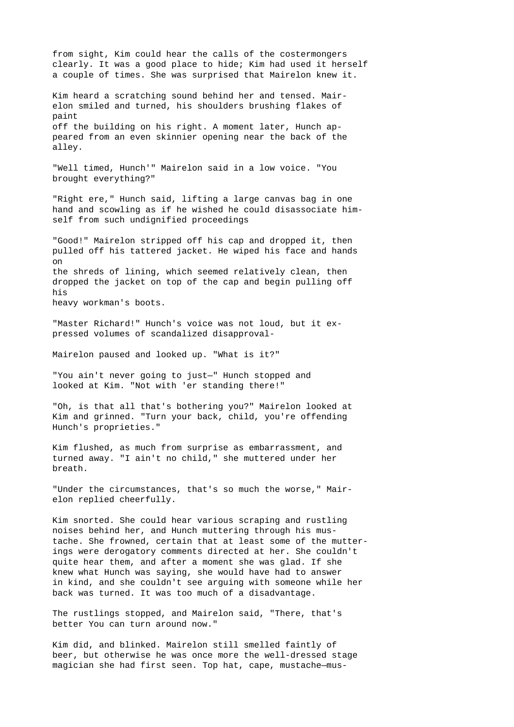from sight, Kim could hear the calls of the costermongers clearly. It was a good place to hide; Kim had used it herself a couple of times. She was surprised that Mairelon knew it. Kim heard a scratching sound behind her and tensed. Mairelon smiled and turned, his shoulders brushing flakes of paint off the building on his right. A moment later, Hunch appeared from an even skinnier opening near the back of the alley. "Well timed, Hunch'" Mairelon said in a low voice. "You brought everything?" "Right ere," Hunch said, lifting a large canvas bag in one hand and scowling as if he wished he could disassociate himself from such undignified proceedings "Good!" Mairelon stripped off his cap and dropped it, then pulled off his tattered jacket. He wiped his face and hands on the shreds of lining, which seemed relatively clean, then dropped the jacket on top of the cap and begin pulling off his heavy workman's boots. "Master Richard!" Hunch's voice was not loud, but it expressed volumes of scandalized disapproval-Mairelon paused and looked up. "What is it?" "You ain't never going to just—" Hunch stopped and looked at Kim. "Not with 'er standing there!" "Oh, is that all that's bothering you?" Mairelon looked at Kim and grinned. "Turn your back, child, you're offending Hunch's proprieties." Kim flushed, as much from surprise as embarrassment, and turned away. "I ain't no child," she muttered under her breath. "Under the circumstances, that's so much the worse," Mairelon replied cheerfully. Kim snorted. She could hear various scraping and rustling noises behind her, and Hunch muttering through his mustache. She frowned, certain that at least some of the mutterings were derogatory comments directed at her. She couldn't quite hear them, and after a moment she was glad. If she knew what Hunch was saying, she would have had to answer in kind, and she couldn't see arguing with someone while her back was turned. It was too much of a disadvantage. The rustlings stopped, and Mairelon said, "There, that's better You can turn around now."

Kim did, and blinked. Mairelon still smelled faintly of beer, but otherwise he was once more the well-dressed stage magician she had first seen. Top hat, cape, mustache—mus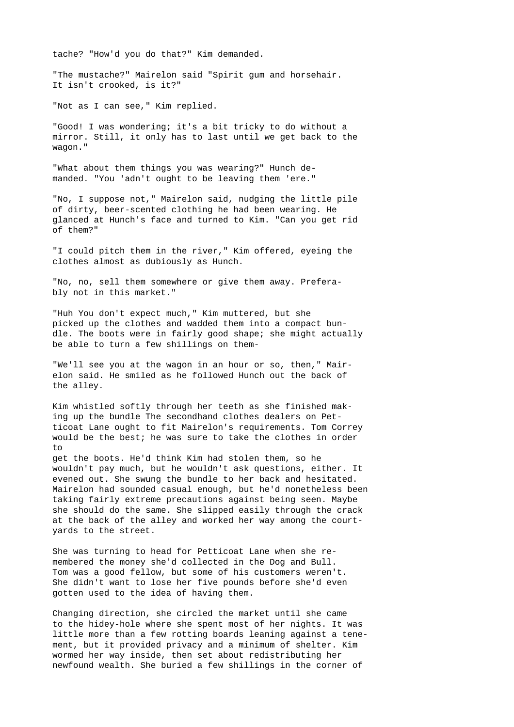tache? "How'd you do that?" Kim demanded.

"The mustache?" Mairelon said "Spirit gum and horsehair. It isn't crooked, is it?"

"Not as I can see," Kim replied.

"Good! I was wondering; it's a bit tricky to do without a mirror. Still, it only has to last until we get back to the wagon."

"What about them things you was wearing?" Hunch demanded. "You 'adn't ought to be leaving them 'ere."

"No, I suppose not," Mairelon said, nudging the little pile of dirty, beer-scented clothing he had been wearing. He glanced at Hunch's face and turned to Kim. "Can you get rid of them?"

"I could pitch them in the river," Kim offered, eyeing the clothes almost as dubiously as Hunch.

"No, no, sell them somewhere or give them away. Preferably not in this market."

"Huh You don't expect much," Kim muttered, but she picked up the clothes and wadded them into a compact bundle. The boots were in fairly good shape; she might actually be able to turn a few shillings on them-

"We'll see you at the wagon in an hour or so, then," Mairelon said. He smiled as he followed Hunch out the back of the alley.

Kim whistled softly through her teeth as she finished making up the bundle The secondhand clothes dealers on Petticoat Lane ought to fit Mairelon's requirements. Tom Correy would be the best; he was sure to take the clothes in order to

get the boots. He'd think Kim had stolen them, so he wouldn't pay much, but he wouldn't ask questions, either. It evened out. She swung the bundle to her back and hesitated. Mairelon had sounded casual enough, but he'd nonetheless been taking fairly extreme precautions against being seen. Maybe she should do the same. She slipped easily through the crack at the back of the alley and worked her way among the courtyards to the street.

She was turning to head for Petticoat Lane when she remembered the money she'd collected in the Dog and Bull. Tom was a good fellow, but some of his customers weren't. She didn't want to lose her five pounds before she'd even gotten used to the idea of having them.

Changing direction, she circled the market until she came to the hidey-hole where she spent most of her nights. It was little more than a few rotting boards leaning against a tenement, but it provided privacy and a minimum of shelter. Kim wormed her way inside, then set about redistributing her newfound wealth. She buried a few shillings in the corner of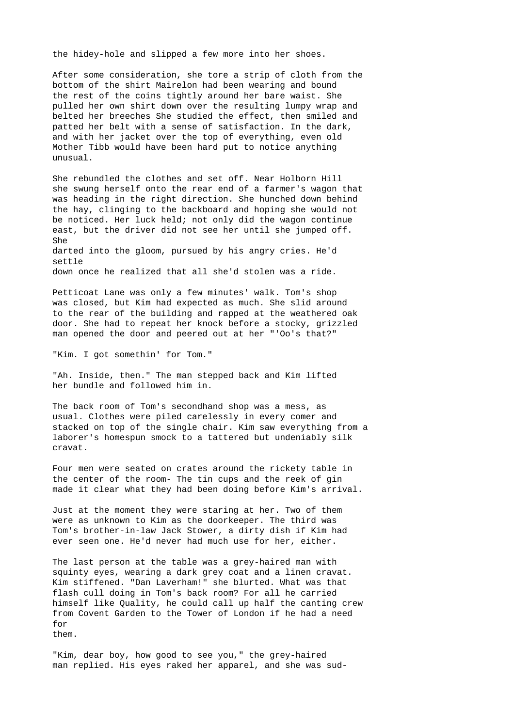the hidey-hole and slipped a few more into her shoes.

After some consideration, she tore a strip of cloth from the bottom of the shirt Mairelon had been wearing and bound the rest of the coins tightly around her bare waist. She pulled her own shirt down over the resulting lumpy wrap and belted her breeches She studied the effect, then smiled and patted her belt with a sense of satisfaction. In the dark, and with her jacket over the top of everything, even old Mother Tibb would have been hard put to notice anything unusual.

She rebundled the clothes and set off. Near Holborn Hill she swung herself onto the rear end of a farmer's wagon that was heading in the right direction. She hunched down behind the hay, clinging to the backboard and hoping she would not be noticed. Her luck held; not only did the wagon continue east, but the driver did not see her until she jumped off. She darted into the gloom, pursued by his angry cries. He'd settle

down once he realized that all she'd stolen was a ride.

Petticoat Lane was only a few minutes' walk. Tom's shop was closed, but Kim had expected as much. She slid around to the rear of the building and rapped at the weathered oak door. She had to repeat her knock before a stocky, grizzled man opened the door and peered out at her "'Oo's that?"

"Kim. I got somethin' for Tom."

"Ah. Inside, then." The man stepped back and Kim lifted her bundle and followed him in.

The back room of Tom's secondhand shop was a mess, as usual. Clothes were piled carelessly in every comer and stacked on top of the single chair. Kim saw everything from a laborer's homespun smock to a tattered but undeniably silk cravat.

Four men were seated on crates around the rickety table in the center of the room- The tin cups and the reek of gin made it clear what they had been doing before Kim's arrival.

Just at the moment they were staring at her. Two of them were as unknown to Kim as the doorkeeper. The third was Tom's brother-in-law Jack Stower, a dirty dish if Kim had ever seen one. He'd never had much use for her, either.

The last person at the table was a grey-haired man with squinty eyes, wearing a dark grey coat and a linen cravat. Kim stiffened. "Dan Laverham!" she blurted. What was that flash cull doing in Tom's back room? For all he carried himself like Quality, he could call up half the canting crew from Covent Garden to the Tower of London if he had a need  $f \circ r$ them.

"Kim, dear boy, how good to see you," the grey-haired man replied. His eyes raked her apparel, and she was sud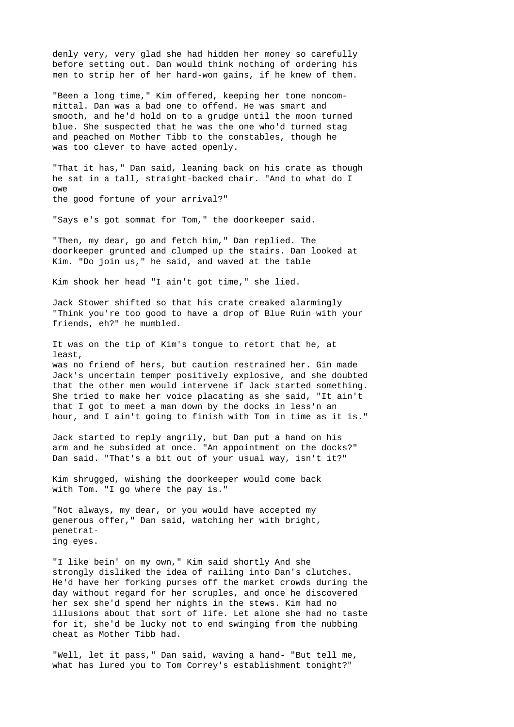denly very, very glad she had hidden her money so carefully before setting out. Dan would think nothing of ordering his men to strip her of her hard-won gains, if he knew of them.

"Been a long time," Kim offered, keeping her tone noncommittal. Dan was a bad one to offend. He was smart and smooth, and he'd hold on to a grudge until the moon turned blue. She suspected that he was the one who'd turned stag and peached on Mother Tibb to the constables, though he was too clever to have acted openly.

"That it has," Dan said, leaning back on his crate as though he sat in a tall, straight-backed chair. "And to what do I owe the good fortune of your arrival?"

"Says e's got sommat for Tom," the doorkeeper said.

"Then, my dear, go and fetch him," Dan replied. The doorkeeper grunted and clumped up the stairs. Dan looked at Kim. "Do join us," he said, and waved at the table

Kim shook her head "I ain't got time," she lied.

Jack Stower shifted so that his crate creaked alarmingly "Think you're too good to have a drop of Blue Ruin with your friends, eh?" he mumbled.

It was on the tip of Kim's tongue to retort that he, at least, was no friend of hers, but caution restrained her. Gin made Jack's uncertain temper positively explosive, and she doubted that the other men would intervene if Jack started something. She tried to make her voice placating as she said, "It ain't that I got to meet a man down by the docks in less'n an hour, and I ain't going to finish with Tom in time as it is."

Jack started to reply angrily, but Dan put a hand on his arm and he subsided at once. "An appointment on the docks?" Dan said. "That's a bit out of your usual way, isn't it?"

Kim shrugged, wishing the doorkeeper would come back with Tom. "I go where the pay is."

"Not always, my dear, or you would have accepted my generous offer," Dan said, watching her with bright, penetrating eyes.

"I like bein' on my own," Kim said shortly And she strongly disliked the idea of railing into Dan's clutches. He'd have her forking purses off the market crowds during the day without regard for her scruples, and once he discovered her sex she'd spend her nights in the stews. Kim had no illusions about that sort of life. Let alone she had no taste for it, she'd be lucky not to end swinging from the nubbing cheat as Mother Tibb had.

"Well, let it pass," Dan said, waving a hand- "But tell me, what has lured you to Tom Correy's establishment tonight?"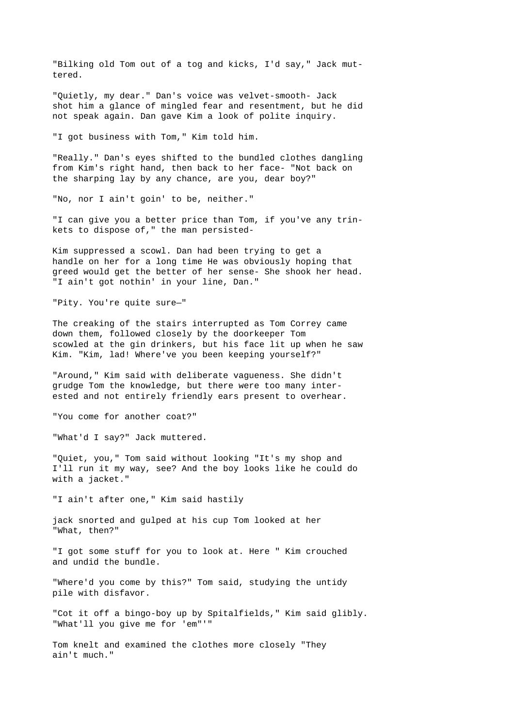"Bilking old Tom out of a tog and kicks, I'd say," Jack muttered.

"Quietly, my dear." Dan's voice was velvet-smooth- Jack shot him a glance of mingled fear and resentment, but he did not speak again. Dan gave Kim a look of polite inquiry.

"I got business with Tom," Kim told him.

"Really." Dan's eyes shifted to the bundled clothes dangling from Kim's right hand, then back to her face- "Not back on the sharping lay by any chance, are you, dear boy?"

"No, nor I ain't goin' to be, neither."

"I can give you a better price than Tom, if you've any trinkets to dispose of," the man persisted-

Kim suppressed a scowl. Dan had been trying to get a handle on her for a long time He was obviously hoping that greed would get the better of her sense- She shook her head. "I ain't got nothin' in your line, Dan."

"Pity. You're quite sure—"

The creaking of the stairs interrupted as Tom Correy came down them, followed closely by the doorkeeper Tom scowled at the gin drinkers, but his face lit up when he saw Kim. "Kim, lad! Where've you been keeping yourself?"

"Around," Kim said with deliberate vagueness. She didn't grudge Tom the knowledge, but there were too many interested and not entirely friendly ears present to overhear.

"You come for another coat?"

"What'd I say?" Jack muttered.

"Quiet, you," Tom said without looking "It's my shop and I'll run it my way, see? And the boy looks like he could do with a jacket."

"I ain't after one," Kim said hastily

jack snorted and gulped at his cup Tom looked at her "What, then?"

"I got some stuff for you to look at. Here " Kim crouched and undid the bundle.

"Where'd you come by this?" Tom said, studying the untidy pile with disfavor.

"Cot it off a bingo-boy up by Spitalfields," Kim said glibly. "What'll you give me for 'em"'"

Tom knelt and examined the clothes more closely "They ain't much."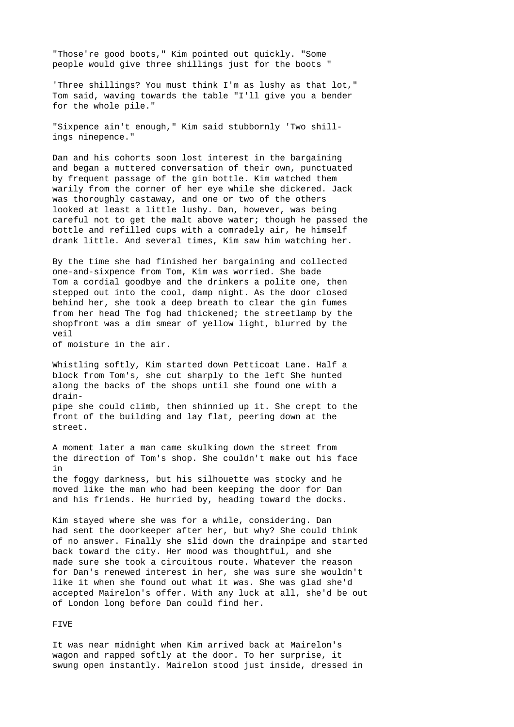"Those're good boots," Kim pointed out quickly. "Some people would give three shillings just for the boots "

'Three shillings? You must think I'm as lushy as that lot," Tom said, waving towards the table "I'll give you a bender for the whole pile."

"Sixpence ain't enough," Kim said stubbornly 'Two shillings ninepence."

Dan and his cohorts soon lost interest in the bargaining and began a muttered conversation of their own, punctuated by frequent passage of the gin bottle. Kim watched them warily from the corner of her eye while she dickered. Jack was thoroughly castaway, and one or two of the others looked at least a little lushy. Dan, however, was being careful not to get the malt above water; though he passed the bottle and refilled cups with a comradely air, he himself drank little. And several times, Kim saw him watching her.

By the time she had finished her bargaining and collected one-and-sixpence from Tom, Kim was worried. She bade Tom a cordial goodbye and the drinkers a polite one, then stepped out into the cool, damp night. As the door closed behind her, she took a deep breath to clear the gin fumes from her head The fog had thickened; the streetlamp by the shopfront was a dim smear of yellow light, blurred by the veil

of moisture in the air.

Whistling softly, Kim started down Petticoat Lane. Half a block from Tom's, she cut sharply to the left She hunted along the backs of the shops until she found one with a drainpipe she could climb, then shinnied up it. She crept to the front of the building and lay flat, peering down at the street.

A moment later a man came skulking down the street from the direction of Tom's shop. She couldn't make out his face in the foggy darkness, but his silhouette was stocky and he moved like the man who had been keeping the door for Dan and his friends. He hurried by, heading toward the docks.

Kim stayed where she was for a while, considering. Dan had sent the doorkeeper after her, but why? She could think of no answer. Finally she slid down the drainpipe and started back toward the city. Her mood was thoughtful, and she made sure she took a circuitous route. Whatever the reason for Dan's renewed interest in her, she was sure she wouldn't like it when she found out what it was. She was glad she'd accepted Mairelon's offer. With any luck at all, she'd be out of London long before Dan could find her.

FIVE

It was near midnight when Kim arrived back at Mairelon's wagon and rapped softly at the door. To her surprise, it swung open instantly. Mairelon stood just inside, dressed in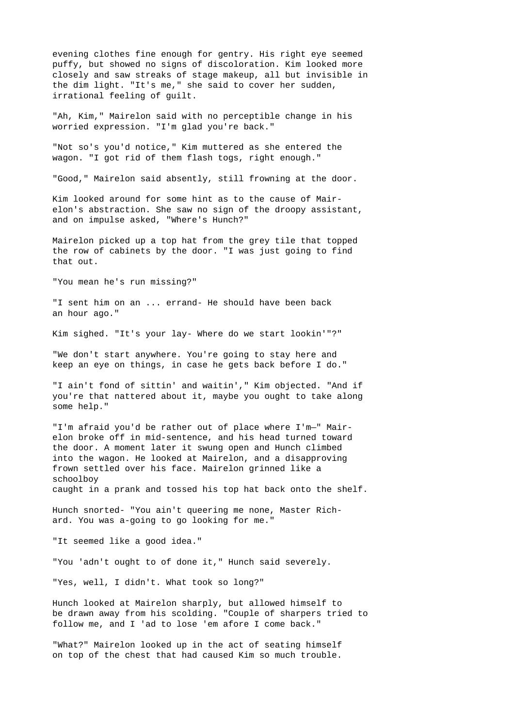evening clothes fine enough for gentry. His right eye seemed puffy, but showed no signs of discoloration. Kim looked more closely and saw streaks of stage makeup, all but invisible in the dim light. "It's me," she said to cover her sudden, irrational feeling of guilt.

"Ah, Kim," Mairelon said with no perceptible change in his worried expression. "I'm glad you're back."

"Not so's you'd notice," Kim muttered as she entered the wagon. "I got rid of them flash togs, right enough."

"Good," Mairelon said absently, still frowning at the door.

Kim looked around for some hint as to the cause of Mairelon's abstraction. She saw no sign of the droopy assistant, and on impulse asked, "Where's Hunch?"

Mairelon picked up a top hat from the grey tile that topped the row of cabinets by the door. "I was just going to find that out.

"You mean he's run missing?"

"I sent him on an ... errand- He should have been back an hour ago."

Kim sighed. "It's your lay- Where do we start lookin'"?"

"We don't start anywhere. You're going to stay here and keep an eye on things, in case he gets back before I do."

"I ain't fond of sittin' and waitin'," Kim objected. "And if you're that nattered about it, maybe you ought to take along some help."

"I'm afraid you'd be rather out of place where I'm—" Mairelon broke off in mid-sentence, and his head turned toward the door. A moment later it swung open and Hunch climbed into the wagon. He looked at Mairelon, and a disapproving frown settled over his face. Mairelon grinned like a schoolboy caught in a prank and tossed his top hat back onto the shelf.

Hunch snorted- "You ain't queering me none, Master Richard. You was a-going to go looking for me."

"It seemed like a good idea."

"You 'adn't ought to of done it," Hunch said severely.

"Yes, well, I didn't. What took so long?"

Hunch looked at Mairelon sharply, but allowed himself to be drawn away from his scolding. "Couple of sharpers tried to follow me, and I 'ad to lose 'em afore I come back."

"What?" Mairelon looked up in the act of seating himself on top of the chest that had caused Kim so much trouble.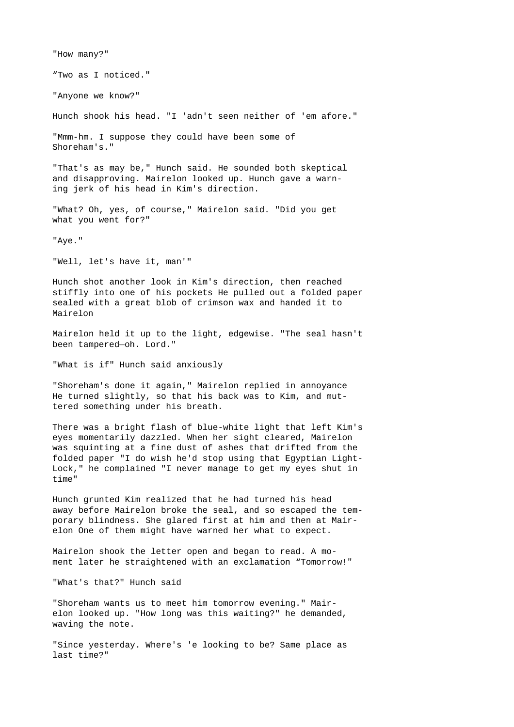"How many?" "Two as I noticed." "Anyone we know?" Hunch shook his head. "I 'adn't seen neither of 'em afore." "Mmm-hm. I suppose they could have been some of Shoreham's." "That's as may be," Hunch said. He sounded both skeptical and disapproving. Mairelon looked up. Hunch gave a warning jerk of his head in Kim's direction. "What? Oh, yes, of course," Mairelon said. "Did you get what you went for?" "Aye." "Well, let's have it, man'" Hunch shot another look in Kim's direction, then reached stiffly into one of his pockets He pulled out a folded paper sealed with a great blob of crimson wax and handed it to Mairelon Mairelon held it up to the light, edgewise. "The seal hasn't been tampered—oh. Lord." "What is if" Hunch said anxiously "Shoreham's done it again," Mairelon replied in annoyance He turned slightly, so that his back was to Kim, and muttered something under his breath. There was a bright flash of blue-white light that left Kim's eyes momentarily dazzled. When her sight cleared, Mairelon was squinting at a fine dust of ashes that drifted from the folded paper "I do wish he'd stop using that Egyptian Light-Lock," he complained "I never manage to get my eyes shut in time" Hunch grunted Kim realized that he had turned his head away before Mairelon broke the seal, and so escaped the temporary blindness. She glared first at him and then at Mairelon One of them might have warned her what to expect. Mairelon shook the letter open and began to read. A moment later he straightened with an exclamation "Tomorrow!" "What's that?" Hunch said "Shoreham wants us to meet him tomorrow evening." Mairelon looked up. "How long was this waiting?" he demanded, waving the note. "Since yesterday. Where's 'e looking to be? Same place as last time?"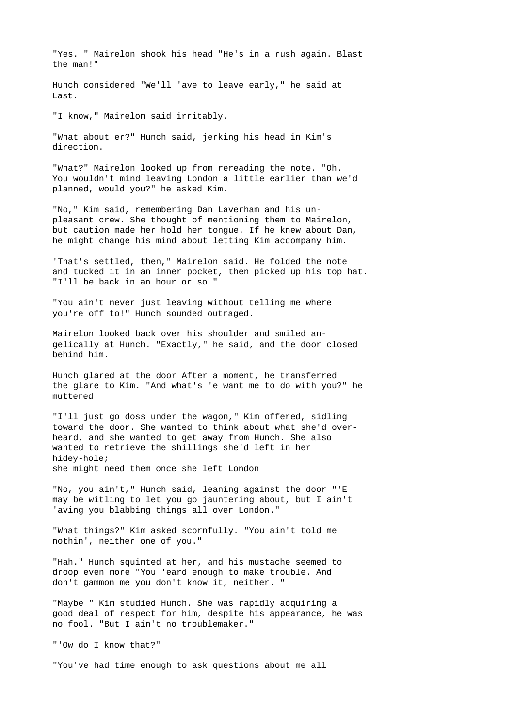"Yes. " Mairelon shook his head "He's in a rush again. Blast the man!"

Hunch considered "We'll 'ave to leave early," he said at Last.

"I know," Mairelon said irritably.

"What about er?" Hunch said, jerking his head in Kim's direction.

"What?" Mairelon looked up from rereading the note. "Oh. You wouldn't mind leaving London a little earlier than we'd planned, would you?" he asked Kim.

"No," Kim said, remembering Dan Laverham and his unpleasant crew. She thought of mentioning them to Mairelon, but caution made her hold her tongue. If he knew about Dan, he might change his mind about letting Kim accompany him.

'That's settled, then," Mairelon said. He folded the note and tucked it in an inner pocket, then picked up his top hat. "I'll be back in an hour or so "

"You ain't never just leaving without telling me where you're off to!" Hunch sounded outraged.

Mairelon looked back over his shoulder and smiled angelically at Hunch. "Exactly," he said, and the door closed behind him.

Hunch glared at the door After a moment, he transferred the glare to Kim. "And what's 'e want me to do with you?" he muttered

"I'll just go doss under the wagon," Kim offered, sidling toward the door. She wanted to think about what she'd overheard, and she wanted to get away from Hunch. She also wanted to retrieve the shillings she'd left in her hidey-hole; she might need them once she left London

"No, you ain't," Hunch said, leaning against the door "'E may be witling to let you go jauntering about, but I ain't 'aving you blabbing things all over London."

"What things?" Kim asked scornfully. "You ain't told me nothin', neither one of you."

"Hah." Hunch squinted at her, and his mustache seemed to droop even more "You 'eard enough to make trouble. And don't gammon me you don't know it, neither. "

"Maybe " Kim studied Hunch. She was rapidly acquiring a good deal of respect for him, despite his appearance, he was no fool. "But I ain't no troublemaker."

"'Ow do I know that?"

"You've had time enough to ask questions about me all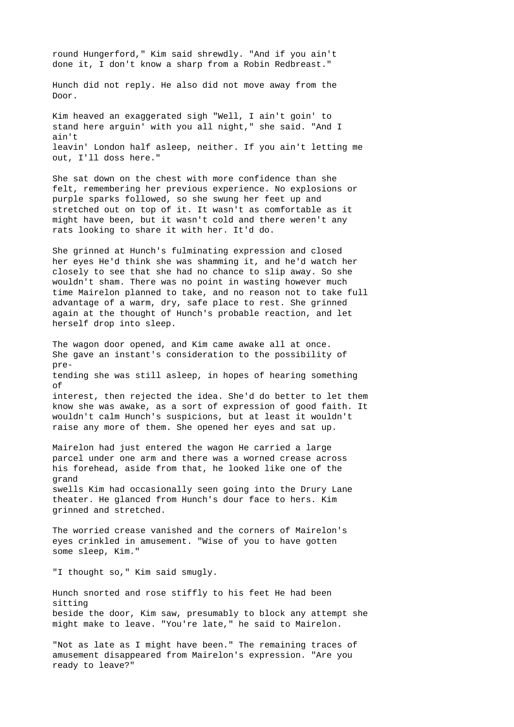round Hungerford," Kim said shrewdly. "And if you ain't done it, I don't know a sharp from a Robin Redbreast."

Hunch did not reply. He also did not move away from the Door.

Kim heaved an exaggerated sigh "Well, I ain't goin' to stand here arguin' with you all night," she said. "And I ain't leavin' London half asleep, neither. If you ain't letting me out, I'll doss here."

She sat down on the chest with more confidence than she felt, remembering her previous experience. No explosions or purple sparks followed, so she swung her feet up and stretched out on top of it. It wasn't as comfortable as it might have been, but it wasn't cold and there weren't any rats looking to share it with her. It'd do.

She grinned at Hunch's fulminating expression and closed her eyes He'd think she was shamming it, and he'd watch her closely to see that she had no chance to slip away. So she wouldn't sham. There was no point in wasting however much time Mairelon planned to take, and no reason not to take full advantage of a warm, dry, safe place to rest. She grinned again at the thought of Hunch's probable reaction, and let herself drop into sleep.

The wagon door opened, and Kim came awake all at once. She gave an instant's consideration to the possibility of pretending she was still asleep, in hopes of hearing something of interest, then rejected the idea. She'd do better to let them know she was awake, as a sort of expression of good faith. It wouldn't calm Hunch's suspicions, but at least it wouldn't raise any more of them. She opened her eyes and sat up.

Mairelon had just entered the wagon He carried a large parcel under one arm and there was a worned crease across his forehead, aside from that, he looked like one of the grand swells Kim had occasionally seen going into the Drury Lane theater. He glanced from Hunch's dour face to hers. Kim grinned and stretched.

The worried crease vanished and the corners of Mairelon's eyes crinkled in amusement. "Wise of you to have gotten some sleep, Kim."

"I thought so," Kim said smugly.

Hunch snorted and rose stiffly to his feet He had been sitting beside the door, Kim saw, presumably to block any attempt she might make to leave. "You're late," he said to Mairelon.

"Not as late as I might have been." The remaining traces of amusement disappeared from Mairelon's expression. "Are you ready to leave?"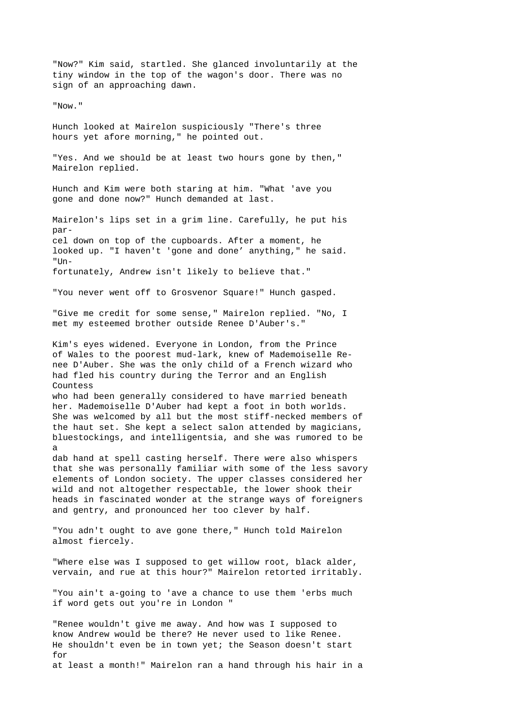"Now?" Kim said, startled. She glanced involuntarily at the tiny window in the top of the wagon's door. There was no sign of an approaching dawn. "Now." Hunch looked at Mairelon suspiciously "There's three hours yet afore morning," he pointed out. "Yes. And we should be at least two hours gone by then," Mairelon replied. Hunch and Kim were both staring at him. "What 'ave you gone and done now?" Hunch demanded at last. Mairelon's lips set in a grim line. Carefully, he put his parcel down on top of the cupboards. After a moment, he looked up. "I haven't 'gone and done' anything," he said. "Unfortunately, Andrew isn't likely to believe that." "You never went off to Grosvenor Square!" Hunch gasped. "Give me credit for some sense," Mairelon replied. "No, I met my esteemed brother outside Renee D'Auber's." Kim's eyes widened. Everyone in London, from the Prince of Wales to the poorest mud-lark, knew of Mademoiselle Renee D'Auber. She was the only child of a French wizard who had fled his country during the Terror and an English Countess who had been generally considered to have married beneath her. Mademoiselle D'Auber had kept a foot in both worlds. She was welcomed by all but the most stiff-necked members of the haut set. She kept a select salon attended by magicians, bluestockings, and intelligentsia, and she was rumored to be a dab hand at spell casting herself. There were also whispers that she was personally familiar with some of the less savory elements of London society. The upper classes considered her wild and not altogether respectable, the lower shook their heads in fascinated wonder at the strange ways of foreigners and gentry, and pronounced her too clever by half. "You adn't ought to ave gone there," Hunch told Mairelon almost fiercely. "Where else was I supposed to get willow root, black alder, vervain, and rue at this hour?" Mairelon retorted irritably. "You ain't a-going to 'ave a chance to use them 'erbs much if word gets out you're in London " "Renee wouldn't give me away. And how was I supposed to know Andrew would be there? He never used to like Renee. He shouldn't even be in town yet; the Season doesn't start for at least a month!" Mairelon ran a hand through his hair in a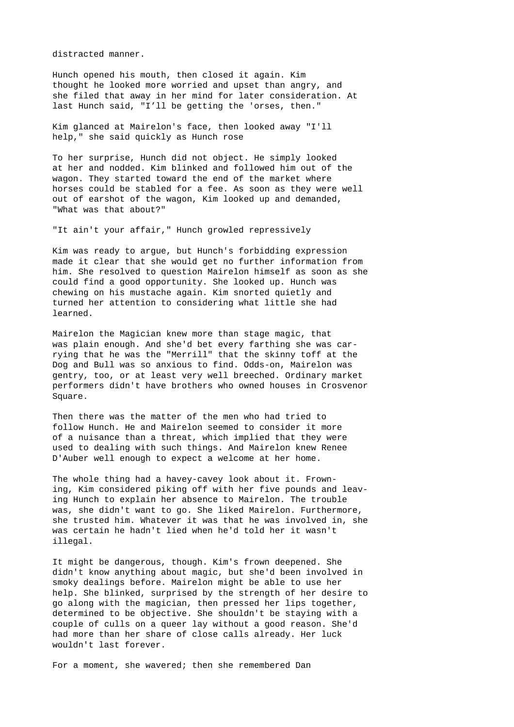distracted manner.

Hunch opened his mouth, then closed it again. Kim thought he looked more worried and upset than angry, and she filed that away in her mind for later consideration. At last Hunch said, "I'll be getting the 'orses, then."

Kim glanced at Mairelon's face, then looked away "I'll help," she said quickly as Hunch rose

To her surprise, Hunch did not object. He simply looked at her and nodded. Kim blinked and followed him out of the wagon. They started toward the end of the market where horses could be stabled for a fee. As soon as they were well out of earshot of the wagon, Kim looked up and demanded, "What was that about?"

"It ain't your affair," Hunch growled repressively

Kim was ready to argue, but Hunch's forbidding expression made it clear that she would get no further information from him. She resolved to question Mairelon himself as soon as she could find a good opportunity. She looked up. Hunch was chewing on his mustache again. Kim snorted quietly and turned her attention to considering what little she had learned.

Mairelon the Magician knew more than stage magic, that was plain enough. And she'd bet every farthing she was carrying that he was the "Merrill" that the skinny toff at the Dog and Bull was so anxious to find. Odds-on, Mairelon was gentry, too, or at least very well breeched. Ordinary market performers didn't have brothers who owned houses in Crosvenor Square.

Then there was the matter of the men who had tried to follow Hunch. He and Mairelon seemed to consider it more of a nuisance than a threat, which implied that they were used to dealing with such things. And Mairelon knew Renee D'Auber well enough to expect a welcome at her home.

The whole thing had a havey-cavey look about it. Frowning, Kim considered piking off with her five pounds and leaving Hunch to explain her absence to Mairelon. The trouble was, she didn't want to go. She liked Mairelon. Furthermore, she trusted him. Whatever it was that he was involved in, she was certain he hadn't lied when he'd told her it wasn't illegal.

It might be dangerous, though. Kim's frown deepened. She didn't know anything about magic, but she'd been involved in smoky dealings before. Mairelon might be able to use her help. She blinked, surprised by the strength of her desire to go along with the magician, then pressed her lips together, determined to be objective. She shouldn't be staying with a couple of culls on a queer lay without a good reason. She'd had more than her share of close calls already. Her luck wouldn't last forever.

For a moment, she wavered; then she remembered Dan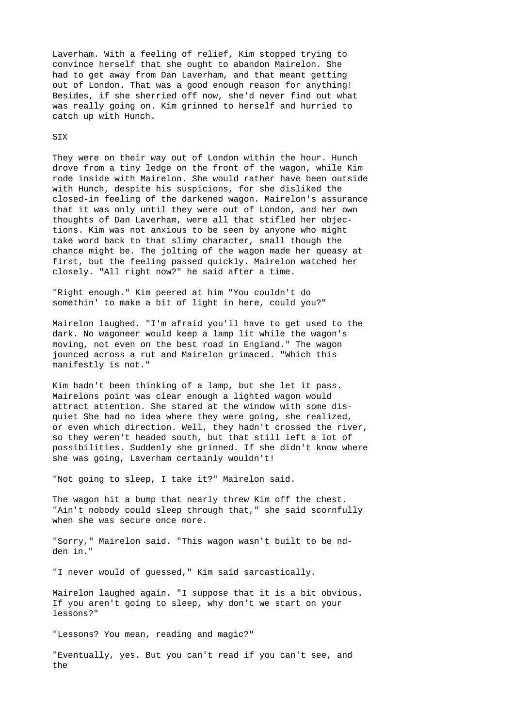Laverham. With a feeling of relief, Kim stopped trying to convince herself that she ought to abandon Mairelon. She had to get away from Dan Laverham, and that meant getting out of London. That was a good enough reason for anything! Besides, if she sherried off now, she'd never find out what was really going on. Kim grinned to herself and hurried to catch up with Hunch.

## **STX**

They were on their way out of London within the hour. Hunch drove from a tiny ledge on the front of the wagon, while Kim rode inside with Mairelon. She would rather have been outside with Hunch, despite his suspicions, for she disliked the closed-in feeling of the darkened wagon. Mairelon's assurance that it was only until they were out of London, and her own thoughts of Dan Laverham, were all that stifled her objections. Kim was not anxious to be seen by anyone who might take word back to that slimy character, small though the chance might be. The jolting of the wagon made her queasy at first, but the feeling passed quickly. Mairelon watched her closely. "All right now?" he said after a time.

"Right enough." Kim peered at him "You couldn't do somethin' to make a bit of light in here, could you?"

Mairelon laughed. "I'm afraid you'll have to get used to the dark. No wagoneer would keep a lamp lit while the wagon's moving, not even on the best road in England." The wagon jounced across a rut and Mairelon grimaced. "Which this manifestly is not."

Kim hadn't been thinking of a lamp, but she let it pass. Mairelons point was clear enough a lighted wagon would attract attention. She stared at the window with some disquiet She had no idea where they were going, she realized, or even which direction. Well, they hadn't crossed the river, so they weren't headed south, but that still left a lot of possibilities. Suddenly she grinned. If she didn't know where she was going, Laverham certainly wouldn't!

"Not going to sleep, I take it?" Mairelon said.

The wagon hit a bump that nearly threw Kim off the chest. "Ain't nobody could sleep through that," she said scornfully when she was secure once more.

"Sorry," Mairelon said. "This wagon wasn't built to be ndden in."

"I never would of guessed," Kim said sarcastically.

Mairelon laughed again. "I suppose that it is a bit obvious. If you aren't going to sleep, why don't we start on your lessons?"

"Lessons? You mean, reading and magic?"

"Eventually, yes. But you can't read if you can't see, and the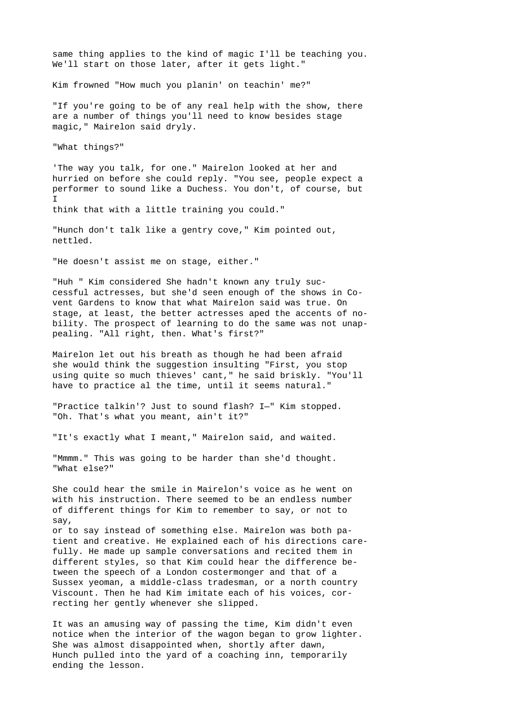same thing applies to the kind of magic I'll be teaching you. We'll start on those later, after it gets light." Kim frowned "How much you planin' on teachin' me?" "If you're going to be of any real help with the show, there are a number of things you'll need to know besides stage magic," Mairelon said dryly. "What things?" 'The way you talk, for one." Mairelon looked at her and hurried on before she could reply. "You see, people expect a performer to sound like a Duchess. You don't, of course, but  $\top$ think that with a little training you could." "Hunch don't talk like a gentry cove," Kim pointed out, nettled. "He doesn't assist me on stage, either." "Huh " Kim considered She hadn't known any truly successful actresses, but she'd seen enough of the shows in Covent Gardens to know that what Mairelon said was true. On stage, at least, the better actresses aped the accents of nobility. The prospect of learning to do the same was not unappealing. "All right, then. What's first?" Mairelon let out his breath as though he had been afraid she would think the suggestion insulting "First, you stop using quite so much thieves' cant," he said briskly. "You'll have to practice al the time, until it seems natural." "Practice talkin'? Just to sound flash? I—" Kim stopped. "Oh. That's what you meant, ain't it?" "It's exactly what I meant," Mairelon said, and waited. "Mmmm." This was going to be harder than she'd thought. "What else?" She could hear the smile in Mairelon's voice as he went on with his instruction. There seemed to be an endless number of different things for Kim to remember to say, or not to say, or to say instead of something else. Mairelon was both patient and creative. He explained each of his directions carefully. He made up sample conversations and recited them in different styles, so that Kim could hear the difference between the speech of a London costermonger and that of a Sussex yeoman, a middle-class tradesman, or a north country Viscount. Then he had Kim imitate each of his voices, correcting her gently whenever she slipped. It was an amusing way of passing the time, Kim didn't even notice when the interior of the wagon began to grow lighter. She was almost disappointed when, shortly after dawn, Hunch pulled into the yard of a coaching inn, temporarily

ending the lesson.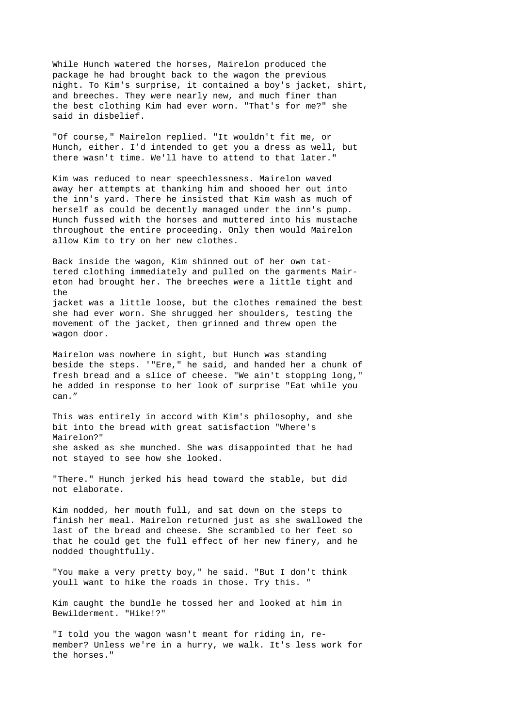While Hunch watered the horses, Mairelon produced the package he had brought back to the wagon the previous night. To Kim's surprise, it contained a boy's jacket, shirt, and breeches. They were nearly new, and much finer than the best clothing Kim had ever worn. "That's for me?" she said in disbelief.

"Of course," Mairelon replied. "It wouldn't fit me, or Hunch, either. I'd intended to get you a dress as well, but there wasn't time. We'll have to attend to that later."

Kim was reduced to near speechlessness. Mairelon waved away her attempts at thanking him and shooed her out into the inn's yard. There he insisted that Kim wash as much of herself as could be decently managed under the inn's pump. Hunch fussed with the horses and muttered into his mustache throughout the entire proceeding. Only then would Mairelon allow Kim to try on her new clothes.

Back inside the wagon, Kim shinned out of her own tattered clothing immediately and pulled on the garments Maireton had brought her. The breeches were a little tight and the jacket was a little loose, but the clothes remained the best she had ever worn. She shrugged her shoulders, testing the movement of the jacket, then grinned and threw open the wagon door.

Mairelon was nowhere in sight, but Hunch was standing beside the steps. '"Ere," he said, and handed her a chunk of fresh bread and a slice of cheese. "We ain't stopping long," he added in response to her look of surprise "Eat while you can."

This was entirely in accord with Kim's philosophy, and she bit into the bread with great satisfaction "Where's Mairelon?" she asked as she munched. She was disappointed that he had not stayed to see how she looked.

"There." Hunch jerked his head toward the stable, but did not elaborate.

Kim nodded, her mouth full, and sat down on the steps to finish her meal. Mairelon returned just as she swallowed the last of the bread and cheese. She scrambled to her feet so that he could get the full effect of her new finery, and he nodded thoughtfully.

"You make a very pretty boy," he said. "But I don't think youll want to hike the roads in those. Try this. "

Kim caught the bundle he tossed her and looked at him in Bewilderment. "Hike!?"

"I told you the wagon wasn't meant for riding in, remember? Unless we're in a hurry, we walk. It's less work for the horses."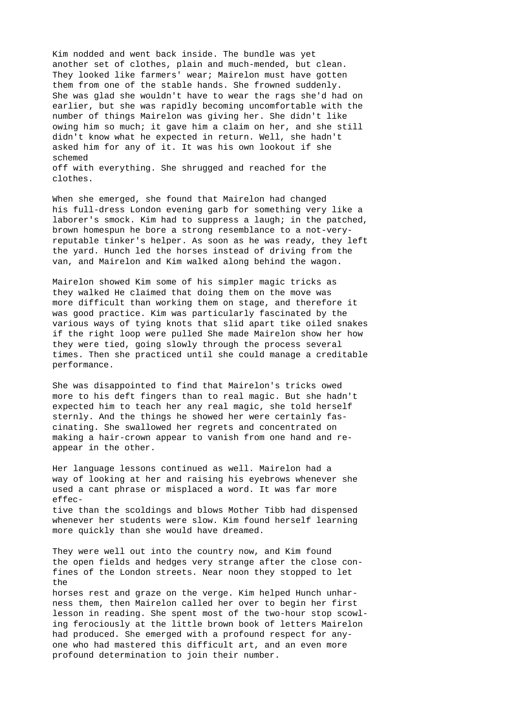Kim nodded and went back inside. The bundle was yet another set of clothes, plain and much-mended, but clean. They looked like farmers' wear; Mairelon must have gotten them from one of the stable hands. She frowned suddenly. She was glad she wouldn't have to wear the rags she'd had on earlier, but she was rapidly becoming uncomfortable with the number of things Mairelon was giving her. She didn't like owing him so much; it gave him a claim on her, and she still didn't know what he expected in return. Well, she hadn't asked him for any of it. It was his own lookout if she schemed off with everything. She shrugged and reached for the clothes.

When she emerged, she found that Mairelon had changed his full-dress London evening garb for something very like a laborer's smock. Kim had to suppress a laugh; in the patched, brown homespun he bore a strong resemblance to a not-veryreputable tinker's helper. As soon as he was ready, they left the yard. Hunch led the horses instead of driving from the van, and Mairelon and Kim walked along behind the wagon.

Mairelon showed Kim some of his simpler magic tricks as they walked He claimed that doing them on the move was more difficult than working them on stage, and therefore it was good practice. Kim was particularly fascinated by the various ways of tying knots that slid apart tike oiled snakes if the right loop were pulled She made Mairelon show her how they were tied, going slowly through the process several times. Then she practiced until she could manage a creditable performance.

She was disappointed to find that Mairelon's tricks owed more to his deft fingers than to real magic. But she hadn't expected him to teach her any real magic, she told herself sternly. And the things he showed her were certainly fascinating. She swallowed her regrets and concentrated on making a hair-crown appear to vanish from one hand and reappear in the other.

Her language lessons continued as well. Mairelon had a way of looking at her and raising his eyebrows whenever she used a cant phrase or misplaced a word. It was far more effective than the scoldings and blows Mother Tibb had dispensed whenever her students were slow. Kim found herself learning

more quickly than she would have dreamed.

They were well out into the country now, and Kim found the open fields and hedges very strange after the close confines of the London streets. Near noon they stopped to let the horses rest and graze on the verge. Kim helped Hunch unhar-

ness them, then Mairelon called her over to begin her first lesson in reading. She spent most of the two-hour stop scowling ferociously at the little brown book of letters Mairelon had produced. She emerged with a profound respect for anyone who had mastered this difficult art, and an even more profound determination to join their number.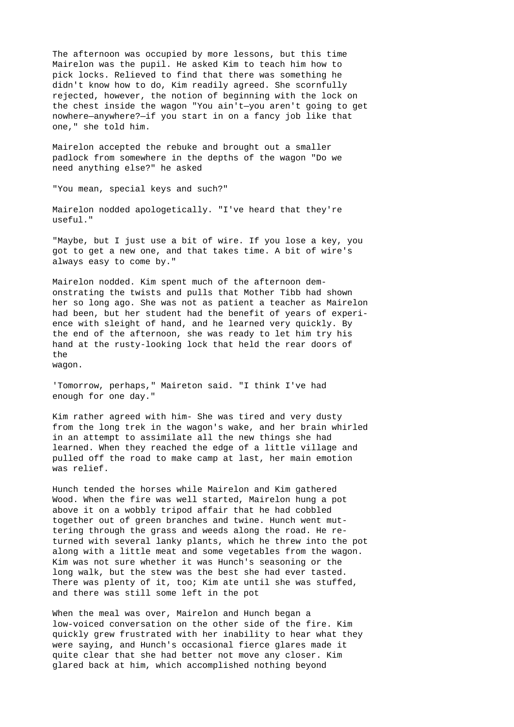The afternoon was occupied by more lessons, but this time Mairelon was the pupil. He asked Kim to teach him how to pick locks. Relieved to find that there was something he didn't know how to do, Kim readily agreed. She scornfully rejected, however, the notion of beginning with the lock on the chest inside the wagon "You ain't—you aren't going to get nowhere—anywhere?—if you start in on a fancy job like that one," she told him.

Mairelon accepted the rebuke and brought out a smaller padlock from somewhere in the depths of the wagon "Do we need anything else?" he asked

"You mean, special keys and such?"

Mairelon nodded apologetically. "I've heard that they're useful."

"Maybe, but I just use a bit of wire. If you lose a key, you got to get a new one, and that takes time. A bit of wire's always easy to come by."

Mairelon nodded. Kim spent much of the afternoon demonstrating the twists and pulls that Mother Tibb had shown her so long ago. She was not as patient a teacher as Mairelon had been, but her student had the benefit of years of experience with sleight of hand, and he learned very quickly. By the end of the afternoon, she was ready to let him try his hand at the rusty-looking lock that held the rear doors of the

wagon.

'Tomorrow, perhaps," Maireton said. "I think I've had enough for one day."

Kim rather agreed with him- She was tired and very dusty from the long trek in the wagon's wake, and her brain whirled in an attempt to assimilate all the new things she had learned. When they reached the edge of a little village and pulled off the road to make camp at last, her main emotion was relief.

Hunch tended the horses while Mairelon and Kim gathered Wood. When the fire was well started, Mairelon hung a pot above it on a wobbly tripod affair that he had cobbled together out of green branches and twine. Hunch went muttering through the grass and weeds along the road. He returned with several lanky plants, which he threw into the pot along with a little meat and some vegetables from the wagon. Kim was not sure whether it was Hunch's seasoning or the long walk, but the stew was the best she had ever tasted. There was plenty of it, too; Kim ate until she was stuffed, and there was still some left in the pot

When the meal was over, Mairelon and Hunch began a low-voiced conversation on the other side of the fire. Kim quickly grew frustrated with her inability to hear what they were saying, and Hunch's occasional fierce glares made it quite clear that she had better not move any closer. Kim glared back at him, which accomplished nothing beyond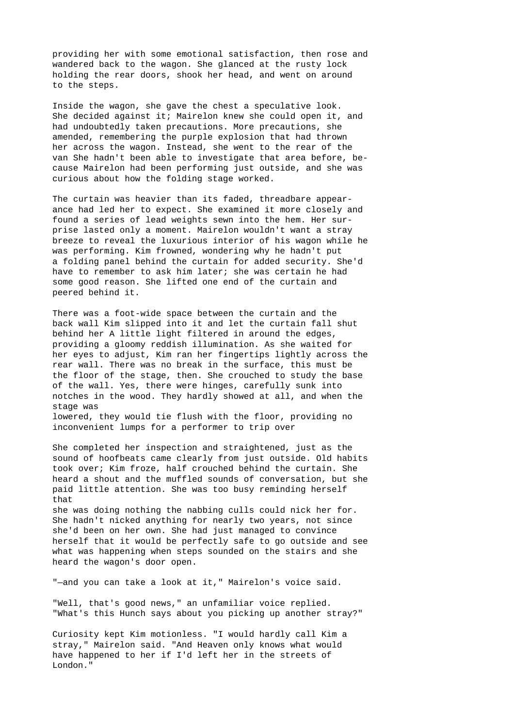providing her with some emotional satisfaction, then rose and wandered back to the wagon. She glanced at the rusty lock holding the rear doors, shook her head, and went on around to the steps.

Inside the wagon, she gave the chest a speculative look. She decided against it; Mairelon knew she could open it, and had undoubtedly taken precautions. More precautions, she amended, remembering the purple explosion that had thrown her across the wagon. Instead, she went to the rear of the van She hadn't been able to investigate that area before, because Mairelon had been performing just outside, and she was curious about how the folding stage worked.

The curtain was heavier than its faded, threadbare appearance had led her to expect. She examined it more closely and found a series of lead weights sewn into the hem. Her surprise lasted only a moment. Mairelon wouldn't want a stray breeze to reveal the luxurious interior of his wagon while he was performing. Kim frowned, wondering why he hadn't put a folding panel behind the curtain for added security. She'd have to remember to ask him later; she was certain he had some good reason. She lifted one end of the curtain and peered behind it.

There was a foot-wide space between the curtain and the back wall Kim slipped into it and let the curtain fall shut behind her A little light filtered in around the edges, providing a gloomy reddish illumination. As she waited for her eyes to adjust, Kim ran her fingertips lightly across the rear wall. There was no break in the surface, this must be the floor of the stage, then. She crouched to study the base of the wall. Yes, there were hinges, carefully sunk into notches in the wood. They hardly showed at all, and when the stage was

lowered, they would tie flush with the floor, providing no inconvenient lumps for a performer to trip over

She completed her inspection and straightened, just as the sound of hoofbeats came clearly from just outside. Old habits took over; Kim froze, half crouched behind the curtain. She heard a shout and the muffled sounds of conversation, but she paid little attention. She was too busy reminding herself that

she was doing nothing the nabbing culls could nick her for. She hadn't nicked anything for nearly two years, not since she'd been on her own. She had just managed to convince herself that it would be perfectly safe to go outside and see what was happening when steps sounded on the stairs and she heard the wagon's door open.

"—and you can take a look at it," Mairelon's voice said.

"Well, that's good news," an unfamiliar voice replied. "What's this Hunch says about you picking up another stray?"

Curiosity kept Kim motionless. "I would hardly call Kim a stray," Mairelon said. "And Heaven only knows what would have happened to her if I'd left her in the streets of London."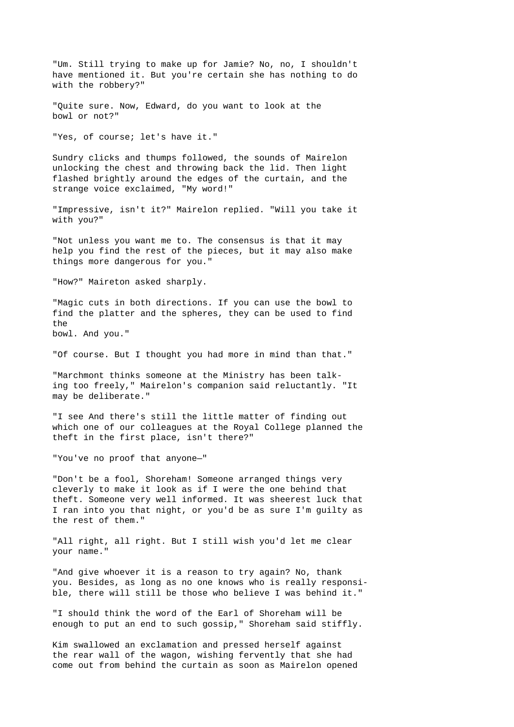"Um. Still trying to make up for Jamie? No, no, I shouldn't have mentioned it. But you're certain she has nothing to do with the robbery?" "Quite sure. Now, Edward, do you want to look at the bowl or not?" "Yes, of course; let's have it." Sundry clicks and thumps followed, the sounds of Mairelon unlocking the chest and throwing back the lid. Then light flashed brightly around the edges of the curtain, and the strange voice exclaimed, "My word!" "Impressive, isn't it?" Mairelon replied. "Will you take it with you?" "Not unless you want me to. The consensus is that it may help you find the rest of the pieces, but it may also make things more dangerous for you." "How?" Maireton asked sharply. "Magic cuts in both directions. If you can use the bowl to find the platter and the spheres, they can be used to find the bowl. And you." "Of course. But I thought you had more in mind than that." "Marchmont thinks someone at the Ministry has been talking too freely," Mairelon's companion said reluctantly. "It may be deliberate." "I see And there's still the little matter of finding out which one of our colleagues at the Royal College planned the theft in the first place, isn't there?" "You've no proof that anyone—" "Don't be a fool, Shoreham! Someone arranged things very cleverly to make it look as if I were the one behind that theft. Someone very well informed. It was sheerest luck that I ran into you that night, or you'd be as sure I'm guilty as the rest of them." "All right, all right. But I still wish you'd let me clear your name." "And give whoever it is a reason to try again? No, thank you. Besides, as long as no one knows who is really responsible, there will still be those who believe I was behind it." "I should think the word of the Earl of Shoreham will be enough to put an end to such gossip," Shoreham said stiffly.

Kim swallowed an exclamation and pressed herself against the rear wall of the wagon, wishing fervently that she had come out from behind the curtain as soon as Mairelon opened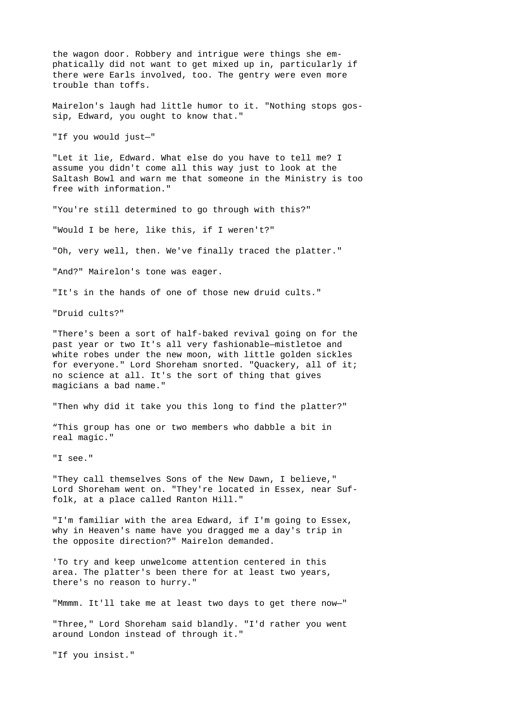the wagon door. Robbery and intrigue were things she emphatically did not want to get mixed up in, particularly if there were Earls involved, too. The gentry were even more trouble than toffs.

Mairelon's laugh had little humor to it. "Nothing stops gossip, Edward, you ought to know that."

"If you would just—"

"Let it lie, Edward. What else do you have to tell me? I assume you didn't come all this way just to look at the Saltash Bowl and warn me that someone in the Ministry is too free with information."

"You're still determined to go through with this?"

"Would I be here, like this, if I weren't?"

"Oh, very well, then. We've finally traced the platter."

"And?" Mairelon's tone was eager.

"It's in the hands of one of those new druid cults."

"Druid cults?"

"There's been a sort of half-baked revival going on for the past year or two It's all very fashionable—mistletoe and white robes under the new moon, with little golden sickles for everyone." Lord Shoreham snorted. "Quackery, all of it; no science at all. It's the sort of thing that gives magicians a bad name."

"Then why did it take you this long to find the platter?"

"This group has one or two members who dabble a bit in real magic."

"I see."

"They call themselves Sons of the New Dawn, I believe," Lord Shoreham went on. "They're located in Essex, near Suffolk, at a place called Ranton Hill."

"I'm familiar with the area Edward, if I'm going to Essex, why in Heaven's name have you dragged me a day's trip in the opposite direction?" Mairelon demanded.

'To try and keep unwelcome attention centered in this area. The platter's been there for at least two years, there's no reason to hurry."

"Mmmm. It'll take me at least two days to get there now—"

"Three," Lord Shoreham said blandly. "I'd rather you went around London instead of through it."

"If you insist."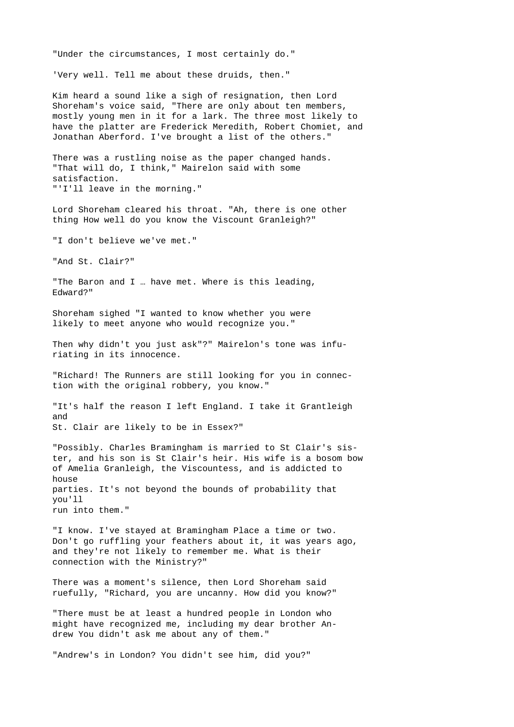"Under the circumstances, I most certainly do."

'Very well. Tell me about these druids, then."

Kim heard a sound like a sigh of resignation, then Lord Shoreham's voice said, "There are only about ten members, mostly young men in it for a lark. The three most likely to have the platter are Frederick Meredith, Robert Chomiet, and Jonathan Aberford. I've brought a list of the others."

There was a rustling noise as the paper changed hands. "That will do, I think," Mairelon said with some satisfaction. "'I'll leave in the morning."

Lord Shoreham cleared his throat. "Ah, there is one other thing How well do you know the Viscount Granleigh?"

"I don't believe we've met."

"And St. Clair?"

"The Baron and I … have met. Where is this leading, Edward?"

Shoreham sighed "I wanted to know whether you were likely to meet anyone who would recognize you."

Then why didn't you just ask"?" Mairelon's tone was infuriating in its innocence.

"Richard! The Runners are still looking for you in connection with the original robbery, you know."

"It's half the reason I left England. I take it Grantleigh and St. Clair are likely to be in Essex?"

"Possibly. Charles Bramingham is married to St Clair's sister, and his son is St Clair's heir. His wife is a bosom bow of Amelia Granleigh, the Viscountess, and is addicted to house parties. It's not beyond the bounds of probability that you'll run into them."

"I know. I've stayed at Bramingham Place a time or two. Don't go ruffling your feathers about it, it was years ago, and they're not likely to remember me. What is their connection with the Ministry?"

There was a moment's silence, then Lord Shoreham said ruefully, "Richard, you are uncanny. How did you know?"

"There must be at least a hundred people in London who might have recognized me, including my dear brother Andrew You didn't ask me about any of them."

"Andrew's in London? You didn't see him, did you?"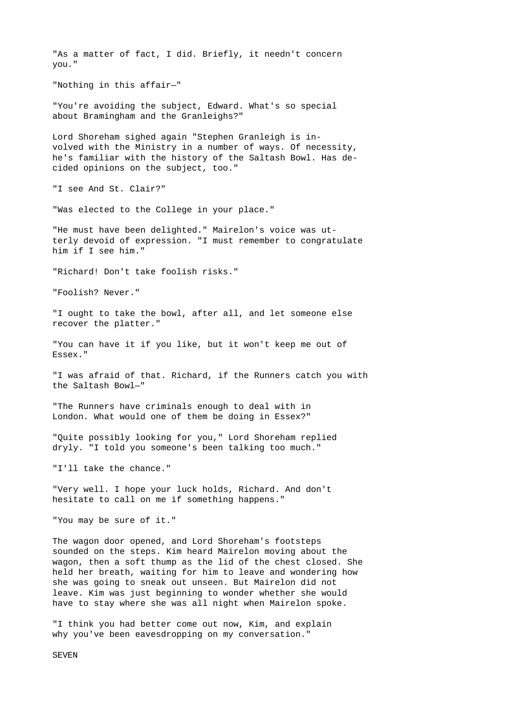"As a matter of fact, I did. Briefly, it needn't concern you." "Nothing in this affair—" "You're avoiding the subject, Edward. What's so special about Bramingham and the Granleighs?" Lord Shoreham sighed again "Stephen Granleigh is involved with the Ministry in a number of ways. Of necessity, he's familiar with the history of the Saltash Bowl. Has decided opinions on the subject, too." "I see And St. Clair?" "Was elected to the College in your place." "He must have been delighted." Mairelon's voice was utterly devoid of expression. "I must remember to congratulate him if I see him." "Richard! Don't take foolish risks." "Foolish? Never." "I ought to take the bowl, after all, and let someone else recover the platter." "You can have it if you like, but it won't keep me out of Essex." "I was afraid of that. Richard, if the Runners catch you with the Saltash Bowl—" "The Runners have criminals enough to deal with in London. What would one of them be doing in Essex?" "Quite possibly looking for you," Lord Shoreham replied dryly. "I told you someone's been talking too much." "I'll take the chance." "Very well. I hope your luck holds, Richard. And don't hesitate to call on me if something happens." "You may be sure of it." The wagon door opened, and Lord Shoreham's footsteps sounded on the steps. Kim heard Mairelon moving about the wagon, then a soft thump as the lid of the chest closed. She held her breath, waiting for him to leave and wondering how she was going to sneak out unseen. But Mairelon did not leave. Kim was just beginning to wonder whether she would have to stay where she was all night when Mairelon spoke.

"I think you had better come out now, Kim, and explain why you've been eavesdropping on my conversation."

SEVEN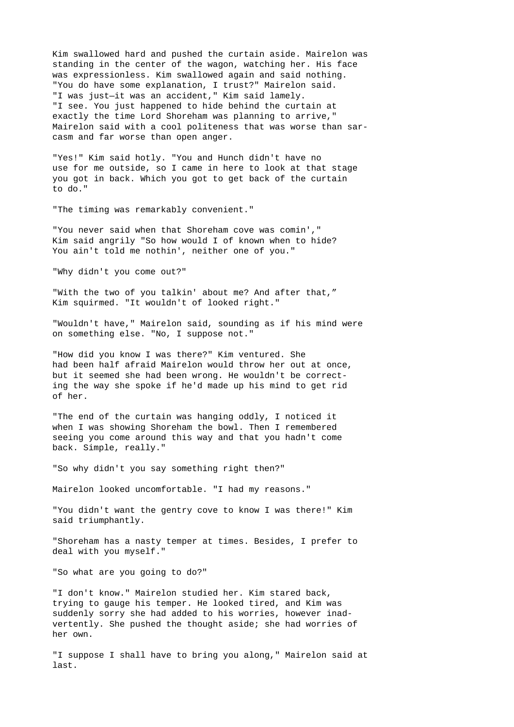Kim swallowed hard and pushed the curtain aside. Mairelon was standing in the center of the wagon, watching her. His face was expressionless. Kim swallowed again and said nothing. "You do have some explanation, I trust?" Mairelon said. "I was just—it was an accident," Kim said lamely. "I see. You just happened to hide behind the curtain at exactly the time Lord Shoreham was planning to arrive," Mairelon said with a cool politeness that was worse than sarcasm and far worse than open anger.

"Yes!" Kim said hotly. "You and Hunch didn't have no use for me outside, so I came in here to look at that stage you got in back. Which you got to get back of the curtain to do."

"The timing was remarkably convenient."

"You never said when that Shoreham cove was comin'," Kim said angrily "So how would I of known when to hide? You ain't told me nothin', neither one of you."

"Why didn't you come out?"

"With the two of you talkin' about me? And after that," Kim squirmed. "It wouldn't of looked right."

"Wouldn't have," Mairelon said, sounding as if his mind were on something else. "No, I suppose not."

"How did you know I was there?" Kim ventured. She had been half afraid Mairelon would throw her out at once, but it seemed she had been wrong. He wouldn't be correcting the way she spoke if he'd made up his mind to get rid of her.

"The end of the curtain was hanging oddly, I noticed it when I was showing Shoreham the bowl. Then I remembered seeing you come around this way and that you hadn't come back. Simple, really."

"So why didn't you say something right then?"

Mairelon looked uncomfortable. "I had my reasons."

"You didn't want the gentry cove to know I was there!" Kim said triumphantly.

"Shoreham has a nasty temper at times. Besides, I prefer to deal with you myself."

"So what are you going to do?"

"I don't know." Mairelon studied her. Kim stared back, trying to gauge his temper. He looked tired, and Kim was suddenly sorry she had added to his worries, however inadvertently. She pushed the thought aside; she had worries of her own.

"I suppose I shall have to bring you along," Mairelon said at last.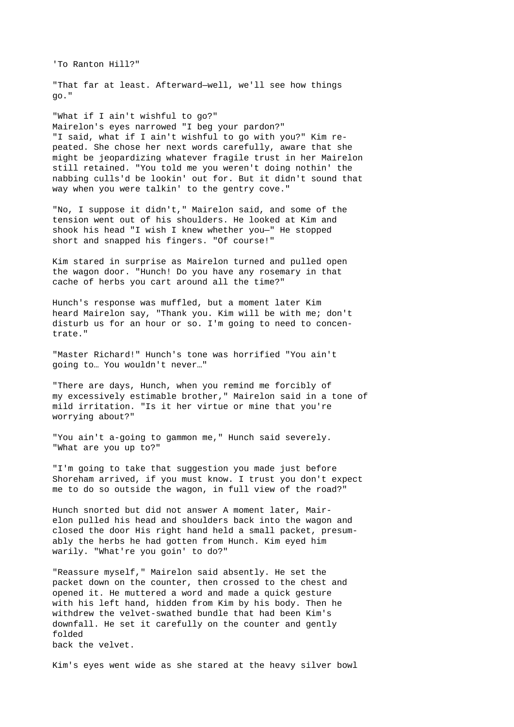'To Ranton Hill?"

"That far at least. Afterward—well, we'll see how things go."

"What if I ain't wishful to go?" Mairelon's eyes narrowed "I beg your pardon?" "I said, what if I ain't wishful to go with you?" Kim repeated. She chose her next words carefully, aware that she might be jeopardizing whatever fragile trust in her Mairelon still retained. "You told me you weren't doing nothin' the nabbing culls'd be lookin' out for. But it didn't sound that way when you were talkin' to the gentry cove."

"No, I suppose it didn't," Mairelon said, and some of the tension went out of his shoulders. He looked at Kim and shook his head "I wish I knew whether you—" He stopped short and snapped his fingers. "Of course!"

Kim stared in surprise as Mairelon turned and pulled open the wagon door. "Hunch! Do you have any rosemary in that cache of herbs you cart around all the time?"

Hunch's response was muffled, but a moment later Kim heard Mairelon say, "Thank you. Kim will be with me; don't disturb us for an hour or so. I'm going to need to concentrate."

"Master Richard!" Hunch's tone was horrified "You ain't going to… You wouldn't never…"

"There are days, Hunch, when you remind me forcibly of my excessively estimable brother," Mairelon said in a tone of mild irritation. "Is it her virtue or mine that you're worrying about?"

"You ain't a-going to gammon me," Hunch said severely. "What are you up to?"

"I'm going to take that suggestion you made just before Shoreham arrived, if you must know. I trust you don't expect me to do so outside the wagon, in full view of the road?"

Hunch snorted but did not answer A moment later, Mairelon pulled his head and shoulders back into the wagon and closed the door His right hand held a small packet, presumably the herbs he had gotten from Hunch. Kim eyed him warily. "What're you goin' to do?"

"Reassure myself," Mairelon said absently. He set the packet down on the counter, then crossed to the chest and opened it. He muttered a word and made a quick gesture with his left hand, hidden from Kim by his body. Then he withdrew the velvet-swathed bundle that had been Kim's downfall. He set it carefully on the counter and gently folded back the velvet.

Kim's eyes went wide as she stared at the heavy silver bowl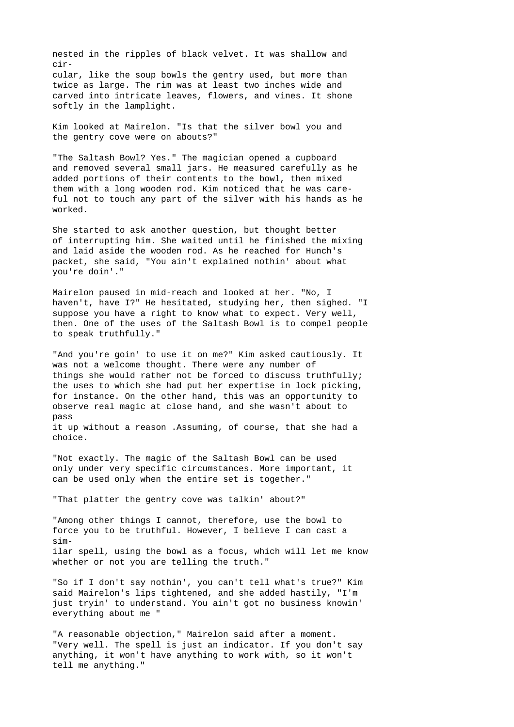nested in the ripples of black velvet. It was shallow and circular, like the soup bowls the gentry used, but more than twice as large. The rim was at least two inches wide and carved into intricate leaves, flowers, and vines. It shone softly in the lamplight.

Kim looked at Mairelon. "Is that the silver bowl you and the gentry cove were on abouts?"

"The Saltash Bowl? Yes." The magician opened a cupboard and removed several small jars. He measured carefully as he added portions of their contents to the bowl, then mixed them with a long wooden rod. Kim noticed that he was careful not to touch any part of the silver with his hands as he worked.

She started to ask another question, but thought better of interrupting him. She waited until he finished the mixing and laid aside the wooden rod. As he reached for Hunch's packet, she said, "You ain't explained nothin' about what you're doin'."

Mairelon paused in mid-reach and looked at her. "No, I haven't, have I?" He hesitated, studying her, then sighed. "I suppose you have a right to know what to expect. Very well, then. One of the uses of the Saltash Bowl is to compel people to speak truthfully."

"And you're goin' to use it on me?" Kim asked cautiously. It was not a welcome thought. There were any number of things she would rather not be forced to discuss truthfully; the uses to which she had put her expertise in lock picking, for instance. On the other hand, this was an opportunity to observe real magic at close hand, and she wasn't about to pass it up without a reason .Assuming, of course, that she had a choice.

"Not exactly. The magic of the Saltash Bowl can be used only under very specific circumstances. More important, it can be used only when the entire set is together."

"That platter the gentry cove was talkin' about?"

"Among other things I cannot, therefore, use the bowl to force you to be truthful. However, I believe I can cast a similar spell, using the bowl as a focus, which will let me know whether or not you are telling the truth."

"So if I don't say nothin', you can't tell what's true?" Kim said Mairelon's lips tightened, and she added hastily, "I'm just tryin' to understand. You ain't got no business knowin' everything about me "

"A reasonable objection," Mairelon said after a moment. "Very well. The spell is just an indicator. If you don't say anything, it won't have anything to work with, so it won't tell me anything."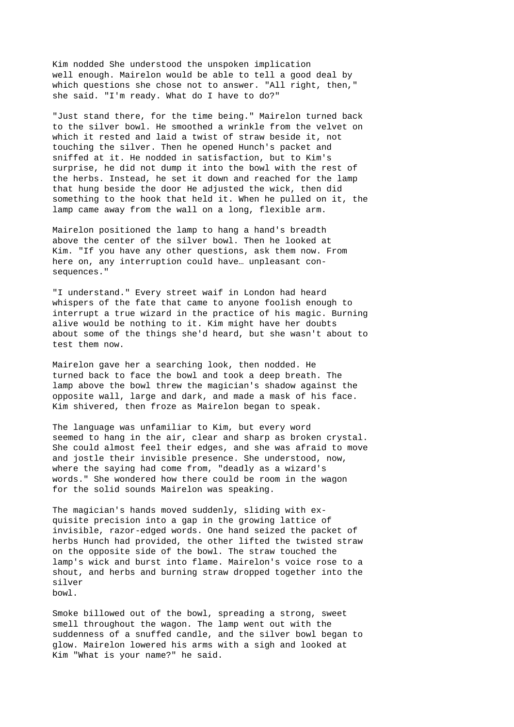Kim nodded She understood the unspoken implication well enough. Mairelon would be able to tell a good deal by which questions she chose not to answer. "All right, then," she said. "I'm ready. What do I have to do?"

"Just stand there, for the time being." Mairelon turned back to the silver bowl. He smoothed a wrinkle from the velvet on which it rested and laid a twist of straw beside it, not touching the silver. Then he opened Hunch's packet and sniffed at it. He nodded in satisfaction, but to Kim's surprise, he did not dump it into the bowl with the rest of the herbs. Instead, he set it down and reached for the lamp that hung beside the door He adjusted the wick, then did something to the hook that held it. When he pulled on it, the lamp came away from the wall on a long, flexible arm.

Mairelon positioned the lamp to hang a hand's breadth above the center of the silver bowl. Then he looked at Kim. "If you have any other questions, ask them now. From here on, any interruption could have… unpleasant consequences."

"I understand." Every street waif in London had heard whispers of the fate that came to anyone foolish enough to interrupt a true wizard in the practice of his magic. Burning alive would be nothing to it. Kim might have her doubts about some of the things she'd heard, but she wasn't about to test them now.

Mairelon gave her a searching look, then nodded. He turned back to face the bowl and took a deep breath. The lamp above the bowl threw the magician's shadow against the opposite wall, large and dark, and made a mask of his face. Kim shivered, then froze as Mairelon began to speak.

The language was unfamiliar to Kim, but every word seemed to hang in the air, clear and sharp as broken crystal. She could almost feel their edges, and she was afraid to move and jostle their invisible presence. She understood, now, where the saying had come from, "deadly as a wizard's words." She wondered how there could be room in the wagon for the solid sounds Mairelon was speaking.

The magician's hands moved suddenly, sliding with exquisite precision into a gap in the growing lattice of invisible, razor-edged words. One hand seized the packet of herbs Hunch had provided, the other lifted the twisted straw on the opposite side of the bowl. The straw touched the lamp's wick and burst into flame. Mairelon's voice rose to a shout, and herbs and burning straw dropped together into the silver

 $b0w$ 

Smoke billowed out of the bowl, spreading a strong, sweet smell throughout the wagon. The lamp went out with the suddenness of a snuffed candle, and the silver bowl began to glow. Mairelon lowered his arms with a sigh and looked at Kim "What is your name?" he said.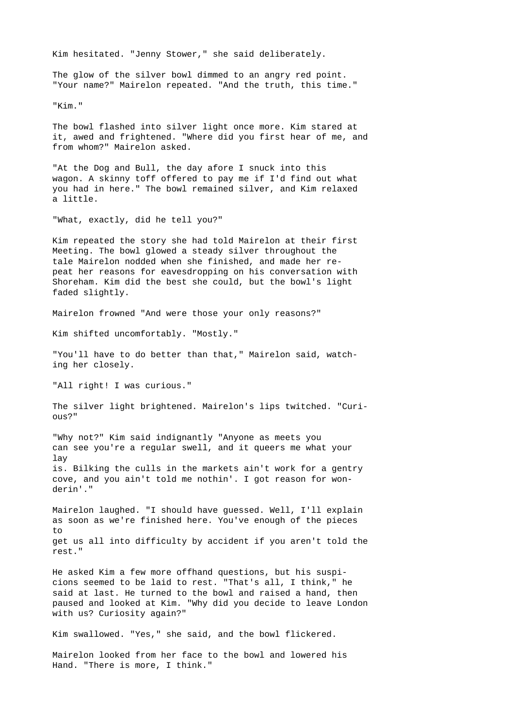Kim hesitated. "Jenny Stower," she said deliberately.

The glow of the silver bowl dimmed to an angry red point. "Your name?" Mairelon repeated. "And the truth, this time."

"Kim."

The bowl flashed into silver light once more. Kim stared at it, awed and frightened. "Where did you first hear of me, and from whom?" Mairelon asked.

"At the Dog and Bull, the day afore I snuck into this wagon. A skinny toff offered to pay me if I'd find out what you had in here." The bowl remained silver, and Kim relaxed a little.

"What, exactly, did he tell you?"

Kim repeated the story she had told Mairelon at their first Meeting. The bowl glowed a steady silver throughout the tale Mairelon nodded when she finished, and made her repeat her reasons for eavesdropping on his conversation with Shoreham. Kim did the best she could, but the bowl's light faded slightly.

Mairelon frowned "And were those your only reasons?"

Kim shifted uncomfortably. "Mostly."

"You'll have to do better than that," Mairelon said, watching her closely.

"All right! I was curious."

The silver light brightened. Mairelon's lips twitched. "Curious?"

"Why not?" Kim said indignantly "Anyone as meets you can see you're a regular swell, and it queers me what your lay is. Bilking the culls in the markets ain't work for a gentry cove, and you ain't told me nothin'. I got reason for wonderin'."

Mairelon laughed. "I should have guessed. Well, I'll explain as soon as we're finished here. You've enough of the pieces  $t \circ$ get us all into difficulty by accident if you aren't told the rest."

He asked Kim a few more offhand questions, but his suspicions seemed to be laid to rest. "That's all, I think," he said at last. He turned to the bowl and raised a hand, then paused and looked at Kim. "Why did you decide to leave London with us? Curiosity again?"

Kim swallowed. "Yes," she said, and the bowl flickered.

Mairelon looked from her face to the bowl and lowered his Hand. "There is more, I think."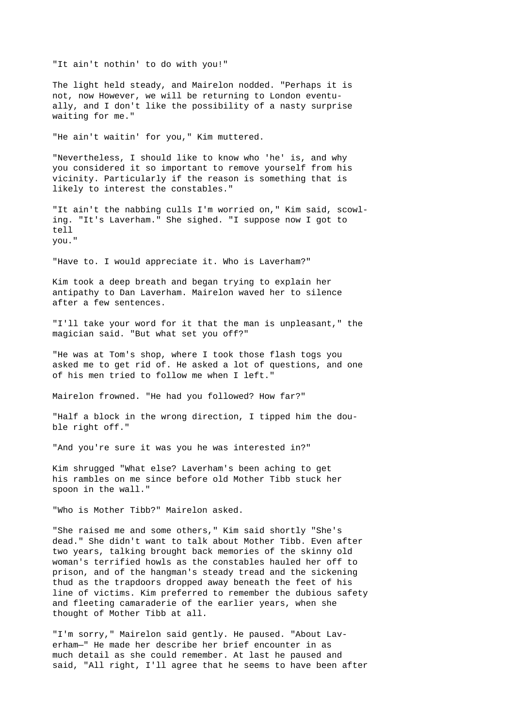"It ain't nothin' to do with you!"

The light held steady, and Mairelon nodded. "Perhaps it is not, now However, we will be returning to London eventually, and I don't like the possibility of a nasty surprise waiting for me."

"He ain't waitin' for you," Kim muttered.

"Nevertheless, I should like to know who 'he' is, and why you considered it so important to remove yourself from his vicinity. Particularly if the reason is something that is likely to interest the constables."

"It ain't the nabbing culls I'm worried on," Kim said, scowling. "It's Laverham." She sighed. "I suppose now I got to tell

you."

"Have to. I would appreciate it. Who is Laverham?"

Kim took a deep breath and began trying to explain her antipathy to Dan Laverham. Mairelon waved her to silence after a few sentences.

"I'll take your word for it that the man is unpleasant," the magician said. "But what set you off?"

"He was at Tom's shop, where I took those flash togs you asked me to get rid of. He asked a lot of questions, and one of his men tried to follow me when I left."

Mairelon frowned. "He had you followed? How far?"

"Half a block in the wrong direction, I tipped him the double right off."

"And you're sure it was you he was interested in?"

Kim shrugged "What else? Laverham's been aching to get his rambles on me since before old Mother Tibb stuck her spoon in the wall."

"Who is Mother Tibb?" Mairelon asked.

"She raised me and some others," Kim said shortly "She's dead." She didn't want to talk about Mother Tibb. Even after two years, talking brought back memories of the skinny old woman's terrified howls as the constables hauled her off to prison, and of the hangman's steady tread and the sickening thud as the trapdoors dropped away beneath the feet of his line of victims. Kim preferred to remember the dubious safety and fleeting camaraderie of the earlier years, when she thought of Mother Tibb at all.

"I'm sorry," Mairelon said gently. He paused. "About Laverham—" He made her describe her brief encounter in as much detail as she could remember. At last he paused and said, "All right, I'll agree that he seems to have been after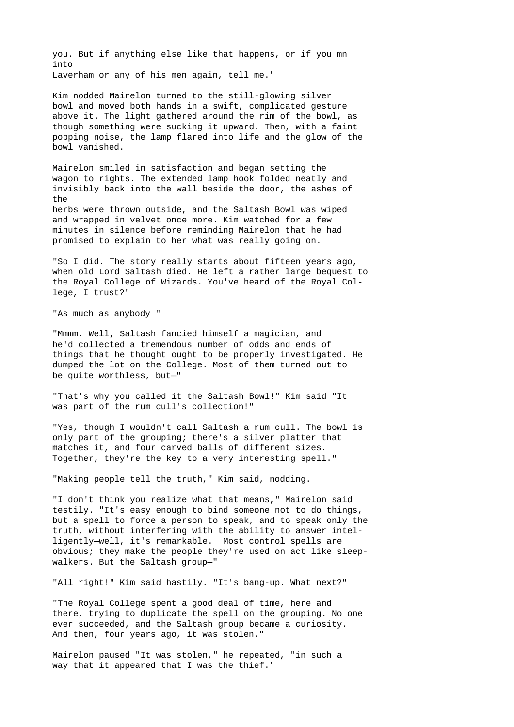you. But if anything else like that happens, or if you mn into Laverham or any of his men again, tell me."

Kim nodded Mairelon turned to the still-glowing silver bowl and moved both hands in a swift, complicated gesture above it. The light gathered around the rim of the bowl, as though something were sucking it upward. Then, with a faint popping noise, the lamp flared into life and the glow of the bowl vanished.

Mairelon smiled in satisfaction and began setting the wagon to rights. The extended lamp hook folded neatly and invisibly back into the wall beside the door, the ashes of the herbs were thrown outside, and the Saltash Bowl was wiped and wrapped in velvet once more. Kim watched for a few

minutes in silence before reminding Mairelon that he had promised to explain to her what was really going on.

"So I did. The story really starts about fifteen years ago, when old Lord Saltash died. He left a rather large bequest to the Royal College of Wizards. You've heard of the Royal College, I trust?"

"As much as anybody "

"Mmmm. Well, Saltash fancied himself a magician, and he'd collected a tremendous number of odds and ends of things that he thought ought to be properly investigated. He dumped the lot on the College. Most of them turned out to be quite worthless, but—"

"That's why you called it the Saltash Bowl!" Kim said "It was part of the rum cull's collection!"

"Yes, though I wouldn't call Saltash a rum cull. The bowl is only part of the grouping; there's a silver platter that matches it, and four carved balls of different sizes. Together, they're the key to a very interesting spell."

"Making people tell the truth," Kim said, nodding.

"I don't think you realize what that means," Mairelon said testily. "It's easy enough to bind someone not to do things, but a spell to force a person to speak, and to speak only the truth, without interfering with the ability to answer intelligently—well, it's remarkable. Most control spells are obvious; they make the people they're used on act like sleepwalkers. But the Saltash group—"

"All right!" Kim said hastily. "It's bang-up. What next?"

"The Royal College spent a good deal of time, here and there, trying to duplicate the spell on the grouping. No one ever succeeded, and the Saltash group became a curiosity. And then, four years ago, it was stolen."

Mairelon paused "It was stolen," he repeated, "in such a way that it appeared that I was the thief."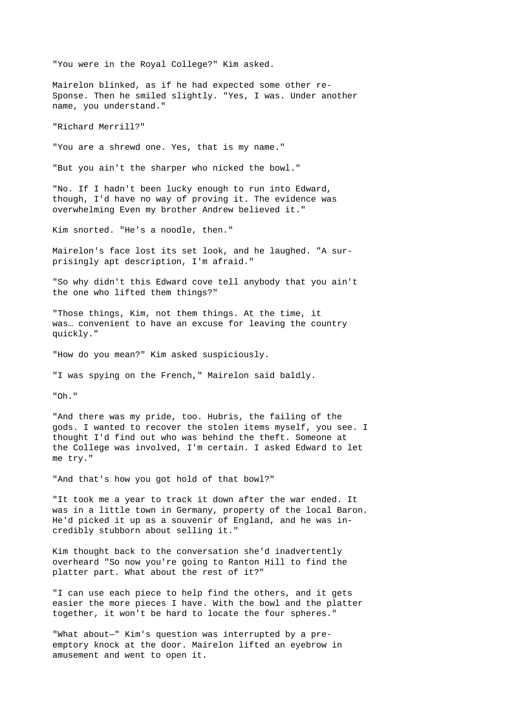"You were in the Royal College?" Kim asked.

Mairelon blinked, as if he had expected some other re-Sponse. Then he smiled slightly. "Yes, I was. Under another name, you understand."

"Richard Merrill?"

"You are a shrewd one. Yes, that is my name."

"But you ain't the sharper who nicked the bowl."

"No. If I hadn't been lucky enough to run into Edward, though, I'd have no way of proving it. The evidence was overwhelming Even my brother Andrew believed it."

Kim snorted. "He's a noodle, then."

Mairelon's face lost its set look, and he laughed. "A surprisingly apt description, I'm afraid."

"So why didn't this Edward cove tell anybody that you ain't the one who lifted them things?"

"Those things, Kim, not them things. At the time, it was… convenient to have an excuse for leaving the country quickly."

"How do you mean?" Kim asked suspiciously.

"I was spying on the French," Mairelon said baldly.

"Oh."

"And there was my pride, too. Hubris, the failing of the gods. I wanted to recover the stolen items myself, you see. I thought I'd find out who was behind the theft. Someone at the College was involved, I'm certain. I asked Edward to let me try."

"And that's how you got hold of that bowl?"

"It took me a year to track it down after the war ended. It was in a little town in Germany, property of the local Baron. He'd picked it up as a souvenir of England, and he was incredibly stubborn about selling it."

Kim thought back to the conversation she'd inadvertently overheard "So now you're going to Ranton Hill to find the platter part. What about the rest of it?"

"I can use each piece to help find the others, and it gets easier the more pieces I have. With the bowl and the platter together, it won't be hard to locate the four spheres."

"What about—" Kim's question was interrupted by a preemptory knock at the door. Mairelon lifted an eyebrow in amusement and went to open it.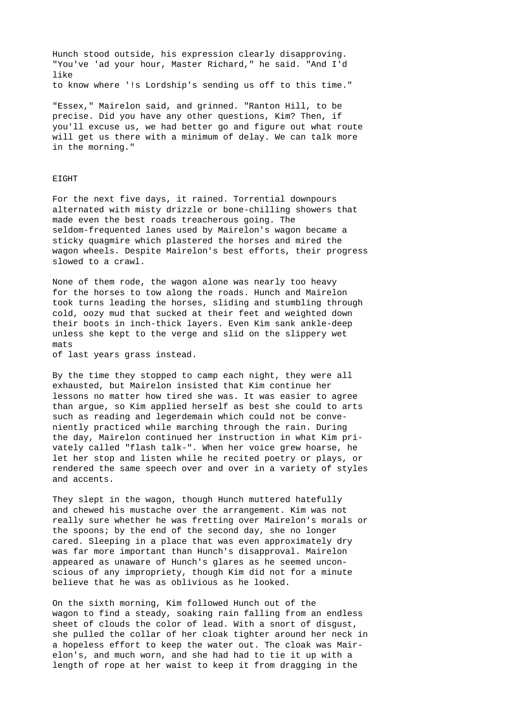Hunch stood outside, his expression clearly disapproving. "You've 'ad your hour, Master Richard," he said. "And I'd like to know where '!s Lordship's sending us off to this time."

"Essex," Mairelon said, and grinned. "Ranton Hill, to be precise. Did you have any other questions, Kim? Then, if you'll excuse us, we had better go and figure out what route will get us there with a minimum of delay. We can talk more in the morning."

## EIGHT

For the next five days, it rained. Torrential downpours alternated with misty drizzle or bone-chilling showers that made even the best roads treacherous going. The seldom-frequented lanes used by Mairelon's wagon became a sticky quagmire which plastered the horses and mired the wagon wheels. Despite Mairelon's best efforts, their progress slowed to a crawl.

None of them rode, the wagon alone was nearly too heavy for the horses to tow along the roads. Hunch and Mairelon took turns leading the horses, sliding and stumbling through cold, oozy mud that sucked at their feet and weighted down their boots in inch-thick layers. Even Kim sank ankle-deep unless she kept to the verge and slid on the slippery wet mats

of last years grass instead.

By the time they stopped to camp each night, they were all exhausted, but Mairelon insisted that Kim continue her lessons no matter how tired she was. It was easier to agree than argue, so Kim applied herself as best she could to arts such as reading and legerdemain which could not be conveniently practiced while marching through the rain. During the day, Mairelon continued her instruction in what Kim privately called "flash talk-". When her voice grew hoarse, he let her stop and listen while he recited poetry or plays, or rendered the same speech over and over in a variety of styles and accents.

They slept in the wagon, though Hunch muttered hatefully and chewed his mustache over the arrangement. Kim was not really sure whether he was fretting over Mairelon's morals or the spoons; by the end of the second day, she no longer cared. Sleeping in a place that was even approximately dry was far more important than Hunch's disapproval. Mairelon appeared as unaware of Hunch's glares as he seemed unconscious of any impropriety, though Kim did not for a minute believe that he was as oblivious as he looked.

On the sixth morning, Kim followed Hunch out of the wagon to find a steady, soaking rain falling from an endless sheet of clouds the color of lead. With a snort of disgust, she pulled the collar of her cloak tighter around her neck in a hopeless effort to keep the water out. The cloak was Mairelon's, and much worn, and she had had to tie it up with a length of rope at her waist to keep it from dragging in the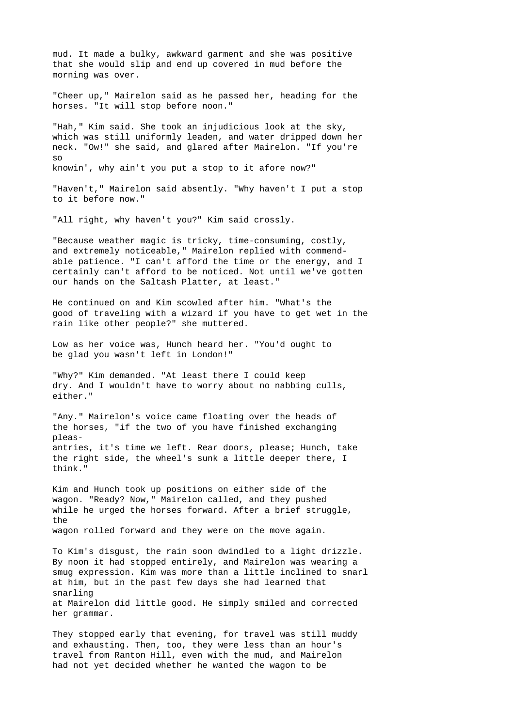mud. It made a bulky, awkward garment and she was positive that she would slip and end up covered in mud before the morning was over.

"Cheer up," Mairelon said as he passed her, heading for the horses. "It will stop before noon."

"Hah," Kim said. She took an injudicious look at the sky, which was still uniformly leaden, and water dripped down her neck. "Ow!" she said, and glared after Mairelon. "If you're so knowin', why ain't you put a stop to it afore now?"

"Haven't," Mairelon said absently. "Why haven't I put a stop to it before now."

"All right, why haven't you?" Kim said crossly.

"Because weather magic is tricky, time-consuming, costly, and extremely noticeable," Mairelon replied with commendable patience. "I can't afford the time or the energy, and I certainly can't afford to be noticed. Not until we've gotten our hands on the Saltash Platter, at least."

He continued on and Kim scowled after him. "What's the good of traveling with a wizard if you have to get wet in the rain like other people?" she muttered.

Low as her voice was, Hunch heard her. "You'd ought to be glad you wasn't left in London!"

"Why?" Kim demanded. "At least there I could keep dry. And I wouldn't have to worry about no nabbing culls, either."

"Any." Mairelon's voice came floating over the heads of the horses, "if the two of you have finished exchanging pleasantries, it's time we left. Rear doors, please; Hunch, take the right side, the wheel's sunk a little deeper there, I think."

Kim and Hunch took up positions on either side of the wagon. "Ready? Now," Mairelon called, and they pushed while he urged the horses forward. After a brief struggle, the wagon rolled forward and they were on the move again.

To Kim's disgust, the rain soon dwindled to a light drizzle. By noon it had stopped entirely, and Mairelon was wearing a smug expression. Kim was more than a little inclined to snarl at him, but in the past few days she had learned that snarling at Mairelon did little good. He simply smiled and corrected her grammar.

They stopped early that evening, for travel was still muddy and exhausting. Then, too, they were less than an hour's travel from Ranton Hill, even with the mud, and Mairelon had not yet decided whether he wanted the wagon to be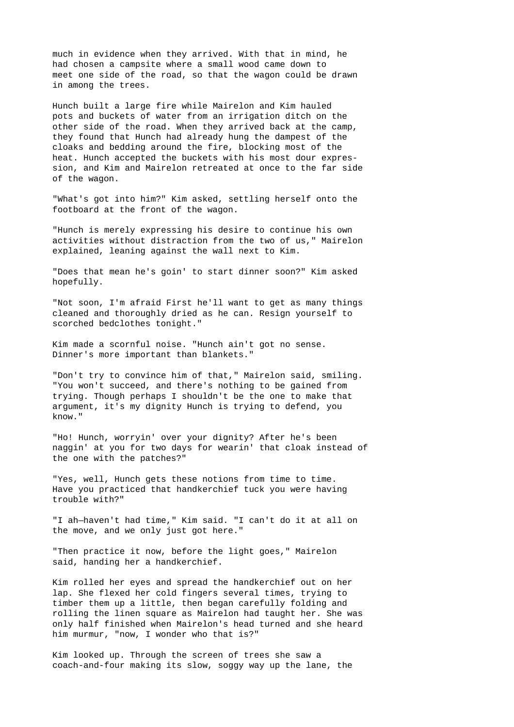much in evidence when they arrived. With that in mind, he had chosen a campsite where a small wood came down to meet one side of the road, so that the wagon could be drawn in among the trees.

Hunch built a large fire while Mairelon and Kim hauled pots and buckets of water from an irrigation ditch on the other side of the road. When they arrived back at the camp, they found that Hunch had already hung the dampest of the cloaks and bedding around the fire, blocking most of the heat. Hunch accepted the buckets with his most dour expression, and Kim and Mairelon retreated at once to the far side of the wagon.

"What's got into him?" Kim asked, settling herself onto the footboard at the front of the wagon.

"Hunch is merely expressing his desire to continue his own activities without distraction from the two of us," Mairelon explained, leaning against the wall next to Kim.

"Does that mean he's goin' to start dinner soon?" Kim asked hopefully.

"Not soon, I'm afraid First he'll want to get as many things cleaned and thoroughly dried as he can. Resign yourself to scorched bedclothes tonight."

Kim made a scornful noise. "Hunch ain't got no sense. Dinner's more important than blankets."

"Don't try to convince him of that," Mairelon said, smiling. "You won't succeed, and there's nothing to be gained from trying. Though perhaps I shouldn't be the one to make that argument, it's my dignity Hunch is trying to defend, you know."

"Ho! Hunch, worryin' over your dignity? After he's been naggin' at you for two days for wearin' that cloak instead of the one with the patches?"

"Yes, well, Hunch gets these notions from time to time. Have you practiced that handkerchief tuck you were having trouble with?"

"I ah—haven't had time," Kim said. "I can't do it at all on the move, and we only just got here."

"Then practice it now, before the light goes," Mairelon said, handing her a handkerchief.

Kim rolled her eyes and spread the handkerchief out on her lap. She flexed her cold fingers several times, trying to timber them up a little, then began carefully folding and rolling the linen square as Mairelon had taught her. She was only half finished when Mairelon's head turned and she heard him murmur, "now, I wonder who that is?"

Kim looked up. Through the screen of trees she saw a coach-and-four making its slow, soggy way up the lane, the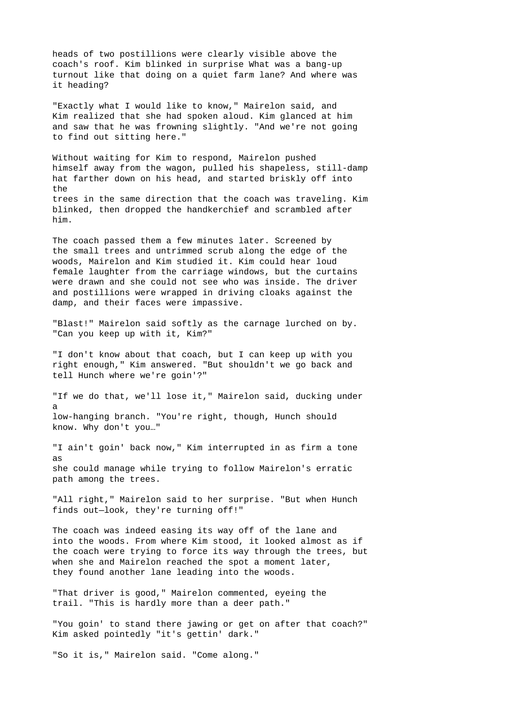heads of two postillions were clearly visible above the coach's roof. Kim blinked in surprise What was a bang-up turnout like that doing on a quiet farm lane? And where was it heading?

"Exactly what I would like to know," Mairelon said, and Kim realized that she had spoken aloud. Kim glanced at him and saw that he was frowning slightly. "And we're not going to find out sitting here."

Without waiting for Kim to respond, Mairelon pushed himself away from the wagon, pulled his shapeless, still-damp hat farther down on his head, and started briskly off into the trees in the same direction that the coach was traveling. Kim blinked, then dropped the handkerchief and scrambled after him.

The coach passed them a few minutes later. Screened by the small trees and untrimmed scrub along the edge of the woods, Mairelon and Kim studied it. Kim could hear loud female laughter from the carriage windows, but the curtains were drawn and she could not see who was inside. The driver and postillions were wrapped in driving cloaks against the damp, and their faces were impassive.

"Blast!" Mairelon said softly as the carnage lurched on by. "Can you keep up with it, Kim?"

"I don't know about that coach, but I can keep up with you right enough," Kim answered. "But shouldn't we go back and tell Hunch where we're goin'?"

"If we do that, we'll lose it," Mairelon said, ducking under a low-hanging branch. "You're right, though, Hunch should know. Why don't you…"

"I ain't goin' back now," Kim interrupted in as firm a tone as she could manage while trying to follow Mairelon's erratic path among the trees.

"All right," Mairelon said to her surprise. "But when Hunch finds out—look, they're turning off!"

The coach was indeed easing its way off of the lane and into the woods. From where Kim stood, it looked almost as if the coach were trying to force its way through the trees, but when she and Mairelon reached the spot a moment later, they found another lane leading into the woods.

"That driver is good," Mairelon commented, eyeing the trail. "This is hardly more than a deer path."

"You goin' to stand there jawing or get on after that coach?" Kim asked pointedly "it's gettin' dark."

"So it is," Mairelon said. "Come along."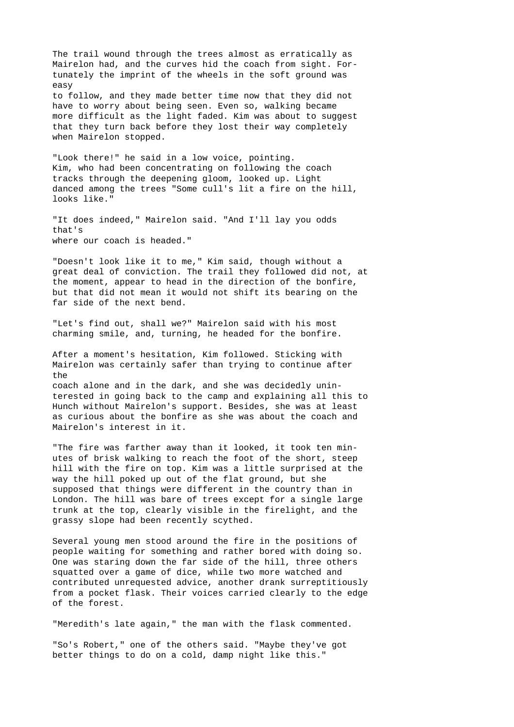The trail wound through the trees almost as erratically as Mairelon had, and the curves hid the coach from sight. Fortunately the imprint of the wheels in the soft ground was easy to follow, and they made better time now that they did not

have to worry about being seen. Even so, walking became more difficult as the light faded. Kim was about to suggest that they turn back before they lost their way completely when Mairelon stopped.

"Look there!" he said in a low voice, pointing. Kim, who had been concentrating on following the coach tracks through the deepening gloom, looked up. Light danced among the trees "Some cull's lit a fire on the hill, looks like."

"It does indeed," Mairelon said. "And I'll lay you odds that's where our coach is headed."

"Doesn't look like it to me," Kim said, though without a great deal of conviction. The trail they followed did not, at the moment, appear to head in the direction of the bonfire, but that did not mean it would not shift its bearing on the far side of the next bend.

"Let's find out, shall we?" Mairelon said with his most charming smile, and, turning, he headed for the bonfire.

After a moment's hesitation, Kim followed. Sticking with Mairelon was certainly safer than trying to continue after the coach alone and in the dark, and she was decidedly uninterested in going back to the camp and explaining all this to Hunch without Mairelon's support. Besides, she was at least as curious about the bonfire as she was about the coach and Mairelon's interest in it.

"The fire was farther away than it looked, it took ten minutes of brisk walking to reach the foot of the short, steep hill with the fire on top. Kim was a little surprised at the way the hill poked up out of the flat ground, but she supposed that things were different in the country than in London. The hill was bare of trees except for a single large trunk at the top, clearly visible in the firelight, and the grassy slope had been recently scythed.

Several young men stood around the fire in the positions of people waiting for something and rather bored with doing so. One was staring down the far side of the hill, three others squatted over a game of dice, while two more watched and contributed unrequested advice, another drank surreptitiously from a pocket flask. Their voices carried clearly to the edge of the forest.

"Meredith's late again," the man with the flask commented.

"So's Robert," one of the others said. "Maybe they've got better things to do on a cold, damp night like this."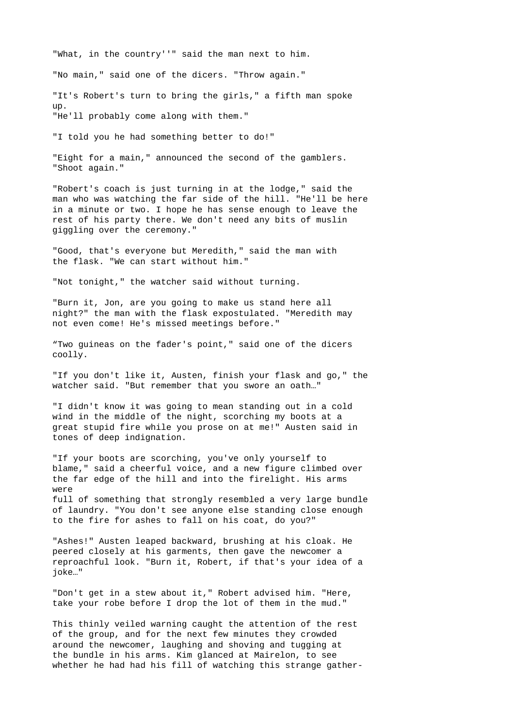"What, in the country''" said the man next to him.

"No main," said one of the dicers. "Throw again."

"It's Robert's turn to bring the girls," a fifth man spoke up. "He'll probably come along with them."

"I told you he had something better to do!"

"Eight for a main," announced the second of the gamblers. "Shoot again."

"Robert's coach is just turning in at the lodge," said the man who was watching the far side of the hill. "He'll be here in a minute or two. I hope he has sense enough to leave the rest of his party there. We don't need any bits of muslin giggling over the ceremony."

"Good, that's everyone but Meredith," said the man with the flask. "We can start without him."

"Not tonight," the watcher said without turning.

"Burn it, Jon, are you going to make us stand here all night?" the man with the flask expostulated. "Meredith may not even come! He's missed meetings before."

"Two guineas on the fader's point," said one of the dicers coolly.

"If you don't like it, Austen, finish your flask and go," the watcher said. "But remember that you swore an oath…"

"I didn't know it was going to mean standing out in a cold wind in the middle of the night, scorching my boots at a great stupid fire while you prose on at me!" Austen said in tones of deep indignation.

"If your boots are scorching, you've only yourself to blame," said a cheerful voice, and a new figure climbed over the far edge of the hill and into the firelight. His arms were full of something that strongly resembled a very large bundle of laundry. "You don't see anyone else standing close enough to the fire for ashes to fall on his coat, do you?"

"Ashes!" Austen leaped backward, brushing at his cloak. He peered closely at his garments, then gave the newcomer a reproachful look. "Burn it, Robert, if that's your idea of a joke…"

"Don't get in a stew about it," Robert advised him. "Here, take your robe before I drop the lot of them in the mud."

This thinly veiled warning caught the attention of the rest of the group, and for the next few minutes they crowded around the newcomer, laughing and shoving and tugging at the bundle in his arms. Kim glanced at Mairelon, to see whether he had had his fill of watching this strange gather-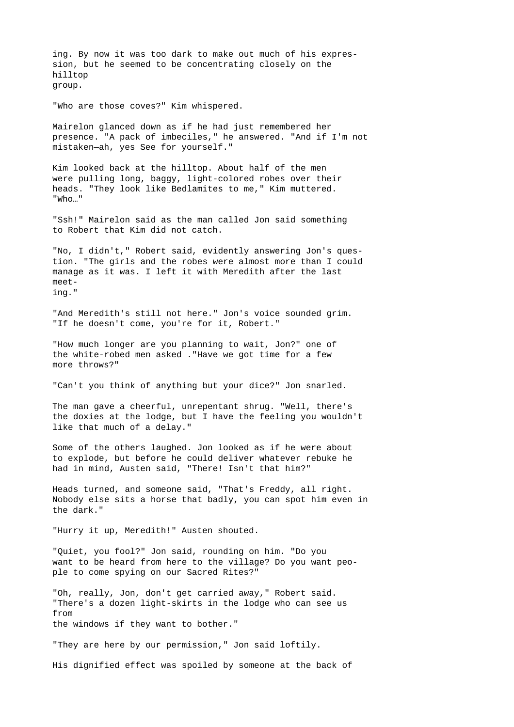ing. By now it was too dark to make out much of his expression, but he seemed to be concentrating closely on the hilltop group. "Who are those coves?" Kim whispered. Mairelon glanced down as if he had just remembered her presence. "A pack of imbeciles," he answered. "And if I'm not mistaken—ah, yes See for yourself." Kim looked back at the hilltop. About half of the men were pulling long, baggy, light-colored robes over their heads. "They look like Bedlamites to me," Kim muttered. "Who…" "Ssh!" Mairelon said as the man called Jon said something to Robert that Kim did not catch. "No, I didn't," Robert said, evidently answering Jon's question. "The girls and the robes were almost more than I could manage as it was. I left it with Meredith after the last meeting." "And Meredith's still not here." Jon's voice sounded grim. "If he doesn't come, you're for it, Robert." "How much longer are you planning to wait, Jon?" one of the white-robed men asked ."Have we got time for a few more throws?" "Can't you think of anything but your dice?" Jon snarled. The man gave a cheerful, unrepentant shrug. "Well, there's the doxies at the lodge, but I have the feeling you wouldn't like that much of a delay." Some of the others laughed. Jon looked as if he were about to explode, but before he could deliver whatever rebuke he had in mind, Austen said, "There! Isn't that him?" Heads turned, and someone said, "That's Freddy, all right. Nobody else sits a horse that badly, you can spot him even in the dark." "Hurry it up, Meredith!" Austen shouted. "Quiet, you fool?" Jon said, rounding on him. "Do you want to be heard from here to the village? Do you want people to come spying on our Sacred Rites?" "Oh, really, Jon, don't get carried away," Robert said. "There's a dozen light-skirts in the lodge who can see us from the windows if they want to bother." "They are here by our permission," Jon said loftily. His dignified effect was spoiled by someone at the back of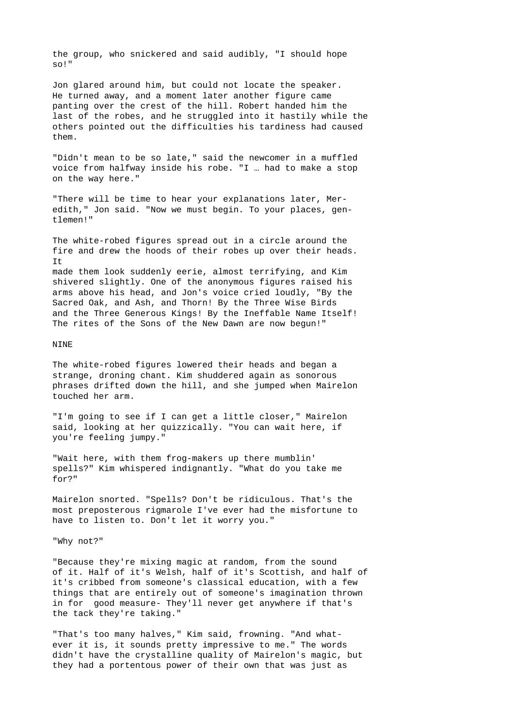the group, who snickered and said audibly, "I should hope so!"

Jon glared around him, but could not locate the speaker. He turned away, and a moment later another figure came panting over the crest of the hill. Robert handed him the last of the robes, and he struggled into it hastily while the others pointed out the difficulties his tardiness had caused them.

"Didn't mean to be so late," said the newcomer in a muffled voice from halfway inside his robe. "I … had to make a stop on the way here."

"There will be time to hear your explanations later, Meredith," Jon said. "Now we must begin. To your places, gentlemen!"

The white-robed figures spread out in a circle around the fire and drew the hoods of their robes up over their heads. T<sub>t</sub> made them look suddenly eerie, almost terrifying, and Kim shivered slightly. One of the anonymous figures raised his arms above his head, and Jon's voice cried loudly, "By the Sacred Oak, and Ash, and Thorn! By the Three Wise Birds and the Three Generous Kings! By the Ineffable Name Itself! The rites of the Sons of the New Dawn are now begun!"

NINE

The white-robed figures lowered their heads and began a strange, droning chant. Kim shuddered again as sonorous phrases drifted down the hill, and she jumped when Mairelon touched her arm.

"I'm going to see if I can get a little closer," Mairelon said, looking at her quizzically. "You can wait here, if you're feeling jumpy."

"Wait here, with them frog-makers up there mumblin' spells?" Kim whispered indignantly. "What do you take me for?"

Mairelon snorted. "Spells? Don't be ridiculous. That's the most preposterous rigmarole I've ever had the misfortune to have to listen to. Don't let it worry you."

"Why not?"

"Because they're mixing magic at random, from the sound of it. Half of it's Welsh, half of it's Scottish, and half of it's cribbed from someone's classical education, with a few things that are entirely out of someone's imagination thrown in for good measure- They'll never get anywhere if that's the tack they're taking."

"That's too many halves," Kim said, frowning. "And whatever it is, it sounds pretty impressive to me." The words didn't have the crystalline quality of Mairelon's magic, but they had a portentous power of their own that was just as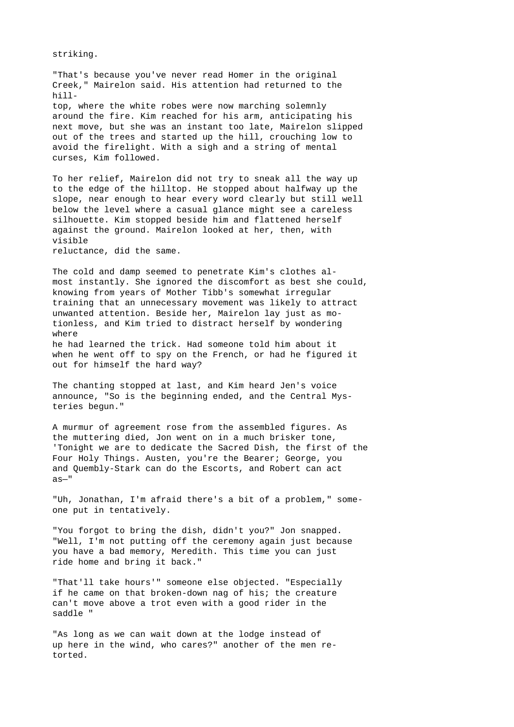striking.

"That's because you've never read Homer in the original Creek," Mairelon said. His attention had returned to the hilltop, where the white robes were now marching solemnly around the fire. Kim reached for his arm, anticipating his next move, but she was an instant too late, Mairelon slipped out of the trees and started up the hill, crouching low to avoid the firelight. With a sigh and a string of mental curses, Kim followed.

To her relief, Mairelon did not try to sneak all the way up to the edge of the hilltop. He stopped about halfway up the slope, near enough to hear every word clearly but still well below the level where a casual glance might see a careless silhouette. Kim stopped beside him and flattened herself against the ground. Mairelon looked at her, then, with visible

reluctance, did the same.

The cold and damp seemed to penetrate Kim's clothes almost instantly. She ignored the discomfort as best she could, knowing from years of Mother Tibb's somewhat irregular training that an unnecessary movement was likely to attract unwanted attention. Beside her, Mairelon lay just as motionless, and Kim tried to distract herself by wondering where

he had learned the trick. Had someone told him about it when he went off to spy on the French, or had he figured it out for himself the hard way?

The chanting stopped at last, and Kim heard Jen's voice announce, "So is the beginning ended, and the Central Mysteries begun."

A murmur of agreement rose from the assembled figures. As the muttering died, Jon went on in a much brisker tone, 'Tonight we are to dedicate the Sacred Dish, the first of the Four Holy Things. Austen, you're the Bearer; George, you and Quembly-Stark can do the Escorts, and Robert can act as—"

"Uh, Jonathan, I'm afraid there's a bit of a problem," someone put in tentatively.

"You forgot to bring the dish, didn't you?" Jon snapped. "Well, I'm not putting off the ceremony again just because you have a bad memory, Meredith. This time you can just ride home and bring it back."

"That'll take hours'" someone else objected. "Especially if he came on that broken-down nag of his; the creature can't move above a trot even with a good rider in the saddle "

"As long as we can wait down at the lodge instead of up here in the wind, who cares?" another of the men retorted.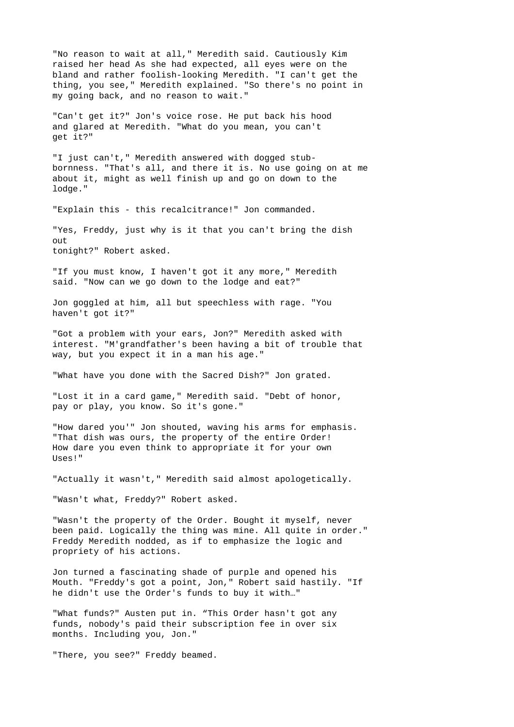"No reason to wait at all," Meredith said. Cautiously Kim raised her head As she had expected, all eyes were on the bland and rather foolish-looking Meredith. "I can't get the thing, you see," Meredith explained. "So there's no point in my going back, and no reason to wait."

"Can't get it?" Jon's voice rose. He put back his hood and glared at Meredith. "What do you mean, you can't get it?"

"I just can't," Meredith answered with dogged stubbornness. "That's all, and there it is. No use going on at me about it, might as well finish up and go on down to the lodge."

"Explain this - this recalcitrance!" Jon commanded.

"Yes, Freddy, just why is it that you can't bring the dish out tonight?" Robert asked.

"If you must know, I haven't got it any more," Meredith said. "Now can we go down to the lodge and eat?"

Jon goggled at him, all but speechless with rage. "You haven't got it?"

"Got a problem with your ears, Jon?" Meredith asked with interest. "M'grandfather's been having a bit of trouble that way, but you expect it in a man his age."

"What have you done with the Sacred Dish?" Jon grated.

"Lost it in a card game," Meredith said. "Debt of honor, pay or play, you know. So it's gone."

"How dared you'" Jon shouted, waving his arms for emphasis. "That dish was ours, the property of the entire Order! How dare you even think to appropriate it for your own Uses!"

"Actually it wasn't," Meredith said almost apologetically.

"Wasn't what, Freddy?" Robert asked.

"Wasn't the property of the Order. Bought it myself, never been paid. Logically the thing was mine. All quite in order." Freddy Meredith nodded, as if to emphasize the logic and propriety of his actions.

Jon turned a fascinating shade of purple and opened his Mouth. "Freddy's got a point, Jon," Robert said hastily. "If he didn't use the Order's funds to buy it with…"

"What funds?" Austen put in. "This Order hasn't got any funds, nobody's paid their subscription fee in over six months. Including you, Jon."

"There, you see?" Freddy beamed.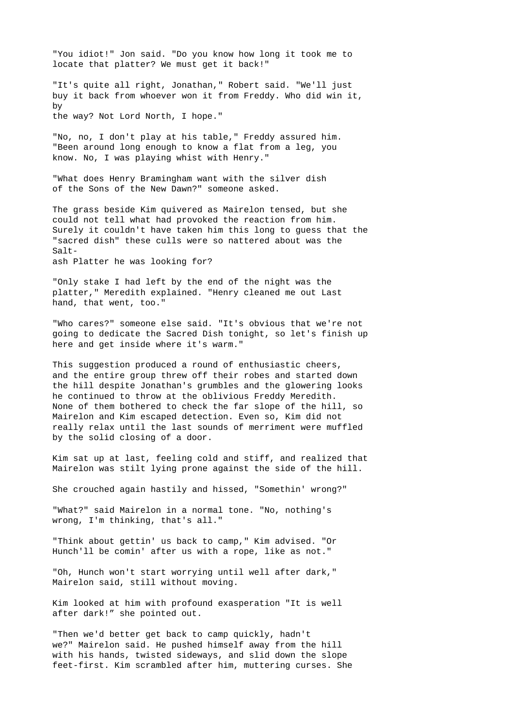"You idiot!" Jon said. "Do you know how long it took me to locate that platter? We must get it back!"

"It's quite all right, Jonathan," Robert said. "We'll just buy it back from whoever won it from Freddy. Who did win it, by

the way? Not Lord North, I hope."

"No, no, I don't play at his table," Freddy assured him. "Been around long enough to know a flat from a leg, you know. No, I was playing whist with Henry."

"What does Henry Bramingham want with the silver dish of the Sons of the New Dawn?" someone asked.

The grass beside Kim quivered as Mairelon tensed, but she could not tell what had provoked the reaction from him. Surely it couldn't have taken him this long to guess that the "sacred dish" these culls were so nattered about was the Saltash Platter he was looking for?

"Only stake I had left by the end of the night was the platter," Meredith explained. "Henry cleaned me out Last hand, that went, too."

"Who cares?" someone else said. "It's obvious that we're not going to dedicate the Sacred Dish tonight, so let's finish up here and get inside where it's warm."

This suggestion produced a round of enthusiastic cheers, and the entire group threw off their robes and started down the hill despite Jonathan's grumbles and the glowering looks he continued to throw at the oblivious Freddy Meredith. None of them bothered to check the far slope of the hill, so Mairelon and Kim escaped detection. Even so, Kim did not really relax until the last sounds of merriment were muffled by the solid closing of a door.

Kim sat up at last, feeling cold and stiff, and realized that Mairelon was stilt lying prone against the side of the hill.

She crouched again hastily and hissed, "Somethin' wrong?"

"What?" said Mairelon in a normal tone. "No, nothing's wrong, I'm thinking, that's all."

"Think about gettin' us back to camp," Kim advised. "Or Hunch'll be comin' after us with a rope, like as not."

"Oh, Hunch won't start worrying until well after dark," Mairelon said, still without moving.

Kim looked at him with profound exasperation "It is well after dark!" she pointed out.

"Then we'd better get back to camp quickly, hadn't we?" Mairelon said. He pushed himself away from the hill with his hands, twisted sideways, and slid down the slope feet-first. Kim scrambled after him, muttering curses. She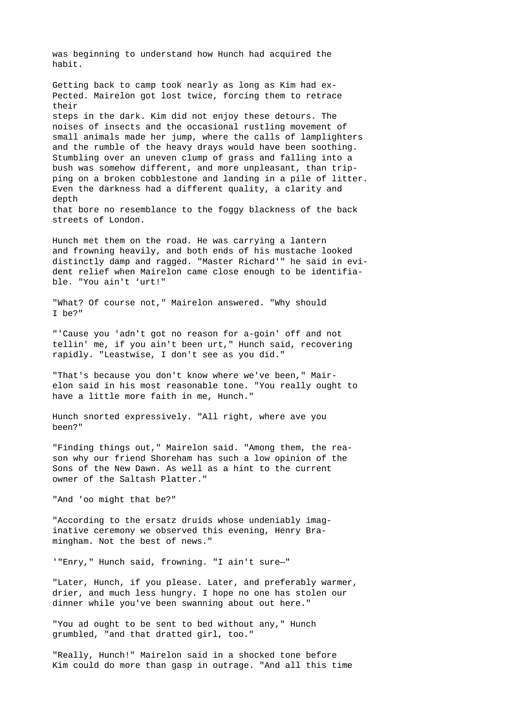was beginning to understand how Hunch had acquired the habit.

Getting back to camp took nearly as long as Kim had ex-Pected. Mairelon got lost twice, forcing them to retrace their steps in the dark. Kim did not enjoy these detours. The noises of insects and the occasional rustling movement of small animals made her jump, where the calls of lamplighters and the rumble of the heavy drays would have been soothing. Stumbling over an uneven clump of grass and falling into a bush was somehow different, and more unpleasant, than tripping on a broken cobblestone and landing in a pile of litter. Even the darkness had a different quality, a clarity and depth that bore no resemblance to the foggy blackness of the back streets of London.

Hunch met them on the road. He was carrying a lantern and frowning heavily, and both ends of his mustache looked distinctly damp and ragged. "Master Richard'" he said in evident relief when Mairelon came close enough to be identifiable. "You ain't 'urt!"

"What? Of course not," Mairelon answered. "Why should I be?"

"'Cause you 'adn't got no reason for a-goin' off and not tellin' me, if you ain't been urt," Hunch said, recovering rapidly. "Leastwise, I don't see as you did."

"That's because you don't know where we've been," Mairelon said in his most reasonable tone. "You really ought to have a little more faith in me, Hunch."

Hunch snorted expressively. "All right, where ave you been?"

"Finding things out," Mairelon said. "Among them, the reason why our friend Shoreham has such a low opinion of the Sons of the New Dawn. As well as a hint to the current owner of the Saltash Platter."

"And 'oo might that be?"

"According to the ersatz druids whose undeniably imaginative ceremony we observed this evening, Henry Bramingham. Not the best of news."

'"Enry," Hunch said, frowning. "I ain't sure—"

"Later, Hunch, if you please. Later, and preferably warmer, drier, and much less hungry. I hope no one has stolen our dinner while you've been swanning about out here."

"You ad ought to be sent to bed without any," Hunch grumbled, "and that dratted girl, too."

"Really, Hunch!" Mairelon said in a shocked tone before Kim could do more than gasp in outrage. "And all this time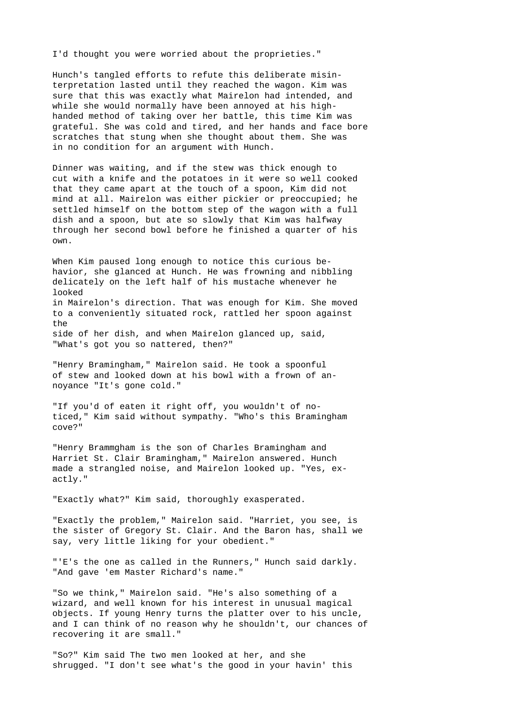I'd thought you were worried about the proprieties."

Hunch's tangled efforts to refute this deliberate misinterpretation lasted until they reached the wagon. Kim was sure that this was exactly what Mairelon had intended, and while she would normally have been annoyed at his highhanded method of taking over her battle, this time Kim was grateful. She was cold and tired, and her hands and face bore scratches that stung when she thought about them. She was in no condition for an argument with Hunch.

Dinner was waiting, and if the stew was thick enough to cut with a knife and the potatoes in it were so well cooked that they came apart at the touch of a spoon, Kim did not mind at all. Mairelon was either pickier or preoccupied; he settled himself on the bottom step of the wagon with a full dish and a spoon, but ate so slowly that Kim was halfway through her second bowl before he finished a quarter of his own.

When Kim paused long enough to notice this curious behavior, she glanced at Hunch. He was frowning and nibbling delicately on the left half of his mustache whenever he looked in Mairelon's direction. That was enough for Kim. She moved to a conveniently situated rock, rattled her spoon against the side of her dish, and when Mairelon glanced up, said, "What's got you so nattered, then?"

"Henry Bramingham," Mairelon said. He took a spoonful of stew and looked down at his bowl with a frown of annoyance "It's gone cold."

"If you'd of eaten it right off, you wouldn't of noticed," Kim said without sympathy. "Who's this Bramingham cove?"

"Henry Brammgham is the son of Charles Bramingham and Harriet St. Clair Bramingham," Mairelon answered. Hunch made a strangled noise, and Mairelon looked up. "Yes, exactly."

"Exactly what?" Kim said, thoroughly exasperated.

"Exactly the problem," Mairelon said. "Harriet, you see, is the sister of Gregory St. Clair. And the Baron has, shall we say, very little liking for your obedient."

"'E's the one as called in the Runners," Hunch said darkly. "And gave 'em Master Richard's name."

"So we think," Mairelon said. "He's also something of a wizard, and well known for his interest in unusual magical objects. If young Henry turns the platter over to his uncle, and I can think of no reason why he shouldn't, our chances of recovering it are small."

"So?" Kim said The two men looked at her, and she shrugged. "I don't see what's the good in your havin' this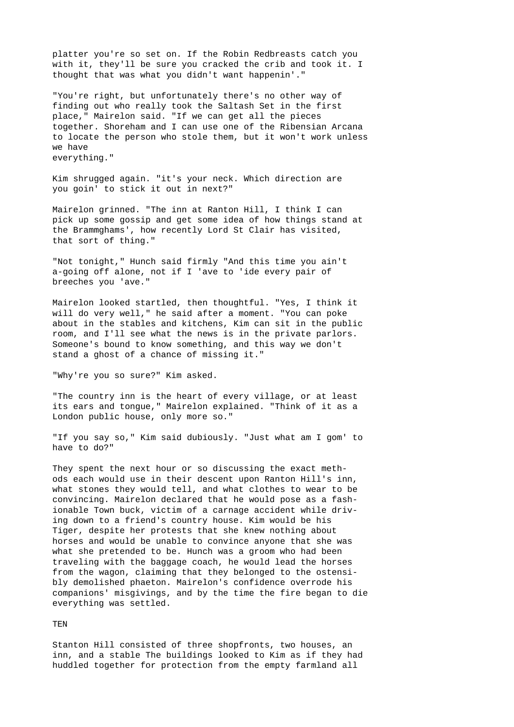platter you're so set on. If the Robin Redbreasts catch you with it, they'll be sure you cracked the crib and took it. I thought that was what you didn't want happenin'."

"You're right, but unfortunately there's no other way of finding out who really took the Saltash Set in the first place," Mairelon said. "If we can get all the pieces together. Shoreham and I can use one of the Ribensian Arcana to locate the person who stole them, but it won't work unless we have everything."

Kim shrugged again. "it's your neck. Which direction are you goin' to stick it out in next?"

Mairelon grinned. "The inn at Ranton Hill, I think I can pick up some gossip and get some idea of how things stand at the Brammghams', how recently Lord St Clair has visited, that sort of thing."

"Not tonight," Hunch said firmly "And this time you ain't a-going off alone, not if I 'ave to 'ide every pair of breeches you 'ave."

Mairelon looked startled, then thoughtful. "Yes, I think it will do very well," he said after a moment. "You can poke about in the stables and kitchens, Kim can sit in the public room, and I'll see what the news is in the private parlors. Someone's bound to know something, and this way we don't stand a ghost of a chance of missing it."

"Why're you so sure?" Kim asked.

"The country inn is the heart of every village, or at least its ears and tongue," Mairelon explained. "Think of it as a London public house, only more so."

"If you say so," Kim said dubiously. "Just what am I gom' to have to do?"

They spent the next hour or so discussing the exact methods each would use in their descent upon Ranton Hill's inn, what stones they would tell, and what clothes to wear to be convincing. Mairelon declared that he would pose as a fashionable Town buck, victim of a carnage accident while driving down to a friend's country house. Kim would be his Tiger, despite her protests that she knew nothing about horses and would be unable to convince anyone that she was what she pretended to be. Hunch was a groom who had been traveling with the baggage coach, he would lead the horses from the wagon, claiming that they belonged to the ostensibly demolished phaeton. Mairelon's confidence overrode his companions' misgivings, and by the time the fire began to die everything was settled.

TEN

Stanton Hill consisted of three shopfronts, two houses, an inn, and a stable The buildings looked to Kim as if they had huddled together for protection from the empty farmland all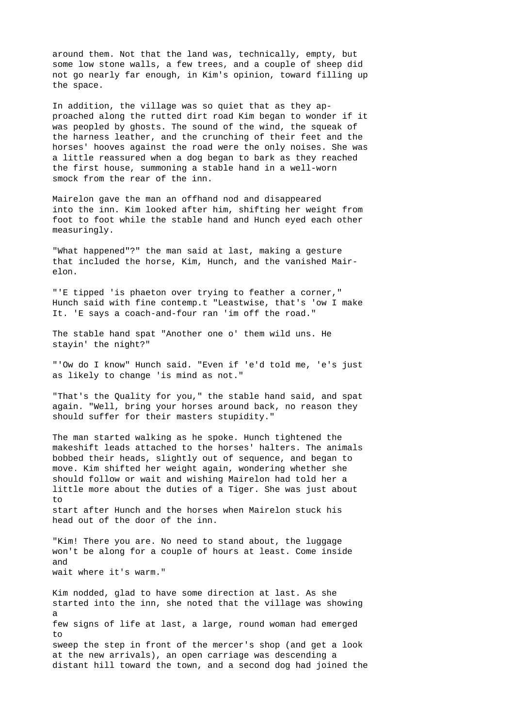around them. Not that the land was, technically, empty, but some low stone walls, a few trees, and a couple of sheep did not go nearly far enough, in Kim's opinion, toward filling up the space.

In addition, the village was so quiet that as they approached along the rutted dirt road Kim began to wonder if it was peopled by ghosts. The sound of the wind, the squeak of the harness leather, and the crunching of their feet and the horses' hooves against the road were the only noises. She was a little reassured when a dog began to bark as they reached the first house, summoning a stable hand in a well-worn smock from the rear of the inn.

Mairelon gave the man an offhand nod and disappeared into the inn. Kim looked after him, shifting her weight from foot to foot while the stable hand and Hunch eyed each other measuringly.

"What happened"?" the man said at last, making a gesture that included the horse, Kim, Hunch, and the vanished Mairelon.

"'E tipped 'is phaeton over trying to feather a corner," Hunch said with fine contemp.t "Leastwise, that's 'ow I make It. 'E says a coach-and-four ran 'im off the road."

The stable hand spat "Another one o' them wild uns. He stayin' the night?"

"'Ow do I know" Hunch said. "Even if 'e'd told me, 'e's just as likely to change 'is mind as not."

"That's the Quality for you," the stable hand said, and spat again. "Well, bring your horses around back, no reason they should suffer for their masters stupidity."

The man started walking as he spoke. Hunch tightened the makeshift leads attached to the horses' halters. The animals bobbed their heads, slightly out of sequence, and began to move. Kim shifted her weight again, wondering whether she should follow or wait and wishing Mairelon had told her a little more about the duties of a Tiger. She was just about  $t \circ$ start after Hunch and the horses when Mairelon stuck his

head out of the door of the inn.

"Kim! There you are. No need to stand about, the luggage won't be along for a couple of hours at least. Come inside and wait where it's warm."

Kim nodded, glad to have some direction at last. As she started into the inn, she noted that the village was showing a few signs of life at last, a large, round woman had emerged to sweep the step in front of the mercer's shop (and get a look at the new arrivals), an open carriage was descending a distant hill toward the town, and a second dog had joined the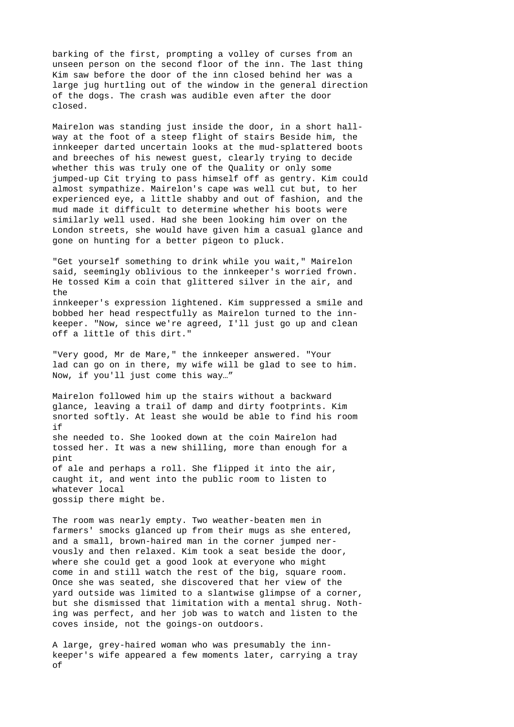barking of the first, prompting a volley of curses from an unseen person on the second floor of the inn. The last thing Kim saw before the door of the inn closed behind her was a large jug hurtling out of the window in the general direction of the dogs. The crash was audible even after the door closed.

Mairelon was standing just inside the door, in a short hallway at the foot of a steep flight of stairs Beside him, the innkeeper darted uncertain looks at the mud-splattered boots and breeches of his newest guest, clearly trying to decide whether this was truly one of the Quality or only some jumped-up Cit trying to pass himself off as gentry. Kim could almost sympathize. Mairelon's cape was well cut but, to her experienced eye, a little shabby and out of fashion, and the mud made it difficult to determine whether his boots were similarly well used. Had she been looking him over on the London streets, she would have given him a casual glance and gone on hunting for a better pigeon to pluck.

"Get yourself something to drink while you wait," Mairelon said, seemingly oblivious to the innkeeper's worried frown. He tossed Kim a coin that glittered silver in the air, and the innkeeper's expression lightened. Kim suppressed a smile and bobbed her head respectfully as Mairelon turned to the innkeeper. "Now, since we're agreed, I'll just go up and clean

"Very good, Mr de Mare," the innkeeper answered. "Your lad can go on in there, my wife will be glad to see to him. Now, if you'll just come this way…"

off a little of this dirt."

Mairelon followed him up the stairs without a backward glance, leaving a trail of damp and dirty footprints. Kim snorted softly. At least she would be able to find his room if she needed to. She looked down at the coin Mairelon had tossed her. It was a new shilling, more than enough for a pint of ale and perhaps a roll. She flipped it into the air, caught it, and went into the public room to listen to whatever local gossip there might be.

The room was nearly empty. Two weather-beaten men in farmers' smocks glanced up from their mugs as she entered, and a small, brown-haired man in the corner jumped nervously and then relaxed. Kim took a seat beside the door, where she could get a good look at everyone who might come in and still watch the rest of the big, square room. Once she was seated, she discovered that her view of the yard outside was limited to a slantwise glimpse of a corner, but she dismissed that limitation with a mental shrug. Nothing was perfect, and her job was to watch and listen to the coves inside, not the goings-on outdoors.

A large, grey-haired woman who was presumably the innkeeper's wife appeared a few moments later, carrying a tray of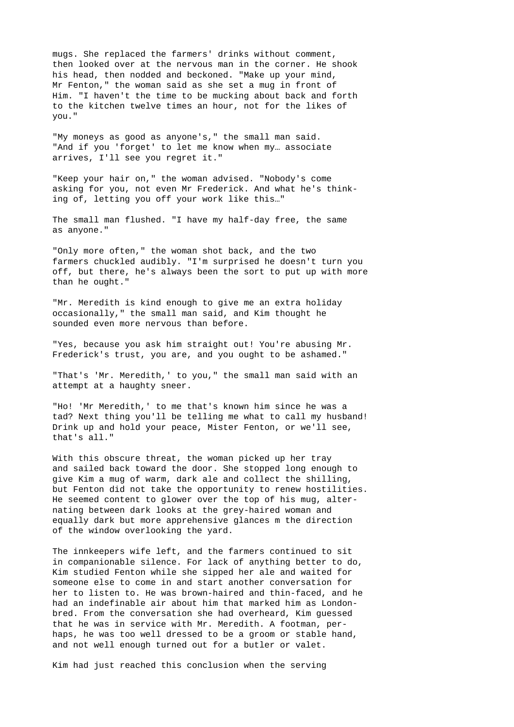mugs. She replaced the farmers' drinks without comment, then looked over at the nervous man in the corner. He shook his head, then nodded and beckoned. "Make up your mind, Mr Fenton," the woman said as she set a mug in front of Him. "I haven't the time to be mucking about back and forth to the kitchen twelve times an hour, not for the likes of you."

"My moneys as good as anyone's," the small man said. "And if you 'forget' to let me know when my… associate arrives, I'll see you regret it."

"Keep your hair on," the woman advised. "Nobody's come asking for you, not even Mr Frederick. And what he's thinking of, letting you off your work like this…"

The small man flushed. "I have my half-day free, the same as anyone."

"Only more often," the woman shot back, and the two farmers chuckled audibly. "I'm surprised he doesn't turn you off, but there, he's always been the sort to put up with more than he ought."

"Mr. Meredith is kind enough to give me an extra holiday occasionally," the small man said, and Kim thought he sounded even more nervous than before.

"Yes, because you ask him straight out! You're abusing Mr. Frederick's trust, you are, and you ought to be ashamed."

"That's 'Mr. Meredith,' to you," the small man said with an attempt at a haughty sneer.

"Ho! 'Mr Meredith,' to me that's known him since he was a tad? Next thing you'll be telling me what to call my husband! Drink up and hold your peace, Mister Fenton, or we'll see, that's all."

With this obscure threat, the woman picked up her tray and sailed back toward the door. She stopped long enough to give Kim a mug of warm, dark ale and collect the shilling, but Fenton did not take the opportunity to renew hostilities. He seemed content to glower over the top of his mug, alternating between dark looks at the grey-haired woman and equally dark but more apprehensive glances m the direction of the window overlooking the yard.

The innkeepers wife left, and the farmers continued to sit in companionable silence. For lack of anything better to do, Kim studied Fenton while she sipped her ale and waited for someone else to come in and start another conversation for her to listen to. He was brown-haired and thin-faced, and he had an indefinable air about him that marked him as Londonbred. From the conversation she had overheard, Kim guessed that he was in service with Mr. Meredith. A footman, perhaps, he was too well dressed to be a groom or stable hand, and not well enough turned out for a butler or valet.

Kim had just reached this conclusion when the serving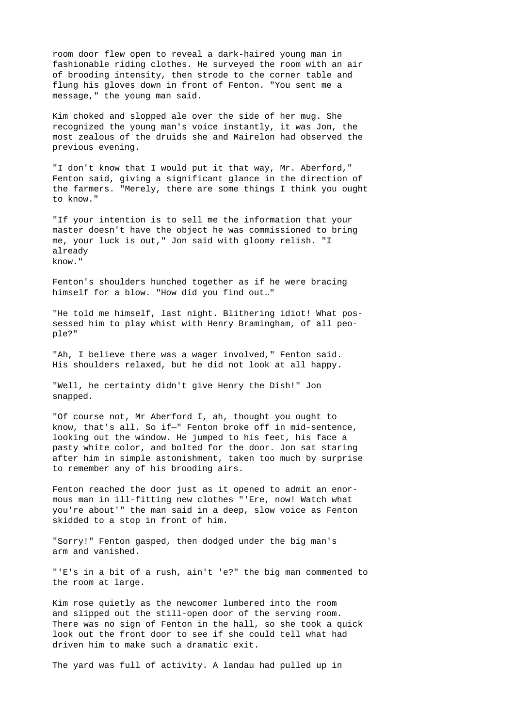room door flew open to reveal a dark-haired young man in fashionable riding clothes. He surveyed the room with an air of brooding intensity, then strode to the corner table and flung his gloves down in front of Fenton. "You sent me a message," the young man said.

Kim choked and slopped ale over the side of her mug. She recognized the young man's voice instantly, it was Jon, the most zealous of the druids she and Mairelon had observed the previous evening.

"I don't know that I would put it that way, Mr. Aberford," Fenton said, giving a significant glance in the direction of the farmers. "Merely, there are some things I think you ought to know."

"If your intention is to sell me the information that your master doesn't have the object he was commissioned to bring me, your luck is out," Jon said with gloomy relish. "I already know."

Fenton's shoulders hunched together as if he were bracing himself for a blow. "How did you find out…"

"He told me himself, last night. Blithering idiot! What possessed him to play whist with Henry Bramingham, of all people?"

"Ah, I believe there was a wager involved," Fenton said. His shoulders relaxed, but he did not look at all happy.

"Well, he certainty didn't give Henry the Dish!" Jon snapped.

"Of course not, Mr Aberford I, ah, thought you ought to know, that's all. So if—" Fenton broke off in mid-sentence, looking out the window. He jumped to his feet, his face a pasty white color, and bolted for the door. Jon sat staring after him in simple astonishment, taken too much by surprise to remember any of his brooding airs.

Fenton reached the door just as it opened to admit an enormous man in ill-fitting new clothes "'Ere, now! Watch what you're about'" the man said in a deep, slow voice as Fenton skidded to a stop in front of him.

"Sorry!" Fenton gasped, then dodged under the big man's arm and vanished.

"'E's in a bit of a rush, ain't 'e?" the big man commented to the room at large.

Kim rose quietly as the newcomer lumbered into the room and slipped out the still-open door of the serving room. There was no sign of Fenton in the hall, so she took a quick look out the front door to see if she could tell what had driven him to make such a dramatic exit.

The yard was full of activity. A landau had pulled up in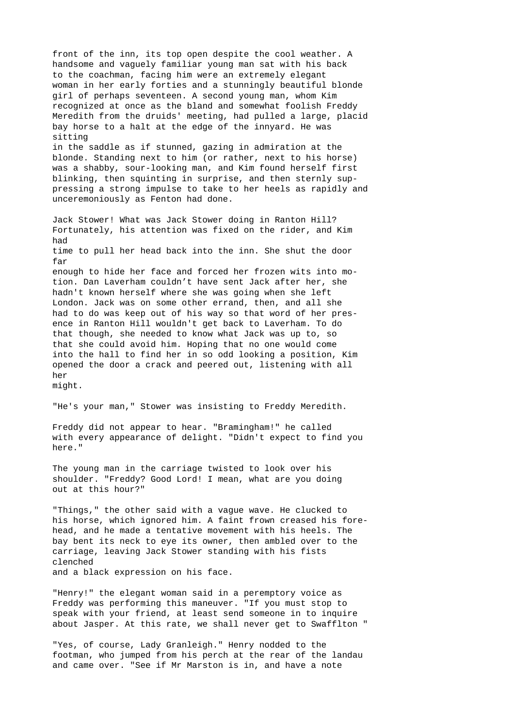front of the inn, its top open despite the cool weather. A handsome and vaguely familiar young man sat with his back to the coachman, facing him were an extremely elegant woman in her early forties and a stunningly beautiful blonde girl of perhaps seventeen. A second young man, whom Kim recognized at once as the bland and somewhat foolish Freddy Meredith from the druids' meeting, had pulled a large, placid bay horse to a halt at the edge of the innyard. He was sitting in the saddle as if stunned, gazing in admiration at the blonde. Standing next to him (or rather, next to his horse) was a shabby, sour-looking man, and Kim found herself first blinking, then squinting in surprise, and then sternly suppressing a strong impulse to take to her heels as rapidly and unceremoniously as Fenton had done. Jack Stower! What was Jack Stower doing in Ranton Hill? Fortunately, his attention was fixed on the rider, and Kim had time to pull her head back into the inn. She shut the door far enough to hide her face and forced her frozen wits into motion. Dan Laverham couldn't have sent Jack after her, she

hadn't known herself where she was going when she left London. Jack was on some other errand, then, and all she had to do was keep out of his way so that word of her presence in Ranton Hill wouldn't get back to Laverham. To do that though, she needed to know what Jack was up to, so that she could avoid him. Hoping that no one would come into the hall to find her in so odd looking a position, Kim opened the door a crack and peered out, listening with all her might.

"He's your man," Stower was insisting to Freddy Meredith.

Freddy did not appear to hear. "Bramingham!" he called with every appearance of delight. "Didn't expect to find you here."

The young man in the carriage twisted to look over his shoulder. "Freddy? Good Lord! I mean, what are you doing out at this hour?"

"Things," the other said with a vague wave. He clucked to his horse, which ignored him. A faint frown creased his forehead, and he made a tentative movement with his heels. The bay bent its neck to eye its owner, then ambled over to the carriage, leaving Jack Stower standing with his fists clenched and a black expression on his face.

"Henry!" the elegant woman said in a peremptory voice as Freddy was performing this maneuver. "If you must stop to speak with your friend, at least send someone in to inquire about Jasper. At this rate, we shall never get to Swafflton "

"Yes, of course, Lady Granleigh." Henry nodded to the footman, who jumped from his perch at the rear of the landau and came over. "See if Mr Marston is in, and have a note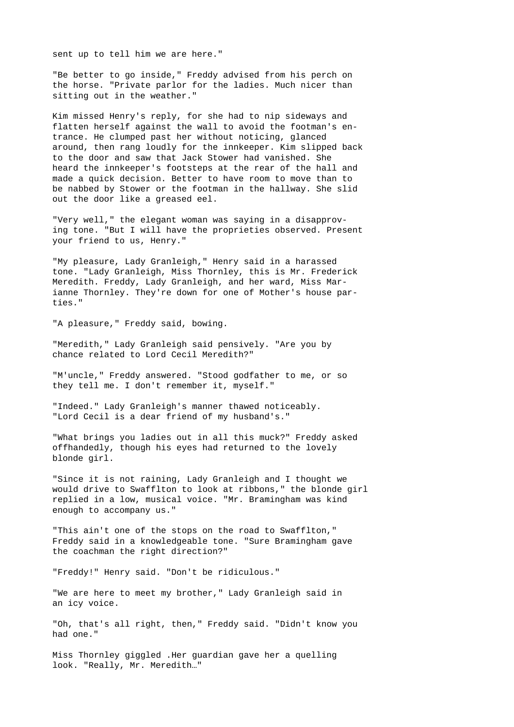sent up to tell him we are here."

"Be better to go inside," Freddy advised from his perch on the horse. "Private parlor for the ladies. Much nicer than sitting out in the weather."

Kim missed Henry's reply, for she had to nip sideways and flatten herself against the wall to avoid the footman's entrance. He clumped past her without noticing, glanced around, then rang loudly for the innkeeper. Kim slipped back to the door and saw that Jack Stower had vanished. She heard the innkeeper's footsteps at the rear of the hall and made a quick decision. Better to have room to move than to be nabbed by Stower or the footman in the hallway. She slid out the door like a greased eel.

"Very well," the elegant woman was saying in a disapproving tone. "But I will have the proprieties observed. Present your friend to us, Henry."

"My pleasure, Lady Granleigh," Henry said in a harassed tone. "Lady Granleigh, Miss Thornley, this is Mr. Frederick Meredith. Freddy, Lady Granleigh, and her ward, Miss Marianne Thornley. They're down for one of Mother's house parties."

"A pleasure," Freddy said, bowing.

"Meredith," Lady Granleigh said pensively. "Are you by chance related to Lord Cecil Meredith?"

"M'uncle," Freddy answered. "Stood godfather to me, or so they tell me. I don't remember it, myself."

"Indeed." Lady Granleigh's manner thawed noticeably. "Lord Cecil is a dear friend of my husband's."

"What brings you ladies out in all this muck?" Freddy asked offhandedly, though his eyes had returned to the lovely blonde girl.

"Since it is not raining, Lady Granleigh and I thought we would drive to Swafflton to look at ribbons," the blonde girl replied in a low, musical voice. "Mr. Bramingham was kind enough to accompany us."

"This ain't one of the stops on the road to Swafflton," Freddy said in a knowledgeable tone. "Sure Bramingham gave the coachman the right direction?"

"Freddy!" Henry said. "Don't be ridiculous."

"We are here to meet my brother," Lady Granleigh said in an icy voice.

"Oh, that's all right, then," Freddy said. "Didn't know you had one."

Miss Thornley giggled .Her guardian gave her a quelling look. "Really, Mr. Meredith…"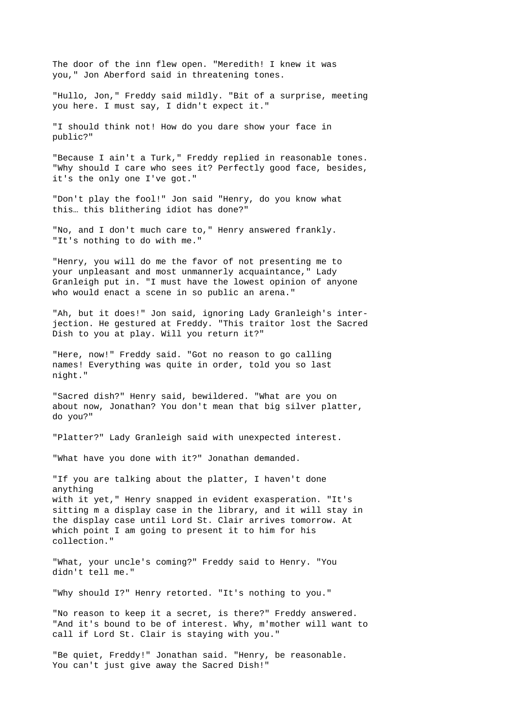The door of the inn flew open. "Meredith! I knew it was you," Jon Aberford said in threatening tones.

"Hullo, Jon," Freddy said mildly. "Bit of a surprise, meeting you here. I must say, I didn't expect it."

"I should think not! How do you dare show your face in public?"

"Because I ain't a Turk," Freddy replied in reasonable tones. "Why should I care who sees it? Perfectly good face, besides, it's the only one I've got."

"Don't play the fool!" Jon said "Henry, do you know what this… this blithering idiot has done?"

"No, and I don't much care to," Henry answered frankly. "It's nothing to do with me."

"Henry, you will do me the favor of not presenting me to your unpleasant and most unmannerly acquaintance," Lady Granleigh put in. "I must have the lowest opinion of anyone who would enact a scene in so public an arena."

"Ah, but it does!" Jon said, ignoring Lady Granleigh's interjection. He gestured at Freddy. "This traitor lost the Sacred Dish to you at play. Will you return it?"

"Here, now!" Freddy said. "Got no reason to go calling names! Everything was quite in order, told you so last night."

"Sacred dish?" Henry said, bewildered. "What are you on about now, Jonathan? You don't mean that big silver platter, do you?"

"Platter?" Lady Granleigh said with unexpected interest.

"What have you done with it?" Jonathan demanded.

"If you are talking about the platter, I haven't done anything with it yet," Henry snapped in evident exasperation. "It's sitting m a display case in the library, and it will stay in the display case until Lord St. Clair arrives tomorrow. At which point I am going to present it to him for his collection."

"What, your uncle's coming?" Freddy said to Henry. "You didn't tell me."

"Why should I?" Henry retorted. "It's nothing to you."

"No reason to keep it a secret, is there?" Freddy answered. "And it's bound to be of interest. Why, m'mother will want to call if Lord St. Clair is staying with you."

"Be quiet, Freddy!" Jonathan said. "Henry, be reasonable. You can't just give away the Sacred Dish!"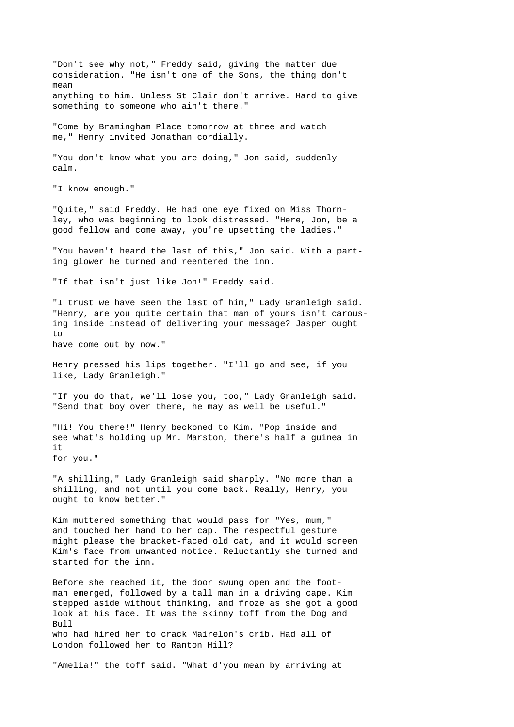"Don't see why not," Freddy said, giving the matter due consideration. "He isn't one of the Sons, the thing don't mean anything to him. Unless St Clair don't arrive. Hard to give something to someone who ain't there." "Come by Bramingham Place tomorrow at three and watch me," Henry invited Jonathan cordially. "You don't know what you are doing," Jon said, suddenly calm. "I know enough." "Quite," said Freddy. He had one eye fixed on Miss Thornley, who was beginning to look distressed. "Here, Jon, be a good fellow and come away, you're upsetting the ladies." "You haven't heard the last of this," Jon said. With a parting glower he turned and reentered the inn. "If that isn't just like Jon!" Freddy said. "I trust we have seen the last of him," Lady Granleigh said. "Henry, are you quite certain that man of yours isn't carousing inside instead of delivering your message? Jasper ought  $t_{\Omega}$ have come out by now." Henry pressed his lips together. "I'll go and see, if you like, Lady Granleigh." "If you do that, we'll lose you, too," Lady Granleigh said. "Send that boy over there, he may as well be useful." "Hi! You there!" Henry beckoned to Kim. "Pop inside and see what's holding up Mr. Marston, there's half a guinea in it for you." "A shilling," Lady Granleigh said sharply. "No more than a shilling, and not until you come back. Really, Henry, you ought to know better." Kim muttered something that would pass for "Yes, mum," and touched her hand to her cap. The respectful gesture might please the bracket-faced old cat, and it would screen Kim's face from unwanted notice. Reluctantly she turned and started for the inn. Before she reached it, the door swung open and the footman emerged, followed by a tall man in a driving cape. Kim stepped aside without thinking, and froze as she got a good look at his face. It was the skinny toff from the Dog and Bull<sup>1</sup> who had hired her to crack Mairelon's crib. Had all of London followed her to Ranton Hill? "Amelia!" the toff said. "What d'you mean by arriving at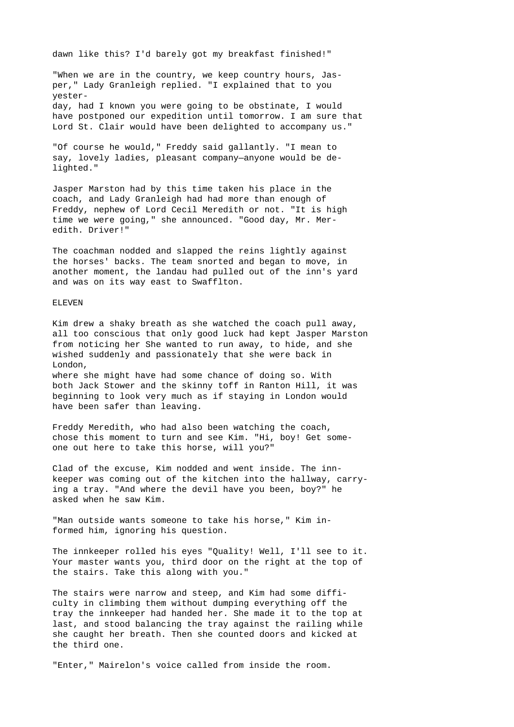dawn like this? I'd barely got my breakfast finished!"

"When we are in the country, we keep country hours, Jasper," Lady Granleigh replied. "I explained that to you yesterday, had I known you were going to be obstinate, I would have postponed our expedition until tomorrow. I am sure that Lord St. Clair would have been delighted to accompany us."

"Of course he would," Freddy said gallantly. "I mean to say, lovely ladies, pleasant company—anyone would be delighted."

Jasper Marston had by this time taken his place in the coach, and Lady Granleigh had had more than enough of Freddy, nephew of Lord Cecil Meredith or not. "It is high time we were going," she announced. "Good day, Mr. Meredith. Driver!"

The coachman nodded and slapped the reins lightly against the horses' backs. The team snorted and began to move, in another moment, the landau had pulled out of the inn's yard and was on its way east to Swafflton.

### ELEVEN

Kim drew a shaky breath as she watched the coach pull away, all too conscious that only good luck had kept Jasper Marston from noticing her She wanted to run away, to hide, and she wished suddenly and passionately that she were back in London, where she might have had some chance of doing so. With both Jack Stower and the skinny toff in Ranton Hill, it was

beginning to look very much as if staying in London would have been safer than leaving.

Freddy Meredith, who had also been watching the coach, chose this moment to turn and see Kim. "Hi, boy! Get someone out here to take this horse, will you?"

Clad of the excuse, Kim nodded and went inside. The innkeeper was coming out of the kitchen into the hallway, carrying a tray. "And where the devil have you been, boy?" he asked when he saw Kim.

"Man outside wants someone to take his horse," Kim informed him, ignoring his question.

The innkeeper rolled his eyes "Quality! Well, I'll see to it. Your master wants you, third door on the right at the top of the stairs. Take this along with you."

The stairs were narrow and steep, and Kim had some difficulty in climbing them without dumping everything off the tray the innkeeper had handed her. She made it to the top at last, and stood balancing the tray against the railing while she caught her breath. Then she counted doors and kicked at the third one.

"Enter," Mairelon's voice called from inside the room.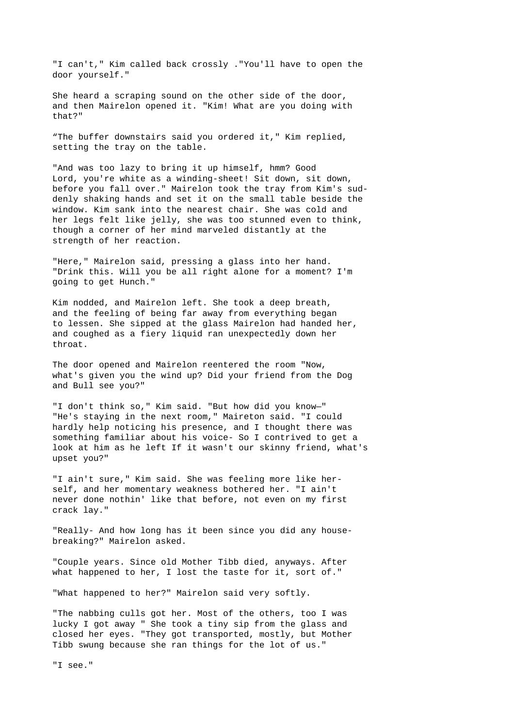"I can't," Kim called back crossly ."You'll have to open the door yourself."

She heard a scraping sound on the other side of the door, and then Mairelon opened it. "Kim! What are you doing with that?"

"The buffer downstairs said you ordered it," Kim replied, setting the tray on the table.

"And was too lazy to bring it up himself, hmm? Good Lord, you're white as a winding-sheet! Sit down, sit down, before you fall over." Mairelon took the tray from Kim's suddenly shaking hands and set it on the small table beside the window. Kim sank into the nearest chair. She was cold and her legs felt like jelly, she was too stunned even to think, though a corner of her mind marveled distantly at the strength of her reaction.

"Here," Mairelon said, pressing a glass into her hand. "Drink this. Will you be all right alone for a moment? I'm going to get Hunch."

Kim nodded, and Mairelon left. She took a deep breath, and the feeling of being far away from everything began to lessen. She sipped at the glass Mairelon had handed her, and coughed as a fiery liquid ran unexpectedly down her throat.

The door opened and Mairelon reentered the room "Now, what's given you the wind up? Did your friend from the Dog and Bull see you?"

"I don't think so," Kim said. "But how did you know—" "He's staying in the next room," Maireton said. "I could hardly help noticing his presence, and I thought there was something familiar about his voice- So I contrived to get a look at him as he left If it wasn't our skinny friend, what's upset you?"

"I ain't sure," Kim said. She was feeling more like herself, and her momentary weakness bothered her. "I ain't never done nothin' like that before, not even on my first crack lay."

"Really- And how long has it been since you did any housebreaking?" Mairelon asked.

"Couple years. Since old Mother Tibb died, anyways. After what happened to her, I lost the taste for it, sort of."

"What happened to her?" Mairelon said very softly.

"The nabbing culls got her. Most of the others, too I was lucky I got away " She took a tiny sip from the glass and closed her eyes. "They got transported, mostly, but Mother Tibb swung because she ran things for the lot of us."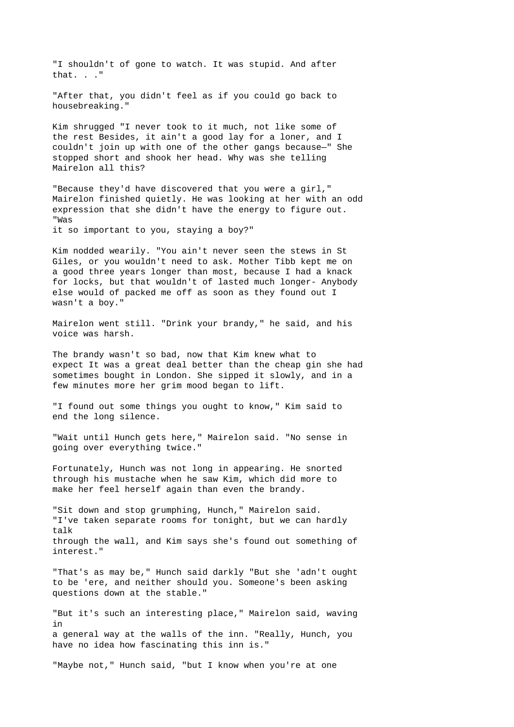"I shouldn't of gone to watch. It was stupid. And after that. . ."

"After that, you didn't feel as if you could go back to housebreaking."

Kim shrugged "I never took to it much, not like some of the rest Besides, it ain't a good lay for a loner, and I couldn't join up with one of the other gangs because—" She stopped short and shook her head. Why was she telling Mairelon all this?

"Because they'd have discovered that you were a girl," Mairelon finished quietly. He was looking at her with an odd expression that she didn't have the energy to figure out. "Was

it so important to you, staying a boy?"

Kim nodded wearily. "You ain't never seen the stews in St Giles, or you wouldn't need to ask. Mother Tibb kept me on a good three years longer than most, because I had a knack for locks, but that wouldn't of lasted much longer- Anybody else would of packed me off as soon as they found out I wasn't a boy."

Mairelon went still. "Drink your brandy," he said, and his voice was harsh.

The brandy wasn't so bad, now that Kim knew what to expect It was a great deal better than the cheap gin she had sometimes bought in London. She sipped it slowly, and in a few minutes more her grim mood began to lift.

"I found out some things you ought to know," Kim said to end the long silence.

"Wait until Hunch gets here," Mairelon said. "No sense in going over everything twice."

Fortunately, Hunch was not long in appearing. He snorted through his mustache when he saw Kim, which did more to make her feel herself again than even the brandy.

"Sit down and stop grumphing, Hunch," Mairelon said. "I've taken separate rooms for tonight, but we can hardly talk through the wall, and Kim says she's found out something of interest."

"That's as may be," Hunch said darkly "But she 'adn't ought to be 'ere, and neither should you. Someone's been asking questions down at the stable."

"But it's such an interesting place," Mairelon said, waving in a general way at the walls of the inn. "Really, Hunch, you have no idea how fascinating this inn is."

"Maybe not," Hunch said, "but I know when you're at one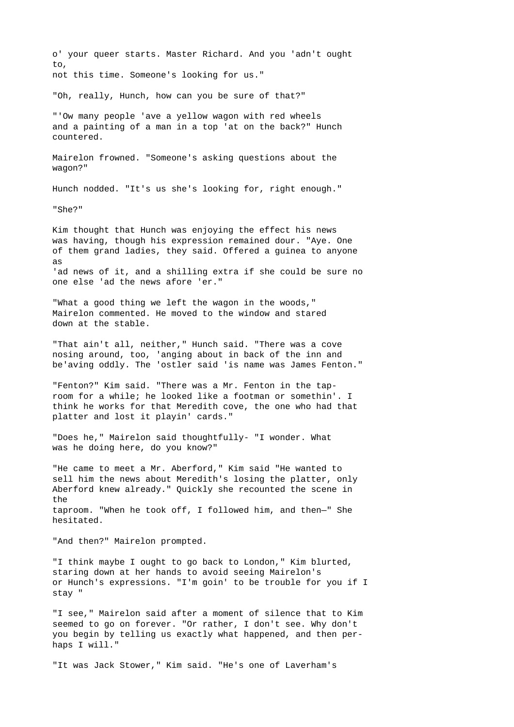o' your queer starts. Master Richard. And you 'adn't ought to, not this time. Someone's looking for us." "Oh, really, Hunch, how can you be sure of that?" "'Ow many people 'ave a yellow wagon with red wheels and a painting of a man in a top 'at on the back?" Hunch countered. Mairelon frowned. "Someone's asking questions about the wagon?" Hunch nodded. "It's us she's looking for, right enough." "She?" Kim thought that Hunch was enjoying the effect his news was having, though his expression remained dour. "Aye. One of them grand ladies, they said. Offered a guinea to anyone as 'ad news of it, and a shilling extra if she could be sure no one else 'ad the news afore 'er." "What a good thing we left the wagon in the woods," Mairelon commented. He moved to the window and stared down at the stable. "That ain't all, neither," Hunch said. "There was a cove nosing around, too, 'anging about in back of the inn and be'aving oddly. The 'ostler said 'is name was James Fenton." "Fenton?" Kim said. "There was a Mr. Fenton in the taproom for a while; he looked like a footman or somethin'. I think he works for that Meredith cove, the one who had that platter and lost it playin' cards." "Does he," Mairelon said thoughtfully- "I wonder. What was he doing here, do you know?" "He came to meet a Mr. Aberford," Kim said "He wanted to sell him the news about Meredith's losing the platter, only Aberford knew already." Quickly she recounted the scene in the taproom. "When he took off, I followed him, and then—" She hesitated. "And then?" Mairelon prompted. "I think maybe I ought to go back to London," Kim blurted, staring down at her hands to avoid seeing Mairelon's or Hunch's expressions. "I'm goin' to be trouble for you if I stay " "I see," Mairelon said after a moment of silence that to Kim seemed to go on forever. "Or rather, I don't see. Why don't you begin by telling us exactly what happened, and then perhaps I will."

"It was Jack Stower," Kim said. "He's one of Laverham's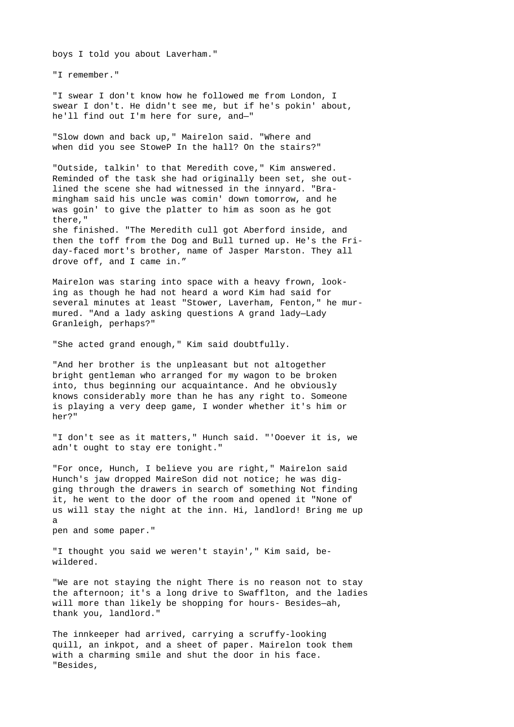boys I told you about Laverham."

"I remember."

"I swear I don't know how he followed me from London, I swear I don't. He didn't see me, but if he's pokin' about, he'll find out I'm here for sure, and—"

"Slow down and back up," Mairelon said. "Where and when did you see StoweP In the hall? On the stairs?"

"Outside, talkin' to that Meredith cove," Kim answered. Reminded of the task she had originally been set, she outlined the scene she had witnessed in the innyard. "Bramingham said his uncle was comin' down tomorrow, and he was goin' to give the platter to him as soon as he got there," she finished. "The Meredith cull got Aberford inside, and then the toff from the Dog and Bull turned up. He's the Friday-faced mort's brother, name of Jasper Marston. They all drove off, and I came in."

Mairelon was staring into space with a heavy frown, looking as though he had not heard a word Kim had said for several minutes at least "Stower, Laverham, Fenton," he murmured. "And a lady asking questions A grand lady—Lady Granleigh, perhaps?"

"She acted grand enough," Kim said doubtfully.

"And her brother is the unpleasant but not altogether bright gentleman who arranged for my wagon to be broken into, thus beginning our acquaintance. And he obviously knows considerably more than he has any right to. Someone is playing a very deep game, I wonder whether it's him or her?"

"I don't see as it matters," Hunch said. "'Ooever it is, we adn't ought to stay ere tonight."

"For once, Hunch, I believe you are right," Mairelon said Hunch's jaw dropped MaireSon did not notice; he was digging through the drawers in search of something Not finding it, he went to the door of the room and opened it "None of us will stay the night at the inn. Hi, landlord! Bring me up a pen and some paper."

"I thought you said we weren't stayin'," Kim said, be-

wildered.

"We are not staying the night There is no reason not to stay the afternoon; it's a long drive to Swafflton, and the ladies will more than likely be shopping for hours- Besides—ah, thank you, landlord."

The innkeeper had arrived, carrying a scruffy-looking quill, an inkpot, and a sheet of paper. Mairelon took them with a charming smile and shut the door in his face. "Besides,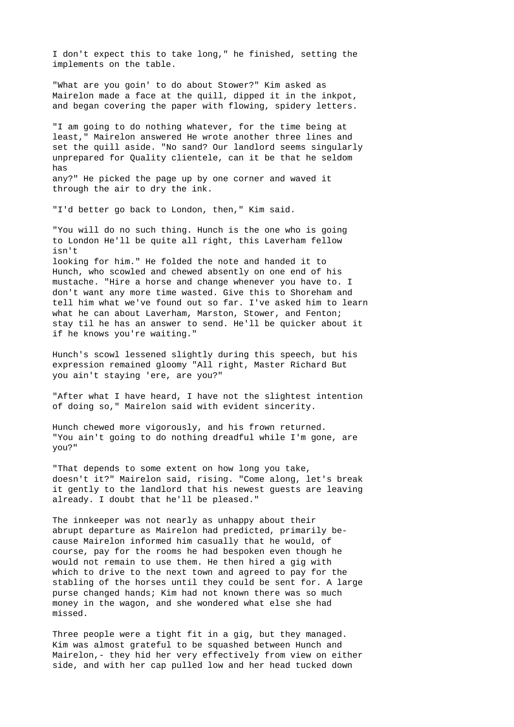I don't expect this to take long," he finished, setting the implements on the table.

"What are you goin' to do about Stower?" Kim asked as Mairelon made a face at the quill, dipped it in the inkpot, and began covering the paper with flowing, spidery letters.

"I am going to do nothing whatever, for the time being at least," Mairelon answered He wrote another three lines and set the quill aside. "No sand? Our landlord seems singularly unprepared for Quality clientele, can it be that he seldom has any?" He picked the page up by one corner and waved it

"I'd better go back to London, then," Kim said.

through the air to dry the ink.

"You will do no such thing. Hunch is the one who is going to London He'll be quite all right, this Laverham fellow isn't

looking for him." He folded the note and handed it to Hunch, who scowled and chewed absently on one end of his mustache. "Hire a horse and change whenever you have to. I don't want any more time wasted. Give this to Shoreham and tell him what we've found out so far. I've asked him to learn what he can about Laverham, Marston, Stower, and Fenton; stay til he has an answer to send. He'll be quicker about it if he knows you're waiting."

Hunch's scowl lessened slightly during this speech, but his expression remained gloomy "All right, Master Richard But you ain't staying 'ere, are you?"

"After what I have heard, I have not the slightest intention of doing so," Mairelon said with evident sincerity.

Hunch chewed more vigorously, and his frown returned. "You ain't going to do nothing dreadful while I'm gone, are you?"

"That depends to some extent on how long you take, doesn't it?" Mairelon said, rising. "Come along, let's break it gently to the landlord that his newest guests are leaving already. I doubt that he'll be pleased."

The innkeeper was not nearly as unhappy about their abrupt departure as Mairelon had predicted, primarily because Mairelon informed him casually that he would, of course, pay for the rooms he had bespoken even though he would not remain to use them. He then hired a gig with which to drive to the next town and agreed to pay for the stabling of the horses until they could be sent for. A large purse changed hands; Kim had not known there was so much money in the wagon, and she wondered what else she had missed.

Three people were a tight fit in a gig, but they managed. Kim was almost grateful to be squashed between Hunch and Mairelon,- they hid her very effectively from view on either side, and with her cap pulled low and her head tucked down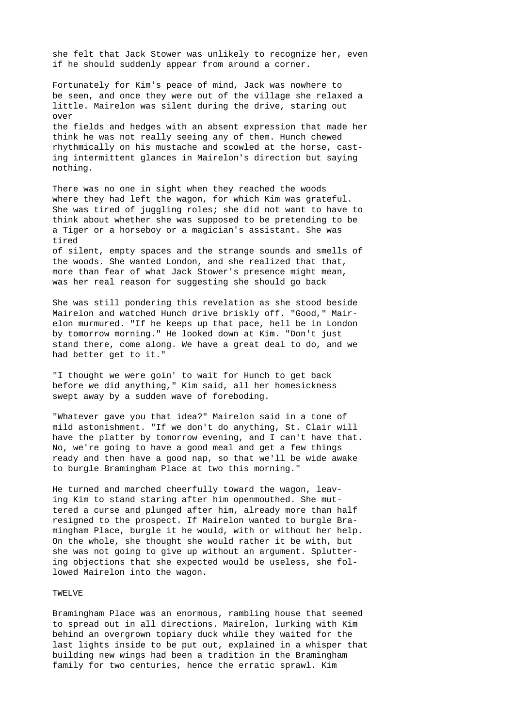she felt that Jack Stower was unlikely to recognize her, even if he should suddenly appear from around a corner.

Fortunately for Kim's peace of mind, Jack was nowhere to be seen, and once they were out of the village she relaxed a little. Mairelon was silent during the drive, staring out over

the fields and hedges with an absent expression that made her think he was not really seeing any of them. Hunch chewed rhythmically on his mustache and scowled at the horse, casting intermittent glances in Mairelon's direction but saying nothing.

There was no one in sight when they reached the woods where they had left the wagon, for which Kim was grateful. She was tired of juggling roles; she did not want to have to think about whether she was supposed to be pretending to be a Tiger or a horseboy or a magician's assistant. She was tired

of silent, empty spaces and the strange sounds and smells of the woods. She wanted London, and she realized that that, more than fear of what Jack Stower's presence might mean, was her real reason for suggesting she should go back

She was still pondering this revelation as she stood beside Mairelon and watched Hunch drive briskly off. "Good," Mairelon murmured. "If he keeps up that pace, hell be in London by tomorrow morning." He looked down at Kim. "Don't just stand there, come along. We have a great deal to do, and we had better get to it."

"I thought we were goin' to wait for Hunch to get back before we did anything," Kim said, all her homesickness swept away by a sudden wave of foreboding.

"Whatever gave you that idea?" Mairelon said in a tone of mild astonishment. "If we don't do anything, St. Clair will have the platter by tomorrow evening, and I can't have that. No, we're going to have a good meal and get a few things ready and then have a good nap, so that we'll be wide awake to burgle Bramingham Place at two this morning."

He turned and marched cheerfully toward the wagon, leaving Kim to stand staring after him openmouthed. She muttered a curse and plunged after him, already more than half resigned to the prospect. If Mairelon wanted to burgle Bramingham Place, burgle it he would, with or without her help. On the whole, she thought she would rather it be with, but she was not going to give up without an argument. Spluttering objections that she expected would be useless, she followed Mairelon into the wagon.

### TWELVE

Bramingham Place was an enormous, rambling house that seemed to spread out in all directions. Mairelon, lurking with Kim behind an overgrown topiary duck while they waited for the last lights inside to be put out, explained in a whisper that building new wings had been a tradition in the Bramingham family for two centuries, hence the erratic sprawl. Kim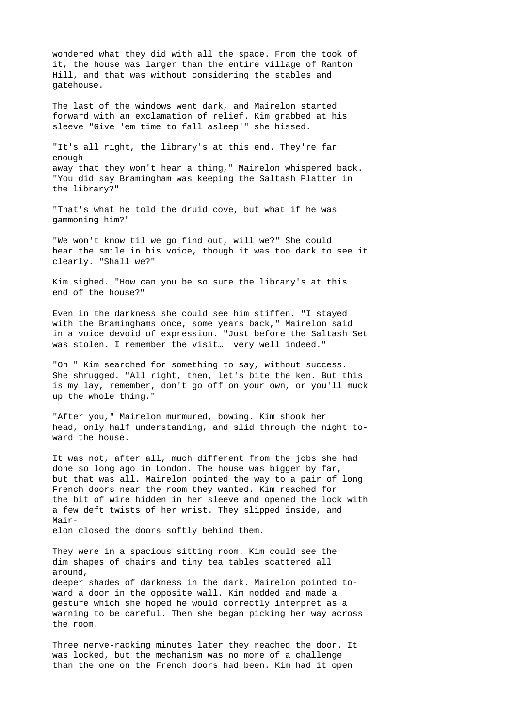wondered what they did with all the space. From the took of it, the house was larger than the entire village of Ranton Hill, and that was without considering the stables and gatehouse.

The last of the windows went dark, and Mairelon started forward with an exclamation of relief. Kim grabbed at his sleeve "Give 'em time to fall asleep'" she hissed.

"It's all right, the library's at this end. They're far enough away that they won't hear a thing," Mairelon whispered back. "You did say Bramingham was keeping the Saltash Platter in the library?"

"That's what he told the druid cove, but what if he was gammoning him?"

"We won't know til we go find out, will we?" She could hear the smile in his voice, though it was too dark to see it clearly. "Shall we?"

Kim sighed. "How can you be so sure the library's at this end of the house?"

Even in the darkness she could see him stiffen. "I stayed with the Braminghams once, some years back," Mairelon said in a voice devoid of expression. "Just before the Saltash Set was stolen. I remember the visit… very well indeed."

"Oh " Kim searched for something to say, without success. She shrugged. "All right, then, let's bite the ken. But this is my lay, remember, don't go off on your own, or you'll muck up the whole thing."

"After you," Mairelon murmured, bowing. Kim shook her head, only half understanding, and slid through the night toward the house.

It was not, after all, much different from the jobs she had done so long ago in London. The house was bigger by far, but that was all. Mairelon pointed the way to a pair of long French doors near the room they wanted. Kim reached for the bit of wire hidden in her sleeve and opened the lock with a few deft twists of her wrist. They slipped inside, and Mair-

elon closed the doors softly behind them.

They were in a spacious sitting room. Kim could see the dim shapes of chairs and tiny tea tables scattered all around, deeper shades of darkness in the dark. Mairelon pointed toward a door in the opposite wall. Kim nodded and made a gesture which she hoped he would correctly interpret as a warning to be careful. Then she began picking her way across the room.

Three nerve-racking minutes later they reached the door. It was locked, but the mechanism was no more of a challenge than the one on the French doors had been. Kim had it open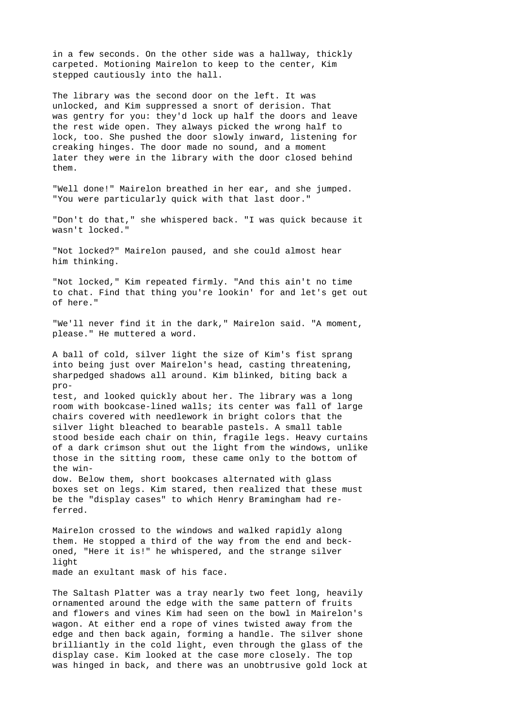in a few seconds. On the other side was a hallway, thickly carpeted. Motioning Mairelon to keep to the center, Kim stepped cautiously into the hall.

The library was the second door on the left. It was unlocked, and Kim suppressed a snort of derision. That was gentry for you: they'd lock up half the doors and leave the rest wide open. They always picked the wrong half to lock, too. She pushed the door slowly inward, listening for creaking hinges. The door made no sound, and a moment later they were in the library with the door closed behind them.

"Well done!" Mairelon breathed in her ear, and she jumped. "You were particularly quick with that last door."

"Don't do that," she whispered back. "I was quick because it wasn't locked."

"Not locked?" Mairelon paused, and she could almost hear him thinking.

"Not locked," Kim repeated firmly. "And this ain't no time to chat. Find that thing you're lookin' for and let's get out of here."

"We'll never find it in the dark," Mairelon said. "A moment, please." He muttered a word.

A ball of cold, silver light the size of Kim's fist sprang into being just over Mairelon's head, casting threatening, sharpedged shadows all around. Kim blinked, biting back a protest, and looked quickly about her. The library was a long room with bookcase-lined walls; its center was fall of large chairs covered with needlework in bright colors that the silver light bleached to bearable pastels. A small table stood beside each chair on thin, fragile legs. Heavy curtains of a dark crimson shut out the light from the windows, unlike those in the sitting room, these came only to the bottom of the window. Below them, short bookcases alternated with glass boxes set on legs. Kim stared, then realized that these must be the "display cases" to which Henry Bramingham had re-

Mairelon crossed to the windows and walked rapidly along them. He stopped a third of the way from the end and beckoned, "Here it is!" he whispered, and the strange silver light made an exultant mask of his face.

ferred.

The Saltash Platter was a tray nearly two feet long, heavily ornamented around the edge with the same pattern of fruits and flowers and vines Kim had seen on the bowl in Mairelon's wagon. At either end a rope of vines twisted away from the edge and then back again, forming a handle. The silver shone brilliantly in the cold light, even through the glass of the display case. Kim looked at the case more closely. The top was hinged in back, and there was an unobtrusive gold lock at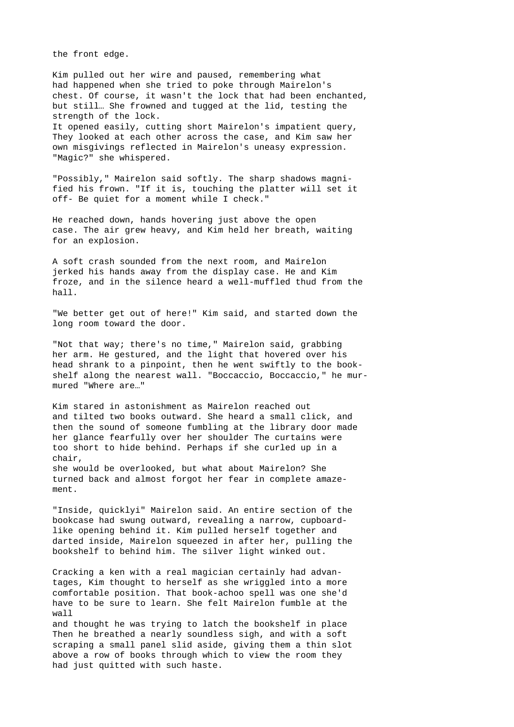the front edge.

Kim pulled out her wire and paused, remembering what had happened when she tried to poke through Mairelon's chest. Of course, it wasn't the lock that had been enchanted, but still… She frowned and tugged at the lid, testing the strength of the lock. It opened easily, cutting short Mairelon's impatient query, They looked at each other across the case, and Kim saw her own misgivings reflected in Mairelon's uneasy expression. "Magic?" she whispered.

"Possibly," Mairelon said softly. The sharp shadows magnified his frown. "If it is, touching the platter will set it off- Be quiet for a moment while I check."

He reached down, hands hovering just above the open case. The air grew heavy, and Kim held her breath, waiting for an explosion.

A soft crash sounded from the next room, and Mairelon jerked his hands away from the display case. He and Kim froze, and in the silence heard a well-muffled thud from the hall.

"We better get out of here!" Kim said, and started down the long room toward the door.

"Not that way; there's no time," Mairelon said, grabbing her arm. He gestured, and the light that hovered over his head shrank to a pinpoint, then he went swiftly to the bookshelf along the nearest wall. "Boccaccio, Boccaccio," he murmured "Where are…"

Kim stared in astonishment as Mairelon reached out and tilted two books outward. She heard a small click, and then the sound of someone fumbling at the library door made her glance fearfully over her shoulder The curtains were too short to hide behind. Perhaps if she curled up in a chair,

she would be overlooked, but what about Mairelon? She turned back and almost forgot her fear in complete amazement.

"Inside, quicklyi" Mairelon said. An entire section of the bookcase had swung outward, revealing a narrow, cupboardlike opening behind it. Kim pulled herself together and darted inside, Mairelon squeezed in after her, pulling the bookshelf to behind him. The silver light winked out.

Cracking a ken with a real magician certainly had advantages, Kim thought to herself as she wriggled into a more comfortable position. That book-achoo spell was one she'd have to be sure to learn. She felt Mairelon fumble at the wall

and thought he was trying to latch the bookshelf in place Then he breathed a nearly soundless sigh, and with a soft scraping a small panel slid aside, giving them a thin slot above a row of books through which to view the room they had just quitted with such haste.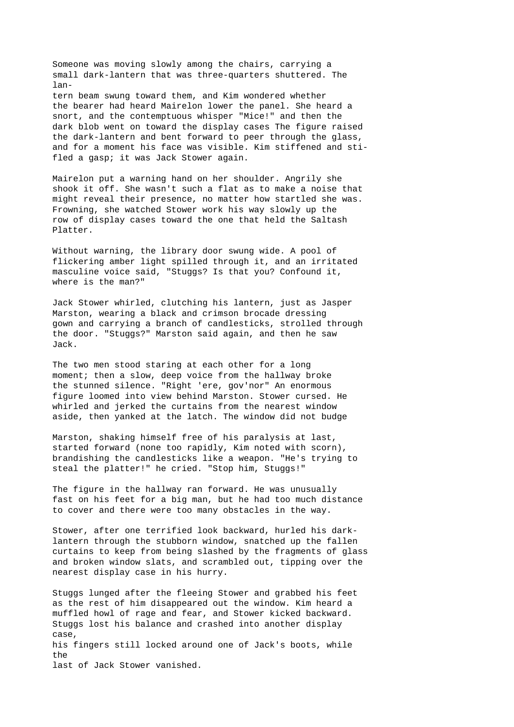Someone was moving slowly among the chairs, carrying a small dark-lantern that was three-quarters shuttered. The lantern beam swung toward them, and Kim wondered whether the bearer had heard Mairelon lower the panel. She heard a

snort, and the contemptuous whisper "Mice!" and then the dark blob went on toward the display cases The figure raised the dark-lantern and bent forward to peer through the glass, and for a moment his face was visible. Kim stiffened and stifled a gasp; it was Jack Stower again.

Mairelon put a warning hand on her shoulder. Angrily she shook it off. She wasn't such a flat as to make a noise that might reveal their presence, no matter how startled she was. Frowning, she watched Stower work his way slowly up the row of display cases toward the one that held the Saltash Platter.

Without warning, the library door swung wide. A pool of flickering amber light spilled through it, and an irritated masculine voice said, "Stuggs? Is that you? Confound it, where is the man?"

Jack Stower whirled, clutching his lantern, just as Jasper Marston, wearing a black and crimson brocade dressing gown and carrying a branch of candlesticks, strolled through the door. "Stuggs?" Marston said again, and then he saw Jack.

The two men stood staring at each other for a long moment; then a slow, deep voice from the hallway broke the stunned silence. "Right 'ere, gov'nor" An enormous figure loomed into view behind Marston. Stower cursed. He whirled and jerked the curtains from the nearest window aside, then yanked at the latch. The window did not budge

Marston, shaking himself free of his paralysis at last, started forward (none too rapidly, Kim noted with scorn), brandishing the candlesticks like a weapon. "He's trying to steal the platter!" he cried. "Stop him, Stuggs!"

The figure in the hallway ran forward. He was unusually fast on his feet for a big man, but he had too much distance to cover and there were too many obstacles in the way.

Stower, after one terrified look backward, hurled his darklantern through the stubborn window, snatched up the fallen curtains to keep from being slashed by the fragments of glass and broken window slats, and scrambled out, tipping over the nearest display case in his hurry.

Stuggs lunged after the fleeing Stower and grabbed his feet as the rest of him disappeared out the window. Kim heard a muffled howl of rage and fear, and Stower kicked backward. Stuggs lost his balance and crashed into another display case, his fingers still locked around one of Jack's boots, while the last of Jack Stower vanished.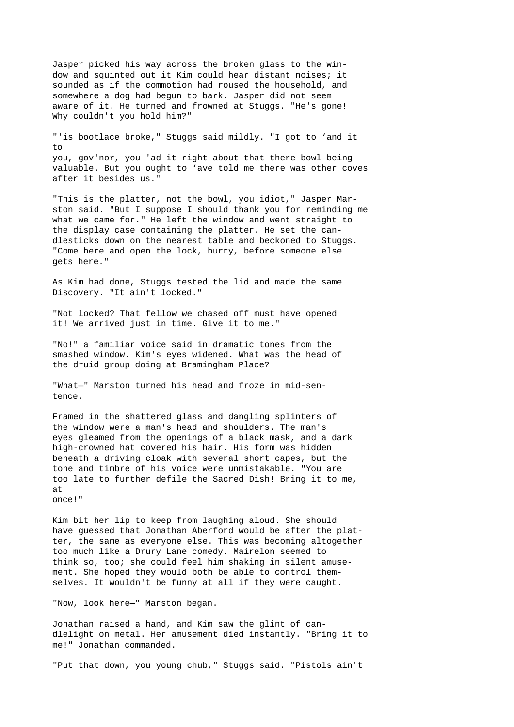Jasper picked his way across the broken glass to the window and squinted out it Kim could hear distant noises; it sounded as if the commotion had roused the household, and somewhere a dog had begun to bark. Jasper did not seem aware of it. He turned and frowned at Stuggs. "He's gone! Why couldn't you hold him?"

"'is bootlace broke," Stuggs said mildly. "I got to 'and it to you, gov'nor, you 'ad it right about that there bowl being valuable. But you ought to 'ave told me there was other coves after it besides us."

"This is the platter, not the bowl, you idiot," Jasper Marston said. "But I suppose I should thank you for reminding me what we came for." He left the window and went straight to the display case containing the platter. He set the candlesticks down on the nearest table and beckoned to Stuggs. "Come here and open the lock, hurry, before someone else gets here."

As Kim had done, Stuggs tested the lid and made the same Discovery. "It ain't locked."

"Not locked? That fellow we chased off must have opened it! We arrived just in time. Give it to me."

"No!" a familiar voice said in dramatic tones from the smashed window. Kim's eyes widened. What was the head of the druid group doing at Bramingham Place?

"What—" Marston turned his head and froze in mid-sentence.

Framed in the shattered glass and dangling splinters of the window were a man's head and shoulders. The man's eyes gleamed from the openings of a black mask, and a dark high-crowned hat covered his hair. His form was hidden beneath a driving cloak with several short capes, but the tone and timbre of his voice were unmistakable. "You are too late to further defile the Sacred Dish! Bring it to me, at once!"

Kim bit her lip to keep from laughing aloud. She should have guessed that Jonathan Aberford would be after the platter, the same as everyone else. This was becoming altogether too much like a Drury Lane comedy. Mairelon seemed to think so, too; she could feel him shaking in silent amusement. She hoped they would both be able to control themselves. It wouldn't be funny at all if they were caught.

"Now, look here—" Marston began.

Jonathan raised a hand, and Kim saw the glint of candlelight on metal. Her amusement died instantly. "Bring it to me!" Jonathan commanded.

"Put that down, you young chub," Stuggs said. "Pistols ain't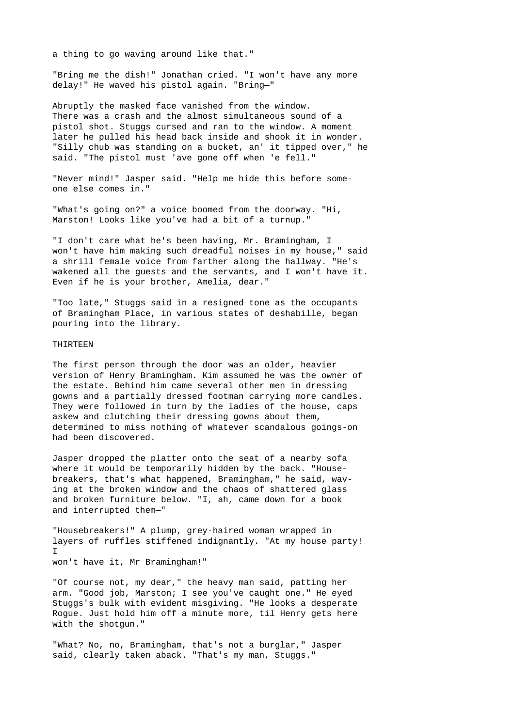a thing to go waving around like that."

"Bring me the dish!" Jonathan cried. "I won't have any more delay!" He waved his pistol again. "Bring—"

Abruptly the masked face vanished from the window. There was a crash and the almost simultaneous sound of a pistol shot. Stuggs cursed and ran to the window. A moment later he pulled his head back inside and shook it in wonder. "Silly chub was standing on a bucket, an' it tipped over," he said. "The pistol must 'ave gone off when 'e fell."

"Never mind!" Jasper said. "Help me hide this before someone else comes in."

"What's going on?" a voice boomed from the doorway. "Hi, Marston! Looks like you've had a bit of a turnup."

"I don't care what he's been having, Mr. Bramingham, I won't have him making such dreadful noises in my house," said a shrill female voice from farther along the hallway. "He's wakened all the guests and the servants, and I won't have it. Even if he is your brother, Amelia, dear."

"Too late," Stuggs said in a resigned tone as the occupants of Bramingham Place, in various states of deshabille, began pouring into the library.

## THIRTEEN

The first person through the door was an older, heavier version of Henry Bramingham. Kim assumed he was the owner of the estate. Behind him came several other men in dressing gowns and a partially dressed footman carrying more candles. They were followed in turn by the ladies of the house, caps askew and clutching their dressing gowns about them, determined to miss nothing of whatever scandalous goings-on had been discovered.

Jasper dropped the platter onto the seat of a nearby sofa where it would be temporarily hidden by the back. "Housebreakers, that's what happened, Bramingham," he said, waving at the broken window and the chaos of shattered glass and broken furniture below. "I, ah, came down for a book and interrupted them—"

"Housebreakers!" A plump, grey-haired woman wrapped in layers of ruffles stiffened indignantly. "At my house party! T<sub>1</sub> won't have it, Mr Bramingham!"

"Of course not, my dear," the heavy man said, patting her arm. "Good job, Marston; I see you've caught one." He eyed Stuggs's bulk with evident misgiving. "He looks a desperate Rogue. Just hold him off a minute more, til Henry gets here with the shotgun."

"What? No, no, Bramingham, that's not a burglar," Jasper said, clearly taken aback. "That's my man, Stuggs."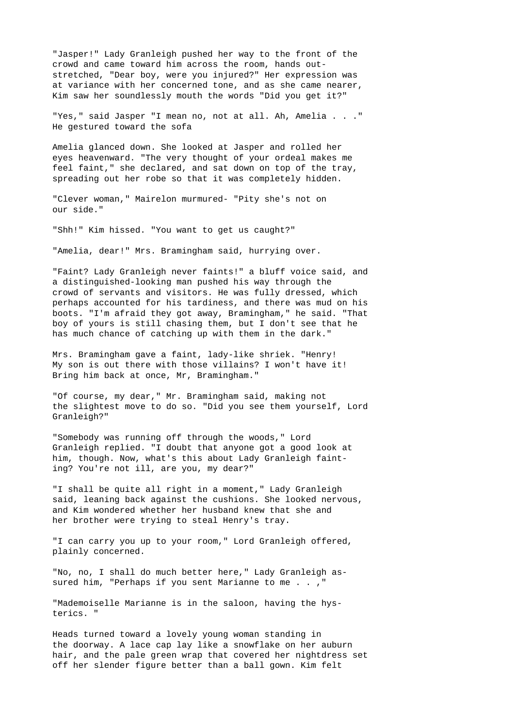"Jasper!" Lady Granleigh pushed her way to the front of the crowd and came toward him across the room, hands outstretched, "Dear boy, were you injured?" Her expression was at variance with her concerned tone, and as she came nearer, Kim saw her soundlessly mouth the words "Did you get it?"

"Yes," said Jasper "I mean no, not at all. Ah, Amelia . . ." He gestured toward the sofa

Amelia glanced down. She looked at Jasper and rolled her eyes heavenward. "The very thought of your ordeal makes me feel faint," she declared, and sat down on top of the tray, spreading out her robe so that it was completely hidden.

"Clever woman," Mairelon murmured- "Pity she's not on our side."

"Shh!" Kim hissed. "You want to get us caught?"

"Amelia, dear!" Mrs. Bramingham said, hurrying over.

"Faint? Lady Granleigh never faints!" a bluff voice said, and a distinguished-looking man pushed his way through the crowd of servants and visitors. He was fully dressed, which perhaps accounted for his tardiness, and there was mud on his boots. "I'm afraid they got away, Bramingham," he said. "That boy of yours is still chasing them, but I don't see that he has much chance of catching up with them in the dark."

Mrs. Bramingham gave a faint, lady-like shriek. "Henry! My son is out there with those villains? I won't have it! Bring him back at once, Mr, Bramingham."

"Of course, my dear," Mr. Bramingham said, making not the slightest move to do so. "Did you see them yourself, Lord Granleigh?"

"Somebody was running off through the woods," Lord Granleigh replied. "I doubt that anyone got a good look at him, though. Now, what's this about Lady Granleigh fainting? You're not ill, are you, my dear?"

"I shall be quite all right in a moment," Lady Granleigh said, leaning back against the cushions. She looked nervous, and Kim wondered whether her husband knew that she and her brother were trying to steal Henry's tray.

"I can carry you up to your room," Lord Granleigh offered, plainly concerned.

"No, no, I shall do much better here," Lady Granleigh assured him, "Perhaps if you sent Marianne to me . . ,"

"Mademoiselle Marianne is in the saloon, having the hysterics. "

Heads turned toward a lovely young woman standing in the doorway. A lace cap lay like a snowflake on her auburn hair, and the pale green wrap that covered her nightdress set off her slender figure better than a ball gown. Kim felt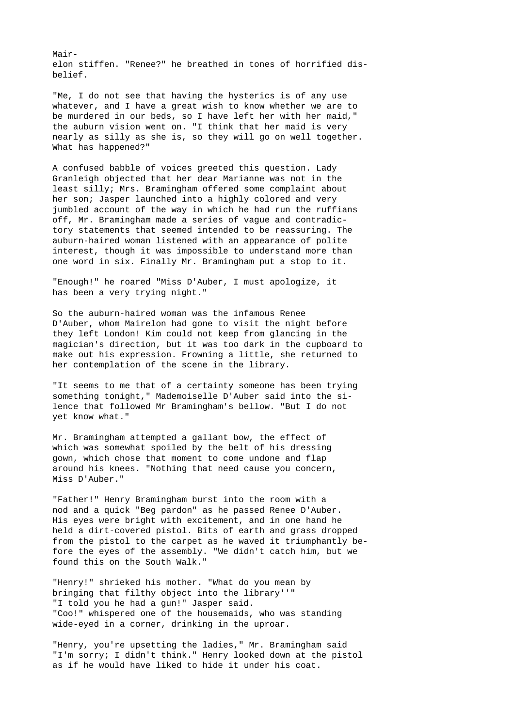Mairelon stiffen. "Renee?" he breathed in tones of horrified disbelief.

"Me, I do not see that having the hysterics is of any use whatever, and I have a great wish to know whether we are to be murdered in our beds, so I have left her with her maid," the auburn vision went on. "I think that her maid is very nearly as silly as she is, so they will go on well together. What has happened?"

A confused babble of voices greeted this question. Lady Granleigh objected that her dear Marianne was not in the least silly; Mrs. Bramingham offered some complaint about her son; Jasper launched into a highly colored and very jumbled account of the way in which he had run the ruffians off, Mr. Bramingham made a series of vague and contradictory statements that seemed intended to be reassuring. The auburn-haired woman listened with an appearance of polite interest, though it was impossible to understand more than one word in six. Finally Mr. Bramingham put a stop to it.

"Enough!" he roared "Miss D'Auber, I must apologize, it has been a very trying night."

So the auburn-haired woman was the infamous Renee D'Auber, whom Mairelon had gone to visit the night before they left London! Kim could not keep from glancing in the magician's direction, but it was too dark in the cupboard to make out his expression. Frowning a little, she returned to her contemplation of the scene in the library.

"It seems to me that of a certainty someone has been trying something tonight," Mademoiselle D'Auber said into the silence that followed Mr Bramingham's bellow. "But I do not yet know what."

Mr. Bramingham attempted a gallant bow, the effect of which was somewhat spoiled by the belt of his dressing gown, which chose that moment to come undone and flap around his knees. "Nothing that need cause you concern, Miss D'Auber."

"Father!" Henry Bramingham burst into the room with a nod and a quick "Beg pardon" as he passed Renee D'Auber. His eyes were bright with excitement, and in one hand he held a dirt-covered pistol. Bits of earth and grass dropped from the pistol to the carpet as he waved it triumphantly before the eyes of the assembly. "We didn't catch him, but we found this on the South Walk."

"Henry!" shrieked his mother. "What do you mean by bringing that filthy object into the library''" "I told you he had a gun!" Jasper said. "Coo!" whispered one of the housemaids, who was standing wide-eyed in a corner, drinking in the uproar.

"Henry, you're upsetting the ladies," Mr. Bramingham said "I'm sorry; I didn't think." Henry looked down at the pistol as if he would have liked to hide it under his coat.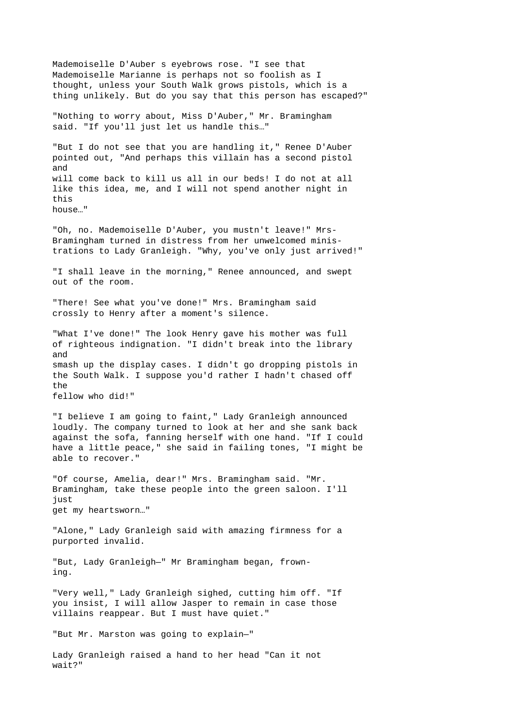Mademoiselle D'Auber s eyebrows rose. "I see that Mademoiselle Marianne is perhaps not so foolish as I thought, unless your South Walk grows pistols, which is a thing unlikely. But do you say that this person has escaped?" "Nothing to worry about, Miss D'Auber," Mr. Bramingham said. "If you'll just let us handle this…" "But I do not see that you are handling it," Renee D'Auber pointed out, "And perhaps this villain has a second pistol and will come back to kill us all in our beds! I do not at all like this idea, me, and I will not spend another night in this house…" "Oh, no. Mademoiselle D'Auber, you mustn't leave!" Mrs-Bramingham turned in distress from her unwelcomed ministrations to Lady Granleigh. "Why, you've only just arrived!" "I shall leave in the morning," Renee announced, and swept out of the room. "There! See what you've done!" Mrs. Bramingham said crossly to Henry after a moment's silence. "What I've done!" The look Henry gave his mother was full of righteous indignation. "I didn't break into the library and smash up the display cases. I didn't go dropping pistols in the South Walk. I suppose you'd rather I hadn't chased off the fellow who did!" "I believe I am going to faint," Lady Granleigh announced loudly. The company turned to look at her and she sank back against the sofa, fanning herself with one hand. "If I could have a little peace," she said in failing tones, "I might be able to recover." "Of course, Amelia, dear!" Mrs. Bramingham said. "Mr. Bramingham, take these people into the green saloon. I'll just get my heartsworn…" "Alone," Lady Granleigh said with amazing firmness for a purported invalid. "But, Lady Granleigh—" Mr Bramingham began, frowning. "Very well," Lady Granleigh sighed, cutting him off. "If you insist, I will allow Jasper to remain in case those villains reappear. But I must have quiet." "But Mr. Marston was going to explain—" Lady Granleigh raised a hand to her head "Can it not wait?"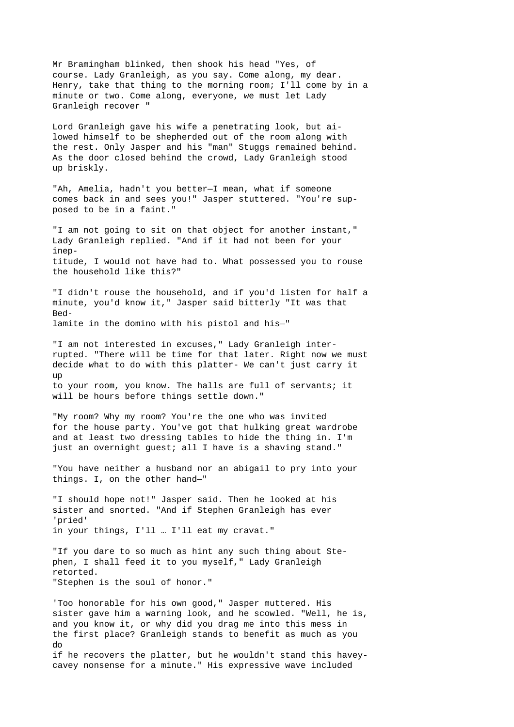Mr Bramingham blinked, then shook his head "Yes, of course. Lady Granleigh, as you say. Come along, my dear. Henry, take that thing to the morning room; I'll come by in a minute or two. Come along, everyone, we must let Lady Granleigh recover "

Lord Granleigh gave his wife a penetrating look, but ailowed himself to be shepherded out of the room along with the rest. Only Jasper and his "man" Stuggs remained behind. As the door closed behind the crowd, Lady Granleigh stood up briskly.

"Ah, Amelia, hadn't you better—I mean, what if someone comes back in and sees you!" Jasper stuttered. "You're supposed to be in a faint."

"I am not going to sit on that object for another instant," Lady Granleigh replied. "And if it had not been for your ineptitude, I would not have had to. What possessed you to rouse the household like this?"

"I didn't rouse the household, and if you'd listen for half a minute, you'd know it," Jasper said bitterly "It was that Bedlamite in the domino with his pistol and his—"

"I am not interested in excuses," Lady Granleigh interrupted. "There will be time for that later. Right now we must decide what to do with this platter- We can't just carry it  $\overline{110}$ to your room, you know. The halls are full of servants; it will be hours before things settle down."

"My room? Why my room? You're the one who was invited for the house party. You've got that hulking great wardrobe and at least two dressing tables to hide the thing in. I'm just an overnight guest; all I have is a shaving stand."

"You have neither a husband nor an abigail to pry into your things. I, on the other hand—"

"I should hope not!" Jasper said. Then he looked at his sister and snorted. "And if Stephen Granleigh has ever 'pried' in your things, I'll … I'll eat my cravat."

"If you dare to so much as hint any such thing about Stephen, I shall feed it to you myself," Lady Granleigh retorted. "Stephen is the soul of honor."

'Too honorable for his own good," Jasper muttered. His sister gave him a warning look, and he scowled. "Well, he is, and you know it, or why did you drag me into this mess in the first place? Granleigh stands to benefit as much as you do if he recovers the platter, but he wouldn't stand this haveycavey nonsense for a minute." His expressive wave included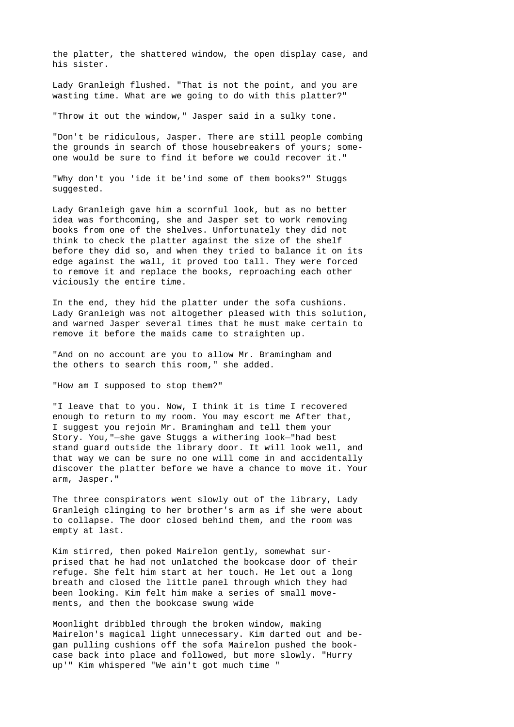the platter, the shattered window, the open display case, and his sister.

Lady Granleigh flushed. "That is not the point, and you are wasting time. What are we going to do with this platter?"

"Throw it out the window," Jasper said in a sulky tone.

"Don't be ridiculous, Jasper. There are still people combing the grounds in search of those housebreakers of yours; someone would be sure to find it before we could recover it."

"Why don't you 'ide it be'ind some of them books?" Stuggs suggested.

Lady Granleigh gave him a scornful look, but as no better idea was forthcoming, she and Jasper set to work removing books from one of the shelves. Unfortunately they did not think to check the platter against the size of the shelf before they did so, and when they tried to balance it on its edge against the wall, it proved too tall. They were forced to remove it and replace the books, reproaching each other viciously the entire time.

In the end, they hid the platter under the sofa cushions. Lady Granleigh was not altogether pleased with this solution, and warned Jasper several times that he must make certain to remove it before the maids came to straighten up.

"And on no account are you to allow Mr. Bramingham and the others to search this room," she added.

"How am I supposed to stop them?"

"I leave that to you. Now, I think it is time I recovered enough to return to my room. You may escort me After that, I suggest you rejoin Mr. Bramingham and tell them your Story. You,"—she gave Stuggs a withering look—"had best stand guard outside the library door. It will look well, and that way we can be sure no one will come in and accidentally discover the platter before we have a chance to move it. Your arm, Jasper."

The three conspirators went slowly out of the library, Lady Granleigh clinging to her brother's arm as if she were about to collapse. The door closed behind them, and the room was empty at last.

Kim stirred, then poked Mairelon gently, somewhat surprised that he had not unlatched the bookcase door of their refuge. She felt him start at her touch. He let out a long breath and closed the little panel through which they had been looking. Kim felt him make a series of small movements, and then the bookcase swung wide

Moonlight dribbled through the broken window, making Mairelon's magical light unnecessary. Kim darted out and began pulling cushions off the sofa Mairelon pushed the bookcase back into place and followed, but more slowly. "Hurry up'" Kim whispered "We ain't got much time "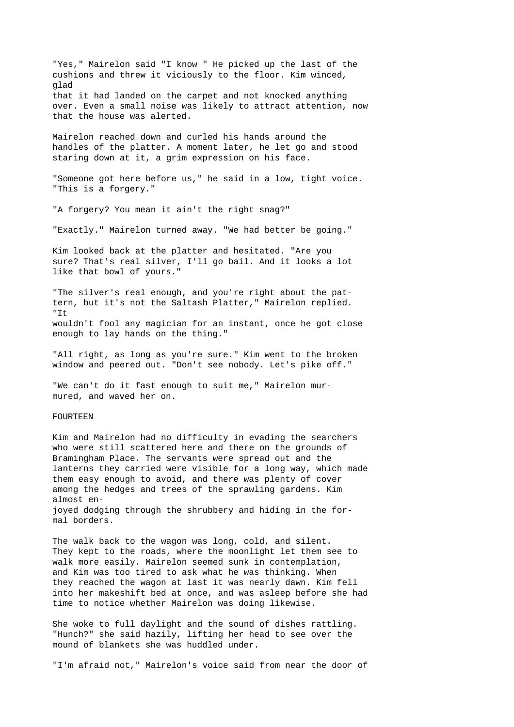"Yes," Mairelon said "I know " He picked up the last of the cushions and threw it viciously to the floor. Kim winced, glad that it had landed on the carpet and not knocked anything over. Even a small noise was likely to attract attention, now that the house was alerted. Mairelon reached down and curled his hands around the handles of the platter. A moment later, he let go and stood staring down at it, a grim expression on his face. "Someone got here before us," he said in a low, tight voice. "This is a forgery." "A forgery? You mean it ain't the right snag?" "Exactly." Mairelon turned away. "We had better be going." Kim looked back at the platter and hesitated. "Are you sure? That's real silver, I'll go bail. And it looks a lot like that bowl of yours." "The silver's real enough, and you're right about the pattern, but it's not the Saltash Platter," Mairelon replied. "It wouldn't fool any magician for an instant, once he got close enough to lay hands on the thing." "All right, as long as you're sure." Kim went to the broken window and peered out. "Don't see nobody. Let's pike off." "We can't do it fast enough to suit me," Mairelon murmured, and waved her on. FOURTEEN Kim and Mairelon had no difficulty in evading the searchers who were still scattered here and there on the grounds of Bramingham Place. The servants were spread out and the lanterns they carried were visible for a long way, which made them easy enough to avoid, and there was plenty of cover among the hedges and trees of the sprawling gardens. Kim almost en-

joyed dodging through the shrubbery and hiding in the formal borders.

The walk back to the wagon was long, cold, and silent. They kept to the roads, where the moonlight let them see to walk more easily. Mairelon seemed sunk in contemplation, and Kim was too tired to ask what he was thinking. When they reached the wagon at last it was nearly dawn. Kim fell into her makeshift bed at once, and was asleep before she had time to notice whether Mairelon was doing likewise.

She woke to full daylight and the sound of dishes rattling. "Hunch?" she said hazily, lifting her head to see over the mound of blankets she was huddled under.

"I'm afraid not," Mairelon's voice said from near the door of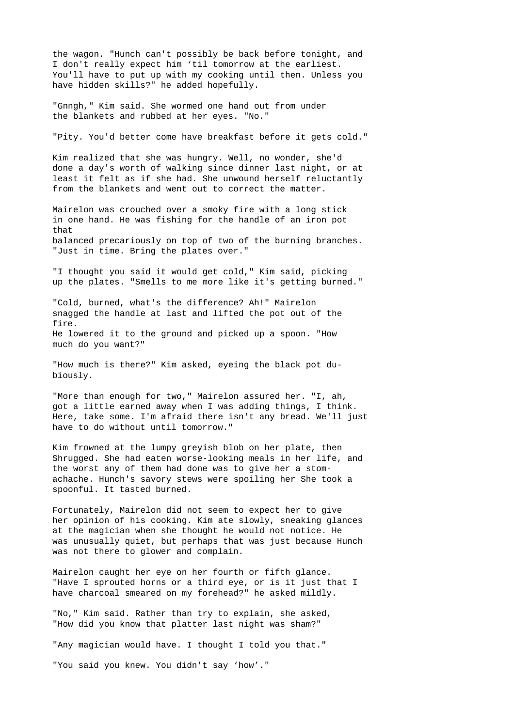the wagon. "Hunch can't possibly be back before tonight, and I don't really expect him 'til tomorrow at the earliest. You'll have to put up with my cooking until then. Unless you have hidden skills?" he added hopefully. "Gnngh," Kim said. She wormed one hand out from under the blankets and rubbed at her eyes. "No." "Pity. You'd better come have breakfast before it gets cold." Kim realized that she was hungry. Well, no wonder, she'd done a day's worth of walking since dinner last night, or at least it felt as if she had. She unwound herself reluctantly from the blankets and went out to correct the matter. Mairelon was crouched over a smoky fire with a long stick in one hand. He was fishing for the handle of an iron pot that balanced precariously on top of two of the burning branches. "Just in time. Bring the plates over." "I thought you said it would get cold," Kim said, picking up the plates. "Smells to me more like it's getting burned." "Cold, burned, what's the difference? Ah!" Mairelon snagged the handle at last and lifted the pot out of the fire. He lowered it to the ground and picked up a spoon. "How much do you want?" "How much is there?" Kim asked, eyeing the black pot dubiously. "More than enough for two," Mairelon assured her. "I, ah, got a little earned away when I was adding things, I think. Here, take some. I'm afraid there isn't any bread. We'll just have to do without until tomorrow." Kim frowned at the lumpy greyish blob on her plate, then Shrugged. She had eaten worse-looking meals in her life, and the worst any of them had done was to give her a stomachache. Hunch's savory stews were spoiling her She took a spoonful. It tasted burned. Fortunately, Mairelon did not seem to expect her to give her opinion of his cooking. Kim ate slowly, sneaking glances at the magician when she thought he would not notice. He was unusually quiet, but perhaps that was just because Hunch was not there to glower and complain. Mairelon caught her eye on her fourth or fifth glance. "Have I sprouted horns or a third eye, or is it just that I have charcoal smeared on my forehead?" he asked mildly. "No," Kim said. Rather than try to explain, she asked, "How did you know that platter last night was sham?"

"Any magician would have. I thought I told you that."

"You said you knew. You didn't say 'how'."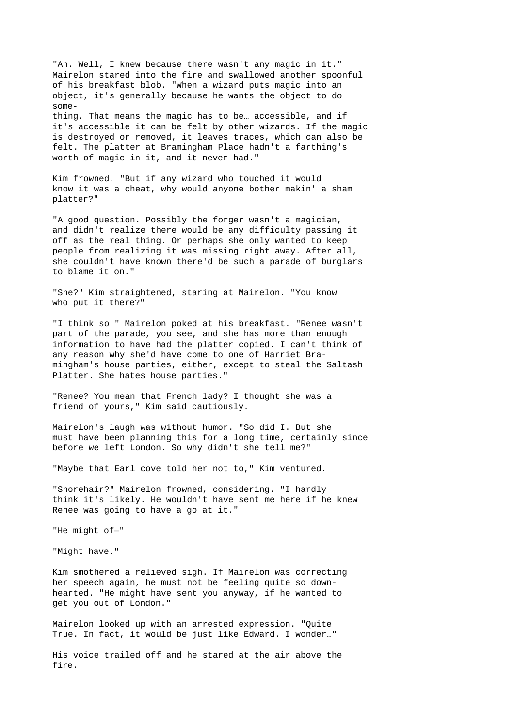"Ah. Well, I knew because there wasn't any magic in it." Mairelon stared into the fire and swallowed another spoonful of his breakfast blob. "When a wizard puts magic into an object, it's generally because he wants the object to do something. That means the magic has to be… accessible, and if

it's accessible it can be felt by other wizards. If the magic is destroyed or removed, it leaves traces, which can also be felt. The platter at Bramingham Place hadn't a farthing's worth of magic in it, and it never had."

Kim frowned. "But if any wizard who touched it would know it was a cheat, why would anyone bother makin' a sham platter?"

"A good question. Possibly the forger wasn't a magician, and didn't realize there would be any difficulty passing it off as the real thing. Or perhaps she only wanted to keep people from realizing it was missing right away. After all, she couldn't have known there'd be such a parade of burglars to blame it on."

"She?" Kim straightened, staring at Mairelon. "You know who put it there?"

"I think so " Mairelon poked at his breakfast. "Renee wasn't part of the parade, you see, and she has more than enough information to have had the platter copied. I can't think of any reason why she'd have come to one of Harriet Bramingham's house parties, either, except to steal the Saltash Platter. She hates house parties."

"Renee? You mean that French lady? I thought she was a friend of yours," Kim said cautiously.

Mairelon's laugh was without humor. "So did I. But she must have been planning this for a long time, certainly since before we left London. So why didn't she tell me?"

"Maybe that Earl cove told her not to," Kim ventured.

"Shorehair?" Mairelon frowned, considering. "I hardly think it's likely. He wouldn't have sent me here if he knew Renee was going to have a go at it."

"He might of—"

"Might have."

Kim smothered a relieved sigh. If Mairelon was correcting her speech again, he must not be feeling quite so downhearted. "He might have sent you anyway, if he wanted to get you out of London."

Mairelon looked up with an arrested expression. "Quite True. In fact, it would be just like Edward. I wonder…"

His voice trailed off and he stared at the air above the fire.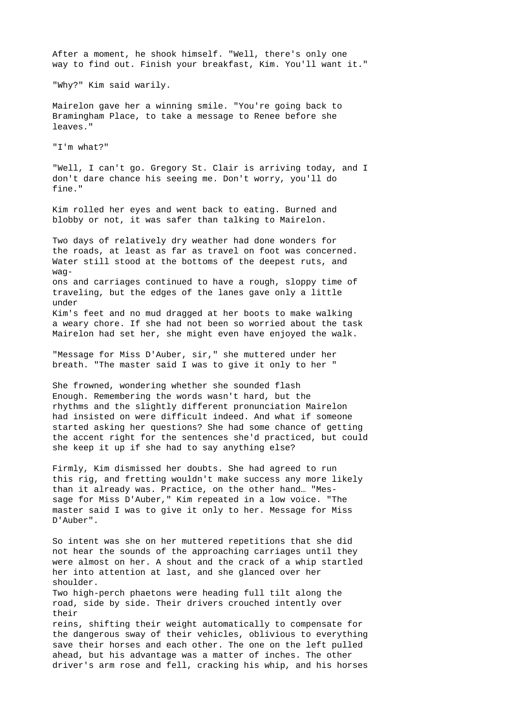After a moment, he shook himself. "Well, there's only one way to find out. Finish your breakfast, Kim. You'll want it." "Why?" Kim said warily. Mairelon gave her a winning smile. "You're going back to Bramingham Place, to take a message to Renee before she leaves." "I'm what?" "Well, I can't go. Gregory St. Clair is arriving today, and I don't dare chance his seeing me. Don't worry, you'll do fine." Kim rolled her eyes and went back to eating. Burned and blobby or not, it was safer than talking to Mairelon. Two days of relatively dry weather had done wonders for the roads, at least as far as travel on foot was concerned. Water still stood at the bottoms of the deepest ruts, and wagons and carriages continued to have a rough, sloppy time of traveling, but the edges of the lanes gave only a little under Kim's feet and no mud dragged at her boots to make walking a weary chore. If she had not been so worried about the task Mairelon had set her, she might even have enjoyed the walk. "Message for Miss D'Auber, sir," she muttered under her breath. "The master said I was to give it only to her " She frowned, wondering whether she sounded flash Enough. Remembering the words wasn't hard, but the rhythms and the slightly different pronunciation Mairelon had insisted on were difficult indeed. And what if someone started asking her questions? She had some chance of getting the accent right for the sentences she'd practiced, but could she keep it up if she had to say anything else? Firmly, Kim dismissed her doubts. She had agreed to run this rig, and fretting wouldn't make success any more likely than it already was. Practice, on the other hand… "Message for Miss D'Auber," Kim repeated in a low voice. "The master said I was to give it only to her. Message for Miss D'Auber". So intent was she on her muttered repetitions that she did not hear the sounds of the approaching carriages until they were almost on her. A shout and the crack of a whip startled her into attention at last, and she glanced over her shoulder. Two high-perch phaetons were heading full tilt along the road, side by side. Their drivers crouched intently over their reins, shifting their weight automatically to compensate for the dangerous sway of their vehicles, oblivious to everything save their horses and each other. The one on the left pulled ahead, but his advantage was a matter of inches. The other driver's arm rose and fell, cracking his whip, and his horses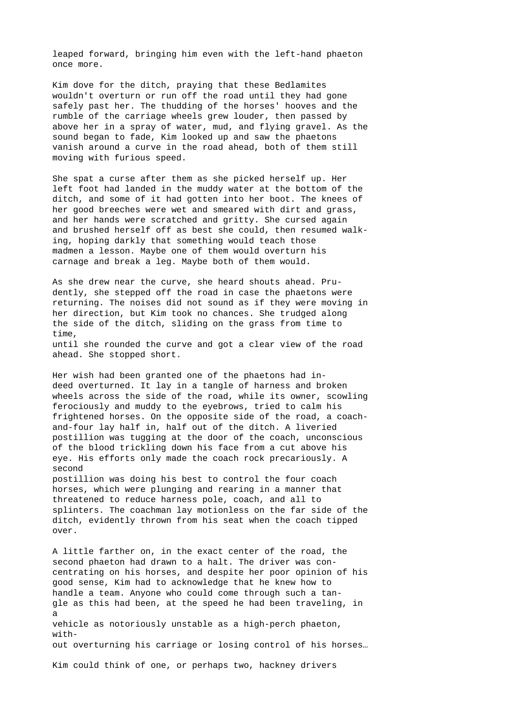leaped forward, bringing him even with the left-hand phaeton once more.

Kim dove for the ditch, praying that these Bedlamites wouldn't overturn or run off the road until they had gone safely past her. The thudding of the horses' hooves and the rumble of the carriage wheels grew louder, then passed by above her in a spray of water, mud, and flying gravel. As the sound began to fade, Kim looked up and saw the phaetons vanish around a curve in the road ahead, both of them still moving with furious speed.

She spat a curse after them as she picked herself up. Her left foot had landed in the muddy water at the bottom of the ditch, and some of it had gotten into her boot. The knees of her good breeches were wet and smeared with dirt and grass, and her hands were scratched and gritty. She cursed again and brushed herself off as best she could, then resumed walking, hoping darkly that something would teach those madmen a lesson. Maybe one of them would overturn his carnage and break a leg. Maybe both of them would.

As she drew near the curve, she heard shouts ahead. Prudently, she stepped off the road in case the phaetons were returning. The noises did not sound as if they were moving in her direction, but Kim took no chances. She trudged along the side of the ditch, sliding on the grass from time to time,

until she rounded the curve and got a clear view of the road ahead. She stopped short.

Her wish had been granted one of the phaetons had indeed overturned. It lay in a tangle of harness and broken wheels across the side of the road, while its owner, scowling ferociously and muddy to the eyebrows, tried to calm his frightened horses. On the opposite side of the road, a coachand-four lay half in, half out of the ditch. A liveried postillion was tugging at the door of the coach, unconscious of the blood trickling down his face from a cut above his eye. His efforts only made the coach rock precariously. A second

postillion was doing his best to control the four coach horses, which were plunging and rearing in a manner that threatened to reduce harness pole, coach, and all to splinters. The coachman lay motionless on the far side of the ditch, evidently thrown from his seat when the coach tipped over.

A little farther on, in the exact center of the road, the second phaeton had drawn to a halt. The driver was concentrating on his horses, and despite her poor opinion of his good sense, Kim had to acknowledge that he knew how to handle a team. Anyone who could come through such a tangle as this had been, at the speed he had been traveling, in a vehicle as notoriously unstable as a high-perch phaeton, without overturning his carriage or losing control of his horses… Kim could think of one, or perhaps two, hackney drivers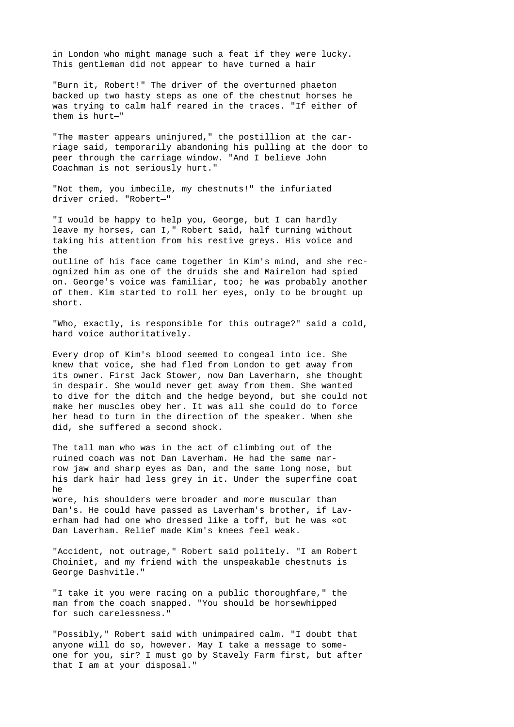in London who might manage such a feat if they were lucky. This gentleman did not appear to have turned a hair

"Burn it, Robert!" The driver of the overturned phaeton backed up two hasty steps as one of the chestnut horses he was trying to calm half reared in the traces. "If either of them is hurt—"

"The master appears uninjured," the postillion at the carriage said, temporarily abandoning his pulling at the door to peer through the carriage window. "And I believe John Coachman is not seriously hurt."

"Not them, you imbecile, my chestnuts!" the infuriated driver cried. "Robert—"

"I would be happy to help you, George, but I can hardly leave my horses, can I," Robert said, half turning without taking his attention from his restive greys. His voice and the outline of his face came together in Kim's mind, and she recognized him as one of the druids she and Mairelon had spied on. George's voice was familiar, too; he was probably another of them. Kim started to roll her eyes, only to be brought up short.

"Who, exactly, is responsible for this outrage?" said a cold, hard voice authoritatively.

Every drop of Kim's blood seemed to congeal into ice. She knew that voice, she had fled from London to get away from its owner. First Jack Stower, now Dan Laverharn, she thought in despair. She would never get away from them. She wanted to dive for the ditch and the hedge beyond, but she could not make her muscles obey her. It was all she could do to force her head to turn in the direction of the speaker. When she did, she suffered a second shock.

The tall man who was in the act of climbing out of the ruined coach was not Dan Laverham. He had the same narrow jaw and sharp eyes as Dan, and the same long nose, but his dark hair had less grey in it. Under the superfine coat he wore, his shoulders were broader and more muscular than

Dan's. He could have passed as Laverham's brother, if Laverham had had one who dressed like a toff, but he was «ot Dan Laverham. Relief made Kim's knees feel weak.

"Accident, not outrage," Robert said politely. "I am Robert Choiniet, and my friend with the unspeakable chestnuts is George Dashvitle."

"I take it you were racing on a public thoroughfare," the man from the coach snapped. "You should be horsewhipped for such carelessness."

"Possibly," Robert said with unimpaired calm. "I doubt that anyone will do so, however. May I take a message to someone for you, sir? I must go by Stavely Farm first, but after that I am at your disposal."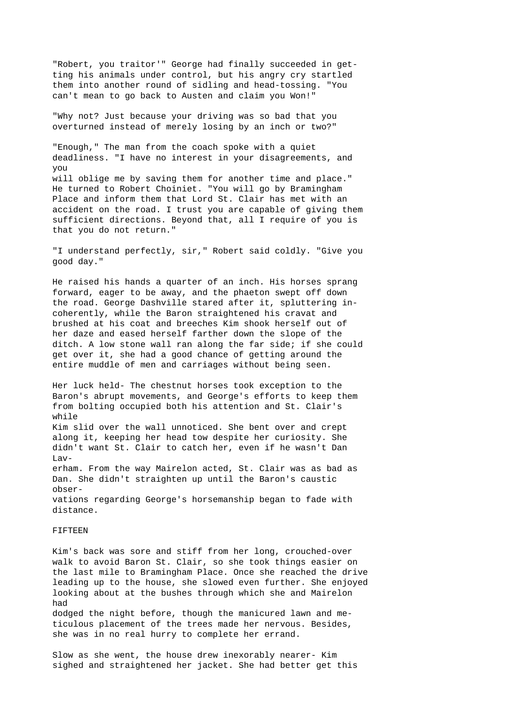"Robert, you traitor'" George had finally succeeded in getting his animals under control, but his angry cry startled them into another round of sidling and head-tossing. "You can't mean to go back to Austen and claim you Won!"

"Why not? Just because your driving was so bad that you overturned instead of merely losing by an inch or two?"

"Enough," The man from the coach spoke with a quiet deadliness. "I have no interest in your disagreements, and you will oblige me by saving them for another time and place." He turned to Robert Choiniet. "You will go by Bramingham Place and inform them that Lord St. Clair has met with an accident on the road. I trust you are capable of giving them sufficient directions. Beyond that, all I require of you is that you do not return."

"I understand perfectly, sir," Robert said coldly. "Give you good day."

He raised his hands a quarter of an inch. His horses sprang forward, eager to be away, and the phaeton swept off down the road. George Dashville stared after it, spluttering incoherently, while the Baron straightened his cravat and brushed at his coat and breeches Kim shook herself out of her daze and eased herself farther down the slope of the ditch. A low stone wall ran along the far side; if she could get over it, she had a good chance of getting around the entire muddle of men and carriages without being seen.

Her luck held- The chestnut horses took exception to the Baron's abrupt movements, and George's efforts to keep them from bolting occupied both his attention and St. Clair's while Kim slid over the wall unnoticed. She bent over and crept along it, keeping her head tow despite her curiosity. She didn't want St. Clair to catch her, even if he wasn't Dan Laverham. From the way Mairelon acted, St. Clair was as bad as Dan. She didn't straighten up until the Baron's caustic observations regarding George's horsemanship began to fade with

distance.

### FIFTEEN

Kim's back was sore and stiff from her long, crouched-over walk to avoid Baron St. Clair, so she took things easier on the last mile to Bramingham Place. Once she reached the drive leading up to the house, she slowed even further. She enjoyed looking about at the bushes through which she and Mairelon had dodged the night before, though the manicured lawn and me-

ticulous placement of the trees made her nervous. Besides, she was in no real hurry to complete her errand.

Slow as she went, the house drew inexorably nearer- Kim sighed and straightened her jacket. She had better get this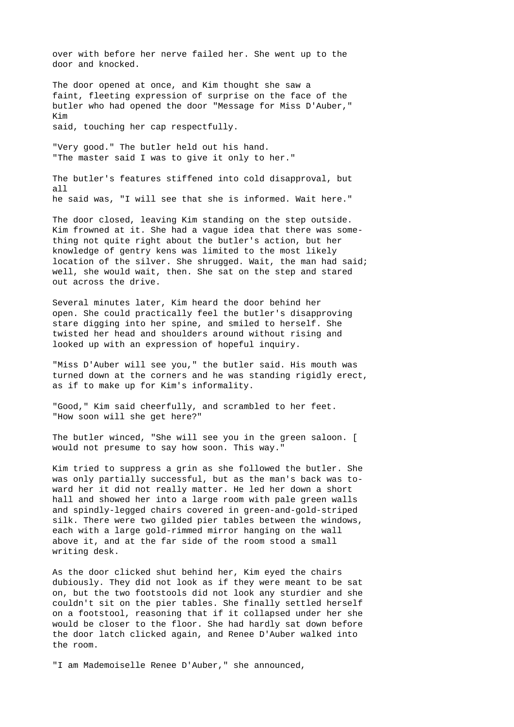over with before her nerve failed her. She went up to the door and knocked.

The door opened at once, and Kim thought she saw a faint, fleeting expression of surprise on the face of the butler who had opened the door "Message for Miss D'Auber," Kim

said, touching her cap respectfully.

"Very good." The butler held out his hand. "The master said I was to give it only to her."

The butler's features stiffened into cold disapproval, but all he said was, "I will see that she is informed. Wait here."

The door closed, leaving Kim standing on the step outside. Kim frowned at it. She had a vague idea that there was something not quite right about the butler's action, but her knowledge of gentry kens was limited to the most likely location of the silver. She shrugged. Wait, the man had said; well, she would wait, then. She sat on the step and stared out across the drive.

Several minutes later, Kim heard the door behind her open. She could practically feel the butler's disapproving stare digging into her spine, and smiled to herself. She twisted her head and shoulders around without rising and looked up with an expression of hopeful inquiry.

"Miss D'Auber will see you," the butler said. His mouth was turned down at the corners and he was standing rigidly erect, as if to make up for Kim's informality.

"Good," Kim said cheerfully, and scrambled to her feet. "How soon will she get here?"

The butler winced, "She will see you in the green saloon. [ would not presume to say how soon. This way."

Kim tried to suppress a grin as she followed the butler. She was only partially successful, but as the man's back was toward her it did not really matter. He led her down a short hall and showed her into a large room with pale green walls and spindly-legged chairs covered in green-and-gold-striped silk. There were two gilded pier tables between the windows, each with a large gold-rimmed mirror hanging on the wall above it, and at the far side of the room stood a small writing desk.

As the door clicked shut behind her, Kim eyed the chairs dubiously. They did not look as if they were meant to be sat on, but the two footstools did not look any sturdier and she couldn't sit on the pier tables. She finally settled herself on a footstool, reasoning that if it collapsed under her she would be closer to the floor. She had hardly sat down before the door latch clicked again, and Renee D'Auber walked into the room.

"I am Mademoiselle Renee D'Auber," she announced,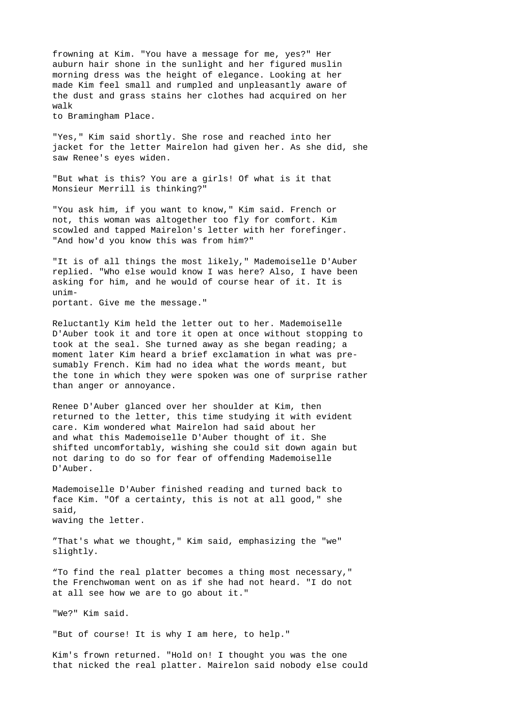frowning at Kim. "You have a message for me, yes?" Her auburn hair shone in the sunlight and her figured muslin morning dress was the height of elegance. Looking at her made Kim feel small and rumpled and unpleasantly aware of the dust and grass stains her clothes had acquired on her walk

to Bramingham Place.

"Yes," Kim said shortly. She rose and reached into her jacket for the letter Mairelon had given her. As she did, she saw Renee's eyes widen.

"But what is this? You are a girls! Of what is it that Monsieur Merrill is thinking?"

"You ask him, if you want to know," Kim said. French or not, this woman was altogether too fly for comfort. Kim scowled and tapped Mairelon's letter with her forefinger. "And how'd you know this was from him?"

"It is of all things the most likely," Mademoiselle D'Auber replied. "Who else would know I was here? Also, I have been asking for him, and he would of course hear of it. It is unimportant. Give me the message."

Reluctantly Kim held the letter out to her. Mademoiselle D'Auber took it and tore it open at once without stopping to took at the seal. She turned away as she began reading; a moment later Kim heard a brief exclamation in what was presumably French. Kim had no idea what the words meant, but the tone in which they were spoken was one of surprise rather than anger or annoyance.

Renee D'Auber glanced over her shoulder at Kim, then returned to the letter, this time studying it with evident care. Kim wondered what Mairelon had said about her and what this Mademoiselle D'Auber thought of it. She shifted uncomfortably, wishing she could sit down again but not daring to do so for fear of offending Mademoiselle D'Auber.

Mademoiselle D'Auber finished reading and turned back to face Kim. "Of a certainty, this is not at all good," she said, waving the letter.

"That's what we thought," Kim said, emphasizing the "we" slightly.

"To find the real platter becomes a thing most necessary," the Frenchwoman went on as if she had not heard. "I do not at all see how we are to go about it."

"We?" Kim said.

"But of course! It is why I am here, to help."

Kim's frown returned. "Hold on! I thought you was the one that nicked the real platter. Mairelon said nobody else could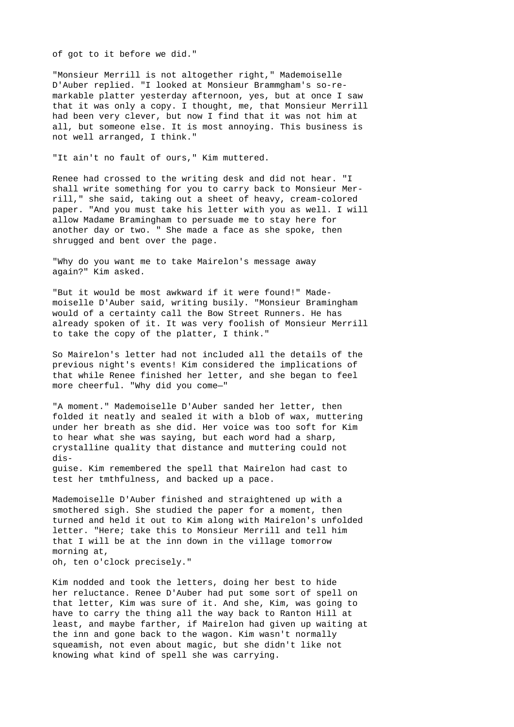of got to it before we did."

"Monsieur Merrill is not altogether right," Mademoiselle D'Auber replied. "I looked at Monsieur Brammgham's so-remarkable platter yesterday afternoon, yes, but at once I saw that it was only a copy. I thought, me, that Monsieur Merrill had been very clever, but now I find that it was not him at all, but someone else. It is most annoying. This business is not well arranged, I think."

"It ain't no fault of ours," Kim muttered.

Renee had crossed to the writing desk and did not hear. "I shall write something for you to carry back to Monsieur Merrill," she said, taking out a sheet of heavy, cream-colored paper. "And you must take his letter with you as well. I will allow Madame Bramingham to persuade me to stay here for another day or two. " She made a face as she spoke, then shrugged and bent over the page.

"Why do you want me to take Mairelon's message away again?" Kim asked.

"But it would be most awkward if it were found!" Mademoiselle D'Auber said, writing busily. "Monsieur Bramingham would of a certainty call the Bow Street Runners. He has already spoken of it. It was very foolish of Monsieur Merrill to take the copy of the platter, I think."

So Mairelon's letter had not included all the details of the previous night's events! Kim considered the implications of that while Renee finished her letter, and she began to feel more cheerful. "Why did you come—"

"A moment." Mademoiselle D'Auber sanded her letter, then folded it neatly and sealed it with a blob of wax, muttering under her breath as she did. Her voice was too soft for Kim to hear what she was saying, but each word had a sharp, crystalline quality that distance and muttering could not dis-

guise. Kim remembered the spell that Mairelon had cast to test her tmthfulness, and backed up a pace.

Mademoiselle D'Auber finished and straightened up with a smothered sigh. She studied the paper for a moment, then turned and held it out to Kim along with Mairelon's unfolded letter. "Here; take this to Monsieur Merrill and tell him that I will be at the inn down in the village tomorrow morning at, oh, ten o'clock precisely."

Kim nodded and took the letters, doing her best to hide her reluctance. Renee D'Auber had put some sort of spell on that letter, Kim was sure of it. And she, Kim, was going to have to carry the thing all the way back to Ranton Hill at least, and maybe farther, if Mairelon had given up waiting at the inn and gone back to the wagon. Kim wasn't normally squeamish, not even about magic, but she didn't like not knowing what kind of spell she was carrying.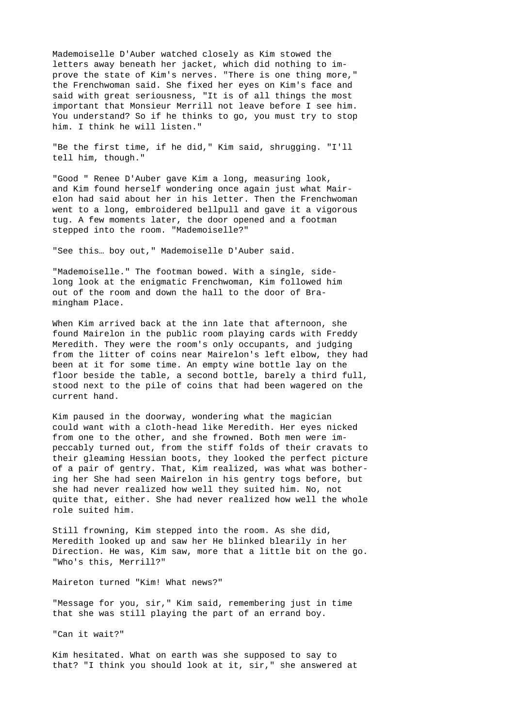Mademoiselle D'Auber watched closely as Kim stowed the letters away beneath her jacket, which did nothing to improve the state of Kim's nerves. "There is one thing more," the Frenchwoman said. She fixed her eyes on Kim's face and said with great seriousness, "It is of all things the most important that Monsieur Merrill not leave before I see him. You understand? So if he thinks to go, you must try to stop him. I think he will listen."

"Be the first time, if he did," Kim said, shrugging. "I'll tell him, though."

"Good " Renee D'Auber gave Kim a long, measuring look, and Kim found herself wondering once again just what Mairelon had said about her in his letter. Then the Frenchwoman went to a long, embroidered bellpull and gave it a vigorous tug. A few moments later, the door opened and a footman stepped into the room. "Mademoiselle?"

"See this… boy out," Mademoiselle D'Auber said.

"Mademoiselle." The footman bowed. With a single, sidelong look at the enigmatic Frenchwoman, Kim followed him out of the room and down the hall to the door of Bramingham Place.

When Kim arrived back at the inn late that afternoon, she found Mairelon in the public room playing cards with Freddy Meredith. They were the room's only occupants, and judging from the litter of coins near Mairelon's left elbow, they had been at it for some time. An empty wine bottle lay on the floor beside the table, a second bottle, barely a third full, stood next to the pile of coins that had been wagered on the current hand.

Kim paused in the doorway, wondering what the magician could want with a cloth-head like Meredith. Her eyes nicked from one to the other, and she frowned. Both men were impeccably turned out, from the stiff folds of their cravats to their gleaming Hessian boots, they looked the perfect picture of a pair of gentry. That, Kim realized, was what was bothering her She had seen Mairelon in his gentry togs before, but she had never realized how well they suited him. No, not quite that, either. She had never realized how well the whole role suited him.

Still frowning, Kim stepped into the room. As she did, Meredith looked up and saw her He blinked blearily in her Direction. He was, Kim saw, more that a little bit on the go. "Who's this, Merrill?"

Maireton turned "Kim! What news?"

"Message for you, sir," Kim said, remembering just in time that she was still playing the part of an errand boy.

"Can it wait?"

Kim hesitated. What on earth was she supposed to say to that? "I think you should look at it, sir," she answered at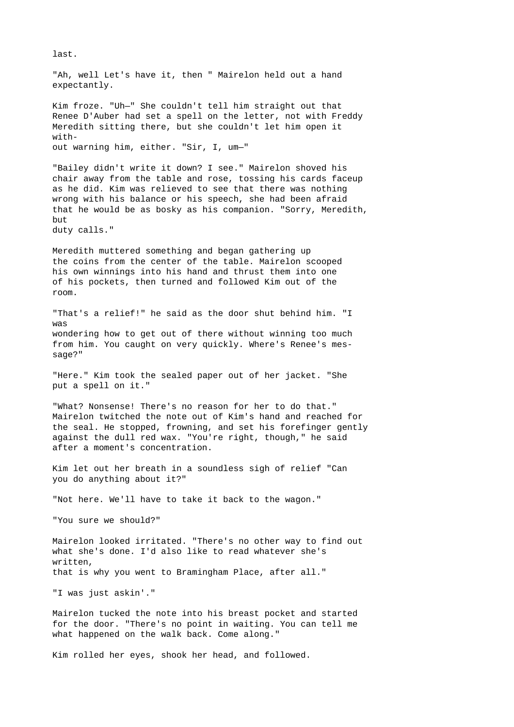last. "Ah, well Let's have it, then " Mairelon held out a hand expectantly. Kim froze. "Uh—" She couldn't tell him straight out that Renee D'Auber had set a spell on the letter, not with Freddy Meredith sitting there, but she couldn't let him open it without warning him, either. "Sir, I, um—" "Bailey didn't write it down? I see." Mairelon shoved his chair away from the table and rose, tossing his cards faceup as he did. Kim was relieved to see that there was nothing wrong with his balance or his speech, she had been afraid that he would be as bosky as his companion. "Sorry, Meredith, but duty calls." Meredith muttered something and began gathering up the coins from the center of the table. Mairelon scooped his own winnings into his hand and thrust them into one of his pockets, then turned and followed Kim out of the room. "That's a relief!" he said as the door shut behind him. "I was wondering how to get out of there without winning too much from him. You caught on very quickly. Where's Renee's message?" "Here." Kim took the sealed paper out of her jacket. "She put a spell on it." "What? Nonsense! There's no reason for her to do that." Mairelon twitched the note out of Kim's hand and reached for the seal. He stopped, frowning, and set his forefinger gently against the dull red wax. "You're right, though," he said after a moment's concentration. Kim let out her breath in a soundless sigh of relief "Can you do anything about it?" "Not here. We'll have to take it back to the wagon." "You sure we should?" Mairelon looked irritated. "There's no other way to find out what she's done. I'd also like to read whatever she's written, that is why you went to Bramingham Place, after all." "I was just askin'." Mairelon tucked the note into his breast pocket and started for the door. "There's no point in waiting. You can tell me what happened on the walk back. Come along." Kim rolled her eyes, shook her head, and followed.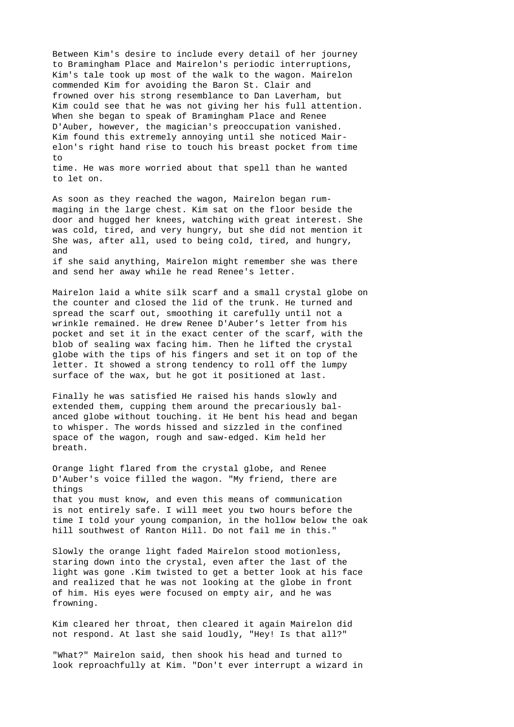Between Kim's desire to include every detail of her journey to Bramingham Place and Mairelon's periodic interruptions, Kim's tale took up most of the walk to the wagon. Mairelon commended Kim for avoiding the Baron St. Clair and frowned over his strong resemblance to Dan Laverham, but Kim could see that he was not giving her his full attention. When she began to speak of Bramingham Place and Renee D'Auber, however, the magician's preoccupation vanished. Kim found this extremely annoying until she noticed Mairelon's right hand rise to touch his breast pocket from time  $t_{\Omega}$ time. He was more worried about that spell than he wanted

As soon as they reached the wagon, Mairelon began rummaging in the large chest. Kim sat on the floor beside the door and hugged her knees, watching with great interest. She was cold, tired, and very hungry, but she did not mention it She was, after all, used to being cold, tired, and hungry, and if she said anything, Mairelon might remember she was there and send her away while he read Renee's letter.

to let on.

Mairelon laid a white silk scarf and a small crystal globe on the counter and closed the lid of the trunk. He turned and spread the scarf out, smoothing it carefully until not a wrinkle remained. He drew Renee D'Auber's letter from his pocket and set it in the exact center of the scarf, with the blob of sealing wax facing him. Then he lifted the crystal globe with the tips of his fingers and set it on top of the letter. It showed a strong tendency to roll off the lumpy surface of the wax, but he got it positioned at last.

Finally he was satisfied He raised his hands slowly and extended them, cupping them around the precariously balanced globe without touching. it He bent his head and began to whisper. The words hissed and sizzled in the confined space of the wagon, rough and saw-edged. Kim held her breath.

Orange light flared from the crystal globe, and Renee D'Auber's voice filled the wagon. "My friend, there are things that you must know, and even this means of communication is not entirely safe. I will meet you two hours before the time I told your young companion, in the hollow below the oak hill southwest of Ranton Hill. Do not fail me in this."

Slowly the orange light faded Mairelon stood motionless, staring down into the crystal, even after the last of the light was gone .Kim twisted to get a better look at his face and realized that he was not looking at the globe in front of him. His eyes were focused on empty air, and he was frowning.

Kim cleared her throat, then cleared it again Mairelon did not respond. At last she said loudly, "Hey! Is that all?"

"What?" Mairelon said, then shook his head and turned to look reproachfully at Kim. "Don't ever interrupt a wizard in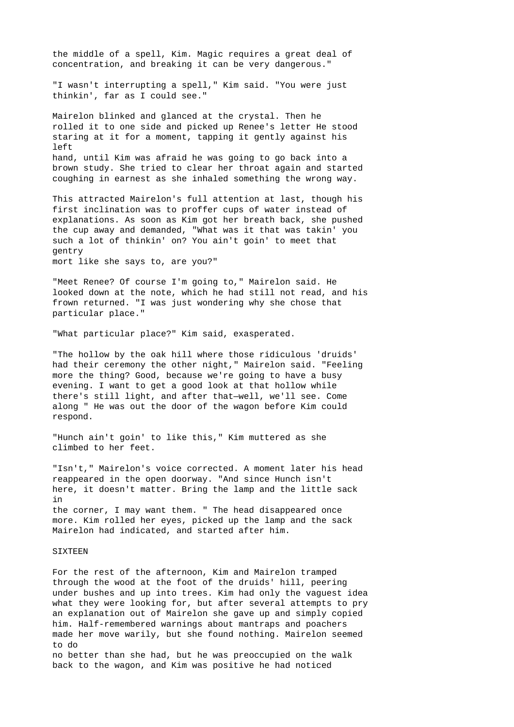the middle of a spell, Kim. Magic requires a great deal of concentration, and breaking it can be very dangerous."

"I wasn't interrupting a spell," Kim said. "You were just thinkin', far as I could see."

Mairelon blinked and glanced at the crystal. Then he rolled it to one side and picked up Renee's letter He stood staring at it for a moment, tapping it gently against his left hand, until Kim was afraid he was going to go back into a brown study. She tried to clear her throat again and started coughing in earnest as she inhaled something the wrong way.

This attracted Mairelon's full attention at last, though his first inclination was to proffer cups of water instead of explanations. As soon as Kim got her breath back, she pushed the cup away and demanded, "What was it that was takin' you such a lot of thinkin' on? You ain't goin' to meet that gentry mort like she says to, are you?"

"Meet Renee? Of course I'm going to," Mairelon said. He looked down at the note, which he had still not read, and his frown returned. "I was just wondering why she chose that particular place."

"What particular place?" Kim said, exasperated.

"The hollow by the oak hill where those ridiculous 'druids' had their ceremony the other night," Mairelon said. "Feeling more the thing? Good, because we're going to have a busy evening. I want to get a good look at that hollow while there's still light, and after that—well, we'll see. Come along " He was out the door of the wagon before Kim could respond.

"Hunch ain't goin' to like this," Kim muttered as she climbed to her feet.

"Isn't," Mairelon's voice corrected. A moment later his head reappeared in the open doorway. "And since Hunch isn't here, it doesn't matter. Bring the lamp and the little sack in the corner, I may want them. " The head disappeared once more. Kim rolled her eyes, picked up the lamp and the sack Mairelon had indicated, and started after him.

# **SIXTEEN**

For the rest of the afternoon, Kim and Mairelon tramped through the wood at the foot of the druids' hill, peering under bushes and up into trees. Kim had only the vaguest idea what they were looking for, but after several attempts to pry an explanation out of Mairelon she gave up and simply copied him. Half-remembered warnings about mantraps and poachers made her move warily, but she found nothing. Mairelon seemed to do no better than she had, but he was preoccupied on the walk back to the wagon, and Kim was positive he had noticed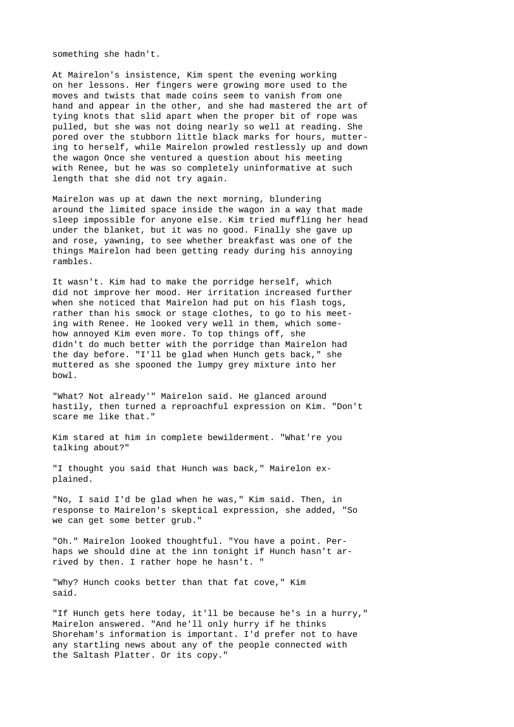something she hadn't.

At Mairelon's insistence, Kim spent the evening working on her lessons. Her fingers were growing more used to the moves and twists that made coins seem to vanish from one hand and appear in the other, and she had mastered the art of tying knots that slid apart when the proper bit of rope was pulled, but she was not doing nearly so well at reading. She pored over the stubborn little black marks for hours, muttering to herself, while Mairelon prowled restlessly up and down the wagon Once she ventured a question about his meeting with Renee, but he was so completely uninformative at such length that she did not try again.

Mairelon was up at dawn the next morning, blundering around the limited space inside the wagon in a way that made sleep impossible for anyone else. Kim tried muffling her head under the blanket, but it was no good. Finally she gave up and rose, yawning, to see whether breakfast was one of the things Mairelon had been getting ready during his annoying rambles.

It wasn't. Kim had to make the porridge herself, which did not improve her mood. Her irritation increased further when she noticed that Mairelon had put on his flash togs, rather than his smock or stage clothes, to go to his meeting with Renee. He looked very well in them, which somehow annoyed Kim even more. To top things off, she didn't do much better with the porridge than Mairelon had the day before. "I'll be glad when Hunch gets back," she muttered as she spooned the lumpy grey mixture into her bowl.

"What? Not already'" Mairelon said. He glanced around hastily, then turned a reproachful expression on Kim. "Don't scare me like that."

Kim stared at him in complete bewilderment. "What're you talking about?"

"I thought you said that Hunch was back," Mairelon explained.

"No, I said I'd be glad when he was," Kim said. Then, in response to Mairelon's skeptical expression, she added, "So we can get some better grub."

"Oh." Mairelon looked thoughtful. "You have a point. Perhaps we should dine at the inn tonight if Hunch hasn't arrived by then. I rather hope he hasn't. "

"Why? Hunch cooks better than that fat cove," Kim said.

"If Hunch gets here today, it'll be because he's in a hurry," Mairelon answered. "And he'll only hurry if he thinks Shoreham's information is important. I'd prefer not to have any startling news about any of the people connected with the Saltash Platter. Or its copy."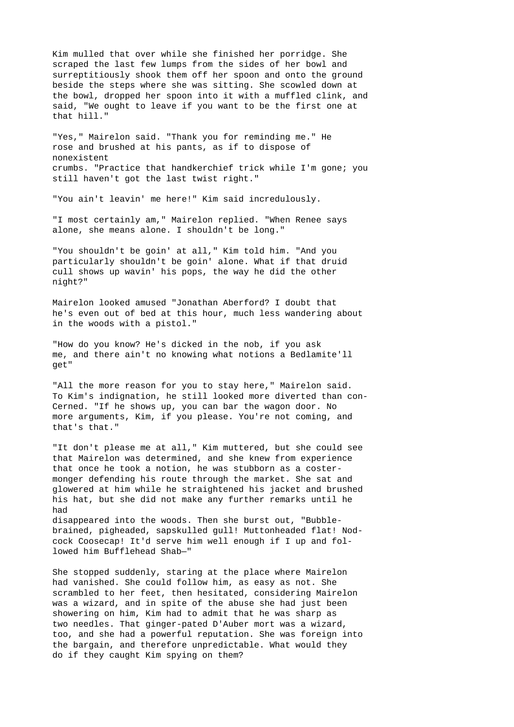Kim mulled that over while she finished her porridge. She scraped the last few lumps from the sides of her bowl and surreptitiously shook them off her spoon and onto the ground beside the steps where she was sitting. She scowled down at the bowl, dropped her spoon into it with a muffled clink, and said, "We ought to leave if you want to be the first one at that hill."

"Yes," Mairelon said. "Thank you for reminding me." He rose and brushed at his pants, as if to dispose of nonexistent crumbs. "Practice that handkerchief trick while I'm gone; you still haven't got the last twist right."

"You ain't leavin' me here!" Kim said incredulously.

"I most certainly am," Mairelon replied. "When Renee says alone, she means alone. I shouldn't be long."

"You shouldn't be goin' at all," Kim told him. "And you particularly shouldn't be goin' alone. What if that druid cull shows up wavin' his pops, the way he did the other night?"

Mairelon looked amused "Jonathan Aberford? I doubt that he's even out of bed at this hour, much less wandering about in the woods with a pistol."

"How do you know? He's dicked in the nob, if you ask me, and there ain't no knowing what notions a Bedlamite'll get"

"All the more reason for you to stay here," Mairelon said. To Kim's indignation, he still looked more diverted than con-Cerned. "If he shows up, you can bar the wagon door. No more arguments, Kim, if you please. You're not coming, and that's that."

"It don't please me at all," Kim muttered, but she could see that Mairelon was determined, and she knew from experience that once he took a notion, he was stubborn as a costermonger defending his route through the market. She sat and glowered at him while he straightened his jacket and brushed his hat, but she did not make any further remarks until he had

disappeared into the woods. Then she burst out, "Bubblebrained, pigheaded, sapskulled gull! Muttonheaded flat! Nodcock Coosecap! It'd serve him well enough if I up and followed him Bufflehead Shab—"

She stopped suddenly, staring at the place where Mairelon had vanished. She could follow him, as easy as not. She scrambled to her feet, then hesitated, considering Mairelon was a wizard, and in spite of the abuse she had just been showering on him, Kim had to admit that he was sharp as two needles. That ginger-pated D'Auber mort was a wizard, too, and she had a powerful reputation. She was foreign into the bargain, and therefore unpredictable. What would they do if they caught Kim spying on them?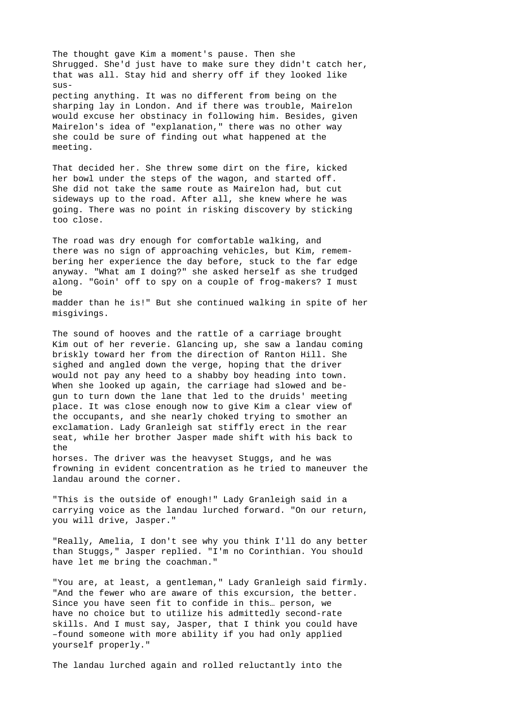The thought gave Kim a moment's pause. Then she Shrugged. She'd just have to make sure they didn't catch her, that was all. Stay hid and sherry off if they looked like  $SUB$ pecting anything. It was no different from being on the sharping lay in London. And if there was trouble, Mairelon

would excuse her obstinacy in following him. Besides, given Mairelon's idea of "explanation," there was no other way she could be sure of finding out what happened at the meeting.

That decided her. She threw some dirt on the fire, kicked her bowl under the steps of the wagon, and started off. She did not take the same route as Mairelon had, but cut sideways up to the road. After all, she knew where he was going. There was no point in risking discovery by sticking too close.

The road was dry enough for comfortable walking, and there was no sign of approaching vehicles, but Kim, remembering her experience the day before, stuck to the far edge anyway. "What am I doing?" she asked herself as she trudged along. "Goin' off to spy on a couple of frog-makers? I must be madder than he is!" But she continued walking in spite of her misgivings.

The sound of hooves and the rattle of a carriage brought Kim out of her reverie. Glancing up, she saw a landau coming briskly toward her from the direction of Ranton Hill. She sighed and angled down the verge, hoping that the driver would not pay any heed to a shabby boy heading into town. When she looked up again, the carriage had slowed and begun to turn down the lane that led to the druids' meeting place. It was close enough now to give Kim a clear view of the occupants, and she nearly choked trying to smother an exclamation. Lady Granleigh sat stiffly erect in the rear seat, while her brother Jasper made shift with his back to the

horses. The driver was the heavyset Stuggs, and he was frowning in evident concentration as he tried to maneuver the landau around the corner.

"This is the outside of enough!" Lady Granleigh said in a carrying voice as the landau lurched forward. "On our return, you will drive, Jasper."

"Really, Amelia, I don't see why you think I'll do any better than Stuggs," Jasper replied. "I'm no Corinthian. You should have let me bring the coachman."

"You are, at least, a gentleman," Lady Granleigh said firmly. "And the fewer who are aware of this excursion, the better. Since you have seen fit to confide in this… person, we have no choice but to utilize his admittedly second-rate skills. And I must say, Jasper, that I think you could have –found someone with more ability if you had only applied yourself properly."

The landau lurched again and rolled reluctantly into the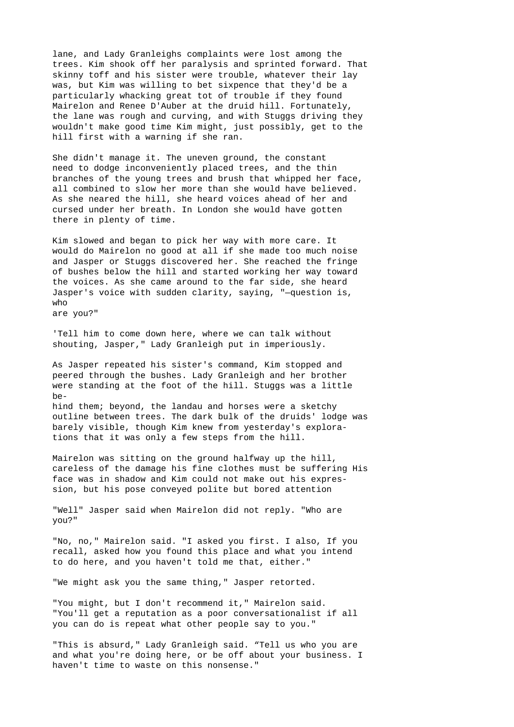lane, and Lady Granleighs complaints were lost among the trees. Kim shook off her paralysis and sprinted forward. That skinny toff and his sister were trouble, whatever their lay was, but Kim was willing to bet sixpence that they'd be a particularly whacking great tot of trouble if they found Mairelon and Renee D'Auber at the druid hill. Fortunately, the lane was rough and curving, and with Stuggs driving they wouldn't make good time Kim might, just possibly, get to the hill first with a warning if she ran.

She didn't manage it. The uneven ground, the constant need to dodge inconveniently placed trees, and the thin branches of the young trees and brush that whipped her face, all combined to slow her more than she would have believed. As she neared the hill, she heard voices ahead of her and cursed under her breath. In London she would have gotten there in plenty of time.

Kim slowed and began to pick her way with more care. It would do Mairelon no good at all if she made too much noise and Jasper or Stuggs discovered her. She reached the fringe of bushes below the hill and started working her way toward the voices. As she came around to the far side, she heard Jasper's voice with sudden clarity, saying, "—question is, who are you?"

'Tell him to come down here, where we can talk without shouting, Jasper," Lady Granleigh put in imperiously.

As Jasper repeated his sister's command, Kim stopped and peered through the bushes. Lady Granleigh and her brother were standing at the foot of the hill. Stuggs was a little be-

hind them; beyond, the landau and horses were a sketchy outline between trees. The dark bulk of the druids' lodge was barely visible, though Kim knew from yesterday's explorations that it was only a few steps from the hill.

Mairelon was sitting on the ground halfway up the hill, careless of the damage his fine clothes must be suffering His face was in shadow and Kim could not make out his expression, but his pose conveyed polite but bored attention

"Well" Jasper said when Mairelon did not reply. "Who are you?"

"No, no," Mairelon said. "I asked you first. I also, If you recall, asked how you found this place and what you intend to do here, and you haven't told me that, either."

"We might ask you the same thing," Jasper retorted.

"You might, but I don't recommend it," Mairelon said. "You'll get a reputation as a poor conversationalist if all you can do is repeat what other people say to you."

"This is absurd," Lady Granleigh said. "Tell us who you are and what you're doing here, or be off about your business. I haven't time to waste on this nonsense."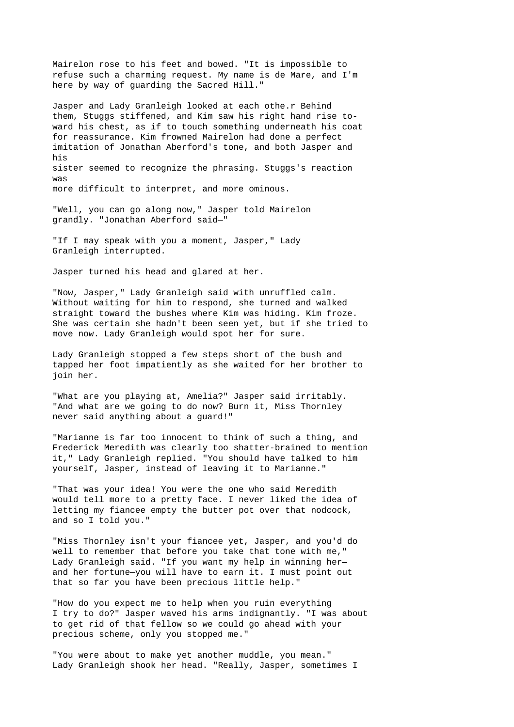Mairelon rose to his feet and bowed. "It is impossible to refuse such a charming request. My name is de Mare, and I'm here by way of guarding the Sacred Hill."

Jasper and Lady Granleigh looked at each othe.r Behind them, Stuggs stiffened, and Kim saw his right hand rise toward his chest, as if to touch something underneath his coat for reassurance. Kim frowned Mairelon had done a perfect imitation of Jonathan Aberford's tone, and both Jasper and his sister seemed to recognize the phrasing. Stuggs's reaction  $W \cap C$ more difficult to interpret, and more ominous.

"Well, you can go along now," Jasper told Mairelon grandly. "Jonathan Aberford said—"

"If I may speak with you a moment, Jasper," Lady Granleigh interrupted.

Jasper turned his head and glared at her.

"Now, Jasper," Lady Granleigh said with unruffled calm. Without waiting for him to respond, she turned and walked straight toward the bushes where Kim was hiding. Kim froze. She was certain she hadn't been seen yet, but if she tried to move now. Lady Granleigh would spot her for sure.

Lady Granleigh stopped a few steps short of the bush and tapped her foot impatiently as she waited for her brother to join her.

"What are you playing at, Amelia?" Jasper said irritably. "And what are we going to do now? Burn it, Miss Thornley never said anything about a guard!"

"Marianne is far too innocent to think of such a thing, and Frederick Meredith was clearly too shatter-brained to mention it," Lady Granleigh replied. "You should have talked to him yourself, Jasper, instead of leaving it to Marianne."

"That was your idea! You were the one who said Meredith would tell more to a pretty face. I never liked the idea of letting my fiancee empty the butter pot over that nodcock, and so I told you."

"Miss Thornley isn't your fiancee yet, Jasper, and you'd do well to remember that before you take that tone with me," Lady Granleigh said. "If you want my help in winning her and her fortune—you will have to earn it. I must point out that so far you have been precious little help."

"How do you expect me to help when you ruin everything I try to do?" Jasper waved his arms indignantly. "I was about to get rid of that fellow so we could go ahead with your precious scheme, only you stopped me."

"You were about to make yet another muddle, you mean." Lady Granleigh shook her head. "Really, Jasper, sometimes I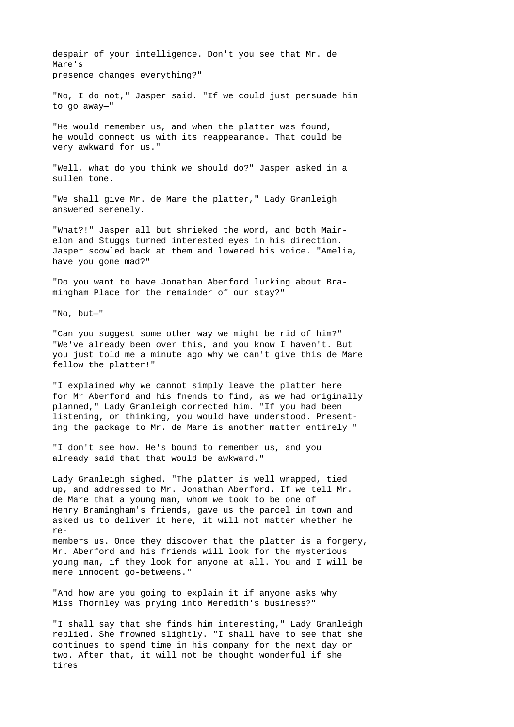despair of your intelligence. Don't you see that Mr. de Mare's presence changes everything?"

"No, I do not," Jasper said. "If we could just persuade him to go away—"

"He would remember us, and when the platter was found, he would connect us with its reappearance. That could be very awkward for us."

"Well, what do you think we should do?" Jasper asked in a sullen tone.

"We shall give Mr. de Mare the platter," Lady Granleigh answered serenely.

"What?!" Jasper all but shrieked the word, and both Mairelon and Stuggs turned interested eyes in his direction. Jasper scowled back at them and lowered his voice. "Amelia, have you gone mad?"

"Do you want to have Jonathan Aberford lurking about Bramingham Place for the remainder of our stay?"

"No, but—"

"Can you suggest some other way we might be rid of him?" "We've already been over this, and you know I haven't. But you just told me a minute ago why we can't give this de Mare fellow the platter!"

"I explained why we cannot simply leave the platter here for Mr Aberford and his fnends to find, as we had originally planned," Lady Granleigh corrected him. "If you had been listening, or thinking, you would have understood. Presenting the package to Mr. de Mare is another matter entirely "

"I don't see how. He's bound to remember us, and you already said that that would be awkward."

Lady Granleigh sighed. "The platter is well wrapped, tied up, and addressed to Mr. Jonathan Aberford. If we tell Mr. de Mare that a young man, whom we took to be one of Henry Bramingham's friends, gave us the parcel in town and asked us to deliver it here, it will not matter whether he re-

members us. Once they discover that the platter is a forgery, Mr. Aberford and his friends will look for the mysterious young man, if they look for anyone at all. You and I will be mere innocent go-betweens."

"And how are you going to explain it if anyone asks why Miss Thornley was prying into Meredith's business?"

"I shall say that she finds him interesting," Lady Granleigh replied. She frowned slightly. "I shall have to see that she continues to spend time in his company for the next day or two. After that, it will not be thought wonderful if she tires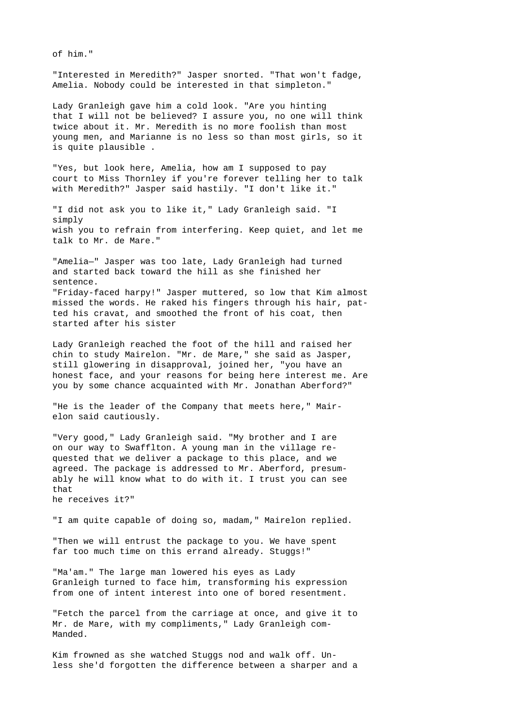"Interested in Meredith?" Jasper snorted. "That won't fadge, Amelia. Nobody could be interested in that simpleton." Lady Granleigh gave him a cold look. "Are you hinting that I will not be believed? I assure you, no one will think twice about it. Mr. Meredith is no more foolish than most young men, and Marianne is no less so than most girls, so it is quite plausible . "Yes, but look here, Amelia, how am I supposed to pay court to Miss Thornley if you're forever telling her to talk with Meredith?" Jasper said hastily. "I don't like it." "I did not ask you to like it," Lady Granleigh said. "I simply wish you to refrain from interfering. Keep quiet, and let me talk to Mr. de Mare." "Amelia—" Jasper was too late, Lady Granleigh had turned and started back toward the hill as she finished her sentence. "Friday-faced harpy!" Jasper muttered, so low that Kim almost missed the words. He raked his fingers through his hair, patted his cravat, and smoothed the front of his coat, then started after his sister Lady Granleigh reached the foot of the hill and raised her chin to study Mairelon. "Mr. de Mare," she said as Jasper, still glowering in disapproval, joined her, "you have an honest face, and your reasons for being here interest me. Are you by some chance acquainted with Mr. Jonathan Aberford?" "He is the leader of the Company that meets here," Mairelon said cautiously. "Very good," Lady Granleigh said. "My brother and I are on our way to Swafflton. A young man in the village requested that we deliver a package to this place, and we agreed. The package is addressed to Mr. Aberford, presumably he will know what to do with it. I trust you can see that he receives it?" "I am quite capable of doing so, madam," Mairelon replied. "Then we will entrust the package to you. We have spent far too much time on this errand already. Stuggs!" "Ma'am." The large man lowered his eyes as Lady Granleigh turned to face him, transforming his expression from one of intent interest into one of bored resentment. "Fetch the parcel from the carriage at once, and give it to

of him."

Manded. Kim frowned as she watched Stuggs nod and walk off. Un-

less she'd forgotten the difference between a sharper and a

Mr. de Mare, with my compliments," Lady Granleigh com-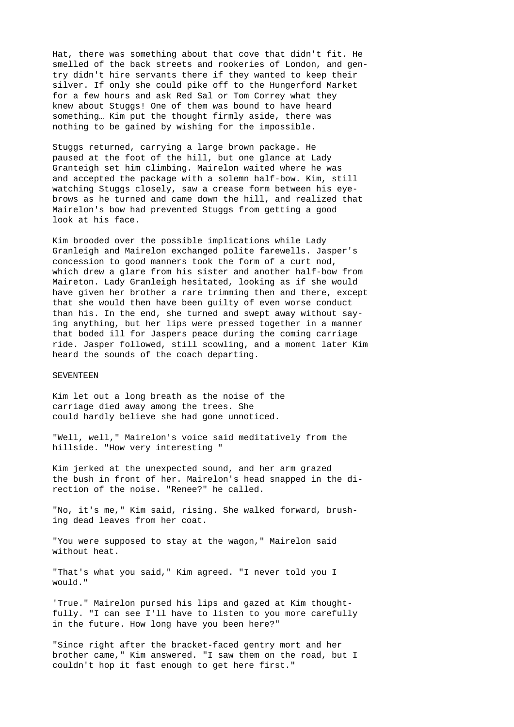Hat, there was something about that cove that didn't fit. He smelled of the back streets and rookeries of London, and gentry didn't hire servants there if they wanted to keep their silver. If only she could pike off to the Hungerford Market for a few hours and ask Red Sal or Tom Correy what they knew about Stuggs! One of them was bound to have heard something… Kim put the thought firmly aside, there was nothing to be gained by wishing for the impossible.

Stuggs returned, carrying a large brown package. He paused at the foot of the hill, but one glance at Lady Granteigh set him climbing. Mairelon waited where he was and accepted the package with a solemn half-bow. Kim, still watching Stuggs closely, saw a crease form between his eyebrows as he turned and came down the hill, and realized that Mairelon's bow had prevented Stuggs from getting a good look at his face.

Kim brooded over the possible implications while Lady Granleigh and Mairelon exchanged polite farewells. Jasper's concession to good manners took the form of a curt nod, which drew a glare from his sister and another half-bow from Maireton. Lady Granleigh hesitated, looking as if she would have given her brother a rare trimming then and there, except that she would then have been guilty of even worse conduct than his. In the end, she turned and swept away without saying anything, but her lips were pressed together in a manner that boded ill for Jaspers peace during the coming carriage ride. Jasper followed, still scowling, and a moment later Kim heard the sounds of the coach departing.

## SEVENTEEN

Kim let out a long breath as the noise of the carriage died away among the trees. She could hardly believe she had gone unnoticed.

"Well, well," Mairelon's voice said meditatively from the hillside. "How very interesting "

Kim jerked at the unexpected sound, and her arm grazed the bush in front of her. Mairelon's head snapped in the direction of the noise. "Renee?" he called.

"No, it's me," Kim said, rising. She walked forward, brushing dead leaves from her coat.

"You were supposed to stay at the wagon," Mairelon said without heat.

"That's what you said," Kim agreed. "I never told you I would."

'True." Mairelon pursed his lips and gazed at Kim thoughtfully. "I can see I'll have to listen to you more carefully in the future. How long have you been here?"

"Since right after the bracket-faced gentry mort and her brother came," Kim answered. "I saw them on the road, but I couldn't hop it fast enough to get here first."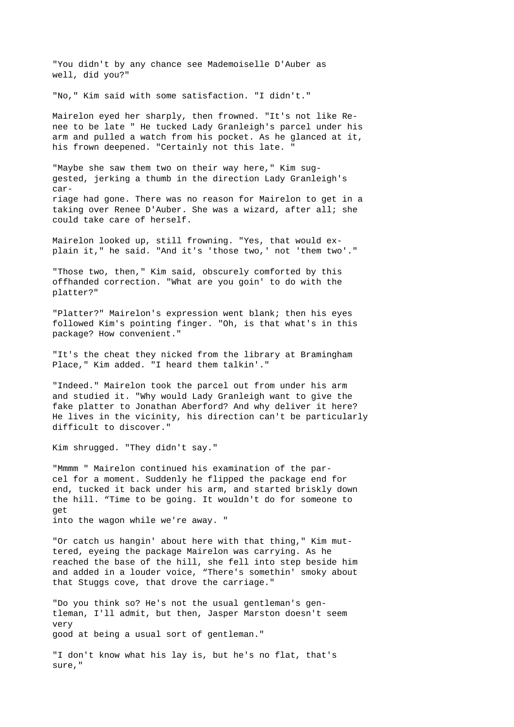"You didn't by any chance see Mademoiselle D'Auber as well, did you?"

"No," Kim said with some satisfaction. "I didn't."

Mairelon eyed her sharply, then frowned. "It's not like Renee to be late " He tucked Lady Granleigh's parcel under his arm and pulled a watch from his pocket. As he glanced at it, his frown deepened. "Certainly not this late. "

"Maybe she saw them two on their way here," Kim suggested, jerking a thumb in the direction Lady Granleigh's carriage had gone. There was no reason for Mairelon to get in a taking over Renee D'Auber. She was a wizard, after all; she could take care of herself.

Mairelon looked up, still frowning. "Yes, that would explain it," he said. "And it's 'those two,' not 'them two'."

"Those two, then," Kim said, obscurely comforted by this offhanded correction. "What are you goin' to do with the platter?"

"Platter?" Mairelon's expression went blank; then his eyes followed Kim's pointing finger. "Oh, is that what's in this package? How convenient."

"It's the cheat they nicked from the library at Bramingham Place," Kim added. "I heard them talkin'."

"Indeed." Mairelon took the parcel out from under his arm and studied it. "Why would Lady Granleigh want to give the fake platter to Jonathan Aberford? And why deliver it here? He lives in the vicinity, his direction can't be particularly difficult to discover."

Kim shrugged. "They didn't say."

"Mmmm " Mairelon continued his examination of the parcel for a moment. Suddenly he flipped the package end for end, tucked it back under his arm, and started briskly down the hill. "Time to be going. It wouldn't do for someone to get

into the wagon while we're away. "

"Or catch us hangin' about here with that thing," Kim muttered, eyeing the package Mairelon was carrying. As he reached the base of the hill, she fell into step beside him and added in a louder voice, "There's somethin' smoky about that Stuggs cove, that drove the carriage."

"Do you think so? He's not the usual gentleman's gentleman, I'll admit, but then, Jasper Marston doesn't seem very good at being a usual sort of gentleman."

"I don't know what his lay is, but he's no flat, that's sure,"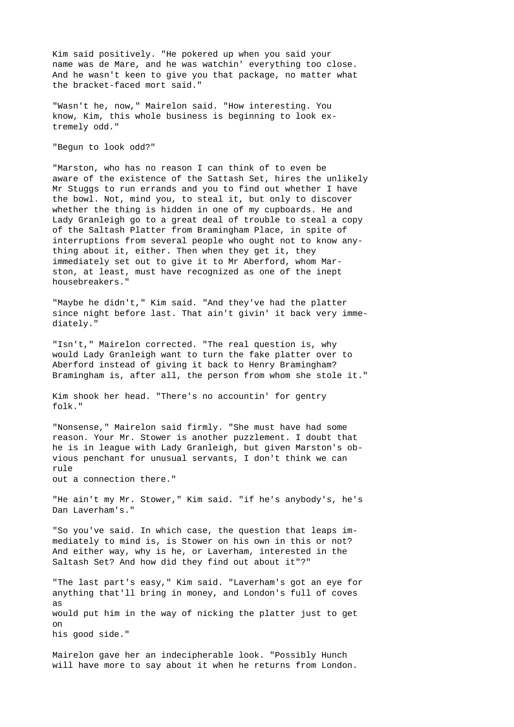Kim said positively. "He pokered up when you said your name was de Mare, and he was watchin' everything too close. And he wasn't keen to give you that package, no matter what the bracket-faced mort said."

"Wasn't he, now," Mairelon said. "How interesting. You know, Kim, this whole business is beginning to look extremely odd."

"Begun to look odd?"

"Marston, who has no reason I can think of to even be aware of the existence of the Sattash Set, hires the unlikely Mr Stuggs to run errands and you to find out whether I have the bowl. Not, mind you, to steal it, but only to discover whether the thing is hidden in one of my cupboards. He and Lady Granleigh go to a great deal of trouble to steal a copy of the Saltash Platter from Bramingham Place, in spite of interruptions from several people who ought not to know anything about it, either. Then when they get it, they immediately set out to give it to Mr Aberford, whom Marston, at least, must have recognized as one of the inept housebreakers."

"Maybe he didn't," Kim said. "And they've had the platter since night before last. That ain't givin' it back very immediately."

"Isn't," Mairelon corrected. "The real question is, why would Lady Granleigh want to turn the fake platter over to Aberford instead of giving it back to Henry Bramingham? Bramingham is, after all, the person from whom she stole it."

Kim shook her head. "There's no accountin' for gentry folk."

"Nonsense," Mairelon said firmly. "She must have had some reason. Your Mr. Stower is another puzzlement. I doubt that he is in league with Lady Granleigh, but given Marston's obvious penchant for unusual servants, I don't think we can rule

out a connection there."

"He ain't my Mr. Stower," Kim said. "if he's anybody's, he's Dan Laverham's."

"So you've said. In which case, the question that leaps immediately to mind is, is Stower on his own in this or not? And either way, why is he, or Laverham, interested in the Saltash Set? And how did they find out about it"?"

"The last part's easy," Kim said. "Laverham's got an eye for anything that'll bring in money, and London's full of coves as would put him in the way of nicking the platter just to get on his good side."

Mairelon gave her an indecipherable look. "Possibly Hunch will have more to say about it when he returns from London.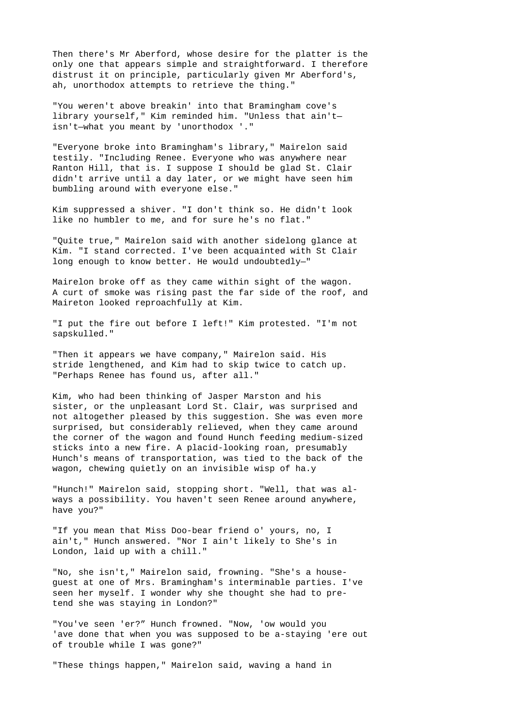Then there's Mr Aberford, whose desire for the platter is the only one that appears simple and straightforward. I therefore distrust it on principle, particularly given Mr Aberford's, ah, unorthodox attempts to retrieve the thing."

"You weren't above breakin' into that Bramingham cove's library yourself," Kim reminded him. "Unless that ain't isn't—what you meant by 'unorthodox '."

"Everyone broke into Bramingham's library," Mairelon said testily. "Including Renee. Everyone who was anywhere near Ranton Hill, that is. I suppose I should be glad St. Clair didn't arrive until a day later, or we might have seen him bumbling around with everyone else."

Kim suppressed a shiver. "I don't think so. He didn't look like no humbler to me, and for sure he's no flat."

"Quite true," Mairelon said with another sidelong glance at Kim. "I stand corrected. I've been acquainted with St Clair long enough to know better. He would undoubtedly—"

Mairelon broke off as they came within sight of the wagon. A curt of smoke was rising past the far side of the roof, and Maireton looked reproachfully at Kim.

"I put the fire out before I left!" Kim protested. "I'm not sapskulled."

"Then it appears we have company," Mairelon said. His stride lengthened, and Kim had to skip twice to catch up. "Perhaps Renee has found us, after all."

Kim, who had been thinking of Jasper Marston and his sister, or the unpleasant Lord St. Clair, was surprised and not altogether pleased by this suggestion. She was even more surprised, but considerably relieved, when they came around the corner of the wagon and found Hunch feeding medium-sized sticks into a new fire. A placid-looking roan, presumably Hunch's means of transportation, was tied to the back of the wagon, chewing quietly on an invisible wisp of ha.y

"Hunch!" Mairelon said, stopping short. "Well, that was always a possibility. You haven't seen Renee around anywhere, have you?"

"If you mean that Miss Doo-bear friend o' yours, no, I ain't," Hunch answered. "Nor I ain't likely to She's in London, laid up with a chill."

"No, she isn't," Mairelon said, frowning. "She's a houseguest at one of Mrs. Bramingham's interminable parties. I've seen her myself. I wonder why she thought she had to pretend she was staying in London?"

"You've seen 'er?" Hunch frowned. "Now, 'ow would you 'ave done that when you was supposed to be a-staying 'ere out of trouble while I was gone?"

"These things happen," Mairelon said, waving a hand in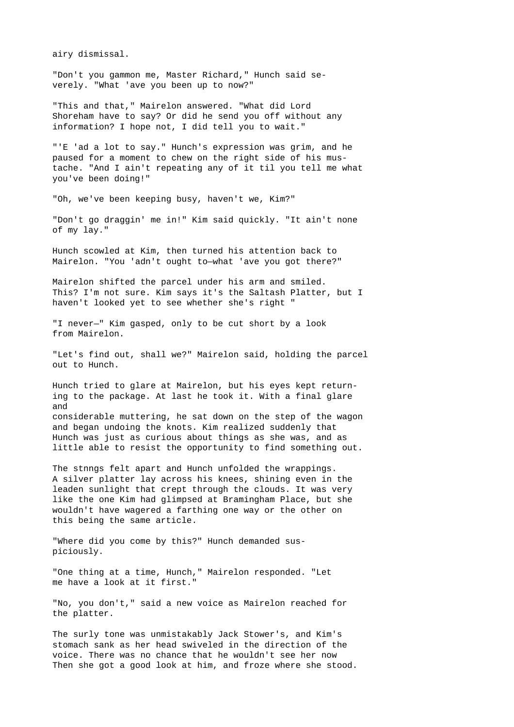airy dismissal.

"Don't you gammon me, Master Richard," Hunch said severely. "What 'ave you been up to now?"

"This and that," Mairelon answered. "What did Lord Shoreham have to say? Or did he send you off without any information? I hope not, I did tell you to wait."

"'E 'ad a lot to say." Hunch's expression was grim, and he paused for a moment to chew on the right side of his mustache. "And I ain't repeating any of it til you tell me what you've been doing!"

"Oh, we've been keeping busy, haven't we, Kim?"

"Don't go draggin' me in!" Kim said quickly. "It ain't none of my lay."

Hunch scowled at Kim, then turned his attention back to Mairelon. "You 'adn't ought to—what 'ave you got there?"

Mairelon shifted the parcel under his arm and smiled. This? I'm not sure. Kim says it's the Saltash Platter, but I haven't looked yet to see whether she's right "

"I never—" Kim gasped, only to be cut short by a look from Mairelon.

"Let's find out, shall we?" Mairelon said, holding the parcel out to Hunch.

Hunch tried to glare at Mairelon, but his eyes kept returning to the package. At last he took it. With a final glare and considerable muttering, he sat down on the step of the wagon and began undoing the knots. Kim realized suddenly that Hunch was just as curious about things as she was, and as little able to resist the opportunity to find something out.

The stnngs felt apart and Hunch unfolded the wrappings. A silver platter lay across his knees, shining even in the leaden sunlight that crept through the clouds. It was very like the one Kim had glimpsed at Bramingham Place, but she wouldn't have wagered a farthing one way or the other on this being the same article.

"Where did you come by this?" Hunch demanded suspiciously.

"One thing at a time, Hunch," Mairelon responded. "Let me have a look at it first."

"No, you don't," said a new voice as Mairelon reached for the platter.

The surly tone was unmistakably Jack Stower's, and Kim's stomach sank as her head swiveled in the direction of the voice. There was no chance that he wouldn't see her now Then she got a good look at him, and froze where she stood.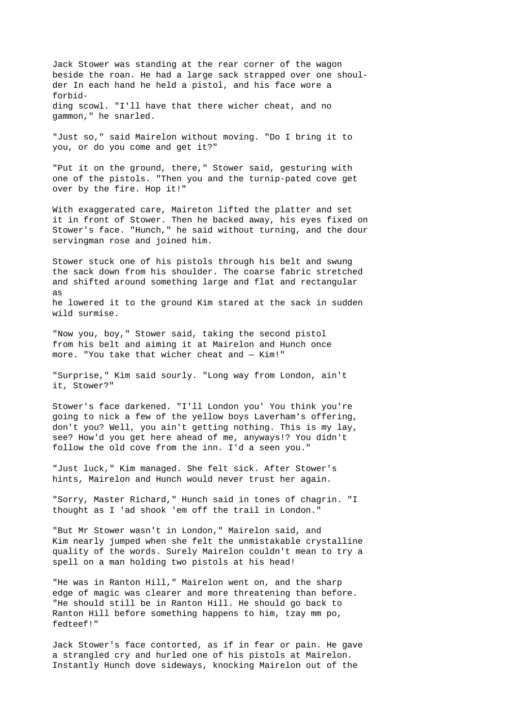Jack Stower was standing at the rear corner of the wagon beside the roan. He had a large sack strapped over one shoulder In each hand he held a pistol, and his face wore a forbidding scowl. "I'll have that there wicher cheat, and no gammon," he snarled. "Just so," said Mairelon without moving. "Do I bring it to you, or do you come and get it?" "Put it on the ground, there," Stower said, gesturing with one of the pistols. "Then you and the turnip-pated cove get over by the fire. Hop it!" With exaggerated care, Maireton lifted the platter and set it in front of Stower. Then he backed away, his eyes fixed on Stower's face. "Hunch," he said without turning, and the dour servingman rose and joined him. Stower stuck one of his pistols through his belt and swung the sack down from his shoulder. The coarse fabric stretched and shifted around something large and flat and rectangular as he lowered it to the ground Kim stared at the sack in sudden wild surmise. "Now you, boy," Stower said, taking the second pistol from his belt and aiming it at Mairelon and Hunch once more. "You take that wicher cheat and — Kim!" "Surprise," Kim said sourly. "Long way from London, ain't it, Stower?" Stower's face darkened. "I'll London you' You think you're going to nick a few of the yellow boys Laverham's offering, don't you? Well, you ain't getting nothing. This is my lay, see? How'd you get here ahead of me, anyways!? You didn't follow the old cove from the inn. I'd a seen you." "Just luck," Kim managed. She felt sick. After Stower's hints, Mairelon and Hunch would never trust her again. "Sorry, Master Richard," Hunch said in tones of chagrin. "I thought as I 'ad shook 'em off the trail in London." "But Mr Stower wasn't in London," Mairelon said, and

Kim nearly jumped when she felt the unmistakable crystalline quality of the words. Surely Mairelon couldn't mean to try a spell on a man holding two pistols at his head!

"He was in Ranton Hill," Mairelon went on, and the sharp edge of magic was clearer and more threatening than before. "He should still be in Ranton Hill. He should go back to Ranton Hill before something happens to him, tzay mm po, fedteef!"

Jack Stower's face contorted, as if in fear or pain. He gave a strangled cry and hurled one of his pistols at Mairelon. Instantly Hunch dove sideways, knocking Mairelon out of the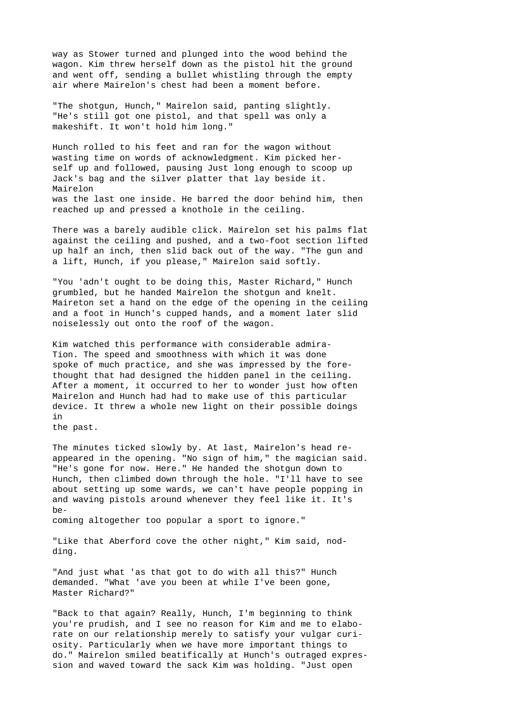way as Stower turned and plunged into the wood behind the wagon. Kim threw herself down as the pistol hit the ground and went off, sending a bullet whistling through the empty air where Mairelon's chest had been a moment before.

"The shotgun, Hunch," Mairelon said, panting slightly. "He's still got one pistol, and that spell was only a makeshift. It won't hold him long."

Hunch rolled to his feet and ran for the wagon without wasting time on words of acknowledgment. Kim picked herself up and followed, pausing Just long enough to scoop up Jack's bag and the silver platter that lay beside it. Mairelon was the last one inside. He barred the door behind him, then reached up and pressed a knothole in the ceiling.

There was a barely audible click. Mairelon set his palms flat against the ceiling and pushed, and a two-foot section lifted up half an inch, then slid back out of the way. "The gun and a lift, Hunch, if you please," Mairelon said softly.

"You 'adn't ought to be doing this, Master Richard," Hunch grumbled, but he handed Mairelon the shotgun and knelt. Maireton set a hand on the edge of the opening in the ceiling and a foot in Hunch's cupped hands, and a moment later slid noiselessly out onto the roof of the wagon.

Kim watched this performance with considerable admira-Tion. The speed and smoothness with which it was done spoke of much practice, and she was impressed by the forethought that had designed the hidden panel in the ceiling. After a moment, it occurred to her to wonder just how often Mairelon and Hunch had had to make use of this particular device. It threw a whole new light on their possible doings in

the past.

The minutes ticked slowly by. At last, Mairelon's head reappeared in the opening. "No sign of him," the magician said. "He's gone for now. Here." He handed the shotgun down to Hunch, then climbed down through the hole. "I'll have to see about setting up some wards, we can't have people popping in and waving pistols around whenever they feel like it. It's be-

coming altogether too popular a sport to ignore."

"Like that Aberford cove the other night," Kim said, nodding.

"And just what 'as that got to do with all this?" Hunch demanded. "What 'ave you been at while I've been gone, Master Richard?"

"Back to that again? Really, Hunch, I'm beginning to think you're prudish, and I see no reason for Kim and me to elaborate on our relationship merely to satisfy your vulgar curiosity. Particularly when we have more important things to do." Mairelon smiled beatifically at Hunch's outraged expression and waved toward the sack Kim was holding. "Just open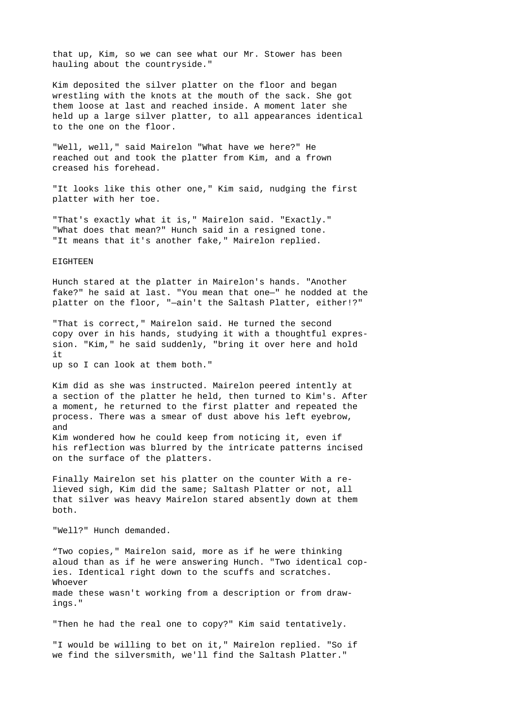that up, Kim, so we can see what our Mr. Stower has been hauling about the countryside."

Kim deposited the silver platter on the floor and began wrestling with the knots at the mouth of the sack. She got them loose at last and reached inside. A moment later she held up a large silver platter, to all appearances identical to the one on the floor.

"Well, well," said Mairelon "What have we here?" He reached out and took the platter from Kim, and a frown creased his forehead.

"It looks like this other one," Kim said, nudging the first platter with her toe.

"That's exactly what it is," Mairelon said. "Exactly." "What does that mean?" Hunch said in a resigned tone. "It means that it's another fake," Mairelon replied.

EIGHTEEN

Hunch stared at the platter in Mairelon's hands. "Another fake?" he said at last. "You mean that one—" he nodded at the platter on the floor, "—ain't the Saltash Platter, either!?"

"That is correct," Mairelon said. He turned the second copy over in his hands, studying it with a thoughtful expression. "Kim," he said suddenly, "bring it over here and hold it

up so I can look at them both."

Kim did as she was instructed. Mairelon peered intently at a section of the platter he held, then turned to Kim's. After a moment, he returned to the first platter and repeated the process. There was a smear of dust above his left eyebrow, and Kim wondered how he could keep from noticing it, even if

his reflection was blurred by the intricate patterns incised on the surface of the platters.

Finally Mairelon set his platter on the counter With a relieved sigh, Kim did the same; Saltash Platter or not, all that silver was heavy Mairelon stared absently down at them both.

"Well?" Hunch demanded.

"Two copies," Mairelon said, more as if he were thinking aloud than as if he were answering Hunch. "Two identical copies. Identical right down to the scuffs and scratches. Whoever made these wasn't working from a description or from drawings."

"Then he had the real one to copy?" Kim said tentatively.

"I would be willing to bet on it," Mairelon replied. "So if we find the silversmith, we'll find the Saltash Platter."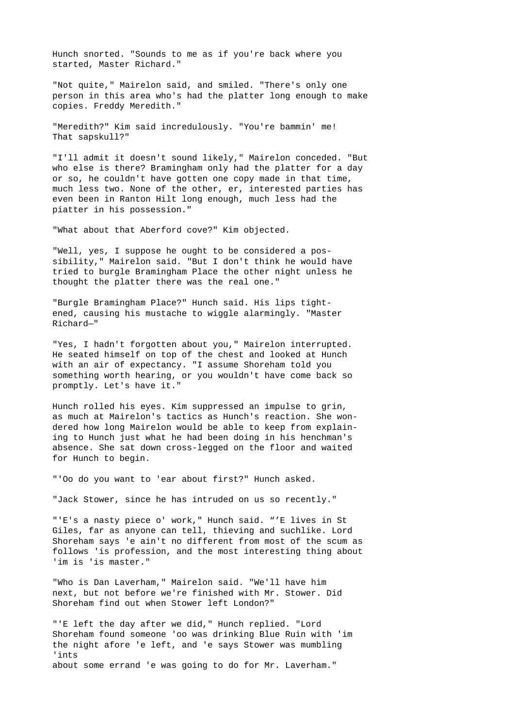Hunch snorted. "Sounds to me as if you're back where you started, Master Richard."

"Not quite," Mairelon said, and smiled. "There's only one person in this area who's had the platter long enough to make copies. Freddy Meredith."

"Meredith?" Kim said incredulously. "You're bammin' me! That sapskull?"

"I'll admit it doesn't sound likely," Mairelon conceded. "But who else is there? Bramingham only had the platter for a day or so, he couldn't have gotten one copy made in that time, much less two. None of the other, er, interested parties has even been in Ranton Hilt long enough, much less had the piatter in his possession."

"What about that Aberford cove?" Kim objected.

"Well, yes, I suppose he ought to be considered a possibility," Mairelon said. "But I don't think he would have tried to burgle Bramingham Place the other night unless he thought the platter there was the real one."

"Burgle Bramingham Place?" Hunch said. His lips tightened, causing his mustache to wiggle alarmingly. "Master Richard—"

"Yes, I hadn't forgotten about you," Mairelon interrupted. He seated himself on top of the chest and looked at Hunch with an air of expectancy. "I assume Shoreham told you something worth hearing, or you wouldn't have come back so promptly. Let's have it."

Hunch rolled his eyes. Kim suppressed an impulse to grin, as much at Mairelon's tactics as Hunch's reaction. She wondered how long Mairelon would be able to keep from explaining to Hunch just what he had been doing in his henchman's absence. She sat down cross-legged on the floor and waited for Hunch to begin.

"'Oo do you want to 'ear about first?" Hunch asked.

"Jack Stower, since he has intruded on us so recently."

"'E's a nasty piece o' work," Hunch said. "'E lives in St Giles, far as anyone can tell, thieving and suchlike. Lord Shoreham says 'e ain't no different from most of the scum as follows 'is profession, and the most interesting thing about 'im is 'is master."

"Who is Dan Laverham," Mairelon said. "We'll have him next, but not before we're finished with Mr. Stower. Did Shoreham find out when Stower left London?"

"'E left the day after we did," Hunch replied. "Lord Shoreham found someone 'oo was drinking Blue Ruin with 'im the night afore 'e left, and 'e says Stower was mumbling 'ints about some errand 'e was going to do for Mr. Laverham."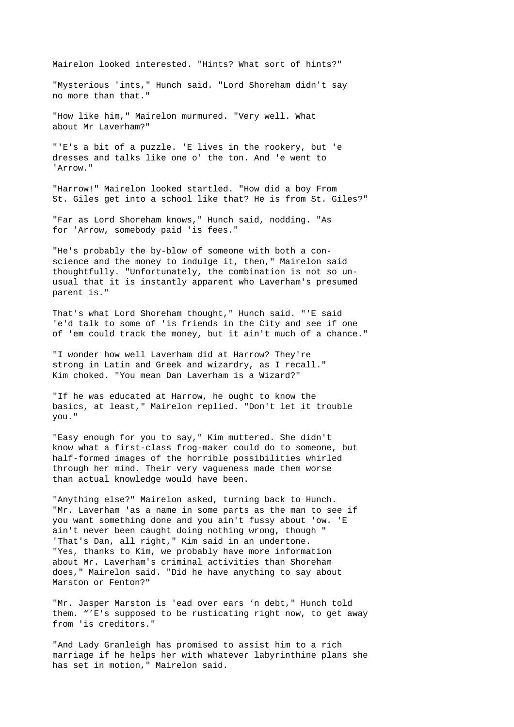Mairelon looked interested. "Hints? What sort of hints?"

"Mysterious 'ints," Hunch said. "Lord Shoreham didn't say no more than that."

"How like him," Mairelon murmured. "Very well. What about Mr Laverham?"

"'E's a bit of a puzzle. 'E lives in the rookery, but 'e dresses and talks like one o' the ton. And 'e went to 'Arrow."

"Harrow!" Mairelon looked startled. "How did a boy From St. Giles get into a school like that? He is from St. Giles?"

"Far as Lord Shoreham knows," Hunch said, nodding. "As for 'Arrow, somebody paid 'is fees."

"He's probably the by-blow of someone with both a conscience and the money to indulge it, then," Mairelon said thoughtfully. "Unfortunately, the combination is not so unusual that it is instantly apparent who Laverham's presumed parent is."

That's what Lord Shoreham thought," Hunch said. "'E said 'e'd talk to some of 'is friends in the City and see if one of 'em could track the money, but it ain't much of a chance."

"I wonder how well Laverham did at Harrow? They're strong in Latin and Greek and wizardry, as I recall." Kim choked. "You mean Dan Laverham is a Wizard?"

"If he was educated at Harrow, he ought to know the basics, at least," Mairelon replied. "Don't let it trouble you."

"Easy enough for you to say," Kim muttered. She didn't know what a first-class frog-maker could do to someone, but half-formed images of the horrible possibilities whirled through her mind. Their very vagueness made them worse than actual knowledge would have been.

"Anything else?" Mairelon asked, turning back to Hunch. "Mr. Laverham 'as a name in some parts as the man to see if you want something done and you ain't fussy about 'ow. 'E ain't never been caught doing nothing wrong, though " 'That's Dan, all right," Kim said in an undertone. "Yes, thanks to Kim, we probably have more information about Mr. Laverham's criminal activities than Shoreham does," Mairelon said. "Did he have anything to say about Marston or Fenton?"

"Mr. Jasper Marston is 'ead over ears 'n debt," Hunch told them. "'E's supposed to be rusticating right now, to get away from 'is creditors."

"And Lady Granleigh has promised to assist him to a rich marriage if he helps her with whatever labyrinthine plans she has set in motion," Mairelon said.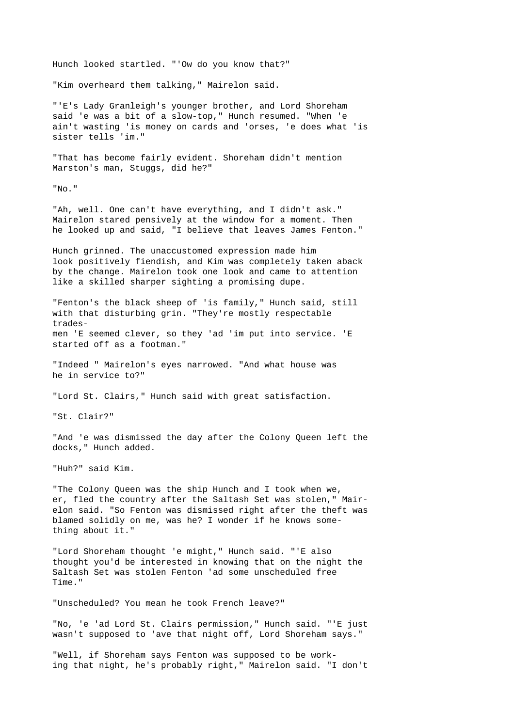Hunch looked startled. "'Ow do you know that?" "Kim overheard them talking," Mairelon said. "'E's Lady Granleigh's younger brother, and Lord Shoreham said 'e was a bit of a slow-top," Hunch resumed. "When 'e ain't wasting 'is money on cards and 'orses, 'e does what 'is sister tells 'im." "That has become fairly evident. Shoreham didn't mention Marston's man, Stuggs, did he?" "No." "Ah, well. One can't have everything, and I didn't ask." Mairelon stared pensively at the window for a moment. Then he looked up and said, "I believe that leaves James Fenton." Hunch grinned. The unaccustomed expression made him look positively fiendish, and Kim was completely taken aback by the change. Mairelon took one look and came to attention like a skilled sharper sighting a promising dupe. "Fenton's the black sheep of 'is family," Hunch said, still with that disturbing grin. "They're mostly respectable tradesmen 'E seemed clever, so they 'ad 'im put into service. 'E started off as a footman." "Indeed " Mairelon's eyes narrowed. "And what house was he in service to?" "Lord St. Clairs," Hunch said with great satisfaction. "St. Clair?" "And 'e was dismissed the day after the Colony Queen left the docks," Hunch added. "Huh?" said Kim. "The Colony Queen was the ship Hunch and I took when we, er, fled the country after the Saltash Set was stolen," Mairelon said. "So Fenton was dismissed right after the theft was blamed solidly on me, was he? I wonder if he knows something about it." "Lord Shoreham thought 'e might," Hunch said. "'E also thought you'd be interested in knowing that on the night the Saltash Set was stolen Fenton 'ad some unscheduled free Time." "Unscheduled? You mean he took French leave?" "No, 'e 'ad Lord St. Clairs permission," Hunch said. "'E just wasn't supposed to 'ave that night off, Lord Shoreham says." "Well, if Shoreham says Fenton was supposed to be working that night, he's probably right," Mairelon said. "I don't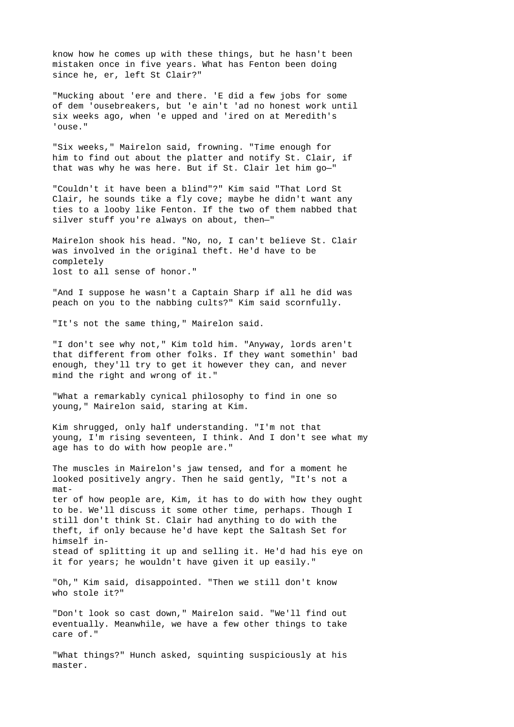know how he comes up with these things, but he hasn't been mistaken once in five years. What has Fenton been doing since he, er, left St Clair?"

"Mucking about 'ere and there. 'E did a few jobs for some of dem 'ousebreakers, but 'e ain't 'ad no honest work until six weeks ago, when 'e upped and 'ired on at Meredith's 'ouse."

"Six weeks," Mairelon said, frowning. "Time enough for him to find out about the platter and notify St. Clair, if that was why he was here. But if St. Clair let him go—"

"Couldn't it have been a blind"?" Kim said "That Lord St Clair, he sounds tike a fly cove; maybe he didn't want any ties to a looby like Fenton. If the two of them nabbed that silver stuff you're always on about, then—"

Mairelon shook his head. "No, no, I can't believe St. Clair was involved in the original theft. He'd have to be completely lost to all sense of honor."

"And I suppose he wasn't a Captain Sharp if all he did was peach on you to the nabbing cults?" Kim said scornfully.

"It's not the same thing," Mairelon said.

"I don't see why not," Kim told him. "Anyway, lords aren't that different from other folks. If they want somethin' bad enough, they'll try to get it however they can, and never mind the right and wrong of it."

"What a remarkably cynical philosophy to find in one so young," Mairelon said, staring at Kim.

Kim shrugged, only half understanding. "I'm not that young, I'm rising seventeen, I think. And I don't see what my age has to do with how people are."

The muscles in Mairelon's jaw tensed, and for a moment he looked positively angry. Then he said gently, "It's not a matter of how people are, Kim, it has to do with how they ought to be. We'll discuss it some other time, perhaps. Though I still don't think St. Clair had anything to do with the theft, if only because he'd have kept the Saltash Set for himself instead of splitting it up and selling it. He'd had his eye on it for years; he wouldn't have given it up easily."

"Oh," Kim said, disappointed. "Then we still don't know who stole it?"

"Don't look so cast down," Mairelon said. "We'll find out eventually. Meanwhile, we have a few other things to take care of."

"What things?" Hunch asked, squinting suspiciously at his master.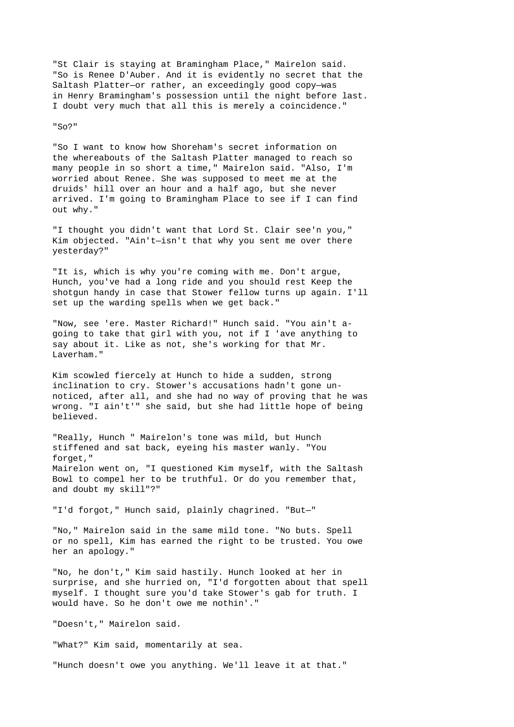"St Clair is staying at Bramingham Place," Mairelon said. "So is Renee D'Auber. And it is evidently no secret that the Saltash Platter—or rather, an exceedingly good copy—was in Henry Bramingham's possession until the night before last. I doubt very much that all this is merely a coincidence."

## "So?"

"So I want to know how Shoreham's secret information on the whereabouts of the Saltash Platter managed to reach so many people in so short a time," Mairelon said. "Also, I'm worried about Renee. She was supposed to meet me at the druids' hill over an hour and a half ago, but she never arrived. I'm going to Bramingham Place to see if I can find out why."

"I thought you didn't want that Lord St. Clair see'n you," Kim objected. "Ain't—isn't that why you sent me over there yesterday?"

"It is, which is why you're coming with me. Don't argue, Hunch, you've had a long ride and you should rest Keep the shotgun handy in case that Stower fellow turns up again. I'll set up the warding spells when we get back."

"Now, see 'ere. Master Richard!" Hunch said. "You ain't agoing to take that girl with you, not if I 'ave anything to say about it. Like as not, she's working for that Mr. Laverham."

Kim scowled fiercely at Hunch to hide a sudden, strong inclination to cry. Stower's accusations hadn't gone unnoticed, after all, and she had no way of proving that he was wrong. "I ain't'" she said, but she had little hope of being believed.

"Really, Hunch " Mairelon's tone was mild, but Hunch stiffened and sat back, eyeing his master wanly. "You forget," Mairelon went on, "I questioned Kim myself, with the Saltash Bowl to compel her to be truthful. Or do you remember that, and doubt my skill"?"

"I'd forgot," Hunch said, plainly chagrined. "But—"

"No," Mairelon said in the same mild tone. "No buts. Spell or no spell, Kim has earned the right to be trusted. You owe her an apology."

"No, he don't," Kim said hastily. Hunch looked at her in surprise, and she hurried on, "I'd forgotten about that spell myself. I thought sure you'd take Stower's gab for truth. I would have. So he don't owe me nothin'."

"Doesn't," Mairelon said.

"What?" Kim said, momentarily at sea.

"Hunch doesn't owe you anything. We'll leave it at that."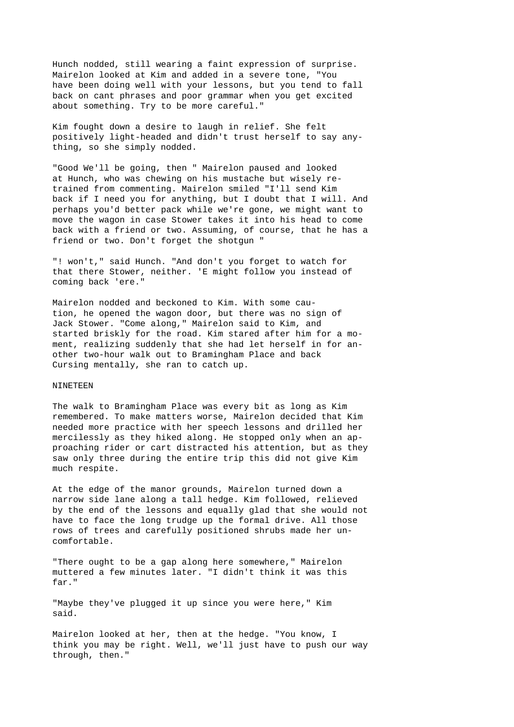Hunch nodded, still wearing a faint expression of surprise. Mairelon looked at Kim and added in a severe tone, "You have been doing well with your lessons, but you tend to fall back on cant phrases and poor grammar when you get excited about something. Try to be more careful."

Kim fought down a desire to laugh in relief. She felt positively light-headed and didn't trust herself to say anything, so she simply nodded.

"Good We'll be going, then " Mairelon paused and looked at Hunch, who was chewing on his mustache but wisely retrained from commenting. Mairelon smiled "I'll send Kim back if I need you for anything, but I doubt that I will. And perhaps you'd better pack while we're gone, we might want to move the wagon in case Stower takes it into his head to come back with a friend or two. Assuming, of course, that he has a friend or two. Don't forget the shotgun "

"! won't," said Hunch. "And don't you forget to watch for that there Stower, neither. 'E might follow you instead of coming back 'ere."

Mairelon nodded and beckoned to Kim. With some caution, he opened the wagon door, but there was no sign of Jack Stower. "Come along," Mairelon said to Kim, and started briskly for the road. Kim stared after him for a moment, realizing suddenly that she had let herself in for another two-hour walk out to Bramingham Place and back Cursing mentally, she ran to catch up.

## NINETEEN

The walk to Bramingham Place was every bit as long as Kim remembered. To make matters worse, Mairelon decided that Kim needed more practice with her speech lessons and drilled her mercilessly as they hiked along. He stopped only when an approaching rider or cart distracted his attention, but as they saw only three during the entire trip this did not give Kim much respite.

At the edge of the manor grounds, Mairelon turned down a narrow side lane along a tall hedge. Kim followed, relieved by the end of the lessons and equally glad that she would not have to face the long trudge up the formal drive. All those rows of trees and carefully positioned shrubs made her uncomfortable.

"There ought to be a gap along here somewhere," Mairelon muttered a few minutes later. "I didn't think it was this far."

"Maybe they've plugged it up since you were here," Kim said.

Mairelon looked at her, then at the hedge. "You know, I think you may be right. Well, we'll just have to push our way through, then."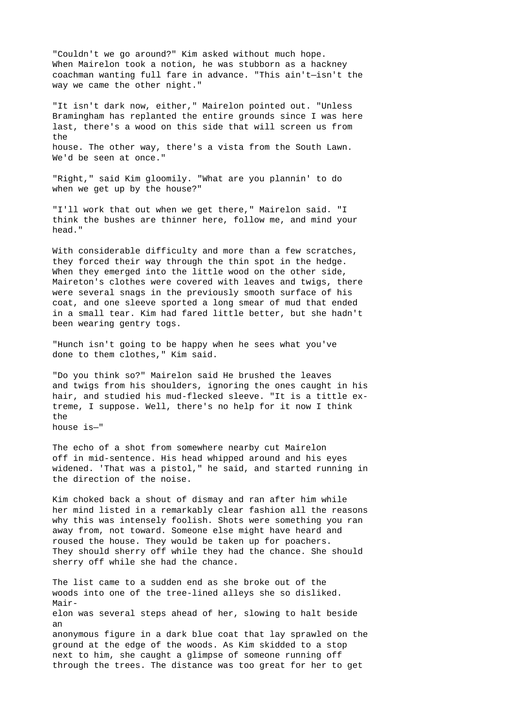"Couldn't we go around?" Kim asked without much hope. When Mairelon took a notion, he was stubborn as a hackney coachman wanting full fare in advance. "This ain't—isn't the way we came the other night."

"It isn't dark now, either," Mairelon pointed out. "Unless Bramingham has replanted the entire grounds since I was here last, there's a wood on this side that will screen us from the house. The other way, there's a vista from the South Lawn. We'd be seen at once."

"Right," said Kim gloomily. "What are you plannin' to do when we get up by the house?"

"I'll work that out when we get there," Mairelon said. "I think the bushes are thinner here, follow me, and mind your head."

With considerable difficulty and more than a few scratches, they forced their way through the thin spot in the hedge. When they emerged into the little wood on the other side, Maireton's clothes were covered with leaves and twigs, there were several snags in the previously smooth surface of his coat, and one sleeve sported a long smear of mud that ended in a small tear. Kim had fared little better, but she hadn't been wearing gentry togs.

"Hunch isn't going to be happy when he sees what you've done to them clothes," Kim said.

"Do you think so?" Mairelon said He brushed the leaves and twigs from his shoulders, ignoring the ones caught in his hair, and studied his mud-flecked sleeve. "It is a tittle extreme, I suppose. Well, there's no help for it now I think the house is—"

The echo of a shot from somewhere nearby cut Mairelon off in mid-sentence. His head whipped around and his eyes widened. 'That was a pistol," he said, and started running in the direction of the noise.

Kim choked back a shout of dismay and ran after him while her mind listed in a remarkably clear fashion all the reasons why this was intensely foolish. Shots were something you ran away from, not toward. Someone else might have heard and roused the house. They would be taken up for poachers. They should sherry off while they had the chance. She should sherry off while she had the chance.

The list came to a sudden end as she broke out of the woods into one of the tree-lined alleys she so disliked.  $M$ airelon was several steps ahead of her, slowing to halt beside an anonymous figure in a dark blue coat that lay sprawled on the ground at the edge of the woods. As Kim skidded to a stop next to him, she caught a glimpse of someone running off through the trees. The distance was too great for her to get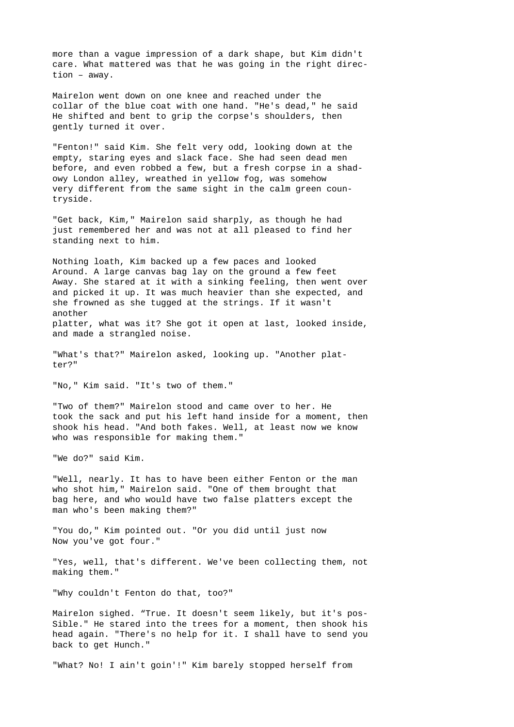more than a vague impression of a dark shape, but Kim didn't care. What mattered was that he was going in the right direction – away.

Mairelon went down on one knee and reached under the collar of the blue coat with one hand. "He's dead," he said He shifted and bent to grip the corpse's shoulders, then gently turned it over.

"Fenton!" said Kim. She felt very odd, looking down at the empty, staring eyes and slack face. She had seen dead men before, and even robbed a few, but a fresh corpse in a shadowy London alley, wreathed in yellow fog, was somehow very different from the same sight in the calm green countryside.

"Get back, Kim," Mairelon said sharply, as though he had just remembered her and was not at all pleased to find her standing next to him.

Nothing loath, Kim backed up a few paces and looked Around. A large canvas bag lay on the ground a few feet Away. She stared at it with a sinking feeling, then went over and picked it up. It was much heavier than she expected, and she frowned as she tugged at the strings. If it wasn't another platter, what was it? She got it open at last, looked inside, and made a strangled noise.

"What's that?" Mairelon asked, looking up. "Another platter?"

"No," Kim said. "It's two of them."

"Two of them?" Mairelon stood and came over to her. He took the sack and put his left hand inside for a moment, then shook his head. "And both fakes. Well, at least now we know who was responsible for making them."

"We do?" said Kim.

"Well, nearly. It has to have been either Fenton or the man who shot him," Mairelon said. "One of them brought that bag here, and who would have two false platters except the man who's been making them?"

"You do," Kim pointed out. "Or you did until just now Now you've got four."

"Yes, well, that's different. We've been collecting them, not making them."

"Why couldn't Fenton do that, too?"

Mairelon sighed. "True. It doesn't seem likely, but it's pos-Sible." He stared into the trees for a moment, then shook his head again. "There's no help for it. I shall have to send you back to get Hunch."

"What? No! I ain't goin'!" Kim barely stopped herself from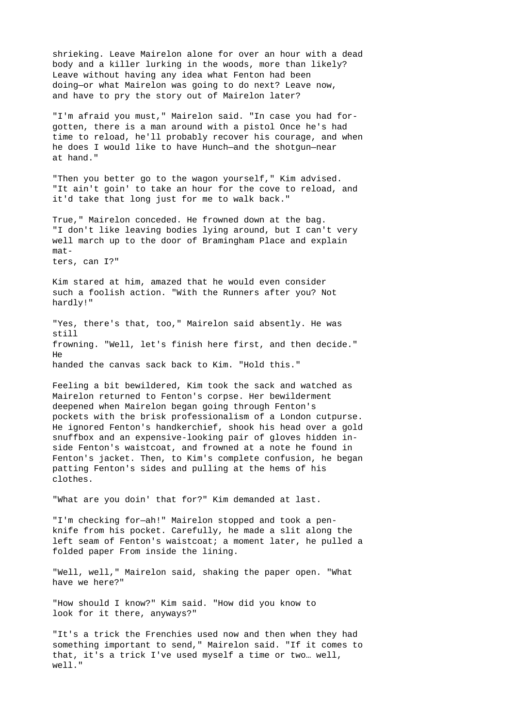shrieking. Leave Mairelon alone for over an hour with a dead body and a killer lurking in the woods, more than likely? Leave without having any idea what Fenton had been doing—or what Mairelon was going to do next? Leave now, and have to pry the story out of Mairelon later?

"I'm afraid you must," Mairelon said. "In case you had forgotten, there is a man around with a pistol Once he's had time to reload, he'll probably recover his courage, and when he does I would like to have Hunch—and the shotgun—near at hand."

"Then you better go to the wagon yourself," Kim advised. "It ain't goin' to take an hour for the cove to reload, and it'd take that long just for me to walk back."

True," Mairelon conceded. He frowned down at the bag. "I don't like leaving bodies lying around, but I can't very well march up to the door of Bramingham Place and explain matters, can I?"

Kim stared at him, amazed that he would even consider such a foolish action. "With the Runners after you? Not hardly!"

"Yes, there's that, too," Mairelon said absently. He was still frowning. "Well, let's finish here first, and then decide." He handed the canvas sack back to Kim. "Hold this."

Feeling a bit bewildered, Kim took the sack and watched as Mairelon returned to Fenton's corpse. Her bewilderment deepened when Mairelon began going through Fenton's pockets with the brisk professionalism of a London cutpurse. He ignored Fenton's handkerchief, shook his head over a gold snuffbox and an expensive-looking pair of gloves hidden inside Fenton's waistcoat, and frowned at a note he found in Fenton's jacket. Then, to Kim's complete confusion, he began patting Fenton's sides and pulling at the hems of his clothes.

"What are you doin' that for?" Kim demanded at last.

"I'm checking for—ah!" Mairelon stopped and took a penknife from his pocket. Carefully, he made a slit along the left seam of Fenton's waistcoat; a moment later, he pulled a folded paper From inside the lining.

"Well, well," Mairelon said, shaking the paper open. "What have we here?"

"How should I know?" Kim said. "How did you know to look for it there, anyways?"

"It's a trick the Frenchies used now and then when they had something important to send," Mairelon said. "If it comes to that, it's a trick I've used myself a time or two… well, well."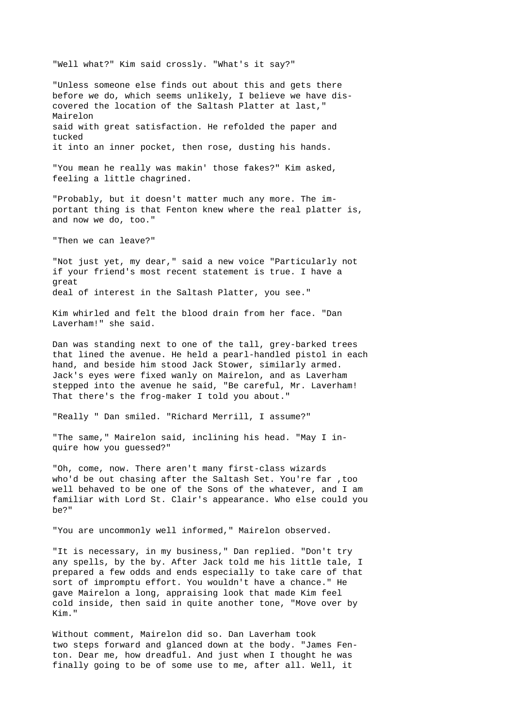"Well what?" Kim said crossly. "What's it say?" "Unless someone else finds out about this and gets there before we do, which seems unlikely, I believe we have discovered the location of the Saltash Platter at last," Mairelon said with great satisfaction. He refolded the paper and tucked it into an inner pocket, then rose, dusting his hands. "You mean he really was makin' those fakes?" Kim asked, feeling a little chagrined. "Probably, but it doesn't matter much any more. The important thing is that Fenton knew where the real platter is, and now we do, too." "Then we can leave?" "Not just yet, my dear," said a new voice "Particularly not if your friend's most recent statement is true. I have a great deal of interest in the Saltash Platter, you see." Kim whirled and felt the blood drain from her face. "Dan Laverham!" she said. Dan was standing next to one of the tall, grey-barked trees that lined the avenue. He held a pearl-handled pistol in each hand, and beside him stood Jack Stower, similarly armed. Jack's eyes were fixed wanly on Mairelon, and as Laverham stepped into the avenue he said, "Be careful, Mr. Laverham! That there's the frog-maker I told you about." "Really " Dan smiled. "Richard Merrill, I assume?" "The same," Mairelon said, inclining his head. "May I inquire how you guessed?" "Oh, come, now. There aren't many first-class wizards who'd be out chasing after the Saltash Set. You're far ,too well behaved to be one of the Sons of the whatever, and I am familiar with Lord St. Clair's appearance. Who else could you be?" "You are uncommonly well informed," Mairelon observed. "It is necessary, in my business," Dan replied. "Don't try any spells, by the by. After Jack told me his little tale, I prepared a few odds and ends especially to take care of that sort of impromptu effort. You wouldn't have a chance." He gave Mairelon a long, appraising look that made Kim feel cold inside, then said in quite another tone, "Move over by

Without comment, Mairelon did so. Dan Laverham took two steps forward and glanced down at the body. "James Fenton. Dear me, how dreadful. And just when I thought he was finally going to be of some use to me, after all. Well, it

Kim."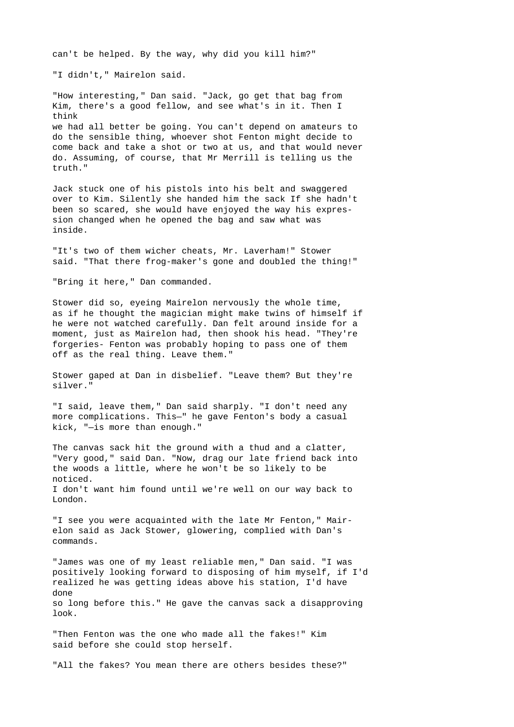can't be helped. By the way, why did you kill him?"

"I didn't," Mairelon said.

"How interesting," Dan said. "Jack, go get that bag from Kim, there's a good fellow, and see what's in it. Then I think we had all better be going. You can't depend on amateurs to do the sensible thing, whoever shot Fenton might decide to come back and take a shot or two at us, and that would never do. Assuming, of course, that Mr Merrill is telling us the truth."

Jack stuck one of his pistols into his belt and swaggered over to Kim. Silently she handed him the sack If she hadn't been so scared, she would have enjoyed the way his expression changed when he opened the bag and saw what was inside.

"It's two of them wicher cheats, Mr. Laverham!" Stower said. "That there frog-maker's gone and doubled the thing!"

"Bring it here," Dan commanded.

Stower did so, eyeing Mairelon nervously the whole time, as if he thought the magician might make twins of himself if he were not watched carefully. Dan felt around inside for a moment, just as Mairelon had, then shook his head. "They're forgeries- Fenton was probably hoping to pass one of them off as the real thing. Leave them."

Stower gaped at Dan in disbelief. "Leave them? But they're silver."

"I said, leave them," Dan said sharply. "I don't need any more complications. This—" he gave Fenton's body a casual kick, "—is more than enough."

The canvas sack hit the ground with a thud and a clatter, "Very good," said Dan. "Now, drag our late friend back into the woods a little, where he won't be so likely to be noticed. I don't want him found until we're well on our way back to London.

"I see you were acquainted with the late Mr Fenton," Mairelon said as Jack Stower, glowering, complied with Dan's commands.

"James was one of my least reliable men," Dan said. "I was positively looking forward to disposing of him myself, if I'd realized he was getting ideas above his station, I'd have done so long before this." He gave the canvas sack a disapproving look.

"Then Fenton was the one who made all the fakes!" Kim said before she could stop herself.

"All the fakes? You mean there are others besides these?"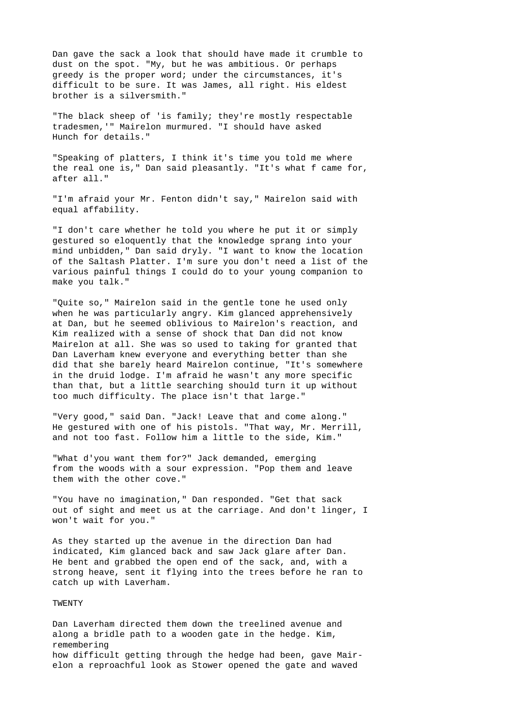Dan gave the sack a look that should have made it crumble to dust on the spot. "My, but he was ambitious. Or perhaps greedy is the proper word; under the circumstances, it's difficult to be sure. It was James, all right. His eldest brother is a silversmith."

"The black sheep of 'is family; they're mostly respectable tradesmen,'" Mairelon murmured. "I should have asked Hunch for details."

"Speaking of platters, I think it's time you told me where the real one is," Dan said pleasantly. "It's what f came for, after all."

"I'm afraid your Mr. Fenton didn't say," Mairelon said with equal affability.

"I don't care whether he told you where he put it or simply gestured so eloquently that the knowledge sprang into your mind unbidden," Dan said dryly. "I want to know the location of the Saltash Platter. I'm sure you don't need a list of the various painful things I could do to your young companion to make you talk."

"Quite so," Mairelon said in the gentle tone he used only when he was particularly angry. Kim glanced apprehensively at Dan, but he seemed oblivious to Mairelon's reaction, and Kim realized with a sense of shock that Dan did not know Mairelon at all. She was so used to taking for granted that Dan Laverham knew everyone and everything better than she did that she barely heard Mairelon continue, "It's somewhere in the druid lodge. I'm afraid he wasn't any more specific than that, but a little searching should turn it up without too much difficulty. The place isn't that large."

"Very good," said Dan. "Jack! Leave that and come along." He gestured with one of his pistols. "That way, Mr. Merrill, and not too fast. Follow him a little to the side, Kim."

"What d'you want them for?" Jack demanded, emerging from the woods with a sour expression. "Pop them and leave them with the other cove."

"You have no imagination," Dan responded. "Get that sack out of sight and meet us at the carriage. And don't linger, I won't wait for you."

As they started up the avenue in the direction Dan had indicated, Kim glanced back and saw Jack glare after Dan. He bent and grabbed the open end of the sack, and, with a strong heave, sent it flying into the trees before he ran to catch up with Laverham.

## TWENTY

Dan Laverham directed them down the treelined avenue and along a bridle path to a wooden gate in the hedge. Kim, remembering how difficult getting through the hedge had been, gave Mairelon a reproachful look as Stower opened the gate and waved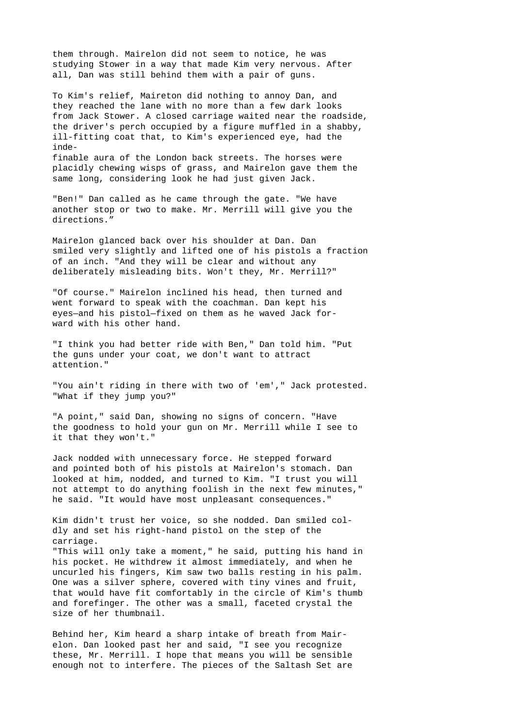them through. Mairelon did not seem to notice, he was studying Stower in a way that made Kim very nervous. After all, Dan was still behind them with a pair of guns.

To Kim's relief, Maireton did nothing to annoy Dan, and they reached the lane with no more than a few dark looks from Jack Stower. A closed carriage waited near the roadside, the driver's perch occupied by a figure muffled in a shabby, ill-fitting coat that, to Kim's experienced eye, had the indefinable aura of the London back streets. The horses were placidly chewing wisps of grass, and Mairelon gave them the same long, considering look he had just given Jack.

"Ben!" Dan called as he came through the gate. "We have another stop or two to make. Mr. Merrill will give you the directions."

Mairelon glanced back over his shoulder at Dan. Dan smiled very slightly and lifted one of his pistols a fraction of an inch. "And they will be clear and without any deliberately misleading bits. Won't they, Mr. Merrill?"

"Of course." Mairelon inclined his head, then turned and went forward to speak with the coachman. Dan kept his eyes—and his pistol—fixed on them as he waved Jack forward with his other hand.

"I think you had better ride with Ben," Dan told him. "Put the guns under your coat, we don't want to attract attention."

"You ain't riding in there with two of 'em'," Jack protested. "What if they jump you?"

"A point," said Dan, showing no signs of concern. "Have the goodness to hold your gun on Mr. Merrill while I see to it that they won't."

Jack nodded with unnecessary force. He stepped forward and pointed both of his pistols at Mairelon's stomach. Dan looked at him, nodded, and turned to Kim. "I trust you will not attempt to do anything foolish in the next few minutes," he said. "It would have most unpleasant consequences."

Kim didn't trust her voice, so she nodded. Dan smiled coldly and set his right-hand pistol on the step of the carriage. "This will only take a moment," he said, putting his hand in his pocket. He withdrew it almost immediately, and when he uncurled his fingers, Kim saw two balls resting in his palm. One was a silver sphere, covered with tiny vines and fruit, that would have fit comfortably in the circle of Kim's thumb and forefinger. The other was a small, faceted crystal the size of her thumbnail.

Behind her, Kim heard a sharp intake of breath from Mairelon. Dan looked past her and said, "I see you recognize these, Mr. Merrill. I hope that means you will be sensible enough not to interfere. The pieces of the Saltash Set are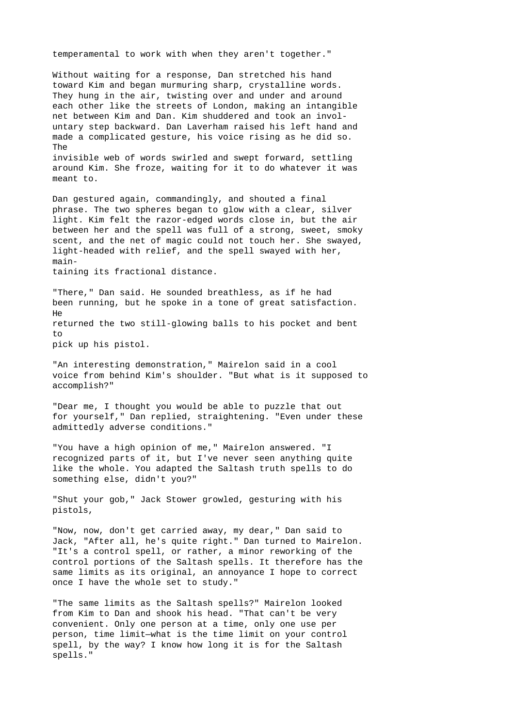temperamental to work with when they aren't together."

Without waiting for a response, Dan stretched his hand toward Kim and began murmuring sharp, crystalline words. They hung in the air, twisting over and under and around each other like the streets of London, making an intangible net between Kim and Dan. Kim shuddered and took an involuntary step backward. Dan Laverham raised his left hand and made a complicated gesture, his voice rising as he did so. The invisible web of words swirled and swept forward, settling around Kim. She froze, waiting for it to do whatever it was meant to.

Dan gestured again, commandingly, and shouted a final phrase. The two spheres began to glow with a clear, silver light. Kim felt the razor-edged words close in, but the air between her and the spell was full of a strong, sweet, smoky scent, and the net of magic could not touch her. She swayed, light-headed with relief, and the spell swayed with her, main-

taining its fractional distance.

"There," Dan said. He sounded breathless, as if he had been running, but he spoke in a tone of great satisfaction.  $He$ returned the two still-glowing balls to his pocket and bent  $t_{\Omega}$ pick up his pistol.

"An interesting demonstration," Mairelon said in a cool voice from behind Kim's shoulder. "But what is it supposed to accomplish?"

"Dear me, I thought you would be able to puzzle that out for yourself," Dan replied, straightening. "Even under these admittedly adverse conditions."

"You have a high opinion of me," Mairelon answered. "I recognized parts of it, but I've never seen anything quite like the whole. You adapted the Saltash truth spells to do something else, didn't you?"

"Shut your gob," Jack Stower growled, gesturing with his pistols,

"Now, now, don't get carried away, my dear," Dan said to Jack, "After all, he's quite right." Dan turned to Mairelon. "It's a control spell, or rather, a minor reworking of the control portions of the Saltash spells. It therefore has the same limits as its original, an annoyance I hope to correct once I have the whole set to study."

"The same limits as the Saltash spells?" Mairelon looked from Kim to Dan and shook his head. "That can't be very convenient. Only one person at a time, only one use per person, time limit—what is the time limit on your control spell, by the way? I know how long it is for the Saltash spells."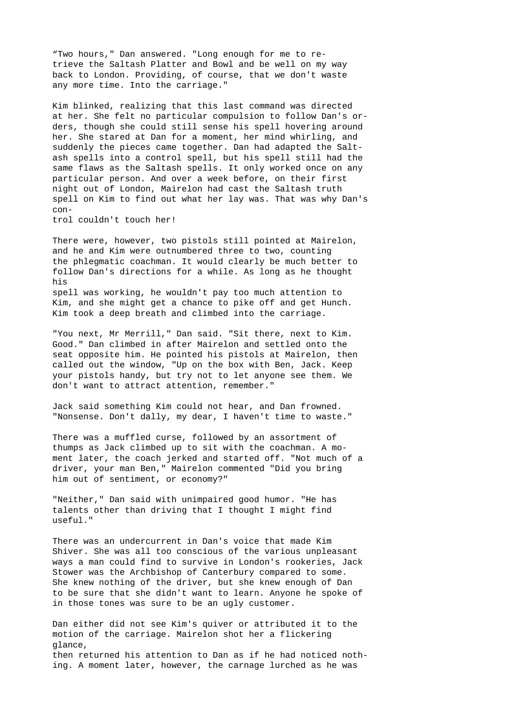"Two hours," Dan answered. "Long enough for me to retrieve the Saltash Platter and Bowl and be well on my way back to London. Providing, of course, that we don't waste any more time. Into the carriage."

Kim blinked, realizing that this last command was directed at her. She felt no particular compulsion to follow Dan's orders, though she could still sense his spell hovering around her. She stared at Dan for a moment, her mind whirling, and suddenly the pieces came together. Dan had adapted the Saltash spells into a control spell, but his spell still had the same flaws as the Saltash spells. It only worked once on any particular person. And over a week before, on their first night out of London, Mairelon had cast the Saltash truth spell on Kim to find out what her lay was. That was why Dan's con-

trol couldn't touch her!

There were, however, two pistols still pointed at Mairelon, and he and Kim were outnumbered three to two, counting the phlegmatic coachman. It would clearly be much better to follow Dan's directions for a while. As long as he thought his spell was working, he wouldn't pay too much attention to Kim, and she might get a chance to pike off and get Hunch. Kim took a deep breath and climbed into the carriage.

"You next, Mr Merrill," Dan said. "Sit there, next to Kim. Good." Dan climbed in after Mairelon and settled onto the seat opposite him. He pointed his pistols at Mairelon, then called out the window, "Up on the box with Ben, Jack. Keep your pistols handy, but try not to let anyone see them. We don't want to attract attention, remember."

Jack said something Kim could not hear, and Dan frowned. "Nonsense. Don't dally, my dear, I haven't time to waste."

There was a muffled curse, followed by an assortment of thumps as Jack climbed up to sit with the coachman. A moment later, the coach jerked and started off. "Not much of a driver, your man Ben," Mairelon commented "Did you bring him out of sentiment, or economy?"

"Neither," Dan said with unimpaired good humor. "He has talents other than driving that I thought I might find useful."

There was an undercurrent in Dan's voice that made Kim Shiver. She was all too conscious of the various unpleasant ways a man could find to survive in London's rookeries, Jack Stower was the Archbishop of Canterbury compared to some. She knew nothing of the driver, but she knew enough of Dan to be sure that she didn't want to learn. Anyone he spoke of in those tones was sure to be an ugly customer.

Dan either did not see Kim's quiver or attributed it to the motion of the carriage. Mairelon shot her a flickering glance, then returned his attention to Dan as if he had noticed nothing. A moment later, however, the carnage lurched as he was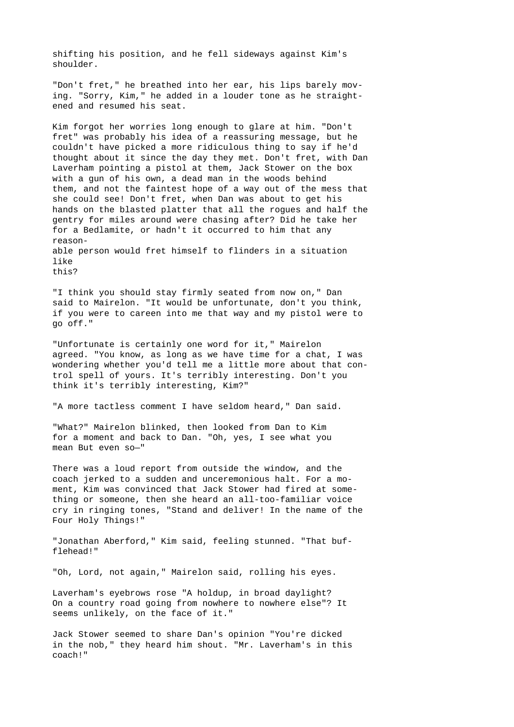shifting his position, and he fell sideways against Kim's shoulder.

"Don't fret," he breathed into her ear, his lips barely moving. "Sorry, Kim," he added in a louder tone as he straightened and resumed his seat.

Kim forgot her worries long enough to glare at him. "Don't fret" was probably his idea of a reassuring message, but he couldn't have picked a more ridiculous thing to say if he'd thought about it since the day they met. Don't fret, with Dan Laverham pointing a pistol at them, Jack Stower on the box with a gun of his own, a dead man in the woods behind them, and not the faintest hope of a way out of the mess that she could see! Don't fret, when Dan was about to get his hands on the blasted platter that all the rogues and half the gentry for miles around were chasing after? Did he take her for a Bedlamite, or hadn't it occurred to him that any reasonable person would fret himself to flinders in a situation like

```
this?
```
"I think you should stay firmly seated from now on," Dan said to Mairelon. "It would be unfortunate, don't you think, if you were to careen into me that way and my pistol were to go off."

"Unfortunate is certainly one word for it," Mairelon agreed. "You know, as long as we have time for a chat, I was wondering whether you'd tell me a little more about that control spell of yours. It's terribly interesting. Don't you think it's terribly interesting, Kim?"

"A more tactless comment I have seldom heard," Dan said.

"What?" Mairelon blinked, then looked from Dan to Kim for a moment and back to Dan. "Oh, yes, I see what you mean But even so—"

There was a loud report from outside the window, and the coach jerked to a sudden and unceremonious halt. For a moment, Kim was convinced that Jack Stower had fired at something or someone, then she heard an all-too-familiar voice cry in ringing tones, "Stand and deliver! In the name of the Four Holy Things!"

"Jonathan Aberford," Kim said, feeling stunned. "That bufflehead!"

"Oh, Lord, not again," Mairelon said, rolling his eyes.

Laverham's eyebrows rose "A holdup, in broad daylight? On a country road going from nowhere to nowhere else"? It seems unlikely, on the face of it."

Jack Stower seemed to share Dan's opinion "You're dicked in the nob," they heard him shout. "Mr. Laverham's in this coach!"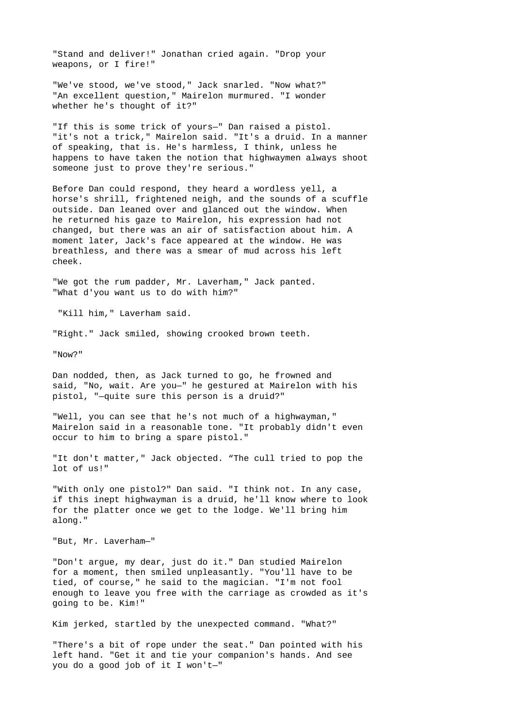"Stand and deliver!" Jonathan cried again. "Drop your weapons, or I fire!"

"We've stood, we've stood," Jack snarled. "Now what?" "An excellent question," Mairelon murmured. "I wonder whether he's thought of it?"

"If this is some trick of yours—" Dan raised a pistol. "it's not a trick," Mairelon said. "It's a druid. In a manner of speaking, that is. He's harmless, I think, unless he happens to have taken the notion that highwaymen always shoot someone just to prove they're serious."

Before Dan could respond, they heard a wordless yell, a horse's shrill, frightened neigh, and the sounds of a scuffle outside. Dan leaned over and glanced out the window. When he returned his gaze to Mairelon, his expression had not changed, but there was an air of satisfaction about him. A moment later, Jack's face appeared at the window. He was breathless, and there was a smear of mud across his left cheek.

"We got the rum padder, Mr. Laverham," Jack panted. "What d'you want us to do with him?"

"Kill him," Laverham said.

"Right." Jack smiled, showing crooked brown teeth.

"Now?"

Dan nodded, then, as Jack turned to go, he frowned and said, "No, wait. Are you—" he gestured at Mairelon with his pistol, "—quite sure this person is a druid?"

"Well, you can see that he's not much of a highwayman," Mairelon said in a reasonable tone. "It probably didn't even occur to him to bring a spare pistol."

"It don't matter," Jack objected. "The cull tried to pop the lot of us!"

"With only one pistol?" Dan said. "I think not. In any case, if this inept highwayman is a druid, he'll know where to look for the platter once we get to the lodge. We'll bring him along."

"But, Mr. Laverham—"

"Don't argue, my dear, just do it." Dan studied Mairelon for a moment, then smiled unpleasantly. "You'll have to be tied, of course," he said to the magician. "I'm not fool enough to leave you free with the carriage as crowded as it's going to be. Kim!"

Kim jerked, startled by the unexpected command. "What?"

"There's a bit of rope under the seat." Dan pointed with his left hand. "Get it and tie your companion's hands. And see you do a good job of it I won't—"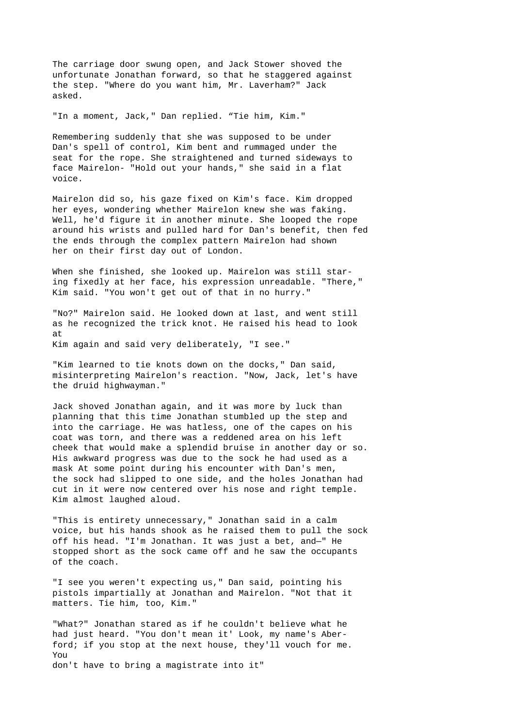The carriage door swung open, and Jack Stower shoved the unfortunate Jonathan forward, so that he staggered against the step. "Where do you want him, Mr. Laverham?" Jack asked.

"In a moment, Jack," Dan replied. "Tie him, Kim."

Remembering suddenly that she was supposed to be under Dan's spell of control, Kim bent and rummaged under the seat for the rope. She straightened and turned sideways to face Mairelon- "Hold out your hands," she said in a flat voice.

Mairelon did so, his gaze fixed on Kim's face. Kim dropped her eyes, wondering whether Mairelon knew she was faking. Well, he'd figure it in another minute. She looped the rope around his wrists and pulled hard for Dan's benefit, then fed the ends through the complex pattern Mairelon had shown her on their first day out of London.

When she finished, she looked up. Mairelon was still staring fixedly at her face, his expression unreadable. "There," Kim said. "You won't get out of that in no hurry."

"No?" Mairelon said. He looked down at last, and went still as he recognized the trick knot. He raised his head to look at Kim again and said very deliberately, "I see."

"Kim learned to tie knots down on the docks," Dan said, misinterpreting Mairelon's reaction. "Now, Jack, let's have the druid highwayman."

Jack shoved Jonathan again, and it was more by luck than planning that this time Jonathan stumbled up the step and into the carriage. He was hatless, one of the capes on his coat was torn, and there was a reddened area on his left cheek that would make a splendid bruise in another day or so. His awkward progress was due to the sock he had used as a mask At some point during his encounter with Dan's men, the sock had slipped to one side, and the holes Jonathan had cut in it were now centered over his nose and right temple. Kim almost laughed aloud.

"This is entirety unnecessary," Jonathan said in a calm voice, but his hands shook as he raised them to pull the sock off his head. "I'm Jonathan. It was just a bet, and—" He stopped short as the sock came off and he saw the occupants of the coach.

"I see you weren't expecting us," Dan said, pointing his pistols impartially at Jonathan and Mairelon. "Not that it matters. Tie him, too, Kim."

"What?" Jonathan stared as if he couldn't believe what he had just heard. "You don't mean it' Look, my name's Aberford; if you stop at the next house, they'll vouch for me. Y<sub>OU</sub> don't have to bring a magistrate into it"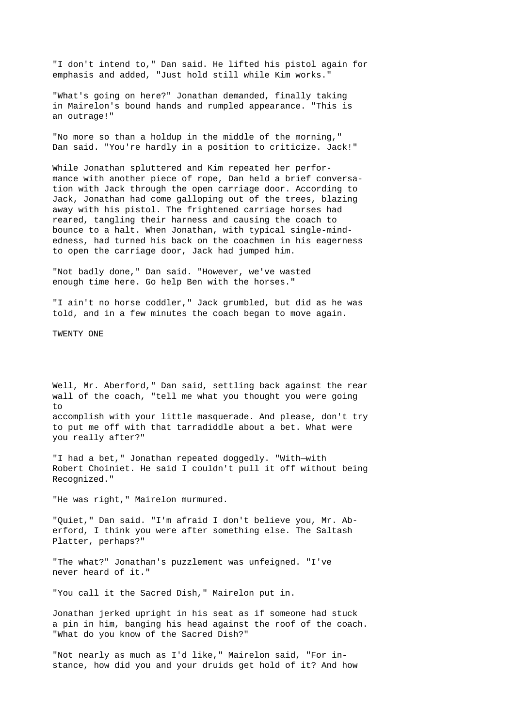"I don't intend to," Dan said. He lifted his pistol again for emphasis and added, "Just hold still while Kim works."

"What's going on here?" Jonathan demanded, finally taking in Mairelon's bound hands and rumpled appearance. "This is an outrage!"

"No more so than a holdup in the middle of the morning," Dan said. "You're hardly in a position to criticize. Jack!"

While Jonathan spluttered and Kim repeated her performance with another piece of rope, Dan held a brief conversation with Jack through the open carriage door. According to Jack, Jonathan had come galloping out of the trees, blazing away with his pistol. The frightened carriage horses had reared, tangling their harness and causing the coach to bounce to a halt. When Jonathan, with typical single-mindedness, had turned his back on the coachmen in his eagerness to open the carriage door, Jack had jumped him.

"Not badly done," Dan said. "However, we've wasted enough time here. Go help Ben with the horses."

"I ain't no horse coddler," Jack grumbled, but did as he was told, and in a few minutes the coach began to move again.

TWENTY ONE

Well, Mr. Aberford," Dan said, settling back against the rear wall of the coach, "tell me what you thought you were going to accomplish with your little masquerade. And please, don't try to put me off with that tarradiddle about a bet. What were you really after?"

"I had a bet," Jonathan repeated doggedly. "With—with Robert Choiniet. He said I couldn't pull it off without being Recognized."

"He was right," Mairelon murmured.

"Quiet," Dan said. "I'm afraid I don't believe you, Mr. Aberford, I think you were after something else. The Saltash Platter, perhaps?"

"The what?" Jonathan's puzzlement was unfeigned. "I've never heard of it."

"You call it the Sacred Dish," Mairelon put in.

Jonathan jerked upright in his seat as if someone had stuck a pin in him, banging his head against the roof of the coach. "What do you know of the Sacred Dish?"

"Not nearly as much as I'd like," Mairelon said, "For instance, how did you and your druids get hold of it? And how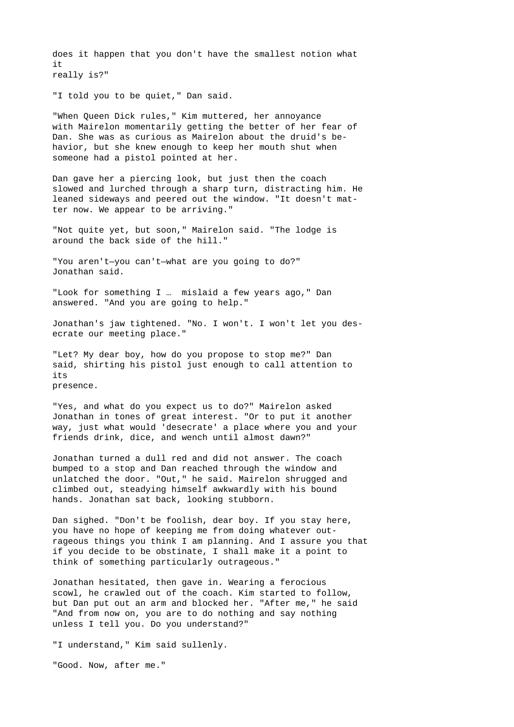does it happen that you don't have the smallest notion what it really is?"

"I told you to be quiet," Dan said.

"When Queen Dick rules," Kim muttered, her annoyance with Mairelon momentarily getting the better of her fear of Dan. She was as curious as Mairelon about the druid's behavior, but she knew enough to keep her mouth shut when someone had a pistol pointed at her.

Dan gave her a piercing look, but just then the coach slowed and lurched through a sharp turn, distracting him. He leaned sideways and peered out the window. "It doesn't matter now. We appear to be arriving."

"Not quite yet, but soon," Mairelon said. "The lodge is around the back side of the hill."

"You aren't—you can't—what are you going to do?" Jonathan said.

"Look for something I … mislaid a few years ago," Dan answered. "And you are going to help."

Jonathan's jaw tightened. "No. I won't. I won't let you desecrate our meeting place."

"Let? My dear boy, how do you propose to stop me?" Dan said, shirting his pistol just enough to call attention to its presence.

"Yes, and what do you expect us to do?" Mairelon asked Jonathan in tones of great interest. "Or to put it another way, just what would 'desecrate' a place where you and your friends drink, dice, and wench until almost dawn?"

Jonathan turned a dull red and did not answer. The coach bumped to a stop and Dan reached through the window and unlatched the door. "Out," he said. Mairelon shrugged and climbed out, steadying himself awkwardly with his bound hands. Jonathan sat back, looking stubborn.

Dan sighed. "Don't be foolish, dear boy. If you stay here, you have no hope of keeping me from doing whatever outrageous things you think I am planning. And I assure you that if you decide to be obstinate, I shall make it a point to think of something particularly outrageous."

Jonathan hesitated, then gave in. Wearing a ferocious scowl, he crawled out of the coach. Kim started to follow, but Dan put out an arm and blocked her. "After me," he said "And from now on, you are to do nothing and say nothing unless I tell you. Do you understand?"

"I understand," Kim said sullenly.

"Good. Now, after me."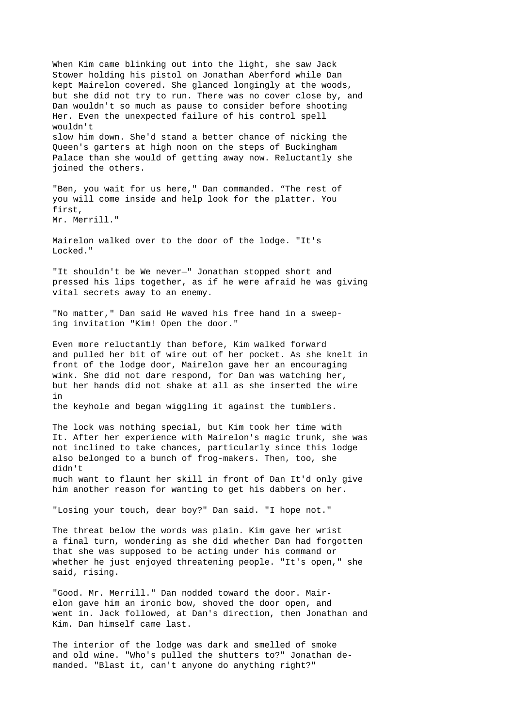When Kim came blinking out into the light, she saw Jack Stower holding his pistol on Jonathan Aberford while Dan kept Mairelon covered. She glanced longingly at the woods, but she did not try to run. There was no cover close by, and Dan wouldn't so much as pause to consider before shooting Her. Even the unexpected failure of his control spell wouldn't slow him down. She'd stand a better chance of nicking the Queen's garters at high noon on the steps of Buckingham Palace than she would of getting away now. Reluctantly she joined the others. "Ben, you wait for us here," Dan commanded. "The rest of you will come inside and help look for the platter. You first, Mr. Merrill." Mairelon walked over to the door of the lodge. "It's Locked." "It shouldn't be We never—" Jonathan stopped short and pressed his lips together, as if he were afraid he was giving vital secrets away to an enemy. "No matter," Dan said He waved his free hand in a sweeping invitation "Kim! Open the door." Even more reluctantly than before, Kim walked forward

and pulled her bit of wire out of her pocket. As she knelt in front of the lodge door, Mairelon gave her an encouraging wink. She did not dare respond, for Dan was watching her, but her hands did not shake at all as she inserted the wire in the keyhole and began wiggling it against the tumblers.

The lock was nothing special, but Kim took her time with It. After her experience with Mairelon's magic trunk, she was not inclined to take chances, particularly since this lodge also belonged to a bunch of frog-makers. Then, too, she didn't much want to flaunt her skill in front of Dan It'd only give him another reason for wanting to get his dabbers on her.

"Losing your touch, dear boy?" Dan said. "I hope not."

The threat below the words was plain. Kim gave her wrist a final turn, wondering as she did whether Dan had forgotten that she was supposed to be acting under his command or whether he just enjoyed threatening people. "It's open," she said, rising.

"Good. Mr. Merrill." Dan nodded toward the door. Mairelon gave him an ironic bow, shoved the door open, and went in. Jack followed, at Dan's direction, then Jonathan and Kim. Dan himself came last.

The interior of the lodge was dark and smelled of smoke and old wine. "Who's pulled the shutters to?" Jonathan demanded. "Blast it, can't anyone do anything right?"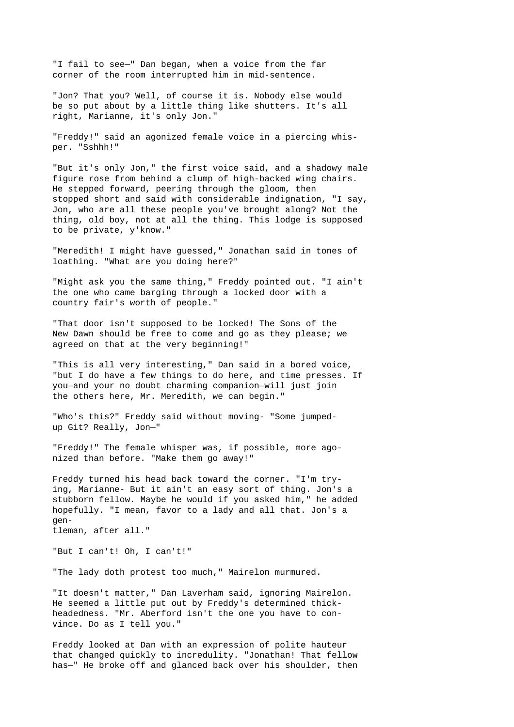"I fail to see—" Dan began, when a voice from the far corner of the room interrupted him in mid-sentence.

"Jon? That you? Well, of course it is. Nobody else would be so put about by a little thing like shutters. It's all right, Marianne, it's only Jon."

"Freddy!" said an agonized female voice in a piercing whisper. "Sshhh!"

"But it's only Jon," the first voice said, and a shadowy male figure rose from behind a clump of high-backed wing chairs. He stepped forward, peering through the gloom, then stopped short and said with considerable indignation, "I say, Jon, who are all these people you've brought along? Not the thing, old boy, not at all the thing. This lodge is supposed to be private, y'know."

"Meredith! I might have guessed," Jonathan said in tones of loathing. "What are you doing here?"

"Might ask you the same thing," Freddy pointed out. "I ain't the one who came barging through a locked door with a country fair's worth of people."

"That door isn't supposed to be locked! The Sons of the New Dawn should be free to come and go as they please; we agreed on that at the very beginning!"

"This is all very interesting," Dan said in a bored voice, "but I do have a few things to do here, and time presses. If you—and your no doubt charming companion—will just join the others here, Mr. Meredith, we can begin."

"Who's this?" Freddy said without moving- "Some jumpedup Git? Really, Jon—"

"Freddy!" The female whisper was, if possible, more agonized than before. "Make them go away!"

Freddy turned his head back toward the corner. "I'm trying, Marianne- But it ain't an easy sort of thing. Jon's a stubborn fellow. Maybe he would if you asked him," he added hopefully. "I mean, favor to a lady and all that. Jon's a gentleman, after all."

"But I can't! Oh, I can't!"

"The lady doth protest too much," Mairelon murmured.

"It doesn't matter," Dan Laverham said, ignoring Mairelon. He seemed a little put out by Freddy's determined thickheadedness. "Mr. Aberford isn't the one you have to convince. Do as I tell you."

Freddy looked at Dan with an expression of polite hauteur that changed quickly to incredulity. "Jonathan! That fellow has—" He broke off and glanced back over his shoulder, then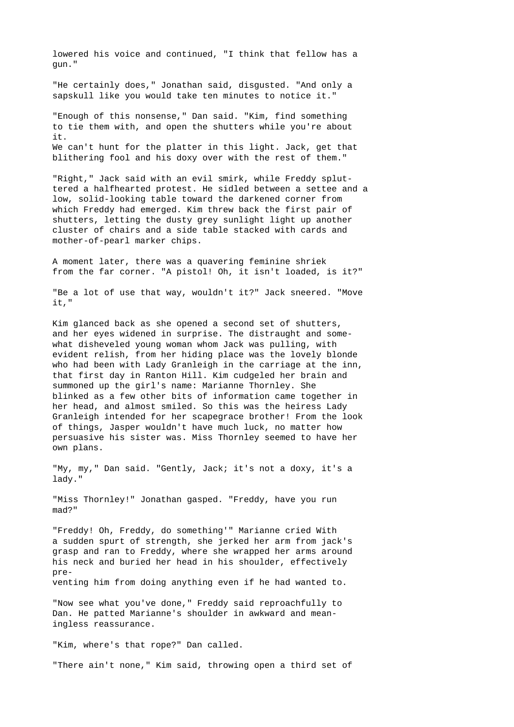lowered his voice and continued, "I think that fellow has a gun."

"He certainly does," Jonathan said, disgusted. "And only a sapskull like you would take ten minutes to notice it."

"Enough of this nonsense," Dan said. "Kim, find something to tie them with, and open the shutters while you're about it. We can't hunt for the platter in this light. Jack, get that blithering fool and his doxy over with the rest of them."

"Right," Jack said with an evil smirk, while Freddy spluttered a halfhearted protest. He sidled between a settee and a low, solid-looking table toward the darkened corner from which Freddy had emerged. Kim threw back the first pair of shutters, letting the dusty grey sunlight light up another cluster of chairs and a side table stacked with cards and mother-of-pearl marker chips.

A moment later, there was a quavering feminine shriek from the far corner. "A pistol! Oh, it isn't loaded, is it?"

"Be a lot of use that way, wouldn't it?" Jack sneered. "Move it,"

Kim glanced back as she opened a second set of shutters, and her eyes widened in surprise. The distraught and somewhat disheveled young woman whom Jack was pulling, with evident relish, from her hiding place was the lovely blonde who had been with Lady Granleigh in the carriage at the inn, that first day in Ranton Hill. Kim cudgeled her brain and summoned up the girl's name: Marianne Thornley. She blinked as a few other bits of information came together in her head, and almost smiled. So this was the heiress Lady Granleigh intended for her scapegrace brother! From the look of things, Jasper wouldn't have much luck, no matter how persuasive his sister was. Miss Thornley seemed to have her own plans.

"My, my," Dan said. "Gently, Jack; it's not a doxy, it's a lady."

"Miss Thornley!" Jonathan gasped. "Freddy, have you run mad?"

"Freddy! Oh, Freddy, do something'" Marianne cried With a sudden spurt of strength, she jerked her arm from jack's grasp and ran to Freddy, where she wrapped her arms around his neck and buried her head in his shoulder, effectively pre-

venting him from doing anything even if he had wanted to.

"Now see what you've done," Freddy said reproachfully to Dan. He patted Marianne's shoulder in awkward and meaningless reassurance.

"Kim, where's that rope?" Dan called.

"There ain't none," Kim said, throwing open a third set of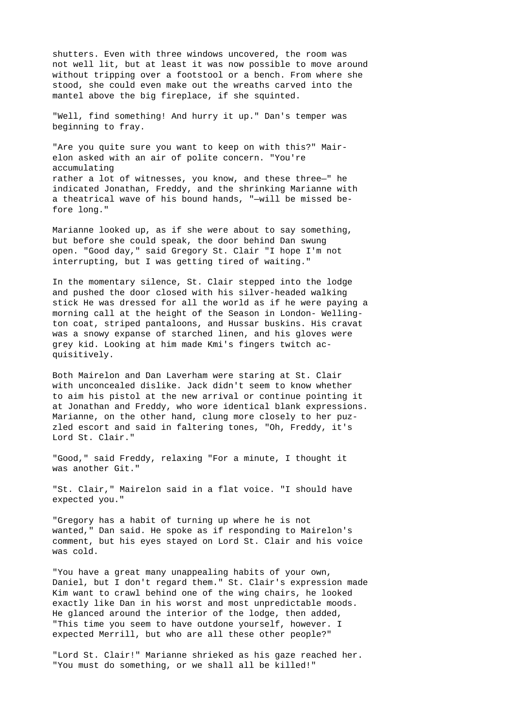shutters. Even with three windows uncovered, the room was not well lit, but at least it was now possible to move around without tripping over a footstool or a bench. From where she stood, she could even make out the wreaths carved into the mantel above the big fireplace, if she squinted.

"Well, find something! And hurry it up." Dan's temper was beginning to fray.

"Are you quite sure you want to keep on with this?" Mairelon asked with an air of polite concern. "You're accumulating rather a lot of witnesses, you know, and these three—" he indicated Jonathan, Freddy, and the shrinking Marianne with a theatrical wave of his bound hands, "—will be missed before long."

Marianne looked up, as if she were about to say something, but before she could speak, the door behind Dan swung open. "Good day," said Gregory St. Clair "I hope I'm not interrupting, but I was getting tired of waiting."

In the momentary silence, St. Clair stepped into the lodge and pushed the door closed with his silver-headed walking stick He was dressed for all the world as if he were paying a morning call at the height of the Season in London- Wellington coat, striped pantaloons, and Hussar buskins. His cravat was a snowy expanse of starched linen, and his gloves were grey kid. Looking at him made Kmi's fingers twitch acquisitively.

Both Mairelon and Dan Laverham were staring at St. Clair with unconcealed dislike. Jack didn't seem to know whether to aim his pistol at the new arrival or continue pointing it at Jonathan and Freddy, who wore identical blank expressions. Marianne, on the other hand, clung more closely to her puzzled escort and said in faltering tones, "Oh, Freddy, it's Lord St. Clair."

"Good," said Freddy, relaxing "For a minute, I thought it was another Git."

"St. Clair," Mairelon said in a flat voice. "I should have expected you."

"Gregory has a habit of turning up where he is not wanted," Dan said. He spoke as if responding to Mairelon's comment, but his eyes stayed on Lord St. Clair and his voice was cold.

"You have a great many unappealing habits of your own, Daniel, but I don't regard them." St. Clair's expression made Kim want to crawl behind one of the wing chairs, he looked exactly like Dan in his worst and most unpredictable moods. He glanced around the interior of the lodge, then added, "This time you seem to have outdone yourself, however. I expected Merrill, but who are all these other people?"

"Lord St. Clair!" Marianne shrieked as his gaze reached her. "You must do something, or we shall all be killed!"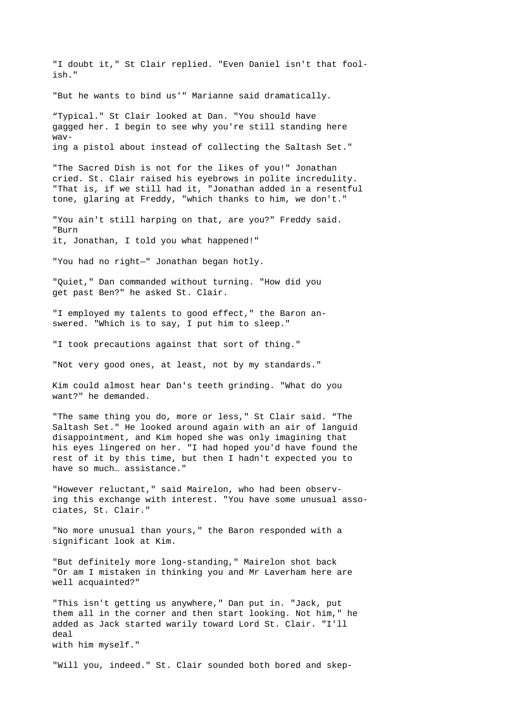"I doubt it," St Clair replied. "Even Daniel isn't that foolish." "But he wants to bind us'" Marianne said dramatically. "Typical." St Clair looked at Dan. "You should have gagged her. I begin to see why you're still standing here waving a pistol about instead of collecting the Saltash Set." "The Sacred Dish is not for the likes of you!" Jonathan cried. St. Clair raised his eyebrows in polite incredulity. "That is, if we still had it, "Jonathan added in a resentful tone, glaring at Freddy, "which thanks to him, we don't." "You ain't still harping on that, are you?" Freddy said. "Burn it, Jonathan, I told you what happened!" "You had no right—" Jonathan began hotly. "Quiet," Dan commanded without turning. "How did you get past Ben?" he asked St. Clair. "I employed my talents to good effect," the Baron answered. "Which is to say, I put him to sleep." "I took precautions against that sort of thing." "Not very good ones, at least, not by my standards." Kim could almost hear Dan's teeth grinding. "What do you want?" he demanded. "The same thing you do, more or less," St Clair said. "The Saltash Set." He looked around again with an air of languid disappointment, and Kim hoped she was only imagining that his eyes lingered on her. "I had hoped you'd have found the rest of it by this time, but then I hadn't expected you to have so much… assistance." "However reluctant," said Mairelon, who had been observing this exchange with interest. "You have some unusual associates, St. Clair." "No more unusual than yours," the Baron responded with a significant look at Kim. "But definitely more long-standing," Mairelon shot back "Or am I mistaken in thinking you and Mr Laverham here are well acquainted?" "This isn't getting us anywhere," Dan put in. "Jack, put them all in the corner and then start looking. Not him," he added as Jack started warily toward Lord St. Clair. "I'll deal with him myself."

"Will you, indeed." St. Clair sounded both bored and skep-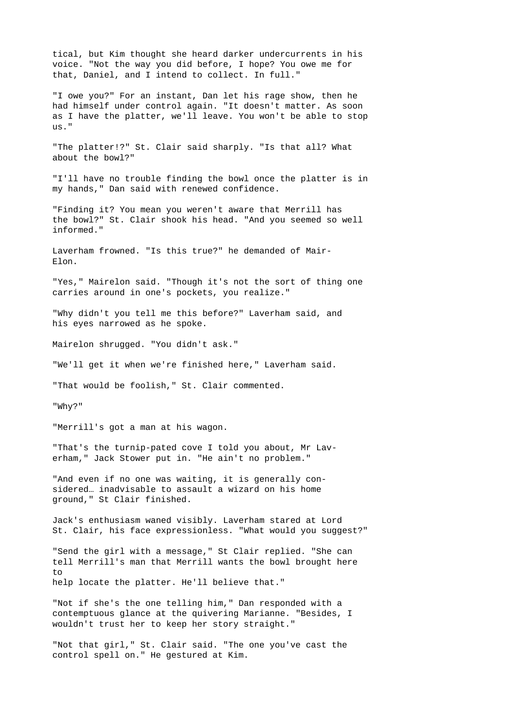tical, but Kim thought she heard darker undercurrents in his voice. "Not the way you did before, I hope? You owe me for that, Daniel, and I intend to collect. In full."

"I owe you?" For an instant, Dan let his rage show, then he had himself under control again. "It doesn't matter. As soon as I have the platter, we'll leave. You won't be able to stop us."

"The platter!?" St. Clair said sharply. "Is that all? What about the bowl?"

"I'll have no trouble finding the bowl once the platter is in my hands," Dan said with renewed confidence.

"Finding it? You mean you weren't aware that Merrill has the bowl?" St. Clair shook his head. "And you seemed so well informed."

Laverham frowned. "Is this true?" he demanded of Mair-Elon.

"Yes," Mairelon said. "Though it's not the sort of thing one carries around in one's pockets, you realize."

"Why didn't you tell me this before?" Laverham said, and his eyes narrowed as he spoke.

Mairelon shrugged. "You didn't ask."

"We'll get it when we're finished here," Laverham said.

"That would be foolish," St. Clair commented.

"Why?"

"Merrill's got a man at his wagon.

"That's the turnip-pated cove I told you about, Mr Laverham," Jack Stower put in. "He ain't no problem."

"And even if no one was waiting, it is generally considered… inadvisable to assault a wizard on his home ground," St Clair finished.

Jack's enthusiasm waned visibly. Laverham stared at Lord St. Clair, his face expressionless. "What would you suggest?"

"Send the girl with a message," St Clair replied. "She can tell Merrill's man that Merrill wants the bowl brought here  $t_{\Omega}$ help locate the platter. He'll believe that."

"Not if she's the one telling him," Dan responded with a contemptuous glance at the quivering Marianne. "Besides, I wouldn't trust her to keep her story straight."

"Not that girl," St. Clair said. "The one you've cast the control spell on." He gestured at Kim.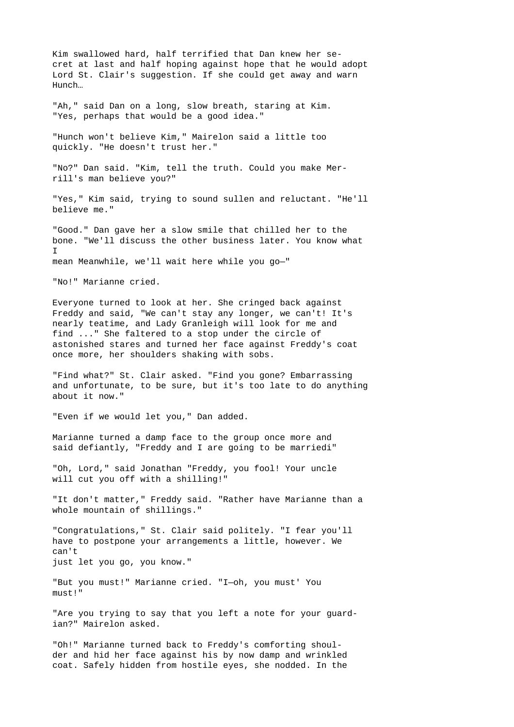Kim swallowed hard, half terrified that Dan knew her secret at last and half hoping against hope that he would adopt Lord St. Clair's suggestion. If she could get away and warn Hunch…

"Ah," said Dan on a long, slow breath, staring at Kim. "Yes, perhaps that would be a good idea."

"Hunch won't believe Kim," Mairelon said a little too quickly. "He doesn't trust her."

"No?" Dan said. "Kim, tell the truth. Could you make Merrill's man believe you?"

"Yes," Kim said, trying to sound sullen and reluctant. "He'll believe me."

"Good." Dan gave her a slow smile that chilled her to the bone. "We'll discuss the other business later. You know what I mean Meanwhile, we'll wait here while you go—"

"No!" Marianne cried.

Everyone turned to look at her. She cringed back against Freddy and said, "We can't stay any longer, we can't! It's nearly teatime, and Lady Granleigh will look for me and find ..." She faltered to a stop under the circle of astonished stares and turned her face against Freddy's coat once more, her shoulders shaking with sobs.

"Find what?" St. Clair asked. "Find you gone? Embarrassing and unfortunate, to be sure, but it's too late to do anything about it now."

"Even if we would let you," Dan added.

Marianne turned a damp face to the group once more and said defiantly, "Freddy and I are going to be marriedi"

"Oh, Lord," said Jonathan "Freddy, you fool! Your uncle will cut you off with a shilling!"

"It don't matter," Freddy said. "Rather have Marianne than a whole mountain of shillings."

"Congratulations," St. Clair said politely. "I fear you'll have to postpone your arrangements a little, however. We can't just let you go, you know."

"But you must!" Marianne cried. "I—oh, you must' You must!"

"Are you trying to say that you left a note for your guardian?" Mairelon asked.

"Oh!" Marianne turned back to Freddy's comforting shoulder and hid her face against his by now damp and wrinkled coat. Safely hidden from hostile eyes, she nodded. In the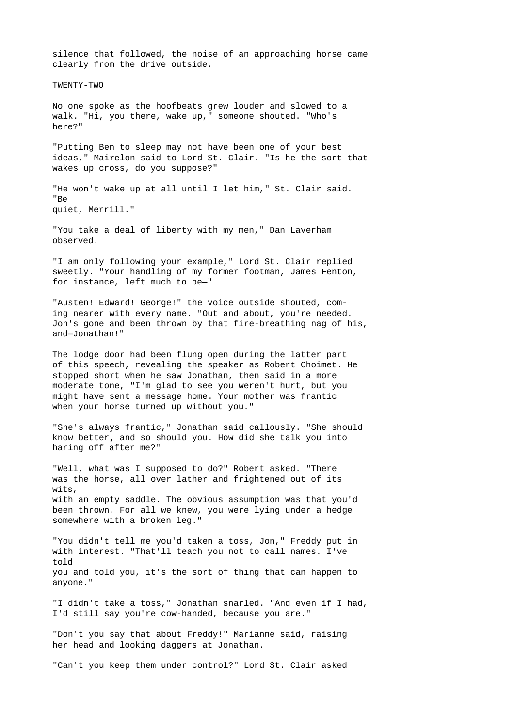silence that followed, the noise of an approaching horse came clearly from the drive outside. TWENTY-TWO No one spoke as the hoofbeats grew louder and slowed to a walk. "Hi, you there, wake up," someone shouted. "Who's here?" "Putting Ben to sleep may not have been one of your best ideas," Mairelon said to Lord St. Clair. "Is he the sort that wakes up cross, do you suppose?" "He won't wake up at all until I let him," St. Clair said. "Be quiet, Merrill." "You take a deal of liberty with my men," Dan Laverham observed. "I am only following your example," Lord St. Clair replied sweetly. "Your handling of my former footman, James Fenton, for instance, left much to be—" "Austen! Edward! George!" the voice outside shouted, coming nearer with every name. "Out and about, you're needed. Jon's gone and been thrown by that fire-breathing nag of his, and—Jonathan!" The lodge door had been flung open during the latter part of this speech, revealing the speaker as Robert Choimet. He stopped short when he saw Jonathan, then said in a more moderate tone, "I'm glad to see you weren't hurt, but you might have sent a message home. Your mother was frantic when your horse turned up without you." "She's always frantic," Jonathan said callously. "She should know better, and so should you. How did she talk you into haring off after me?" "Well, what was I supposed to do?" Robert asked. "There was the horse, all over lather and frightened out of its wits, with an empty saddle. The obvious assumption was that you'd been thrown. For all we knew, you were lying under a hedge somewhere with a broken leg." "You didn't tell me you'd taken a toss, Jon," Freddy put in with interest. "That'll teach you not to call names. I've told you and told you, it's the sort of thing that can happen to anyone." "I didn't take a toss," Jonathan snarled. "And even if I had, I'd still say you're cow-handed, because you are." "Don't you say that about Freddy!" Marianne said, raising her head and looking daggers at Jonathan.

"Can't you keep them under control?" Lord St. Clair asked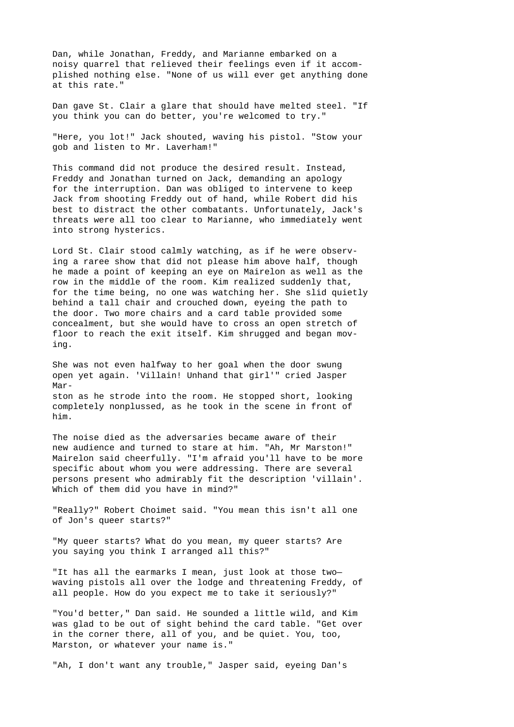Dan, while Jonathan, Freddy, and Marianne embarked on a noisy quarrel that relieved their feelings even if it accomplished nothing else. "None of us will ever get anything done at this rate."

Dan gave St. Clair a glare that should have melted steel. "If you think you can do better, you're welcomed to try."

"Here, you lot!" Jack shouted, waving his pistol. "Stow your gob and listen to Mr. Laverham!"

This command did not produce the desired result. Instead, Freddy and Jonathan turned on Jack, demanding an apology for the interruption. Dan was obliged to intervene to keep Jack from shooting Freddy out of hand, while Robert did his best to distract the other combatants. Unfortunately, Jack's threats were all too clear to Marianne, who immediately went into strong hysterics.

Lord St. Clair stood calmly watching, as if he were observing a raree show that did not please him above half, though he made a point of keeping an eye on Mairelon as well as the row in the middle of the room. Kim realized suddenly that, for the time being, no one was watching her. She slid quietly behind a tall chair and crouched down, eyeing the path to the door. Two more chairs and a card table provided some concealment, but she would have to cross an open stretch of floor to reach the exit itself. Kim shrugged and began moving.

She was not even halfway to her goal when the door swung open yet again. 'Villain! Unhand that girl'" cried Jasper Marston as he strode into the room. He stopped short, looking completely nonplussed, as he took in the scene in front of him.

The noise died as the adversaries became aware of their new audience and turned to stare at him. "Ah, Mr Marston!" Mairelon said cheerfully. "I'm afraid you'll have to be more specific about whom you were addressing. There are several persons present who admirably fit the description 'villain'. Which of them did you have in mind?"

"Really?" Robert Choimet said. "You mean this isn't all one of Jon's queer starts?"

"My queer starts? What do you mean, my queer starts? Are you saying you think I arranged all this?"

"It has all the earmarks I mean, just look at those two waving pistols all over the lodge and threatening Freddy, of all people. How do you expect me to take it seriously?"

"You'd better," Dan said. He sounded a little wild, and Kim was glad to be out of sight behind the card table. "Get over in the corner there, all of you, and be quiet. You, too, Marston, or whatever your name is."

"Ah, I don't want any trouble," Jasper said, eyeing Dan's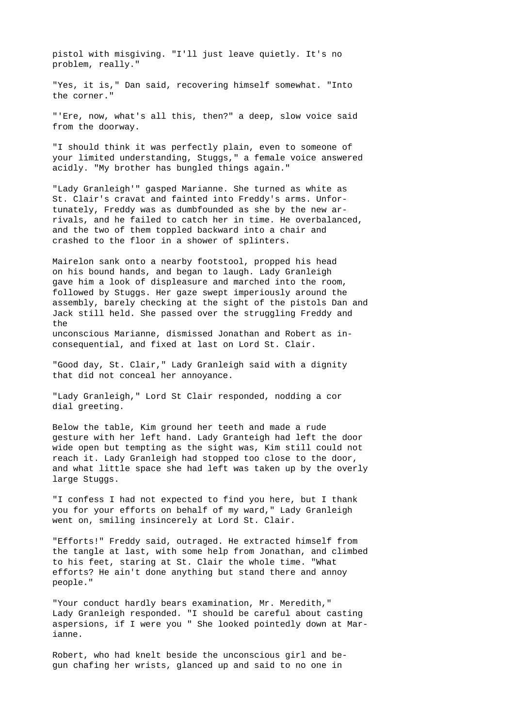pistol with misgiving. "I'll just leave quietly. It's no problem, really."

"Yes, it is," Dan said, recovering himself somewhat. "Into the corner."

"'Ere, now, what's all this, then?" a deep, slow voice said from the doorway.

"I should think it was perfectly plain, even to someone of your limited understanding, Stuggs," a female voice answered acidly. "My brother has bungled things again."

"Lady Granleigh'" gasped Marianne. She turned as white as St. Clair's cravat and fainted into Freddy's arms. Unfortunately, Freddy was as dumbfounded as she by the new arrivals, and he failed to catch her in time. He overbalanced, and the two of them toppled backward into a chair and crashed to the floor in a shower of splinters.

Mairelon sank onto a nearby footstool, propped his head on his bound hands, and began to laugh. Lady Granleigh gave him a look of displeasure and marched into the room, followed by Stuggs. Her gaze swept imperiously around the assembly, barely checking at the sight of the pistols Dan and Jack still held. She passed over the struggling Freddy and the unconscious Marianne, dismissed Jonathan and Robert as in-

consequential, and fixed at last on Lord St. Clair.

"Good day, St. Clair," Lady Granleigh said with a dignity that did not conceal her annoyance.

"Lady Granleigh," Lord St Clair responded, nodding a cor dial greeting.

Below the table, Kim ground her teeth and made a rude gesture with her left hand. Lady Granteigh had left the door wide open but tempting as the sight was, Kim still could not reach it. Lady Granleigh had stopped too close to the door, and what little space she had left was taken up by the overly large Stuggs.

"I confess I had not expected to find you here, but I thank you for your efforts on behalf of my ward," Lady Granleigh went on, smiling insincerely at Lord St. Clair.

"Efforts!" Freddy said, outraged. He extracted himself from the tangle at last, with some help from Jonathan, and climbed to his feet, staring at St. Clair the whole time. "What efforts? He ain't done anything but stand there and annoy people."

"Your conduct hardly bears examination, Mr. Meredith," Lady Granleigh responded. "I should be careful about casting aspersions, if I were you " She looked pointedly down at Marianne.

Robert, who had knelt beside the unconscious girl and begun chafing her wrists, glanced up and said to no one in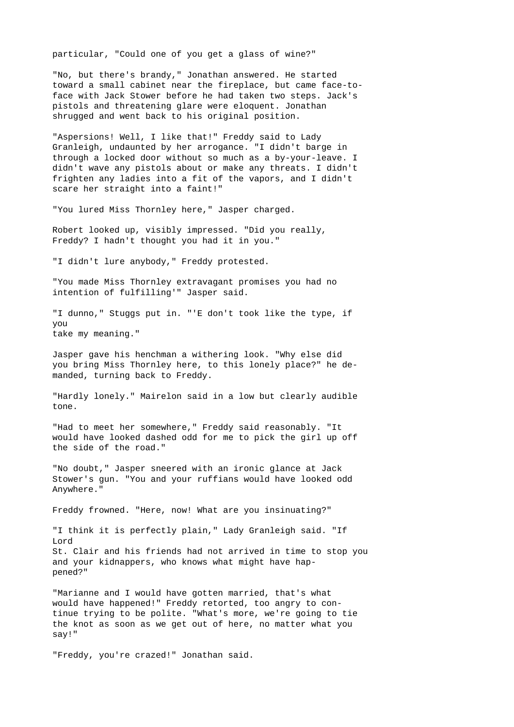particular, "Could one of you get a glass of wine?"

"No, but there's brandy," Jonathan answered. He started toward a small cabinet near the fireplace, but came face-toface with Jack Stower before he had taken two steps. Jack's pistols and threatening glare were eloquent. Jonathan shrugged and went back to his original position.

"Aspersions! Well, I like that!" Freddy said to Lady Granleigh, undaunted by her arrogance. "I didn't barge in through a locked door without so much as a by-your-leave. I didn't wave any pistols about or make any threats. I didn't frighten any ladies into a fit of the vapors, and I didn't scare her straight into a faint!"

"You lured Miss Thornley here," Jasper charged.

Robert looked up, visibly impressed. "Did you really, Freddy? I hadn't thought you had it in you."

"I didn't lure anybody," Freddy protested.

"You made Miss Thornley extravagant promises you had no intention of fulfilling'" Jasper said.

"I dunno," Stuggs put in. "'E don't took like the type, if you take my meaning."

Jasper gave his henchman a withering look. "Why else did you bring Miss Thornley here, to this lonely place?" he demanded, turning back to Freddy.

"Hardly lonely." Mairelon said in a low but clearly audible tone.

"Had to meet her somewhere," Freddy said reasonably. "It would have looked dashed odd for me to pick the girl up off the side of the road."

"No doubt," Jasper sneered with an ironic glance at Jack Stower's gun. "You and your ruffians would have looked odd Anywhere."

Freddy frowned. "Here, now! What are you insinuating?"

"I think it is perfectly plain," Lady Granleigh said. "If Lord St. Clair and his friends had not arrived in time to stop you and your kidnappers, who knows what might have happened?"

"Marianne and I would have gotten married, that's what would have happened!" Freddy retorted, too angry to continue trying to be polite. "What's more, we're going to tie the knot as soon as we get out of here, no matter what you say!"

"Freddy, you're crazed!" Jonathan said.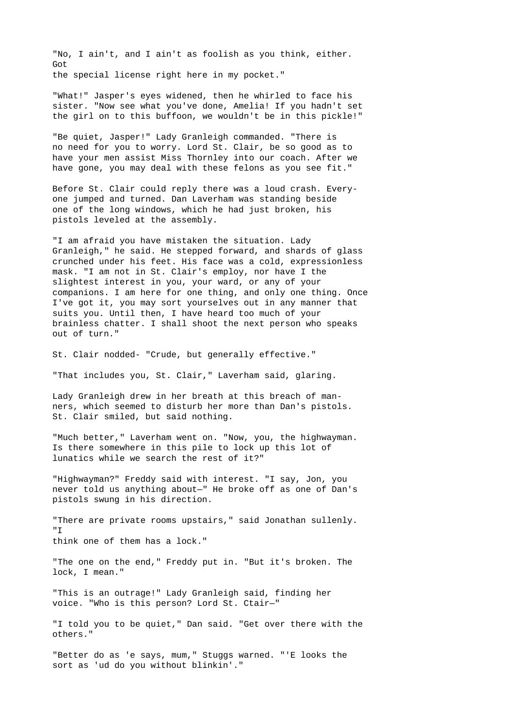"No, I ain't, and I ain't as foolish as you think, either. Got the special license right here in my pocket."

"What!" Jasper's eyes widened, then he whirled to face his sister. "Now see what you've done, Amelia! If you hadn't set the girl on to this buffoon, we wouldn't be in this pickle!"

"Be quiet, Jasper!" Lady Granleigh commanded. "There is no need for you to worry. Lord St. Clair, be so good as to have your men assist Miss Thornley into our coach. After we have gone, you may deal with these felons as you see fit."

Before St. Clair could reply there was a loud crash. Everyone jumped and turned. Dan Laverham was standing beside one of the long windows, which he had just broken, his pistols leveled at the assembly.

"I am afraid you have mistaken the situation. Lady Granleigh," he said. He stepped forward, and shards of glass crunched under his feet. His face was a cold, expressionless mask. "I am not in St. Clair's employ, nor have I the slightest interest in you, your ward, or any of your companions. I am here for one thing, and only one thing. Once I've got it, you may sort yourselves out in any manner that suits you. Until then, I have heard too much of your brainless chatter. I shall shoot the next person who speaks out of turn."

St. Clair nodded- "Crude, but generally effective."

"That includes you, St. Clair," Laverham said, glaring.

Lady Granleigh drew in her breath at this breach of manners, which seemed to disturb her more than Dan's pistols. St. Clair smiled, but said nothing.

"Much better," Laverham went on. "Now, you, the highwayman. Is there somewhere in this pile to lock up this lot of lunatics while we search the rest of it?"

"Highwayman?" Freddy said with interest. "I say, Jon, you never told us anything about—" He broke off as one of Dan's pistols swung in his direction.

"There are private rooms upstairs," said Jonathan sullenly. "T think one of them has a lock."

"The one on the end," Freddy put in. "But it's broken. The lock, I mean."

"This is an outrage!" Lady Granleigh said, finding her voice. "Who is this person? Lord St. Ctair—"

"I told you to be quiet," Dan said. "Get over there with the others."

"Better do as 'e says, mum," Stuggs warned. "'E looks the sort as 'ud do you without blinkin'."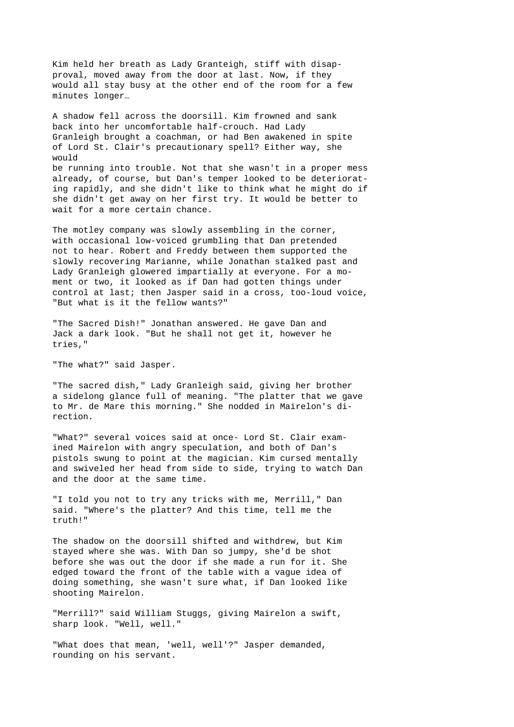Kim held her breath as Lady Granteigh, stiff with disapproval, moved away from the door at last. Now, if they would all stay busy at the other end of the room for a few minutes longer…

A shadow fell across the doorsill. Kim frowned and sank back into her uncomfortable half-crouch. Had Lady Granleigh brought a coachman, or had Ben awakened in spite of Lord St. Clair's precautionary spell? Either way, she would be running into trouble. Not that she wasn't in a proper mess already, of course, but Dan's temper looked to be deteriorating rapidly, and she didn't like to think what he might do if she didn't get away on her first try. It would be better to wait for a more certain chance.

The motley company was slowly assembling in the corner, with occasional low-voiced grumbling that Dan pretended not to hear. Robert and Freddy between them supported the slowly recovering Marianne, while Jonathan stalked past and Lady Granleigh glowered impartially at everyone. For a moment or two, it looked as if Dan had gotten things under control at last; then Jasper said in a cross, too-loud voice, "But what is it the fellow wants?"

"The Sacred Dish!" Jonathan answered. He gave Dan and Jack a dark look. "But he shall not get it, however he tries,"

"The what?" said Jasper.

"The sacred dish," Lady Granleigh said, giving her brother a sidelong glance full of meaning. "The platter that we gave to Mr. de Mare this morning." She nodded in Mairelon's direction.

"What?" several voices said at once- Lord St. Clair examined Mairelon with angry speculation, and both of Dan's pistols swung to point at the magician. Kim cursed mentally and swiveled her head from side to side, trying to watch Dan and the door at the same time.

"I told you not to try any tricks with me, Merrill," Dan said. "Where's the platter? And this time, tell me the truth!"

The shadow on the doorsill shifted and withdrew, but Kim stayed where she was. With Dan so jumpy, she'd be shot before she was out the door if she made a run for it. She edged toward the front of the table with a vague idea of doing something, she wasn't sure what, if Dan looked like shooting Mairelon.

"Merrill?" said William Stuggs, giving Mairelon a swift, sharp look. "Well, well."

"What does that mean, 'well, well'?" Jasper demanded, rounding on his servant.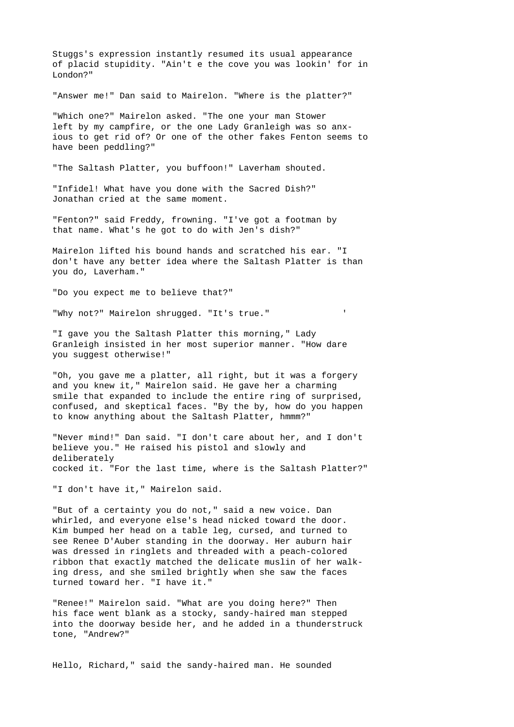Stuggs's expression instantly resumed its usual appearance of placid stupidity. "Ain't e the cove you was lookin' for in London?"

"Answer me!" Dan said to Mairelon. "Where is the platter?"

"Which one?" Mairelon asked. "The one your man Stower left by my campfire, or the one Lady Granleigh was so anxious to get rid of? Or one of the other fakes Fenton seems to have been peddling?"

"The Saltash Platter, you buffoon!" Laverham shouted.

"Infidel! What have you done with the Sacred Dish?" Jonathan cried at the same moment.

"Fenton?" said Freddy, frowning. "I've got a footman by that name. What's he got to do with Jen's dish?"

Mairelon lifted his bound hands and scratched his ear. "I don't have any better idea where the Saltash Platter is than you do, Laverham."

"Do you expect me to believe that?"

"Why not?" Mairelon shrugged. "It's true."

"I gave you the Saltash Platter this morning," Lady Granleigh insisted in her most superior manner. "How dare you suggest otherwise!"

"Oh, you gave me a platter, all right, but it was a forgery and you knew it," Mairelon said. He gave her a charming smile that expanded to include the entire ring of surprised, confused, and skeptical faces. "By the by, how do you happen to know anything about the Saltash Platter, hmmm?"

"Never mind!" Dan said. "I don't care about her, and I don't believe you." He raised his pistol and slowly and deliberately cocked it. "For the last time, where is the Saltash Platter?"

"I don't have it," Mairelon said.

"But of a certainty you do not," said a new voice. Dan whirled, and everyone else's head nicked toward the door. Kim bumped her head on a table leg, cursed, and turned to see Renee D'Auber standing in the doorway. Her auburn hair was dressed in ringlets and threaded with a peach-colored ribbon that exactly matched the delicate muslin of her walking dress, and she smiled brightly when she saw the faces turned toward her. "I have it."

"Renee!" Mairelon said. "What are you doing here?" Then his face went blank as a stocky, sandy-haired man stepped into the doorway beside her, and he added in a thunderstruck tone, "Andrew?"

Hello, Richard," said the sandy-haired man. He sounded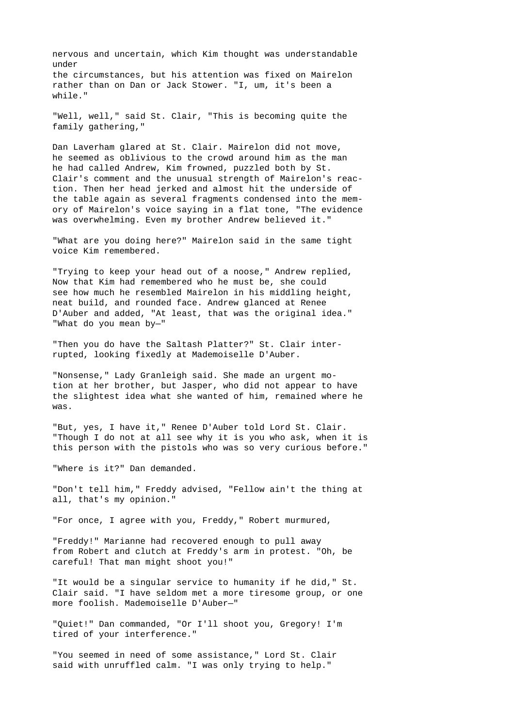nervous and uncertain, which Kim thought was understandable under the circumstances, but his attention was fixed on Mairelon rather than on Dan or Jack Stower. "I, um, it's been a while."

"Well, well," said St. Clair, "This is becoming quite the family gathering,"

Dan Laverham glared at St. Clair. Mairelon did not move, he seemed as oblivious to the crowd around him as the man he had called Andrew, Kim frowned, puzzled both by St. Clair's comment and the unusual strength of Mairelon's reaction. Then her head jerked and almost hit the underside of the table again as several fragments condensed into the memory of Mairelon's voice saying in a flat tone, "The evidence was overwhelming. Even my brother Andrew believed it."

"What are you doing here?" Mairelon said in the same tight voice Kim remembered.

"Trying to keep your head out of a noose," Andrew replied, Now that Kim had remembered who he must be, she could see how much he resembled Mairelon in his middling height, neat build, and rounded face. Andrew glanced at Renee D'Auber and added, "At least, that was the original idea." "What do you mean by—"

"Then you do have the Saltash Platter?" St. Clair interrupted, looking fixedly at Mademoiselle D'Auber.

"Nonsense," Lady Granleigh said. She made an urgent motion at her brother, but Jasper, who did not appear to have the slightest idea what she wanted of him, remained where he was.

"But, yes, I have it," Renee D'Auber told Lord St. Clair. "Though I do not at all see why it is you who ask, when it is this person with the pistols who was so very curious before."

"Where is it?" Dan demanded.

"Don't tell him," Freddy advised, "Fellow ain't the thing at all, that's my opinion."

"For once, I agree with you, Freddy," Robert murmured,

"Freddy!" Marianne had recovered enough to pull away from Robert and clutch at Freddy's arm in protest. "Oh, be careful! That man might shoot you!"

"It would be a singular service to humanity if he did," St. Clair said. "I have seldom met a more tiresome group, or one more foolish. Mademoiselle D'Auber—"

"Quiet!" Dan commanded, "Or I'll shoot you, Gregory! I'm tired of your interference."

"You seemed in need of some assistance," Lord St. Clair said with unruffled calm. "I was only trying to help."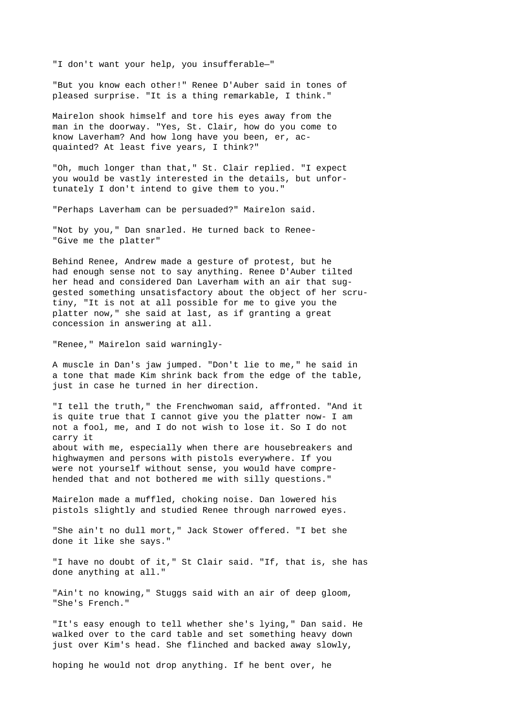"I don't want your help, you insufferable—"

"But you know each other!" Renee D'Auber said in tones of pleased surprise. "It is a thing remarkable, I think."

Mairelon shook himself and tore his eyes away from the man in the doorway. "Yes, St. Clair, how do you come to know Laverham? And how long have you been, er, acquainted? At least five years, I think?"

"Oh, much longer than that," St. Clair replied. "I expect you would be vastly interested in the details, but unfortunately I don't intend to give them to you."

"Perhaps Laverham can be persuaded?" Mairelon said.

"Not by you," Dan snarled. He turned back to Renee- "Give me the platter"

Behind Renee, Andrew made a gesture of protest, but he had enough sense not to say anything. Renee D'Auber tilted her head and considered Dan Laverham with an air that suggested something unsatisfactory about the object of her scrutiny, "It is not at all possible for me to give you the platter now," she said at last, as if granting a great concession in answering at all.

"Renee," Mairelon said warningly-

A muscle in Dan's jaw jumped. "Don't lie to me," he said in a tone that made Kim shrink back from the edge of the table, just in case he turned in her direction.

"I tell the truth," the Frenchwoman said, affronted. "And it is quite true that I cannot give you the platter now- I am not a fool, me, and I do not wish to lose it. So I do not carry it about with me, especially when there are housebreakers and highwaymen and persons with pistols everywhere. If you were not yourself without sense, you would have comprehended that and not bothered me with silly questions."

Mairelon made a muffled, choking noise. Dan lowered his pistols slightly and studied Renee through narrowed eyes.

"She ain't no dull mort," Jack Stower offered. "I bet she done it like she says."

"I have no doubt of it," St Clair said. "If, that is, she has done anything at all."

"Ain't no knowing," Stuggs said with an air of deep gloom, "She's French."

"It's easy enough to tell whether she's lying," Dan said. He walked over to the card table and set something heavy down just over Kim's head. She flinched and backed away slowly,

hoping he would not drop anything. If he bent over, he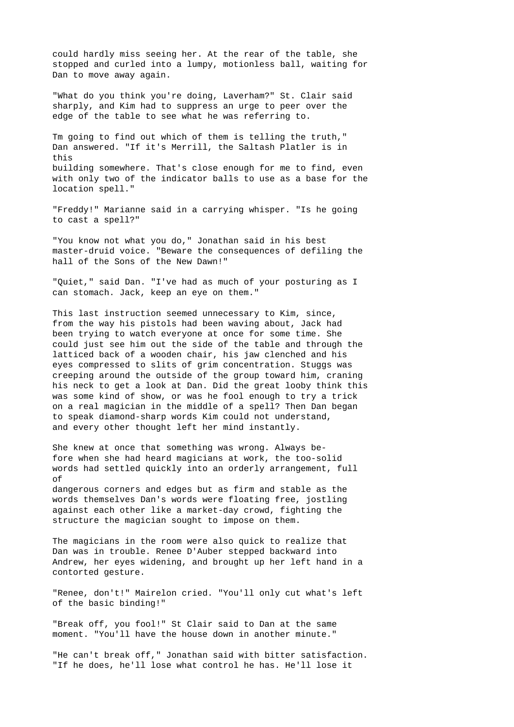could hardly miss seeing her. At the rear of the table, she stopped and curled into a lumpy, motionless ball, waiting for Dan to move away again.

"What do you think you're doing, Laverham?" St. Clair said sharply, and Kim had to suppress an urge to peer over the edge of the table to see what he was referring to.

Tm going to find out which of them is telling the truth," Dan answered. "If it's Merrill, the Saltash Platler is in this building somewhere. That's close enough for me to find, even with only two of the indicator balls to use as a base for the location spell."

"Freddy!" Marianne said in a carrying whisper. "Is he going to cast a spell?"

"You know not what you do," Jonathan said in his best master-druid voice. "Beware the consequences of defiling the hall of the Sons of the New Dawn!"

"Quiet," said Dan. "I've had as much of your posturing as I can stomach. Jack, keep an eye on them."

This last instruction seemed unnecessary to Kim, since, from the way his pistols had been waving about, Jack had been trying to watch everyone at once for some time. She could just see him out the side of the table and through the latticed back of a wooden chair, his jaw clenched and his eyes compressed to slits of grim concentration. Stuggs was creeping around the outside of the group toward him, craning his neck to get a look at Dan. Did the great looby think this was some kind of show, or was he fool enough to try a trick on a real magician in the middle of a spell? Then Dan began to speak diamond-sharp words Kim could not understand, and every other thought left her mind instantly.

She knew at once that something was wrong. Always before when she had heard magicians at work, the too-solid words had settled quickly into an orderly arrangement, full of

dangerous corners and edges but as firm and stable as the words themselves Dan's words were floating free, jostling against each other like a market-day crowd, fighting the structure the magician sought to impose on them.

The magicians in the room were also quick to realize that Dan was in trouble. Renee D'Auber stepped backward into Andrew, her eyes widening, and brought up her left hand in a contorted gesture.

"Renee, don't!" Mairelon cried. "You'll only cut what's left of the basic binding!"

"Break off, you fool!" St Clair said to Dan at the same moment. "You'll have the house down in another minute."

"He can't break off," Jonathan said with bitter satisfaction. "If he does, he'll lose what control he has. He'll lose it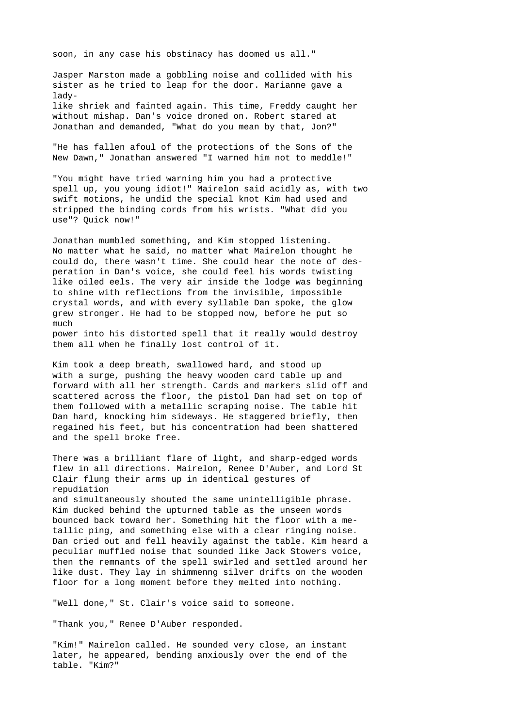soon, in any case his obstinacy has doomed us all."

Jasper Marston made a gobbling noise and collided with his sister as he tried to leap for the door. Marianne gave a ladylike shriek and fainted again. This time, Freddy caught her without mishap. Dan's voice droned on. Robert stared at Jonathan and demanded, "What do you mean by that, Jon?"

"He has fallen afoul of the protections of the Sons of the New Dawn," Jonathan answered "I warned him not to meddle!"

"You might have tried warning him you had a protective spell up, you young idiot!" Mairelon said acidly as, with two swift motions, he undid the special knot Kim had used and stripped the binding cords from his wrists. "What did you use"? Quick now!"

Jonathan mumbled something, and Kim stopped listening. No matter what he said, no matter what Mairelon thought he could do, there wasn't time. She could hear the note of desperation in Dan's voice, she could feel his words twisting like oiled eels. The very air inside the lodge was beginning to shine with reflections from the invisible, impossible crystal words, and with every syllable Dan spoke, the glow grew stronger. He had to be stopped now, before he put so much power into his distorted spell that it really would destroy

them all when he finally lost control of it.

Kim took a deep breath, swallowed hard, and stood up with a surge, pushing the heavy wooden card table up and forward with all her strength. Cards and markers slid off and scattered across the floor, the pistol Dan had set on top of them followed with a metallic scraping noise. The table hit Dan hard, knocking him sideways. He staggered briefly, then regained his feet, but his concentration had been shattered and the spell broke free.

There was a brilliant flare of light, and sharp-edged words flew in all directions. Mairelon, Renee D'Auber, and Lord St Clair flung their arms up in identical gestures of repudiation and simultaneously shouted the same unintelligible phrase. Kim ducked behind the upturned table as the unseen words bounced back toward her. Something hit the floor with a metallic ping, and something else with a clear ringing noise. Dan cried out and fell heavily against the table. Kim heard a peculiar muffled noise that sounded like Jack Stowers voice, then the remnants of the spell swirled and settled around her like dust. They lay in shimmenng silver drifts on the wooden floor for a long moment before they melted into nothing.

"Well done," St. Clair's voice said to someone.

"Thank you," Renee D'Auber responded.

"Kim!" Mairelon called. He sounded very close, an instant later, he appeared, bending anxiously over the end of the table. "Kim?"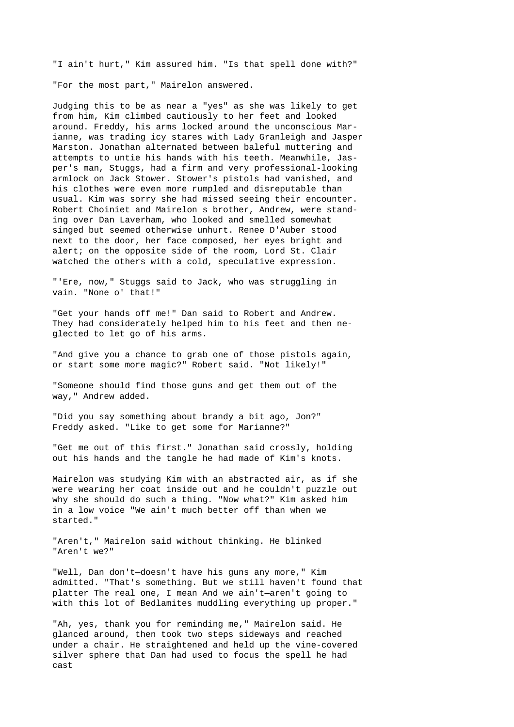"I ain't hurt," Kim assured him. "Is that spell done with?" "For the most part," Mairelon answered.

Judging this to be as near a "yes" as she was likely to get from him, Kim climbed cautiously to her feet and looked around. Freddy, his arms locked around the unconscious Marianne, was trading icy stares with Lady Granleigh and Jasper Marston. Jonathan alternated between baleful muttering and attempts to untie his hands with his teeth. Meanwhile, Jasper's man, Stuggs, had a firm and very professional-looking armlock on Jack Stower. Stower's pistols had vanished, and his clothes were even more rumpled and disreputable than usual. Kim was sorry she had missed seeing their encounter. Robert Choiniet and Mairelon s brother, Andrew, were standing over Dan Laverham, who looked and smelled somewhat singed but seemed otherwise unhurt. Renee D'Auber stood next to the door, her face composed, her eyes bright and alert; on the opposite side of the room, Lord St. Clair watched the others with a cold, speculative expression.

"'Ere, now," Stuggs said to Jack, who was struggling in vain. "None o' that!"

"Get your hands off me!" Dan said to Robert and Andrew. They had considerately helped him to his feet and then neglected to let go of his arms.

"And give you a chance to grab one of those pistols again, or start some more magic?" Robert said. "Not likely!"

"Someone should find those guns and get them out of the way," Andrew added.

"Did you say something about brandy a bit ago, Jon?" Freddy asked. "Like to get some for Marianne?"

"Get me out of this first." Jonathan said crossly, holding out his hands and the tangle he had made of Kim's knots.

Mairelon was studying Kim with an abstracted air, as if she were wearing her coat inside out and he couldn't puzzle out why she should do such a thing. "Now what?" Kim asked him in a low voice "We ain't much better off than when we started."

"Aren't," Mairelon said without thinking. He blinked "Aren't we?"

"Well, Dan don't—doesn't have his guns any more," Kim admitted. "That's something. But we still haven't found that platter The real one, I mean And we ain't—aren't going to with this lot of Bedlamites muddling everything up proper."

"Ah, yes, thank you for reminding me," Mairelon said. He glanced around, then took two steps sideways and reached under a chair. He straightened and held up the vine-covered silver sphere that Dan had used to focus the spell he had cast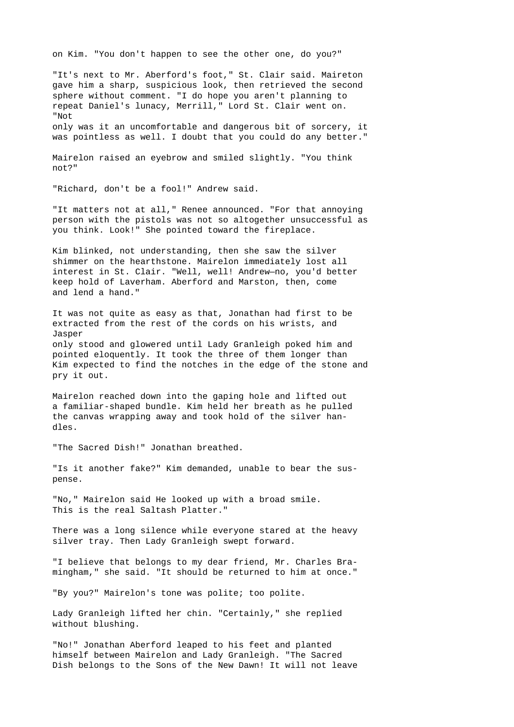on Kim. "You don't happen to see the other one, do you?"

"It's next to Mr. Aberford's foot," St. Clair said. Maireton gave him a sharp, suspicious look, then retrieved the second sphere without comment. "I do hope you aren't planning to repeat Daniel's lunacy, Merrill," Lord St. Clair went on. "Not only was it an uncomfortable and dangerous bit of sorcery, it was pointless as well. I doubt that you could do any better."

Mairelon raised an eyebrow and smiled slightly. "You think  $n \cap$   $n \cap$ 

"Richard, don't be a fool!" Andrew said.

"It matters not at all," Renee announced. "For that annoying person with the pistols was not so altogether unsuccessful as you think. Look!" She pointed toward the fireplace.

Kim blinked, not understanding, then she saw the silver shimmer on the hearthstone. Mairelon immediately lost all interest in St. Clair. "Well, well! Andrew—no, you'd better keep hold of Laverham. Aberford and Marston, then, come and lend a hand."

It was not quite as easy as that, Jonathan had first to be extracted from the rest of the cords on his wrists, and Jasper only stood and glowered until Lady Granleigh poked him and pointed eloquently. It took the three of them longer than Kim expected to find the notches in the edge of the stone and pry it out.

Mairelon reached down into the gaping hole and lifted out a familiar-shaped bundle. Kim held her breath as he pulled the canvas wrapping away and took hold of the silver handles.

"The Sacred Dish!" Jonathan breathed.

"Is it another fake?" Kim demanded, unable to bear the suspense.

"No," Mairelon said He looked up with a broad smile. This is the real Saltash Platter."

There was a long silence while everyone stared at the heavy silver tray. Then Lady Granleigh swept forward.

"I believe that belongs to my dear friend, Mr. Charles Bramingham," she said. "It should be returned to him at once."

"By you?" Mairelon's tone was polite; too polite.

Lady Granleigh lifted her chin. "Certainly," she replied without blushing.

"No!" Jonathan Aberford leaped to his feet and planted himself between Mairelon and Lady Granleigh. "The Sacred Dish belongs to the Sons of the New Dawn! It will not leave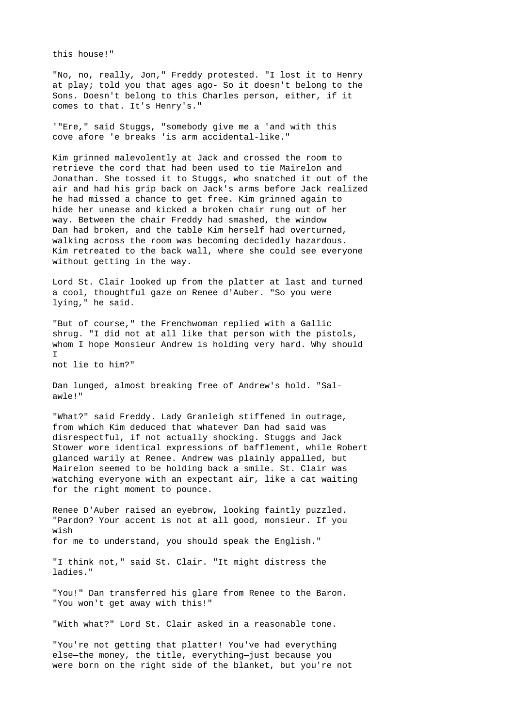this house!"

"No, no, really, Jon," Freddy protested. "I lost it to Henry at play; told you that ages ago- So it doesn't belong to the Sons. Doesn't belong to this Charles person, either, if it comes to that. It's Henry's."

'"Ere," said Stuggs, "somebody give me a 'and with this cove afore 'e breaks 'is arm accidental-like."

Kim grinned malevolently at Jack and crossed the room to retrieve the cord that had been used to tie Mairelon and Jonathan. She tossed it to Stuggs, who snatched it out of the air and had his grip back on Jack's arms before Jack realized he had missed a chance to get free. Kim grinned again to hide her unease and kicked a broken chair rung out of her way. Between the chair Freddy had smashed, the window Dan had broken, and the table Kim herself had overturned, walking across the room was becoming decidedly hazardous. Kim retreated to the back wall, where she could see everyone without getting in the way.

Lord St. Clair looked up from the platter at last and turned a cool, thoughtful gaze on Renee d'Auber. "So you were lying," he said.

"But of course," the Frenchwoman replied with a Gallic shrug. "I did not at all like that person with the pistols, whom I hope Monsieur Andrew is holding very hard. Why should I

not lie to him?"

Dan lunged, almost breaking free of Andrew's hold. "Salawle!"

"What?" said Freddy. Lady Granleigh stiffened in outrage, from which Kim deduced that whatever Dan had said was disrespectful, if not actually shocking. Stuggs and Jack Stower wore identical expressions of bafflement, while Robert glanced warily at Renee. Andrew was plainly appalled, but Mairelon seemed to be holding back a smile. St. Clair was watching everyone with an expectant air, like a cat waiting for the right moment to pounce.

Renee D'Auber raised an eyebrow, looking faintly puzzled. "Pardon? Your accent is not at all good, monsieur. If you wish for me to understand, you should speak the English."

"I think not," said St. Clair. "It might distress the ladies."

"You!" Dan transferred his glare from Renee to the Baron. "You won't get away with this!"

"With what?" Lord St. Clair asked in a reasonable tone.

"You're not getting that platter! You've had everything else—the money, the title, everything—just because you were born on the right side of the blanket, but you're not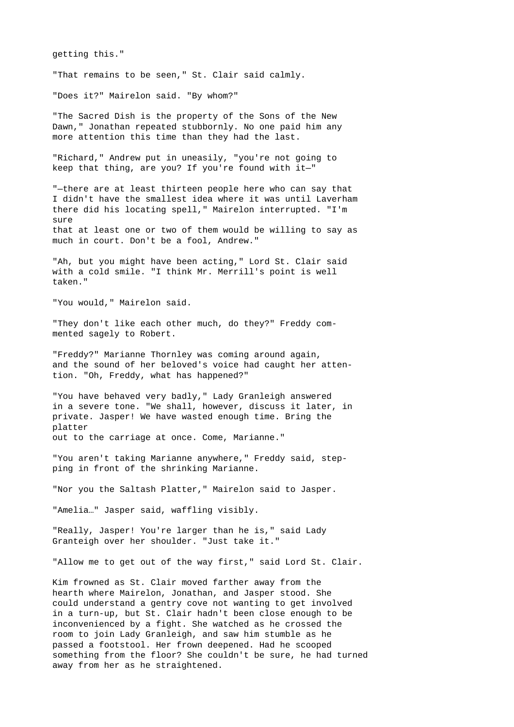getting this."

"That remains to be seen," St. Clair said calmly.

"Does it?" Mairelon said. "By whom?"

"The Sacred Dish is the property of the Sons of the New Dawn," Jonathan repeated stubbornly. No one paid him any more attention this time than they had the last.

"Richard," Andrew put in uneasily, "you're not going to keep that thing, are you? If you're found with it—"

"—there are at least thirteen people here who can say that I didn't have the smallest idea where it was until Laverham there did his locating spell," Mairelon interrupted. "I'm sure that at least one or two of them would be willing to say as much in court. Don't be a fool, Andrew."

"Ah, but you might have been acting," Lord St. Clair said with a cold smile. "I think Mr. Merrill's point is well taken."

"You would," Mairelon said.

"They don't like each other much, do they?" Freddy commented sagely to Robert.

"Freddy?" Marianne Thornley was coming around again, and the sound of her beloved's voice had caught her attention. "Oh, Freddy, what has happened?"

"You have behaved very badly," Lady Granleigh answered in a severe tone. "We shall, however, discuss it later, in private. Jasper! We have wasted enough time. Bring the platter out to the carriage at once. Come, Marianne."

"You aren't taking Marianne anywhere," Freddy said, stepping in front of the shrinking Marianne.

"Nor you the Saltash Platter," Mairelon said to Jasper.

"Amelia…" Jasper said, waffling visibly.

"Really, Jasper! You're larger than he is," said Lady Granteigh over her shoulder. "Just take it."

"Allow me to get out of the way first," said Lord St. Clair.

Kim frowned as St. Clair moved farther away from the hearth where Mairelon, Jonathan, and Jasper stood. She could understand a gentry cove not wanting to get involved in a turn-up, but St. Clair hadn't been close enough to be inconvenienced by a fight. She watched as he crossed the room to join Lady Granleigh, and saw him stumble as he passed a footstool. Her frown deepened. Had he scooped something from the floor? She couldn't be sure, he had turned away from her as he straightened.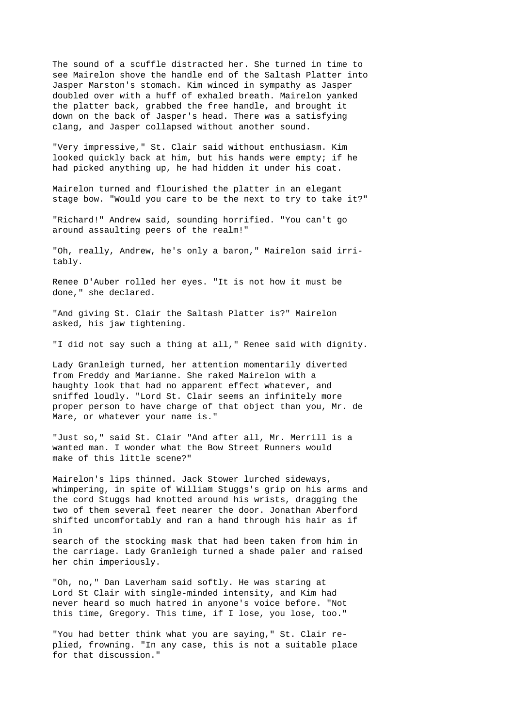The sound of a scuffle distracted her. She turned in time to see Mairelon shove the handle end of the Saltash Platter into Jasper Marston's stomach. Kim winced in sympathy as Jasper doubled over with a huff of exhaled breath. Mairelon yanked the platter back, grabbed the free handle, and brought it down on the back of Jasper's head. There was a satisfying clang, and Jasper collapsed without another sound.

"Very impressive," St. Clair said without enthusiasm. Kim looked quickly back at him, but his hands were empty; if he had picked anything up, he had hidden it under his coat.

Mairelon turned and flourished the platter in an elegant stage bow. "Would you care to be the next to try to take it?"

"Richard!" Andrew said, sounding horrified. "You can't go around assaulting peers of the realm!"

"Oh, really, Andrew, he's only a baron," Mairelon said irritably.

Renee D'Auber rolled her eyes. "It is not how it must be done," she declared.

"And giving St. Clair the Saltash Platter is?" Mairelon asked, his jaw tightening.

"I did not say such a thing at all," Renee said with dignity.

Lady Granleigh turned, her attention momentarily diverted from Freddy and Marianne. She raked Mairelon with a haughty look that had no apparent effect whatever, and sniffed loudly. "Lord St. Clair seems an infinitely more proper person to have charge of that object than you, Mr. de Mare, or whatever your name is."

"Just so," said St. Clair "And after all, Mr. Merrill is a wanted man. I wonder what the Bow Street Runners would make of this little scene?"

Mairelon's lips thinned. Jack Stower lurched sideways, whimpering, in spite of William Stuggs's grip on his arms and the cord Stuggs had knotted around his wrists, dragging the two of them several feet nearer the door. Jonathan Aberford shifted uncomfortably and ran a hand through his hair as if in search of the stocking mask that had been taken from him in the carriage. Lady Granleigh turned a shade paler and raised

her chin imperiously.

"Oh, no," Dan Laverham said softly. He was staring at Lord St Clair with single-minded intensity, and Kim had never heard so much hatred in anyone's voice before. "Not this time, Gregory. This time, if I lose, you lose, too."

"You had better think what you are saying," St. Clair replied, frowning. "In any case, this is not a suitable place for that discussion."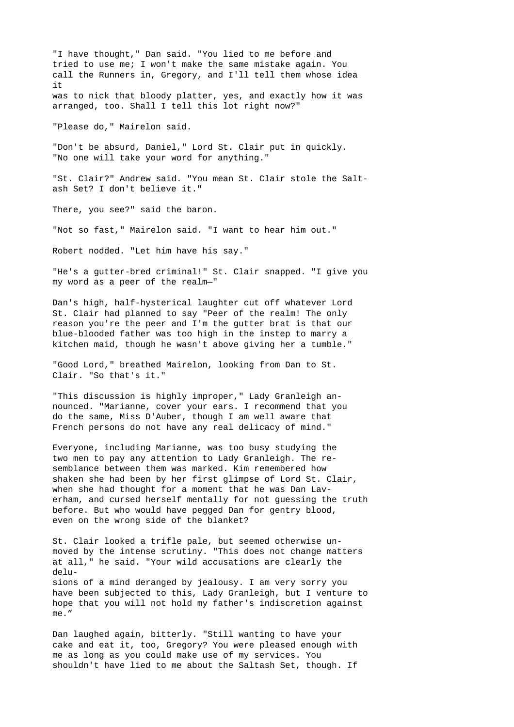"I have thought," Dan said. "You lied to me before and tried to use me; I won't make the same mistake again. You call the Runners in, Gregory, and I'll tell them whose idea it was to nick that bloody platter, yes, and exactly how it was arranged, too. Shall I tell this lot right now?" "Please do," Mairelon said. "Don't be absurd, Daniel," Lord St. Clair put in quickly. "No one will take your word for anything." "St. Clair?" Andrew said. "You mean St. Clair stole the Saltash Set? I don't believe it." There, you see?" said the baron. "Not so fast," Mairelon said. "I want to hear him out." Robert nodded. "Let him have his say." "He's a gutter-bred criminal!" St. Clair snapped. "I give you my word as a peer of the realm—" Dan's high, half-hysterical laughter cut off whatever Lord St. Clair had planned to say "Peer of the realm! The only reason you're the peer and I'm the gutter brat is that our blue-blooded father was too high in the instep to marry a kitchen maid, though he wasn't above giving her a tumble." "Good Lord," breathed Mairelon, looking from Dan to St. Clair. "So that's it." "This discussion is highly improper," Lady Granleigh announced. "Marianne, cover your ears. I recommend that you do the same, Miss D'Auber, though I am well aware that French persons do not have any real delicacy of mind." Everyone, including Marianne, was too busy studying the two men to pay any attention to Lady Granleigh. The resemblance between them was marked. Kim remembered how shaken she had been by her first glimpse of Lord St. Clair, when she had thought for a moment that he was Dan Laverham, and cursed herself mentally for not guessing the truth before. But who would have pegged Dan for gentry blood, even on the wrong side of the blanket? St. Clair looked a trifle pale, but seemed otherwise un-

moved by the intense scrutiny. "This does not change matters at all," he said. "Your wild accusations are clearly the delusions of a mind deranged by jealousy. I am very sorry you have been subjected to this, Lady Granleigh, but I venture to hope that you will not hold my father's indiscretion against me."

Dan laughed again, bitterly. "Still wanting to have your cake and eat it, too, Gregory? You were pleased enough with me as long as you could make use of my services. You shouldn't have lied to me about the Saltash Set, though. If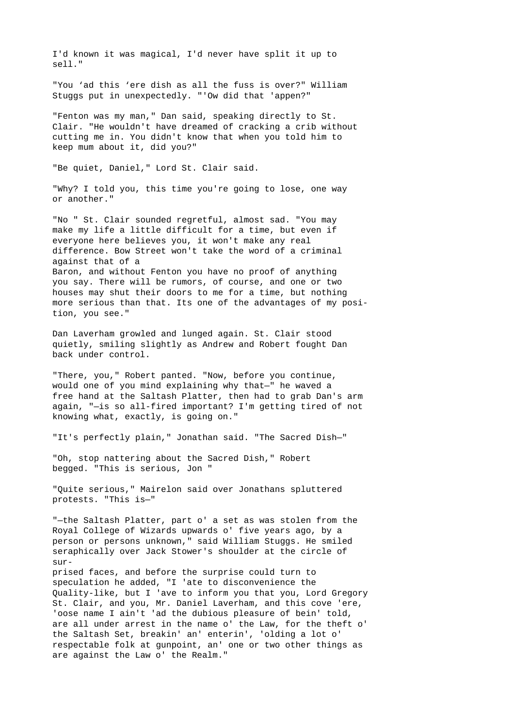I'd known it was magical, I'd never have split it up to sell." "You 'ad this 'ere dish as all the fuss is over?" William Stuggs put in unexpectedly. "'Ow did that 'appen?" "Fenton was my man," Dan said, speaking directly to St. Clair. "He wouldn't have dreamed of cracking a crib without cutting me in. You didn't know that when you told him to keep mum about it, did you?" "Be quiet, Daniel," Lord St. Clair said. "Why? I told you, this time you're going to lose, one way or another." "No " St. Clair sounded regretful, almost sad. "You may make my life a little difficult for a time, but even if everyone here believes you, it won't make any real difference. Bow Street won't take the word of a criminal against that of a Baron, and without Fenton you have no proof of anything you say. There will be rumors, of course, and one or two houses may shut their doors to me for a time, but nothing more serious than that. Its one of the advantages of my position, you see." Dan Laverham growled and lunged again. St. Clair stood quietly, smiling slightly as Andrew and Robert fought Dan back under control. "There, you," Robert panted. "Now, before you continue, would one of you mind explaining why that—" he waved a free hand at the Saltash Platter, then had to grab Dan's arm again, "—is so all-fired important? I'm getting tired of not knowing what, exactly, is going on." "It's perfectly plain," Jonathan said. "The Sacred Dish—" "Oh, stop nattering about the Sacred Dish," Robert begged. "This is serious, Jon " "Quite serious," Mairelon said over Jonathans spluttered protests. "This is—" "—the Saltash Platter, part o' a set as was stolen from the Royal College of Wizards upwards o' five years ago, by a person or persons unknown," said William Stuggs. He smiled seraphically over Jack Stower's shoulder at the circle of surprised faces, and before the surprise could turn to speculation he added, "I 'ate to disconvenience the Quality-like, but I 'ave to inform you that you, Lord Gregory St. Clair, and you, Mr. Daniel Laverham, and this cove 'ere, 'oose name I ain't 'ad the dubious pleasure of bein' told, are all under arrest in the name o' the Law, for the theft o' the Saltash Set, breakin' an' enterin', 'olding a lot o' respectable folk at gunpoint, an' one or two other things as are against the Law o' the Realm."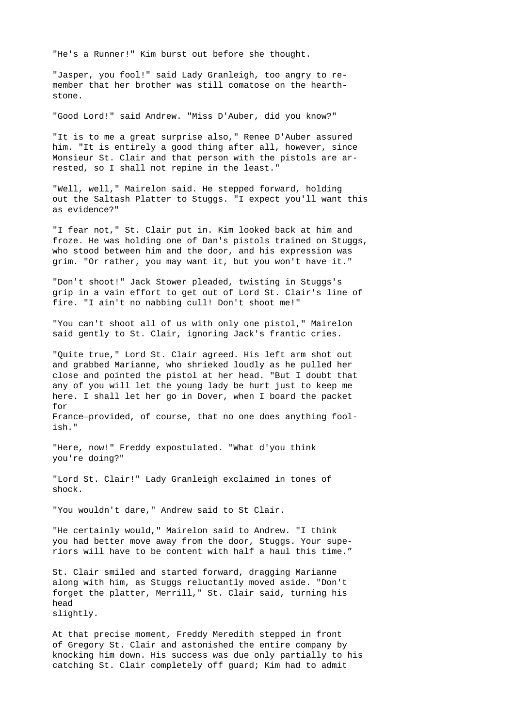"He's a Runner!" Kim burst out before she thought.

"Jasper, you fool!" said Lady Granleigh, too angry to remember that her brother was still comatose on the hearthstone.

"Good Lord!" said Andrew. "Miss D'Auber, did you know?"

"It is to me a great surprise also," Renee D'Auber assured him. "It is entirely a good thing after all, however, since Monsieur St. Clair and that person with the pistols are arrested, so I shall not repine in the least."

"Well, well," Mairelon said. He stepped forward, holding out the Saltash Platter to Stuggs. "I expect you'll want this as evidence?"

"I fear not," St. Clair put in. Kim looked back at him and froze. He was holding one of Dan's pistols trained on Stuggs, who stood between him and the door, and his expression was grim. "Or rather, you may want it, but you won't have it."

"Don't shoot!" Jack Stower pleaded, twisting in Stuggs's grip in a vain effort to get out of Lord St. Clair's line of fire. "I ain't no nabbing cull! Don't shoot me!"

"You can't shoot all of us with only one pistol," Mairelon said gently to St. Clair, ignoring Jack's frantic cries.

"Quite true," Lord St. Clair agreed. His left arm shot out and grabbed Marianne, who shrieked loudly as he pulled her close and pointed the pistol at her head. "But I doubt that any of you will let the young lady be hurt just to keep me here. I shall let her go in Dover, when I board the packet for France—provided, of course, that no one does anything fool-

ish."

"Here, now!" Freddy expostulated. "What d'you think you're doing?"

"Lord St. Clair!" Lady Granleigh exclaimed in tones of shock.

"You wouldn't dare," Andrew said to St Clair.

"He certainly would," Mairelon said to Andrew. "I think you had better move away from the door, Stuggs. Your superiors will have to be content with half a haul this time."

St. Clair smiled and started forward, dragging Marianne along with him, as Stuggs reluctantly moved aside. "Don't forget the platter, Merrill," St. Clair said, turning his head

slightly.

At that precise moment, Freddy Meredith stepped in front of Gregory St. Clair and astonished the entire company by knocking him down. His success was due only partially to his catching St. Clair completely off guard; Kim had to admit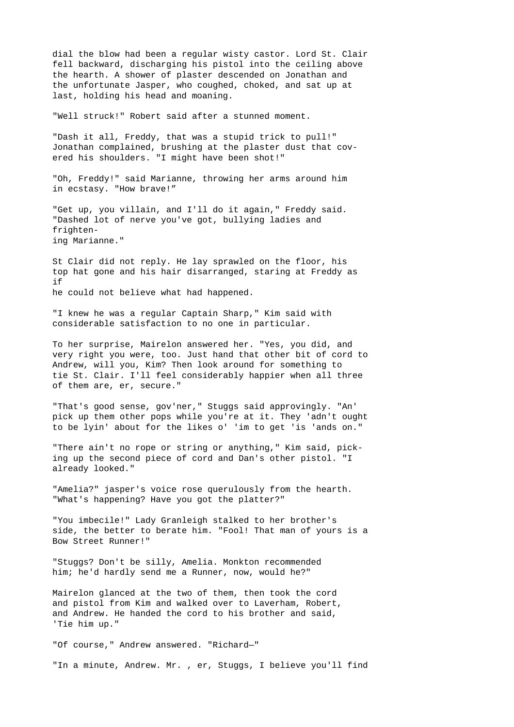dial the blow had been a regular wisty castor. Lord St. Clair fell backward, discharging his pistol into the ceiling above the hearth. A shower of plaster descended on Jonathan and the unfortunate Jasper, who coughed, choked, and sat up at last, holding his head and moaning. "Well struck!" Robert said after a stunned moment. "Dash it all, Freddy, that was a stupid trick to pull!" Jonathan complained, brushing at the plaster dust that covered his shoulders. "I might have been shot!" "Oh, Freddy!" said Marianne, throwing her arms around him in ecstasy. "How brave!" "Get up, you villain, and I'll do it again," Freddy said. "Dashed lot of nerve you've got, bullying ladies and frightening Marianne." St Clair did not reply. He lay sprawled on the floor, his top hat gone and his hair disarranged, staring at Freddy as if he could not believe what had happened. "I knew he was a regular Captain Sharp," Kim said with considerable satisfaction to no one in particular. To her surprise, Mairelon answered her. "Yes, you did, and very right you were, too. Just hand that other bit of cord to Andrew, will you, Kim? Then look around for something to tie St. Clair. I'll feel considerably happier when all three of them are, er, secure." "That's good sense, gov'ner," Stuggs said approvingly. "An' pick up them other pops while you're at it. They 'adn't ought to be lyin' about for the likes o' 'im to get 'is 'ands on." "There ain't no rope or string or anything," Kim said, picking up the second piece of cord and Dan's other pistol. "I already looked." "Amelia?" jasper's voice rose querulously from the hearth. "What's happening? Have you got the platter?" "You imbecile!" Lady Granleigh stalked to her brother's side, the better to berate him. "Fool! That man of yours is a Bow Street Runner!" "Stuggs? Don't be silly, Amelia. Monkton recommended him; he'd hardly send me a Runner, now, would he?" Mairelon glanced at the two of them, then took the cord and pistol from Kim and walked over to Laverham, Robert, and Andrew. He handed the cord to his brother and said, 'Tie him up." "Of course," Andrew answered. "Richard—" "In a minute, Andrew. Mr. , er, Stuggs, I believe you'll find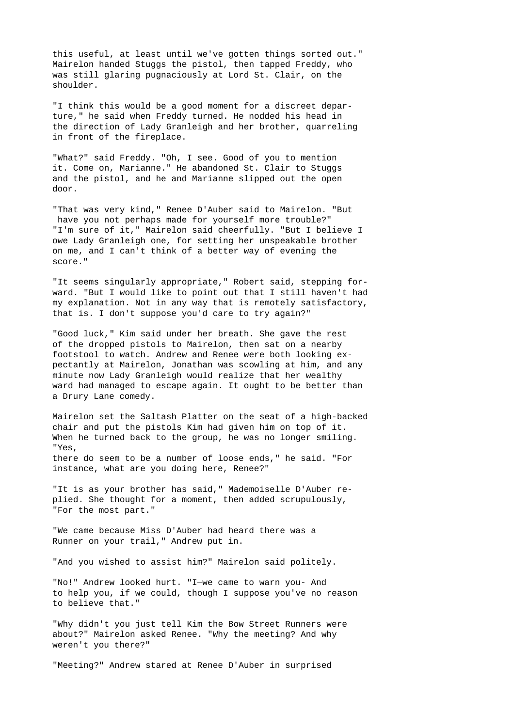this useful, at least until we've gotten things sorted out." Mairelon handed Stuggs the pistol, then tapped Freddy, who was still glaring pugnaciously at Lord St. Clair, on the shoulder.

"I think this would be a good moment for a discreet departure," he said when Freddy turned. He nodded his head in the direction of Lady Granleigh and her brother, quarreling in front of the fireplace.

"What?" said Freddy. "Oh, I see. Good of you to mention it. Come on, Marianne." He abandoned St. Clair to Stuggs and the pistol, and he and Marianne slipped out the open door.

"That was very kind," Renee D'Auber said to Mairelon. "But have you not perhaps made for yourself more trouble?" "I'm sure of it," Mairelon said cheerfully. "But I believe I owe Lady Granleigh one, for setting her unspeakable brother on me, and I can't think of a better way of evening the score."

"It seems singularly appropriate," Robert said, stepping forward. "But I would like to point out that I still haven't had my explanation. Not in any way that is remotely satisfactory, that is. I don't suppose you'd care to try again?"

"Good luck," Kim said under her breath. She gave the rest of the dropped pistols to Mairelon, then sat on a nearby footstool to watch. Andrew and Renee were both looking expectantly at Mairelon, Jonathan was scowling at him, and any minute now Lady Granleigh would realize that her wealthy ward had managed to escape again. It ought to be better than a Drury Lane comedy.

Mairelon set the Saltash Platter on the seat of a high-backed chair and put the pistols Kim had given him on top of it. When he turned back to the group, he was no longer smiling. "Yes, there do seem to be a number of loose ends," he said. "For instance, what are you doing here, Renee?"

"It is as your brother has said," Mademoiselle D'Auber replied. She thought for a moment, then added scrupulously, "For the most part."

"We came because Miss D'Auber had heard there was a Runner on your trail," Andrew put in.

"And you wished to assist him?" Mairelon said politely.

"No!" Andrew looked hurt. "I—we came to warn you- And to help you, if we could, though I suppose you've no reason to believe that."

"Why didn't you just tell Kim the Bow Street Runners were about?" Mairelon asked Renee. "Why the meeting? And why weren't you there?"

"Meeting?" Andrew stared at Renee D'Auber in surprised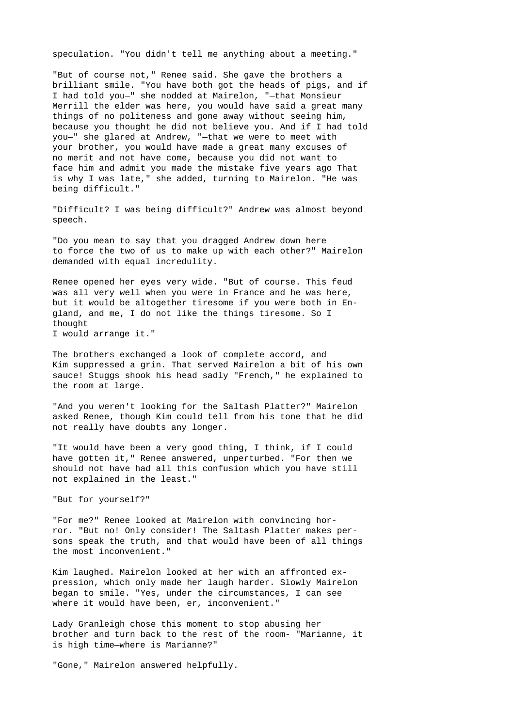speculation. "You didn't tell me anything about a meeting."

"But of course not," Renee said. She gave the brothers a brilliant smile. "You have both got the heads of pigs, and if I had told you—" she nodded at Mairelon, "—that Monsieur Merrill the elder was here, you would have said a great many things of no politeness and gone away without seeing him, because you thought he did not believe you. And if I had told you—" she glared at Andrew, "—that we were to meet with your brother, you would have made a great many excuses of no merit and not have come, because you did not want to face him and admit you made the mistake five years ago That is why I was late," she added, turning to Mairelon. "He was being difficult."

"Difficult? I was being difficult?" Andrew was almost beyond speech.

"Do you mean to say that you dragged Andrew down here to force the two of us to make up with each other?" Mairelon demanded with equal incredulity.

Renee opened her eyes very wide. "But of course. This feud was all very well when you were in France and he was here, but it would be altogether tiresome if you were both in England, and me, I do not like the things tiresome. So I thought

I would arrange it."

The brothers exchanged a look of complete accord, and Kim suppressed a grin. That served Mairelon a bit of his own sauce! Stuggs shook his head sadly "French," he explained to the room at large.

"And you weren't looking for the Saltash Platter?" Mairelon asked Renee, though Kim could tell from his tone that he did not really have doubts any longer.

"It would have been a very good thing, I think, if I could have gotten it," Renee answered, unperturbed. "For then we should not have had all this confusion which you have still not explained in the least."

"But for yourself?"

"For me?" Renee looked at Mairelon with convincing horror. "But no! Only consider! The Saltash Platter makes persons speak the truth, and that would have been of all things the most inconvenient."

Kim laughed. Mairelon looked at her with an affronted expression, which only made her laugh harder. Slowly Mairelon began to smile. "Yes, under the circumstances, I can see where it would have been, er, inconvenient."

Lady Granleigh chose this moment to stop abusing her brother and turn back to the rest of the room- "Marianne, it is high time—where is Marianne?"

"Gone," Mairelon answered helpfully.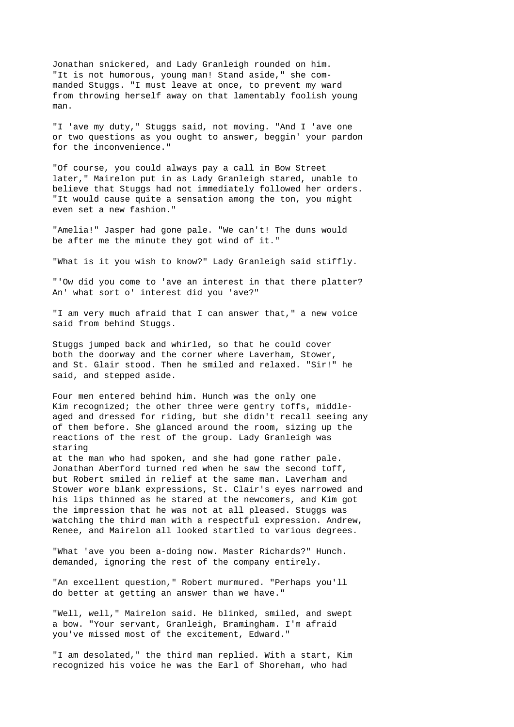Jonathan snickered, and Lady Granleigh rounded on him. "It is not humorous, young man! Stand aside," she commanded Stuggs. "I must leave at once, to prevent my ward from throwing herself away on that lamentably foolish young man.

"I 'ave my duty," Stuggs said, not moving. "And I 'ave one or two questions as you ought to answer, beggin' your pardon for the inconvenience."

"Of course, you could always pay a call in Bow Street later," Mairelon put in as Lady Granleigh stared, unable to believe that Stuggs had not immediately followed her orders. "It would cause quite a sensation among the ton, you might even set a new fashion."

"Amelia!" Jasper had gone pale. "We can't! The duns would be after me the minute they got wind of it."

"What is it you wish to know?" Lady Granleigh said stiffly.

"'Ow did you come to 'ave an interest in that there platter? An' what sort o' interest did you 'ave?"

"I am very much afraid that I can answer that," a new voice said from behind Stuggs.

Stuggs jumped back and whirled, so that he could cover both the doorway and the corner where Laverham, Stower, and St. Glair stood. Then he smiled and relaxed. "Sir!" he said, and stepped aside.

Four men entered behind him. Hunch was the only one Kim recognized; the other three were gentry toffs, middleaged and dressed for riding, but she didn't recall seeing any of them before. She glanced around the room, sizing up the reactions of the rest of the group. Lady Granleigh was staring

at the man who had spoken, and she had gone rather pale. Jonathan Aberford turned red when he saw the second toff, but Robert smiled in relief at the same man. Laverham and Stower wore blank expressions, St. Clair's eyes narrowed and his lips thinned as he stared at the newcomers, and Kim got the impression that he was not at all pleased. Stuggs was watching the third man with a respectful expression. Andrew, Renee, and Mairelon all looked startled to various degrees.

"What 'ave you been a-doing now. Master Richards?" Hunch. demanded, ignoring the rest of the company entirely.

"An excellent question," Robert murmured. "Perhaps you'll do better at getting an answer than we have."

"Well, well," Mairelon said. He blinked, smiled, and swept a bow. "Your servant, Granleigh, Bramingham. I'm afraid you've missed most of the excitement, Edward."

"I am desolated," the third man replied. With a start, Kim recognized his voice he was the Earl of Shoreham, who had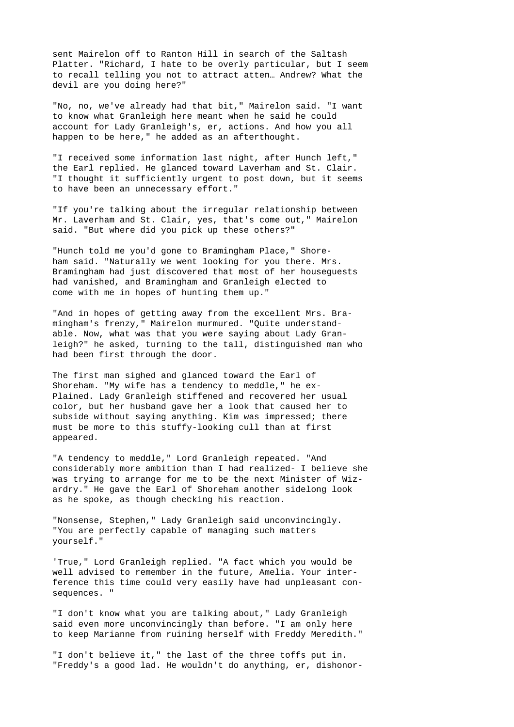sent Mairelon off to Ranton Hill in search of the Saltash Platter. "Richard, I hate to be overly particular, but I seem to recall telling you not to attract atten… Andrew? What the devil are you doing here?"

"No, no, we've already had that bit," Mairelon said. "I want to know what Granleigh here meant when he said he could account for Lady Granleigh's, er, actions. And how you all happen to be here," he added as an afterthought.

"I received some information last night, after Hunch left," the Earl replied. He glanced toward Laverham and St. Clair. "I thought it sufficiently urgent to post down, but it seems to have been an unnecessary effort."

"If you're talking about the irregular relationship between Mr. Laverham and St. Clair, yes, that's come out," Mairelon said. "But where did you pick up these others?"

"Hunch told me you'd gone to Bramingham Place," Shoreham said. "Naturally we went looking for you there. Mrs. Bramingham had just discovered that most of her houseguests had vanished, and Bramingham and Granleigh elected to come with me in hopes of hunting them up."

"And in hopes of getting away from the excellent Mrs. Bramingham's frenzy," Mairelon murmured. "Quite understandable. Now, what was that you were saying about Lady Granleigh?" he asked, turning to the tall, distinguished man who had been first through the door.

The first man sighed and glanced toward the Earl of Shoreham. "My wife has a tendency to meddle," he ex-Plained. Lady Granleigh stiffened and recovered her usual color, but her husband gave her a look that caused her to subside without saying anything. Kim was impressed; there must be more to this stuffy-looking cull than at first appeared.

"A tendency to meddle," Lord Granleigh repeated. "And considerably more ambition than I had realized- I believe she was trying to arrange for me to be the next Minister of Wizardry." He gave the Earl of Shoreham another sidelong look as he spoke, as though checking his reaction.

"Nonsense, Stephen," Lady Granleigh said unconvincingly. "You are perfectly capable of managing such matters yourself."

'True," Lord Granleigh replied. "A fact which you would be well advised to remember in the future, Amelia. Your interference this time could very easily have had unpleasant consequences. "

"I don't know what you are talking about," Lady Granleigh said even more unconvincingly than before. "I am only here to keep Marianne from ruining herself with Freddy Meredith."

"I don't believe it," the last of the three toffs put in. "Freddy's a good lad. He wouldn't do anything, er, dishonor-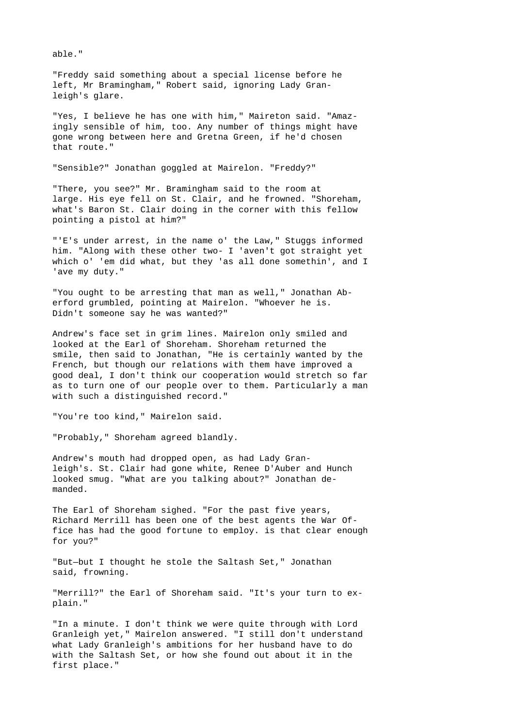"Freddy said something about a special license before he left, Mr Bramingham," Robert said, ignoring Lady Granleigh's glare.

"Yes, I believe he has one with him," Maireton said. "Amazingly sensible of him, too. Any number of things might have gone wrong between here and Gretna Green, if he'd chosen that route."

"Sensible?" Jonathan goggled at Mairelon. "Freddy?"

"There, you see?" Mr. Bramingham said to the room at large. His eye fell on St. Clair, and he frowned. "Shoreham, what's Baron St. Clair doing in the corner with this fellow pointing a pistol at him?"

"'E's under arrest, in the name o' the Law," Stuggs informed him. "Along with these other two- I 'aven't got straight yet which o' 'em did what, but they 'as all done somethin', and I 'ave my duty."

"You ought to be arresting that man as well," Jonathan Aberford grumbled, pointing at Mairelon. "Whoever he is. Didn't someone say he was wanted?"

Andrew's face set in grim lines. Mairelon only smiled and looked at the Earl of Shoreham. Shoreham returned the smile, then said to Jonathan, "He is certainly wanted by the French, but though our relations with them have improved a good deal, I don't think our cooperation would stretch so far as to turn one of our people over to them. Particularly a man with such a distinguished record."

"You're too kind," Mairelon said.

"Probably," Shoreham agreed blandly.

Andrew's mouth had dropped open, as had Lady Granleigh's. St. Clair had gone white, Renee D'Auber and Hunch looked smug. "What are you talking about?" Jonathan demanded.

The Earl of Shoreham sighed. "For the past five years, Richard Merrill has been one of the best agents the War Office has had the good fortune to employ. is that clear enough for you?"

"But—but I thought he stole the Saltash Set," Jonathan said, frowning.

"Merrill?" the Earl of Shoreham said. "It's your turn to explain."

"In a minute. I don't think we were quite through with Lord Granleigh yet," Mairelon answered. "I still don't understand what Lady Granleigh's ambitions for her husband have to do with the Saltash Set, or how she found out about it in the first place."

able."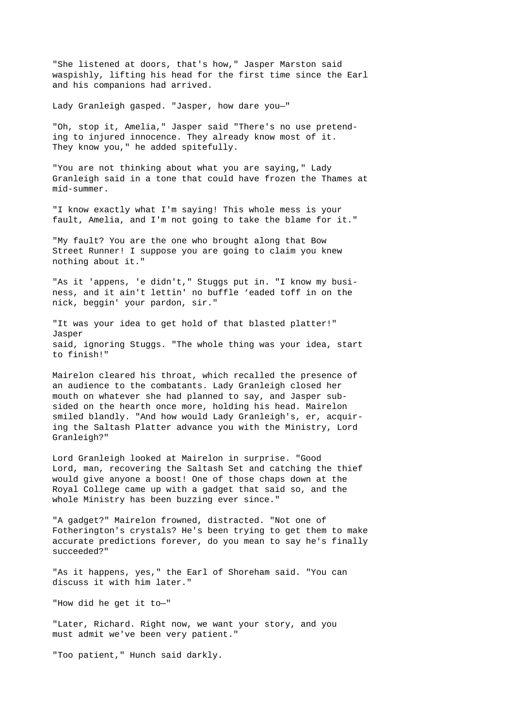"She listened at doors, that's how," Jasper Marston said waspishly, lifting his head for the first time since the Earl and his companions had arrived.

Lady Granleigh gasped. "Jasper, how dare you—"

"Oh, stop it, Amelia," Jasper said "There's no use pretending to injured innocence. They already know most of it. They know you," he added spitefully.

"You are not thinking about what you are saying," Lady Granleigh said in a tone that could have frozen the Thames at mid-summer.

"I know exactly what I'm saying! This whole mess is your fault, Amelia, and I'm not going to take the blame for it."

"My fault? You are the one who brought along that Bow Street Runner! I suppose you are going to claim you knew nothing about it."

"As it 'appens, 'e didn't," Stuggs put in. "I know my business, and it ain't lettin' no buffle 'eaded toff in on the nick, beggin' your pardon, sir."

"It was your idea to get hold of that blasted platter!" Jasper said, ignoring Stuggs. "The whole thing was your idea, start to finish!"

Mairelon cleared his throat, which recalled the presence of an audience to the combatants. Lady Granleigh closed her mouth on whatever she had planned to say, and Jasper subsided on the hearth once more, holding his head. Mairelon smiled blandly. "And how would Lady Granleigh's, er, acquiring the Saltash Platter advance you with the Ministry, Lord Granleigh?"

Lord Granleigh looked at Mairelon in surprise. "Good Lord, man, recovering the Saltash Set and catching the thief would give anyone a boost! One of those chaps down at the Royal College came up with a gadget that said so, and the whole Ministry has been buzzing ever since."

"A gadget?" Mairelon frowned, distracted. "Not one of Fotherington's crystals? He's been trying to get them to make accurate predictions forever, do you mean to say he's finally succeeded?"

"As it happens, yes," the Earl of Shoreham said. "You can discuss it with him later."

"How did he get it to—"

"Later, Richard. Right now, we want your story, and you must admit we've been very patient."

"Too patient," Hunch said darkly.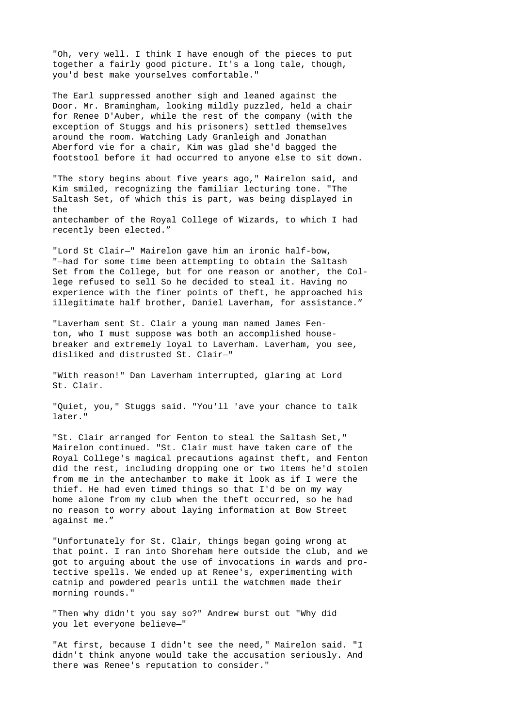"Oh, very well. I think I have enough of the pieces to put together a fairly good picture. It's a long tale, though, you'd best make yourselves comfortable."

The Earl suppressed another sigh and leaned against the Door. Mr. Bramingham, looking mildly puzzled, held a chair for Renee D'Auber, while the rest of the company (with the exception of Stuggs and his prisoners) settled themselves around the room. Watching Lady Granleigh and Jonathan Aberford vie for a chair, Kim was glad she'd bagged the footstool before it had occurred to anyone else to sit down.

"The story begins about five years ago," Mairelon said, and Kim smiled, recognizing the familiar lecturing tone. "The Saltash Set, of which this is part, was being displayed in the antechamber of the Royal College of Wizards, to which I had recently been elected."

"Lord St Clair—" Mairelon gave him an ironic half-bow, "—had for some time been attempting to obtain the Saltash Set from the College, but for one reason or another, the College refused to sell So he decided to steal it. Having no experience with the finer points of theft, he approached his illegitimate half brother, Daniel Laverham, for assistance."

"Laverham sent St. Clair a young man named James Fenton, who I must suppose was both an accomplished housebreaker and extremely loyal to Laverham. Laverham, you see, disliked and distrusted St. Clair—"

"With reason!" Dan Laverham interrupted, glaring at Lord St. Clair.

"Quiet, you," Stuggs said. "You'll 'ave your chance to talk later."

"St. Clair arranged for Fenton to steal the Saltash Set," Mairelon continued. "St. Clair must have taken care of the Royal College's magical precautions against theft, and Fenton did the rest, including dropping one or two items he'd stolen from me in the antechamber to make it look as if I were the thief. He had even timed things so that I'd be on my way home alone from my club when the theft occurred, so he had no reason to worry about laying information at Bow Street against me."

"Unfortunately for St. Clair, things began going wrong at that point. I ran into Shoreham here outside the club, and we got to arguing about the use of invocations in wards and protective spells. We ended up at Renee's, experimenting with catnip and powdered pearls until the watchmen made their morning rounds."

"Then why didn't you say so?" Andrew burst out "Why did you let everyone believe—"

"At first, because I didn't see the need," Mairelon said. "I didn't think anyone would take the accusation seriously. And there was Renee's reputation to consider."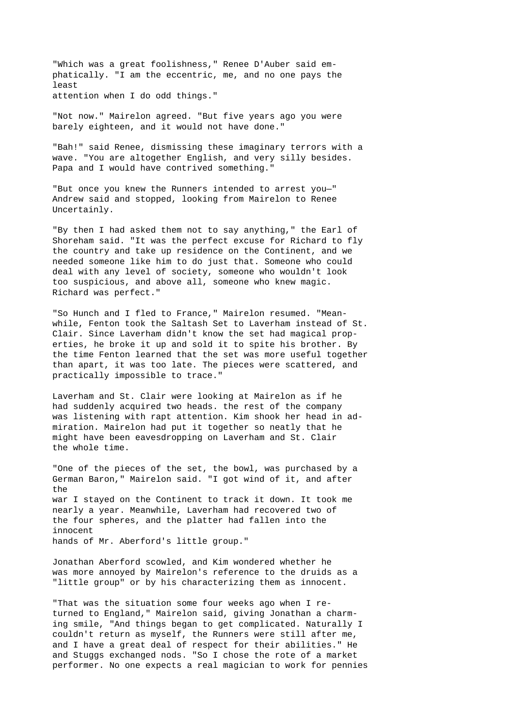"Which was a great foolishness," Renee D'Auber said emphatically. "I am the eccentric, me, and no one pays the least attention when I do odd things."

"Not now." Mairelon agreed. "But five years ago you were barely eighteen, and it would not have done."

"Bah!" said Renee, dismissing these imaginary terrors with a wave. "You are altogether English, and very silly besides. Papa and I would have contrived something."

"But once you knew the Runners intended to arrest you—" Andrew said and stopped, looking from Mairelon to Renee Uncertainly.

"By then I had asked them not to say anything," the Earl of Shoreham said. "It was the perfect excuse for Richard to fly the country and take up residence on the Continent, and we needed someone like him to do just that. Someone who could deal with any level of society, someone who wouldn't look too suspicious, and above all, someone who knew magic. Richard was perfect."

"So Hunch and I fled to France," Mairelon resumed. "Meanwhile, Fenton took the Saltash Set to Laverham instead of St. Clair. Since Laverham didn't know the set had magical properties, he broke it up and sold it to spite his brother. By the time Fenton learned that the set was more useful together than apart, it was too late. The pieces were scattered, and practically impossible to trace."

Laverham and St. Clair were looking at Mairelon as if he had suddenly acquired two heads. the rest of the company was listening with rapt attention. Kim shook her head in admiration. Mairelon had put it together so neatly that he might have been eavesdropping on Laverham and St. Clair the whole time.

"One of the pieces of the set, the bowl, was purchased by a German Baron," Mairelon said. "I got wind of it, and after the war I stayed on the Continent to track it down. It took me nearly a year. Meanwhile, Laverham had recovered two of the four spheres, and the platter had fallen into the innocent hands of Mr. Aberford's little group."

Jonathan Aberford scowled, and Kim wondered whether he was more annoyed by Mairelon's reference to the druids as a "little group" or by his characterizing them as innocent.

"That was the situation some four weeks ago when I returned to England," Mairelon said, giving Jonathan a charming smile, "And things began to get complicated. Naturally I couldn't return as myself, the Runners were still after me, and I have a great deal of respect for their abilities." He and Stuggs exchanged nods. "So I chose the rote of a market performer. No one expects a real magician to work for pennies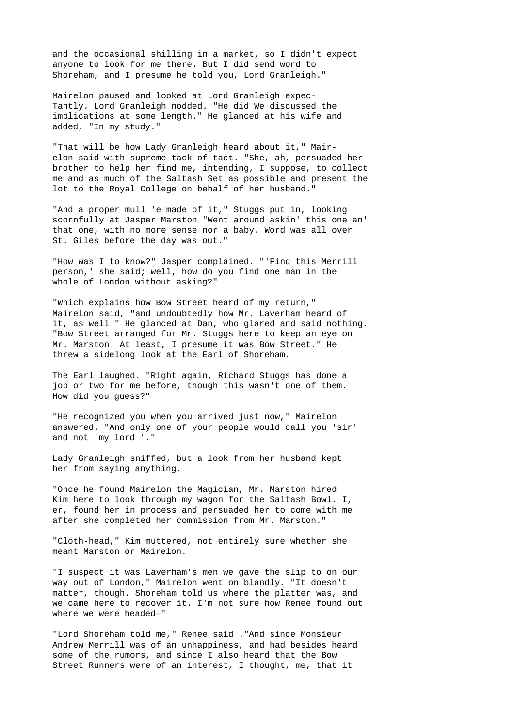and the occasional shilling in a market, so I didn't expect anyone to look for me there. But I did send word to Shoreham, and I presume he told you, Lord Granleigh."

Mairelon paused and looked at Lord Granleigh expec-Tantly. Lord Granleigh nodded. "He did We discussed the implications at some length." He glanced at his wife and added, "In my study."

"That will be how Lady Granleigh heard about it," Mairelon said with supreme tack of tact. "She, ah, persuaded her brother to help her find me, intending, I suppose, to collect me and as much of the Saltash Set as possible and present the lot to the Royal College on behalf of her husband."

"And a proper mull 'e made of it," Stuggs put in, looking scornfully at Jasper Marston "Went around askin' this one an' that one, with no more sense nor a baby. Word was all over St. Giles before the day was out."

"How was I to know?" Jasper complained. "'Find this Merrill person,' she said; well, how do you find one man in the whole of London without asking?"

"Which explains how Bow Street heard of my return," Mairelon said, "and undoubtedly how Mr. Laverham heard of it, as well." He glanced at Dan, who glared and said nothing. "Bow Street arranged for Mr. Stuggs here to keep an eye on Mr. Marston. At least, I presume it was Bow Street." He threw a sidelong look at the Earl of Shoreham.

The Earl laughed. "Right again, Richard Stuggs has done a job or two for me before, though this wasn't one of them. How did you guess?"

"He recognized you when you arrived just now," Mairelon answered. "And only one of your people would call you 'sir' and not 'my lord '."

Lady Granleigh sniffed, but a look from her husband kept her from saying anything.

"Once he found Mairelon the Magician, Mr. Marston hired Kim here to look through my wagon for the Saltash Bowl. I, er, found her in process and persuaded her to come with me after she completed her commission from Mr. Marston."

"Cloth-head," Kim muttered, not entirely sure whether she meant Marston or Mairelon.

"I suspect it was Laverham's men we gave the slip to on our way out of London," Mairelon went on blandly. "It doesn't matter, though. Shoreham told us where the platter was, and we came here to recover it. I'm not sure how Renee found out where we were headed—"

"Lord Shoreham told me," Renee said ."And since Monsieur Andrew Merrill was of an unhappiness, and had besides heard some of the rumors, and since I also heard that the Bow Street Runners were of an interest, I thought, me, that it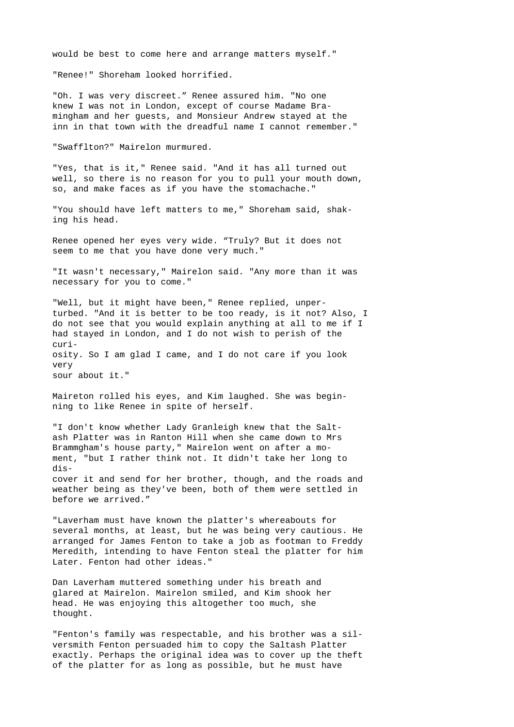would be best to come here and arrange matters myself."

"Renee!" Shoreham looked horrified.

"Oh. I was very discreet." Renee assured him. "No one knew I was not in London, except of course Madame Bramingham and her guests, and Monsieur Andrew stayed at the inn in that town with the dreadful name I cannot remember."

"Swafflton?" Mairelon murmured.

"Yes, that is it," Renee said. "And it has all turned out well, so there is no reason for you to pull your mouth down, so, and make faces as if you have the stomachache."

"You should have left matters to me," Shoreham said, shaking his head.

Renee opened her eyes very wide. "Truly? But it does not seem to me that you have done very much."

"It wasn't necessary," Mairelon said. "Any more than it was necessary for you to come."

"Well, but it might have been," Renee replied, unperturbed. "And it is better to be too ready, is it not? Also, I do not see that you would explain anything at all to me if I had stayed in London, and I do not wish to perish of the curiosity. So I am glad I came, and I do not care if you look very sour about it."

Maireton rolled his eyes, and Kim laughed. She was beginning to like Renee in spite of herself.

"I don't know whether Lady Granleigh knew that the Saltash Platter was in Ranton Hill when she came down to Mrs Brammgham's house party," Mairelon went on after a moment, "but I rather think not. It didn't take her long to discover it and send for her brother, though, and the roads and weather being as they've been, both of them were settled in before we arrived."

"Laverham must have known the platter's whereabouts for several months, at least, but he was being very cautious. He arranged for James Fenton to take a job as footman to Freddy Meredith, intending to have Fenton steal the platter for him Later. Fenton had other ideas."

Dan Laverham muttered something under his breath and glared at Mairelon. Mairelon smiled, and Kim shook her head. He was enjoying this altogether too much, she thought.

"Fenton's family was respectable, and his brother was a silversmith Fenton persuaded him to copy the Saltash Platter exactly. Perhaps the original idea was to cover up the theft of the platter for as long as possible, but he must have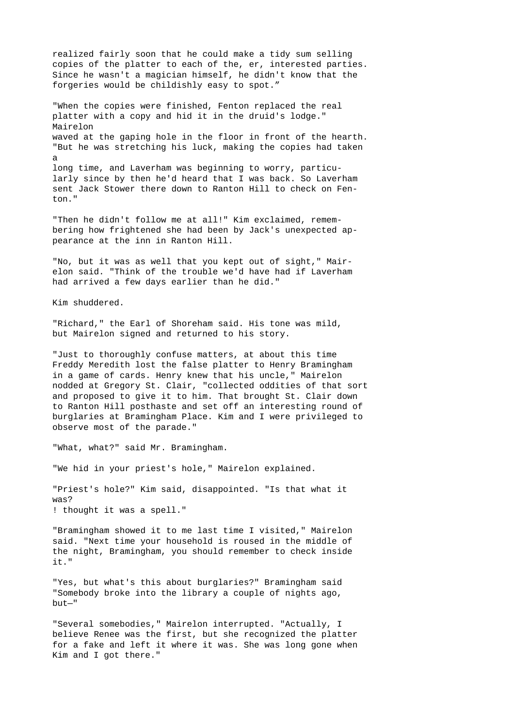realized fairly soon that he could make a tidy sum selling copies of the platter to each of the, er, interested parties. Since he wasn't a magician himself, he didn't know that the forgeries would be childishly easy to spot." "When the copies were finished, Fenton replaced the real platter with a copy and hid it in the druid's lodge." Mairelon waved at the gaping hole in the floor in front of the hearth. "But he was stretching his luck, making the copies had taken a long time, and Laverham was beginning to worry, particularly since by then he'd heard that I was back. So Laverham sent Jack Stower there down to Ranton Hill to check on Fenton." "Then he didn't follow me at all!" Kim exclaimed, remembering how frightened she had been by Jack's unexpected appearance at the inn in Ranton Hill. "No, but it was as well that you kept out of sight," Mairelon said. "Think of the trouble we'd have had if Laverham had arrived a few days earlier than he did." Kim shuddered. "Richard," the Earl of Shoreham said. His tone was mild, but Mairelon signed and returned to his story. "Just to thoroughly confuse matters, at about this time Freddy Meredith lost the false platter to Henry Bramingham in a game of cards. Henry knew that his uncle," Mairelon nodded at Gregory St. Clair, "collected oddities of that sort and proposed to give it to him. That brought St. Clair down to Ranton Hill posthaste and set off an interesting round of burglaries at Bramingham Place. Kim and I were privileged to observe most of the parade." "What, what?" said Mr. Bramingham. "We hid in your priest's hole," Mairelon explained. "Priest's hole?" Kim said, disappointed. "Is that what it was? ! thought it was a spell." "Bramingham showed it to me last time I visited," Mairelon said. "Next time your household is roused in the middle of the night, Bramingham, you should remember to check inside it." "Yes, but what's this about burglaries?" Bramingham said "Somebody broke into the library a couple of nights ago, but—"

"Several somebodies," Mairelon interrupted. "Actually, I believe Renee was the first, but she recognized the platter for a fake and left it where it was. She was long gone when Kim and I got there."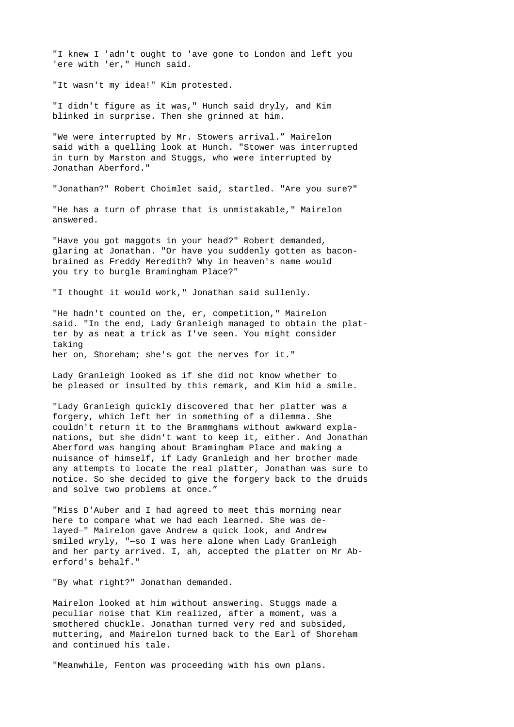"I knew I 'adn't ought to 'ave gone to London and left you 'ere with 'er," Hunch said.

"It wasn't my idea!" Kim protested.

"I didn't figure as it was," Hunch said dryly, and Kim blinked in surprise. Then she grinned at him.

"We were interrupted by Mr. Stowers arrival." Mairelon said with a quelling look at Hunch. "Stower was interrupted in turn by Marston and Stuggs, who were interrupted by Jonathan Aberford."

"Jonathan?" Robert Choimlet said, startled. "Are you sure?"

"He has a turn of phrase that is unmistakable," Mairelon answered.

"Have you got maggots in your head?" Robert demanded, glaring at Jonathan. "Or have you suddenly gotten as baconbrained as Freddy Meredith? Why in heaven's name would you try to burgle Bramingham Place?"

"I thought it would work," Jonathan said sullenly.

"He hadn't counted on the, er, competition," Mairelon said. "In the end, Lady Granleigh managed to obtain the platter by as neat a trick as I've seen. You might consider taking her on, Shoreham; she's got the nerves for it."

Lady Granleigh looked as if she did not know whether to be pleased or insulted by this remark, and Kim hid a smile.

"Lady Granleigh quickly discovered that her platter was a forgery, which left her in something of a dilemma. She couldn't return it to the Brammghams without awkward explanations, but she didn't want to keep it, either. And Jonathan Aberford was hanging about Bramingham Place and making a nuisance of himself, if Lady Granleigh and her brother made any attempts to locate the real platter, Jonathan was sure to notice. So she decided to give the forgery back to the druids and solve two problems at once."

"Miss D'Auber and I had agreed to meet this morning near here to compare what we had each learned. She was delayed—" Mairelon gave Andrew a quick look, and Andrew smiled wryly, "—so I was here alone when Lady Granleigh and her party arrived. I, ah, accepted the platter on Mr Aberford's behalf."

"By what right?" Jonathan demanded.

Mairelon looked at him without answering. Stuggs made a peculiar noise that Kim realized, after a moment, was a smothered chuckle. Jonathan turned very red and subsided, muttering, and Mairelon turned back to the Earl of Shoreham and continued his tale.

"Meanwhile, Fenton was proceeding with his own plans.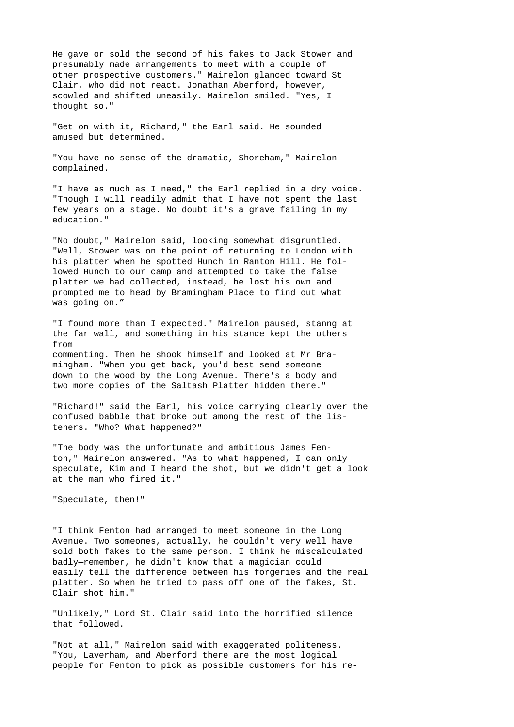He gave or sold the second of his fakes to Jack Stower and presumably made arrangements to meet with a couple of other prospective customers." Mairelon glanced toward St Clair, who did not react. Jonathan Aberford, however, scowled and shifted uneasily. Mairelon smiled. "Yes, I thought so."

"Get on with it, Richard," the Earl said. He sounded amused but determined.

"You have no sense of the dramatic, Shoreham," Mairelon complained.

"I have as much as I need," the Earl replied in a dry voice. "Though I will readily admit that I have not spent the last few years on a stage. No doubt it's a grave failing in my education."

"No doubt," Mairelon said, looking somewhat disgruntled. "Well, Stower was on the point of returning to London with his platter when he spotted Hunch in Ranton Hill. He followed Hunch to our camp and attempted to take the false platter we had collected, instead, he lost his own and prompted me to head by Bramingham Place to find out what was going on."

"I found more than I expected." Mairelon paused, stanng at the far wall, and something in his stance kept the others from commenting. Then he shook himself and looked at Mr Bramingham. "When you get back, you'd best send someone down to the wood by the Long Avenue. There's a body and two more copies of the Saltash Platter hidden there."

"Richard!" said the Earl, his voice carrying clearly over the confused babble that broke out among the rest of the listeners. "Who? What happened?"

"The body was the unfortunate and ambitious James Fenton," Mairelon answered. "As to what happened, I can only speculate, Kim and I heard the shot, but we didn't get a look at the man who fired it."

"Speculate, then!"

"I think Fenton had arranged to meet someone in the Long Avenue. Two someones, actually, he couldn't very well have sold both fakes to the same person. I think he miscalculated badly—remember, he didn't know that a magician could easily tell the difference between his forgeries and the real platter. So when he tried to pass off one of the fakes, St. Clair shot him."

"Unlikely," Lord St. Clair said into the horrified silence that followed.

"Not at all," Mairelon said with exaggerated politeness. "You, Laverham, and Aberford there are the most logical people for Fenton to pick as possible customers for his re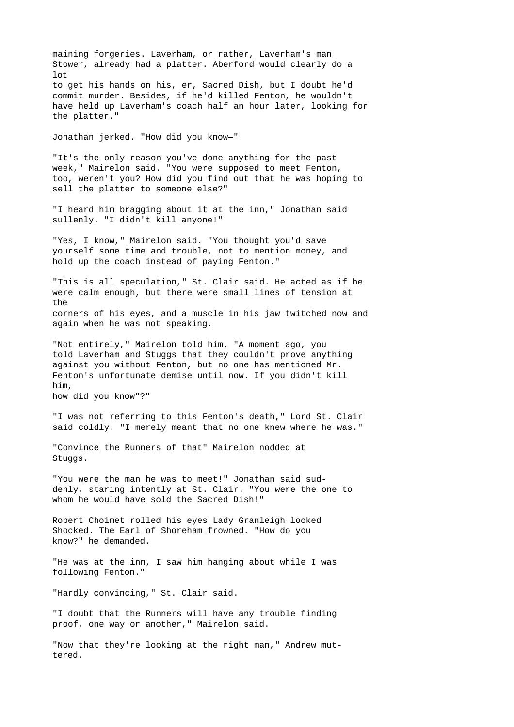maining forgeries. Laverham, or rather, Laverham's man Stower, already had a platter. Aberford would clearly do a  $1<sub>0</sub>$ to get his hands on his, er, Sacred Dish, but I doubt he'd commit murder. Besides, if he'd killed Fenton, he wouldn't have held up Laverham's coach half an hour later, looking for the platter." Jonathan jerked. "How did you know—" "It's the only reason you've done anything for the past week," Mairelon said. "You were supposed to meet Fenton, too, weren't you? How did you find out that he was hoping to sell the platter to someone else?" "I heard him bragging about it at the inn," Jonathan said sullenly. "I didn't kill anyone!" "Yes, I know," Mairelon said. "You thought you'd save yourself some time and trouble, not to mention money, and hold up the coach instead of paying Fenton." "This is all speculation," St. Clair said. He acted as if he were calm enough, but there were small lines of tension at the corners of his eyes, and a muscle in his jaw twitched now and again when he was not speaking. "Not entirely," Mairelon told him. "A moment ago, you told Laverham and Stuggs that they couldn't prove anything against you without Fenton, but no one has mentioned Mr. Fenton's unfortunate demise until now. If you didn't kill him, how did you know"?" "I was not referring to this Fenton's death," Lord St. Clair said coldly. "I merely meant that no one knew where he was." "Convince the Runners of that" Mairelon nodded at Stuggs. "You were the man he was to meet!" Jonathan said suddenly, staring intently at St. Clair. "You were the one to whom he would have sold the Sacred Dish!" Robert Choimet rolled his eyes Lady Granleigh looked Shocked. The Earl of Shoreham frowned. "How do you know?" he demanded. "He was at the inn, I saw him hanging about while I was following Fenton." "Hardly convincing," St. Clair said. "I doubt that the Runners will have any trouble finding proof, one way or another," Mairelon said. "Now that they're looking at the right man," Andrew muttered.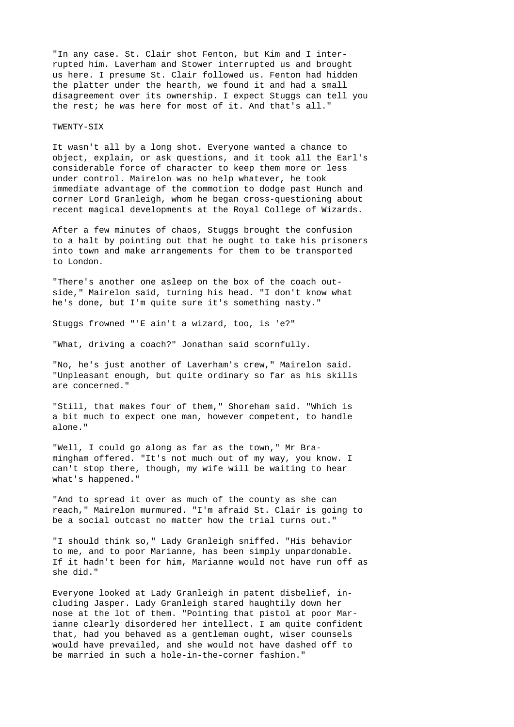"In any case. St. Clair shot Fenton, but Kim and I interrupted him. Laverham and Stower interrupted us and brought us here. I presume St. Clair followed us. Fenton had hidden the platter under the hearth, we found it and had a small disagreement over its ownership. I expect Stuggs can tell you the rest; he was here for most of it. And that's all."

## TWENTY-SIX

It wasn't all by a long shot. Everyone wanted a chance to object, explain, or ask questions, and it took all the Earl's considerable force of character to keep them more or less under control. Mairelon was no help whatever, he took immediate advantage of the commotion to dodge past Hunch and corner Lord Granleigh, whom he began cross-questioning about recent magical developments at the Royal College of Wizards.

After a few minutes of chaos, Stuggs brought the confusion to a halt by pointing out that he ought to take his prisoners into town and make arrangements for them to be transported to London.

"There's another one asleep on the box of the coach outside," Mairelon said, turning his head. "I don't know what he's done, but I'm quite sure it's something nasty."

Stuggs frowned "'E ain't a wizard, too, is 'e?"

"What, driving a coach?" Jonathan said scornfully.

"No, he's just another of Laverham's crew," Mairelon said. "Unpleasant enough, but quite ordinary so far as his skills are concerned."

"Still, that makes four of them," Shoreham said. "Which is a bit much to expect one man, however competent, to handle alone."

"Well, I could go along as far as the town," Mr Bramingham offered. "It's not much out of my way, you know. I can't stop there, though, my wife will be waiting to hear what's happened."

"And to spread it over as much of the county as she can reach," Mairelon murmured. "I'm afraid St. Clair is going to be a social outcast no matter how the trial turns out."

"I should think so," Lady Granleigh sniffed. "His behavior to me, and to poor Marianne, has been simply unpardonable. If it hadn't been for him, Marianne would not have run off as she did."

Everyone looked at Lady Granleigh in patent disbelief, including Jasper. Lady Granleigh stared haughtily down her nose at the lot of them. "Pointing that pistol at poor Marianne clearly disordered her intellect. I am quite confident that, had you behaved as a gentleman ought, wiser counsels would have prevailed, and she would not have dashed off to be married in such a hole-in-the-corner fashion."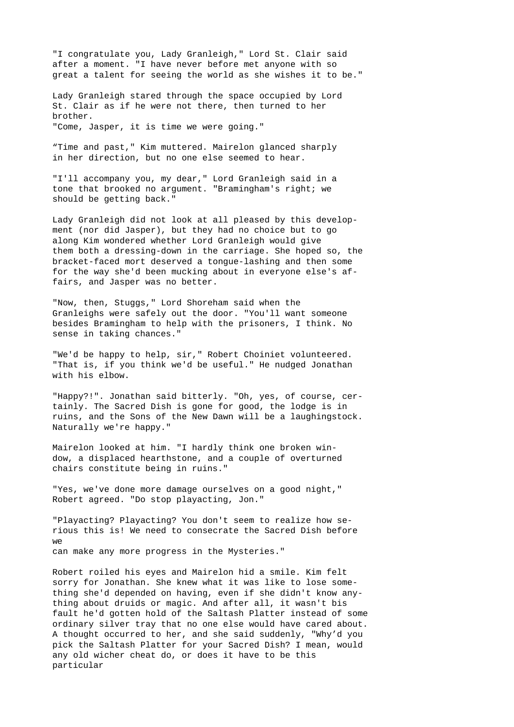"I congratulate you, Lady Granleigh," Lord St. Clair said after a moment. "I have never before met anyone with so great a talent for seeing the world as she wishes it to be."

Lady Granleigh stared through the space occupied by Lord St. Clair as if he were not there, then turned to her brother. "Come, Jasper, it is time we were going."

"Time and past," Kim muttered. Mairelon glanced sharply in her direction, but no one else seemed to hear.

"I'll accompany you, my dear," Lord Granleigh said in a tone that brooked no argument. "Bramingham's right; we should be getting back."

Lady Granleigh did not look at all pleased by this development (nor did Jasper), but they had no choice but to go along Kim wondered whether Lord Granleigh would give them both a dressing-down in the carriage. She hoped so, the bracket-faced mort deserved a tongue-lashing and then some for the way she'd been mucking about in everyone else's affairs, and Jasper was no better.

"Now, then, Stuggs," Lord Shoreham said when the Granleighs were safely out the door. "You'll want someone besides Bramingham to help with the prisoners, I think. No sense in taking chances."

"We'd be happy to help, sir," Robert Choiniet volunteered. "That is, if you think we'd be useful." He nudged Jonathan with his elbow.

"Happy?!". Jonathan said bitterly. "Oh, yes, of course, certainly. The Sacred Dish is gone for good, the lodge is in ruins, and the Sons of the New Dawn will be a laughingstock. Naturally we're happy."

Mairelon looked at him. "I hardly think one broken window, a displaced hearthstone, and a couple of overturned chairs constitute being in ruins."

"Yes, we've done more damage ourselves on a good night," Robert agreed. "Do stop playacting, Jon."

"Playacting? Playacting? You don't seem to realize how serious this is! We need to consecrate the Sacred Dish before  $W^{\alpha}$ 

can make any more progress in the Mysteries."

Robert roiled his eyes and Mairelon hid a smile. Kim felt sorry for Jonathan. She knew what it was like to lose something she'd depended on having, even if she didn't know anything about druids or magic. And after all, it wasn't bis fault he'd gotten hold of the Saltash Platter instead of some ordinary silver tray that no one else would have cared about. A thought occurred to her, and she said suddenly, "Why'd you pick the Saltash Platter for your Sacred Dish? I mean, would any old wicher cheat do, or does it have to be this particular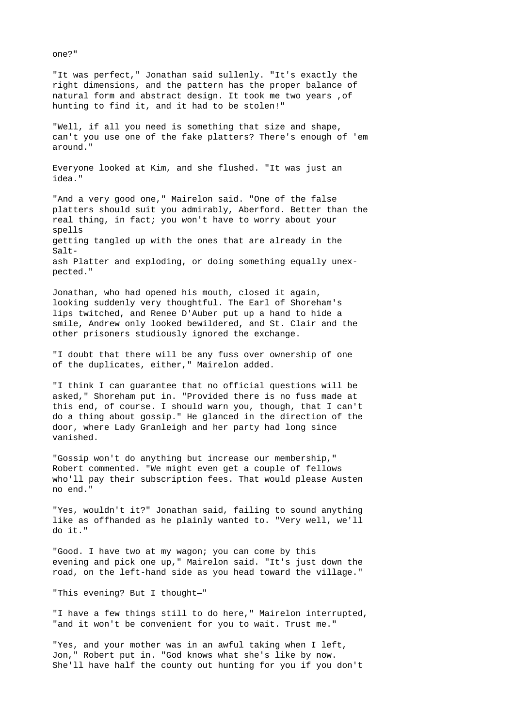"It was perfect," Jonathan said sullenly. "It's exactly the right dimensions, and the pattern has the proper balance of natural form and abstract design. It took me two years ,of hunting to find it, and it had to be stolen!" "Well, if all you need is something that size and shape, can't you use one of the fake platters? There's enough of 'em around." Everyone looked at Kim, and she flushed. "It was just an idea." "And a very good one," Mairelon said. "One of the false platters should suit you admirably, Aberford. Better than the real thing, in fact; you won't have to worry about your spells getting tangled up with the ones that are already in the Saltash Platter and exploding, or doing something equally unexpected." Jonathan, who had opened his mouth, closed it again, looking suddenly very thoughtful. The Earl of Shoreham's lips twitched, and Renee D'Auber put up a hand to hide a smile, Andrew only looked bewildered, and St. Clair and the other prisoners studiously ignored the exchange. "I doubt that there will be any fuss over ownership of one of the duplicates, either," Mairelon added. "I think I can guarantee that no official questions will be asked," Shoreham put in. "Provided there is no fuss made at this end, of course. I should warn you, though, that I can't do a thing about gossip." He glanced in the direction of the door, where Lady Granleigh and her party had long since vanished. "Gossip won't do anything but increase our membership," Robert commented. "We might even get a couple of fellows who'll pay their subscription fees. That would please Austen no end." "Yes, wouldn't it?" Jonathan said, failing to sound anything like as offhanded as he plainly wanted to. "Very well, we'll do it." "Good. I have two at my wagon; you can come by this evening and pick one up," Mairelon said. "It's just down the road, on the left-hand side as you head toward the village." "This evening? But I thought—" "I have a few things still to do here," Mairelon interrupted, "and it won't be convenient for you to wait. Trust me."

"Yes, and your mother was in an awful taking when I left, Jon," Robert put in. "God knows what she's like by now. She'll have half the county out hunting for you if you don't

one?"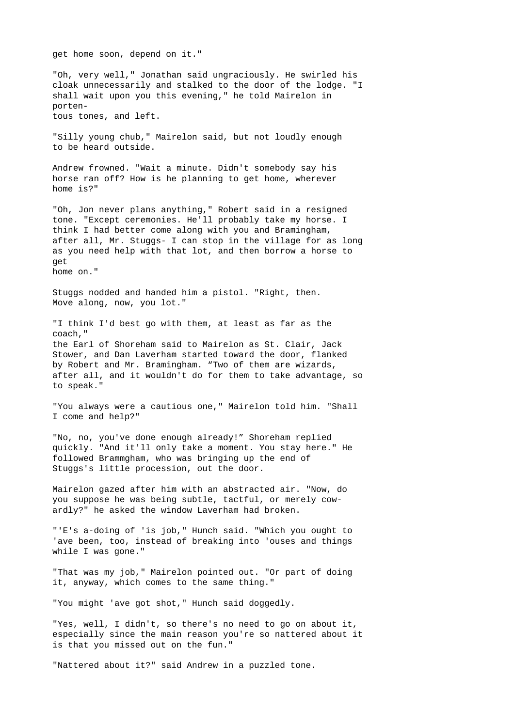get home soon, depend on it." "Oh, very well," Jonathan said ungraciously. He swirled his cloak unnecessarily and stalked to the door of the lodge. "I shall wait upon you this evening," he told Mairelon in portentous tones, and left. "Silly young chub," Mairelon said, but not loudly enough to be heard outside. Andrew frowned. "Wait a minute. Didn't somebody say his horse ran off? How is he planning to get home, wherever home is?" "Oh, Jon never plans anything," Robert said in a resigned tone. "Except ceremonies. He'll probably take my horse. I think I had better come along with you and Bramingham, after all, Mr. Stuggs- I can stop in the village for as long as you need help with that lot, and then borrow a horse to get home on." Stuggs nodded and handed him a pistol. "Right, then. Move along, now, you lot." "I think I'd best go with them, at least as far as the coach," the Earl of Shoreham said to Mairelon as St. Clair, Jack Stower, and Dan Laverham started toward the door, flanked by Robert and Mr. Bramingham. "Two of them are wizards, after all, and it wouldn't do for them to take advantage, so to speak." "You always were a cautious one," Mairelon told him. "Shall I come and help?" "No, no, you've done enough already!" Shoreham replied quickly. "And it'll only take a moment. You stay here." He followed Brammgham, who was bringing up the end of Stuggs's little procession, out the door. Mairelon gazed after him with an abstracted air. "Now, do you suppose he was being subtle, tactful, or merely cowardly?" he asked the window Laverham had broken. "'E's a-doing of 'is job," Hunch said. "Which you ought to 'ave been, too, instead of breaking into 'ouses and things while I was gone." "That was my job," Mairelon pointed out. "Or part of doing it, anyway, which comes to the same thing." "You might 'ave got shot," Hunch said doggedly. "Yes, well, I didn't, so there's no need to go on about it, especially since the main reason you're so nattered about it is that you missed out on the fun." "Nattered about it?" said Andrew in a puzzled tone.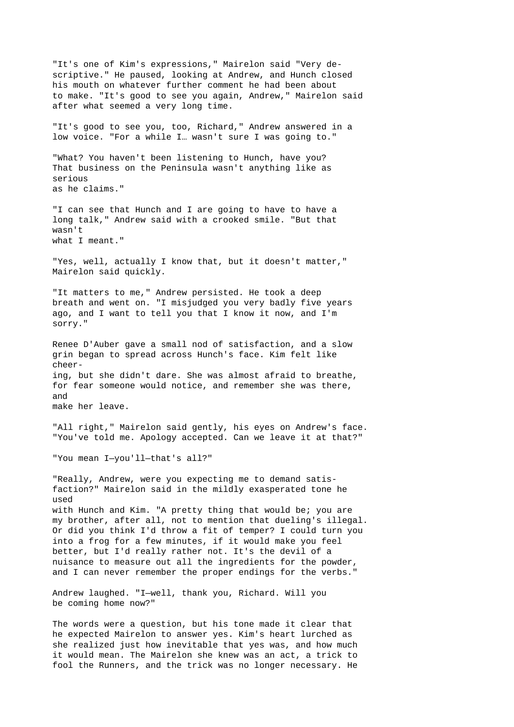"It's one of Kim's expressions," Mairelon said "Very descriptive." He paused, looking at Andrew, and Hunch closed his mouth on whatever further comment he had been about to make. "It's good to see you again, Andrew," Mairelon said after what seemed a very long time. "It's good to see you, too, Richard," Andrew answered in a low voice. "For a while I… wasn't sure I was going to." "What? You haven't been listening to Hunch, have you? That business on the Peninsula wasn't anything like as serious as he claims." "I can see that Hunch and I are going to have to have a long talk," Andrew said with a crooked smile. "But that wasn't what I meant." "Yes, well, actually I know that, but it doesn't matter," Mairelon said quickly. "It matters to me," Andrew persisted. He took a deep breath and went on. "I misjudged you very badly five years ago, and I want to tell you that I know it now, and I'm sorry." Renee D'Auber gave a small nod of satisfaction, and a slow grin began to spread across Hunch's face. Kim felt like cheering, but she didn't dare. She was almost afraid to breathe, for fear someone would notice, and remember she was there, and make her leave. "All right," Mairelon said gently, his eyes on Andrew's face. "You've told me. Apology accepted. Can we leave it at that?" "You mean I—you'll—that's all?" "Really, Andrew, were you expecting me to demand satisfaction?" Mairelon said in the mildly exasperated tone he used with Hunch and Kim. "A pretty thing that would be; you are my brother, after all, not to mention that dueling's illegal. Or did you think I'd throw a fit of temper? I could turn you into a frog for a few minutes, if it would make you feel better, but I'd really rather not. It's the devil of a nuisance to measure out all the ingredients for the powder, and I can never remember the proper endings for the verbs." Andrew laughed. "I—well, thank you, Richard. Will you be coming home now?" The words were a question, but his tone made it clear that he expected Mairelon to answer yes. Kim's heart lurched as

she realized just how inevitable that yes was, and how much it would mean. The Mairelon she knew was an act, a trick to fool the Runners, and the trick was no longer necessary. He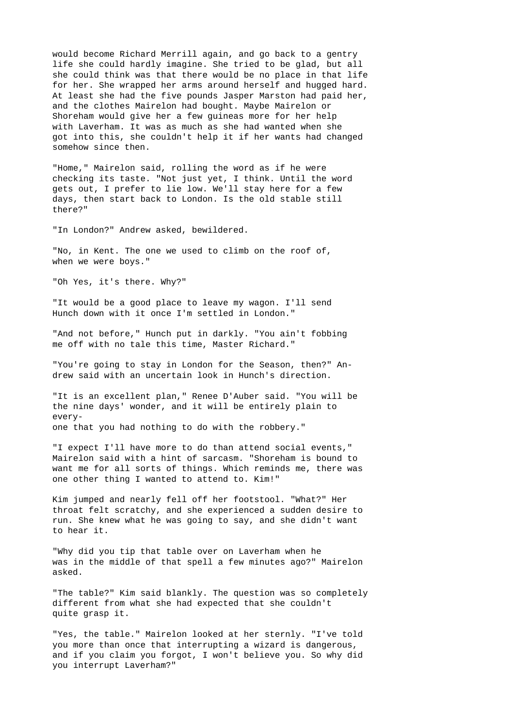would become Richard Merrill again, and go back to a gentry life she could hardly imagine. She tried to be glad, but all she could think was that there would be no place in that life for her. She wrapped her arms around herself and hugged hard. At least she had the five pounds Jasper Marston had paid her, and the clothes Mairelon had bought. Maybe Mairelon or Shoreham would give her a few guineas more for her help with Laverham. It was as much as she had wanted when she got into this, she couldn't help it if her wants had changed somehow since then.

"Home," Mairelon said, rolling the word as if he were checking its taste. "Not just yet, I think. Until the word gets out, I prefer to lie low. We'll stay here for a few days, then start back to London. Is the old stable still there?"

"In London?" Andrew asked, bewildered.

"No, in Kent. The one we used to climb on the roof of, when we were boys."

"Oh Yes, it's there. Why?"

"It would be a good place to leave my wagon. I'll send Hunch down with it once I'm settled in London."

"And not before," Hunch put in darkly. "You ain't fobbing me off with no tale this time, Master Richard."

"You're going to stay in London for the Season, then?" Andrew said with an uncertain look in Hunch's direction.

"It is an excellent plan," Renee D'Auber said. "You will be the nine days' wonder, and it will be entirely plain to everyone that you had nothing to do with the robbery."

"I expect I'll have more to do than attend social events," Mairelon said with a hint of sarcasm. "Shoreham is bound to want me for all sorts of things. Which reminds me, there was one other thing I wanted to attend to. Kim!"

Kim jumped and nearly fell off her footstool. "What?" Her throat felt scratchy, and she experienced a sudden desire to run. She knew what he was going to say, and she didn't want to hear it.

"Why did you tip that table over on Laverham when he was in the middle of that spell a few minutes ago?" Mairelon asked.

"The table?" Kim said blankly. The question was so completely different from what she had expected that she couldn't quite grasp it.

"Yes, the table." Mairelon looked at her sternly. "I've told you more than once that interrupting a wizard is dangerous, and if you claim you forgot, I won't believe you. So why did you interrupt Laverham?"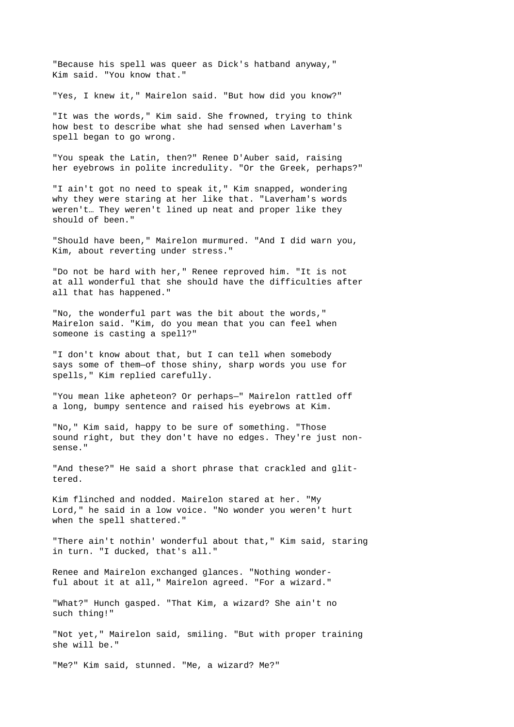"Because his spell was queer as Dick's hatband anyway," Kim said. "You know that."

"Yes, I knew it," Mairelon said. "But how did you know?"

"It was the words," Kim said. She frowned, trying to think how best to describe what she had sensed when Laverham's spell began to go wrong.

"You speak the Latin, then?" Renee D'Auber said, raising her eyebrows in polite incredulity. "Or the Greek, perhaps?"

"I ain't got no need to speak it," Kim snapped, wondering why they were staring at her like that. "Laverham's words weren't… They weren't lined up neat and proper like they should of been."

"Should have been," Mairelon murmured. "And I did warn you, Kim, about reverting under stress."

"Do not be hard with her," Renee reproved him. "It is not at all wonderful that she should have the difficulties after all that has happened."

"No, the wonderful part was the bit about the words," Mairelon said. "Kim, do you mean that you can feel when someone is casting a spell?"

"I don't know about that, but I can tell when somebody says some of them—of those shiny, sharp words you use for spells," Kim replied carefully.

"You mean like apheteon? Or perhaps—" Mairelon rattled off a long, bumpy sentence and raised his eyebrows at Kim.

"No," Kim said, happy to be sure of something. "Those sound right, but they don't have no edges. They're just nonsense."

"And these?" He said a short phrase that crackled and glittered.

Kim flinched and nodded. Mairelon stared at her. "My Lord," he said in a low voice. "No wonder you weren't hurt when the spell shattered."

"There ain't nothin' wonderful about that," Kim said, staring in turn. "I ducked, that's all."

Renee and Mairelon exchanged glances. "Nothing wonderful about it at all," Mairelon agreed. "For a wizard."

"What?" Hunch gasped. "That Kim, a wizard? She ain't no such thing!"

"Not yet," Mairelon said, smiling. "But with proper training she will be."

"Me?" Kim said, stunned. "Me, a wizard? Me?"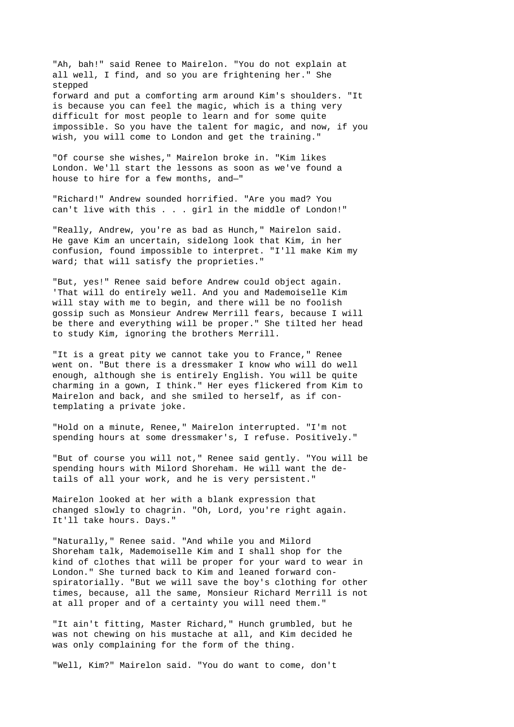"Ah, bah!" said Renee to Mairelon. "You do not explain at all well, I find, and so you are frightening her." She stepped forward and put a comforting arm around Kim's shoulders. "It is because you can feel the magic, which is a thing very difficult for most people to learn and for some quite impossible. So you have the talent for magic, and now, if you wish, you will come to London and get the training."

"Of course she wishes," Mairelon broke in. "Kim likes London. We'll start the lessons as soon as we've found a house to hire for a few months, and—"

"Richard!" Andrew sounded horrified. "Are you mad? You can't live with this . . . girl in the middle of London!"

"Really, Andrew, you're as bad as Hunch," Mairelon said. He gave Kim an uncertain, sidelong look that Kim, in her confusion, found impossible to interpret. "I'll make Kim my ward; that will satisfy the proprieties."

"But, yes!" Renee said before Andrew could object again. 'That will do entirely well. And you and Mademoiselle Kim will stay with me to begin, and there will be no foolish gossip such as Monsieur Andrew Merrill fears, because I will be there and everything will be proper." She tilted her head to study Kim, ignoring the brothers Merrill.

"It is a great pity we cannot take you to France," Renee went on. "But there is a dressmaker I know who will do well enough, although she is entirely English. You will be quite charming in a gown, I think." Her eyes flickered from Kim to Mairelon and back, and she smiled to herself, as if contemplating a private joke.

"Hold on a minute, Renee," Mairelon interrupted. "I'm not spending hours at some dressmaker's, I refuse. Positively."

"But of course you will not," Renee said gently. "You will be spending hours with Milord Shoreham. He will want the details of all your work, and he is very persistent."

Mairelon looked at her with a blank expression that changed slowly to chagrin. "Oh, Lord, you're right again. It'll take hours. Days."

"Naturally," Renee said. "And while you and Milord Shoreham talk, Mademoiselle Kim and I shall shop for the kind of clothes that will be proper for your ward to wear in London." She turned back to Kim and leaned forward conspiratorially. "But we will save the boy's clothing for other times, because, all the same, Monsieur Richard Merrill is not at all proper and of a certainty you will need them."

"It ain't fitting, Master Richard," Hunch grumbled, but he was not chewing on his mustache at all, and Kim decided he was only complaining for the form of the thing.

"Well, Kim?" Mairelon said. "You do want to come, don't